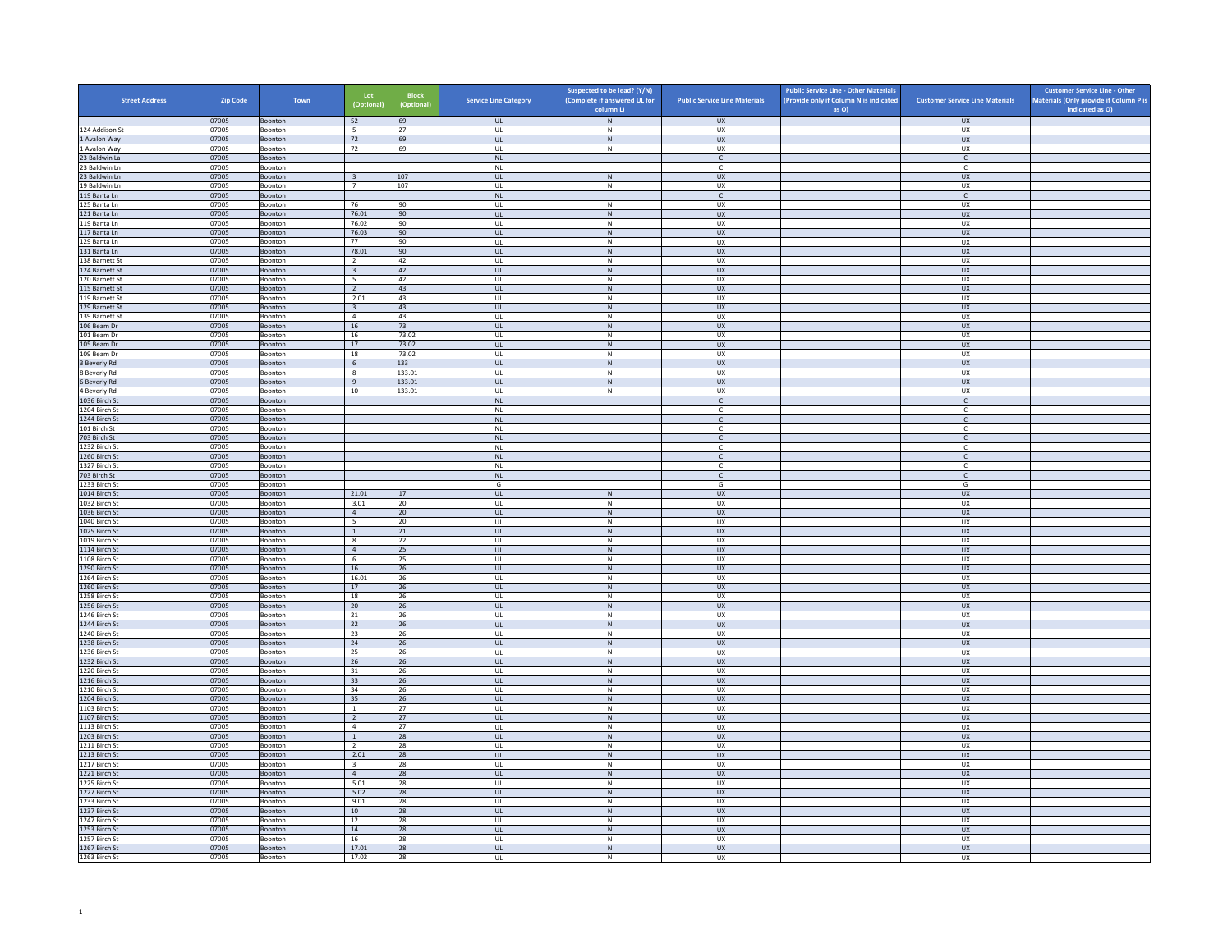| <b>Street Address</b>            | Zip Code       | Town                      | Lot<br>(Optional)                         | <b>Block</b><br>(Optional) | <b>Service Line Category</b>      | Suspected to be lead? (Y/N)<br>(Complete if answered UL for | <b>Public Service Line Materials</b> | <b>Public Service Line - Other Materials</b><br>(Provide only if Column N is indicated | <b>Customer Service Line Materials</b> | <b>Customer Service Line - Other</b><br>Materials (Only provide if Column P is |
|----------------------------------|----------------|---------------------------|-------------------------------------------|----------------------------|-----------------------------------|-------------------------------------------------------------|--------------------------------------|----------------------------------------------------------------------------------------|----------------------------------------|--------------------------------------------------------------------------------|
|                                  | 07005          | Boonton                   | 52                                        | 69                         | <b>UL</b>                         | column L)<br>$\,N\,$                                        | <b>UX</b>                            | as O)                                                                                  | <b>UX</b>                              | indicated as O)                                                                |
| 124 Addison St                   | 07005          | Boonton                   | $\overline{\phantom{0}}$                  | 27                         | <b>UL</b>                         | N                                                           | UX                                   |                                                                                        | <b>UX</b>                              |                                                                                |
| 1 Avalon Way                     | 07005          | Boonton                   | 72                                        | 69                         | <b>UL</b>                         | ${\sf N}$                                                   | <b>UX</b>                            |                                                                                        | UX                                     |                                                                                |
| 1 Avalon Way                     | 07005          | Boonton                   | 72                                        | 69                         | UL                                | $\,N\,$                                                     | UX                                   |                                                                                        | UX                                     |                                                                                |
| 23 Baldwin La<br>23 Baldwin Ln   | 07005<br>07005 | Boonton<br>Boonton        |                                           |                            | <b>NL</b><br><b>NL</b>            |                                                             | $\mathsf{C}$<br>$\mathsf{C}$         |                                                                                        | $\mathsf{C}$<br>c                      |                                                                                |
| 23 Baldwin Ln                    | 07005          | Boonton                   | $\overline{3}$                            | 107                        | $\mathbf{U}$                      | N                                                           | $\overline{11}$                      |                                                                                        | $\overline{U}$                         |                                                                                |
| 19 Baldwin Ln                    | 07005          | Boonton                   | $\overline{7}$                            | 107                        | UL                                | ${\sf N}$                                                   | UX                                   |                                                                                        | UX                                     |                                                                                |
| 119 Banta Ln                     | 07005          | Boonton                   |                                           |                            | <b>NL</b>                         |                                                             | $\mathsf{C}$                         |                                                                                        | $\mathsf{C}$                           |                                                                                |
| 125 Banta Ln<br>121 Banta Ln     | 07005<br>07005 | Boonton<br>Boonton        | 76<br>76.01                               | 90<br>90                   | UL<br><b>UL</b>                   | ${\sf N}$<br>$\,$ N                                         | UX<br><b>UX</b>                      |                                                                                        | UX<br><b>UX</b>                        |                                                                                |
| 119 Banta Ln                     | 07005          | Boonton                   | 76.02                                     | 90                         | UL                                | N                                                           | <b>UX</b>                            |                                                                                        | UX                                     |                                                                                |
| 117 Banta Ln                     | 07005          | Boonton                   | 76.03                                     | 90                         | UL                                | ${\sf N}$                                                   | UX                                   |                                                                                        | UX                                     |                                                                                |
| 129 Banta In                     | 07005          | <b>Boonton</b>            | 77                                        | 90                         | $\mathbf{U}$                      | $\mathsf{N}$                                                | UX                                   |                                                                                        | UX                                     |                                                                                |
| 131 Banta Ln                     | 07005          | Boonton                   | 78.01                                     | 90                         | UL                                | N                                                           | UX                                   |                                                                                        | UX                                     |                                                                                |
| 138 Barnett St<br>124 Barnett St | 07005<br>07005 | Boonton<br>Boonton        | $\overline{2}$<br>$\overline{\mathbf{3}}$ | 42<br>42                   | <b>UL</b><br>UL                   | N<br>N                                                      | UX<br>UX                             |                                                                                        | UX<br>UX                               |                                                                                |
| 120 Barnett St                   | 07005          | Boonton                   | 5                                         | 42                         | UL                                | ${\sf N}$                                                   | UX                                   |                                                                                        | UX                                     |                                                                                |
| 115 Barnett St                   | 07005          | Boonton                   | $\overline{2}$                            | 43                         | <b>UL</b>                         | N                                                           | <b>UX</b>                            |                                                                                        | <b>UX</b>                              |                                                                                |
| 119 Barnett St                   | 07005          | Boonton                   | 2.01                                      | 43                         | UL                                | ${\sf N}$                                                   | UX                                   |                                                                                        | <b>UX</b>                              |                                                                                |
| 129 Barnett St                   | 07005          | Boonton                   | $\overline{\mathbf{3}}$                   | 43                         | $\mathbf{U}$                      | N                                                           | $\overline{11}$                      |                                                                                        | UX                                     |                                                                                |
| 139 Barnett St                   | 07005          | Boonton                   | $\overline{4}$                            | 43                         | UL                                | ${\sf N}$                                                   | UX<br>${\sf U}{\sf X}$               |                                                                                        | UX                                     |                                                                                |
| 106 Beam Dr<br>101 Beam Dr       | 07005<br>07005 | Boonton<br>Boonton        | 16<br>16                                  | 73<br>73.02                | UL<br>UL                          | N<br>${\sf N}$                                              | UX                                   |                                                                                        | UX<br>UX                               |                                                                                |
| 105 Beam Dr                      | 07005          | Boonton                   | 17                                        | 73.02                      | UL                                | ${\sf N}$                                                   | <b>UX</b>                            |                                                                                        | <b>UX</b>                              |                                                                                |
| 109 Beam Dr                      | 07005          | Boonton                   | 18                                        | 73.02                      | UL                                | N                                                           | <b>UX</b>                            |                                                                                        | <b>UX</b>                              |                                                                                |
| 3 Beverly Rd                     | 07005          | Boonton                   | $\sqrt{6}$                                | 133                        | $_{\sf UL}$                       | ${\sf N}$                                                   | ${\sf U}{\sf X}$                     |                                                                                        | ${\sf U}{\sf X}$                       |                                                                                |
| 8 Beverly Rd                     | 07005          | Boonton                   | $\mathbf{g}$                              | 133.01                     | $\mathbf{U}$                      | N                                                           | UX                                   |                                                                                        | UX                                     |                                                                                |
| 6 Beverly Rd<br>4 Beverly Rd     | 07005<br>07005 | Boonton<br>Boonton        | 9<br>10                                   | 133.01<br>133.01           | UL<br><b>UL</b>                   | ${\sf N}$<br>N                                              | <b>UX</b><br>UX                      |                                                                                        | UX<br>UX                               |                                                                                |
| 1036 Birch St                    | 07005          | Boonton                   |                                           |                            | NL                                |                                                             | $\mathsf{C}$                         |                                                                                        | $\mathsf{C}$                           |                                                                                |
| 1204 Birch St                    | 07005          | Boonton                   |                                           |                            | <b>NL</b>                         |                                                             | $\mathsf{C}$                         |                                                                                        | $\mathsf{C}$                           |                                                                                |
| 1244 Birch St                    | 07005          | Boonton                   |                                           |                            | <b>NL</b>                         |                                                             | $\mathsf{C}$                         |                                                                                        | $\mathsf{C}$                           |                                                                                |
| 101 Birch St                     | 07005          | Boonton                   |                                           |                            | <b>NL</b>                         |                                                             | $\mathsf{C}$                         |                                                                                        | c                                      |                                                                                |
| 703 Birch St<br>1232 Birch St    | 07005<br>07005 | Boonton<br>Boonton        |                                           |                            | NI<br><b>NL</b>                   |                                                             | $\mathsf{C}$                         |                                                                                        | $\mathsf{C}$<br>c                      |                                                                                |
| 1260 Birch St                    | 07005          | Boonton                   |                                           |                            | <b>NL</b>                         |                                                             | $\mathsf{C}$                         |                                                                                        | $\mathsf{C}$                           |                                                                                |
| 1327 Birch St                    | 07005          | Boonton                   |                                           |                            | NL                                |                                                             | $\mathsf{C}$                         |                                                                                        | $\mathsf{C}$                           |                                                                                |
| 703 Birch St                     | 07005          | Boonton                   |                                           |                            | NL                                |                                                             | $\mathsf{C}$                         |                                                                                        | $\mathsf{C}$                           |                                                                                |
| 1233 Birch St                    | 07005          | Boonton                   |                                           |                            | G                                 |                                                             | G                                    |                                                                                        | G                                      |                                                                                |
| 1014 Birch St<br>1032 Birch St   | 07005<br>07005 | Boonton<br>Boonton        | 21.01<br>3.01                             | 17<br>20                   | $_{\sf UL}$<br>UL                 | N<br>N                                                      | UX<br>UX                             |                                                                                        | ${\sf U}{\sf X}$<br>UX                 |                                                                                |
| 1036 Birch St                    | 07005          | Boonton                   | $\overline{4}$                            | 20                         | <b>UL</b>                         | ${\sf N}$                                                   | <b>UX</b>                            |                                                                                        | <b>UX</b>                              |                                                                                |
| 1040 Birch St                    | 07005          | Boonton                   | $\overline{\phantom{0}}$                  | 20                         | UL                                | ${\sf N}$                                                   | UX                                   |                                                                                        | UX                                     |                                                                                |
| 1025 Birch St                    | 07005          | Boonton                   | <sup>1</sup>                              | 21                         | <b>UL</b>                         | N                                                           | <b>UX</b>                            |                                                                                        | UX                                     |                                                                                |
| 1019 Birch St                    | 07005          | Boonton                   | $_{\rm 8}$                                | 22                         | UL                                | ${\sf N}$                                                   | UX                                   |                                                                                        | UX                                     |                                                                                |
| 1114 Birch St<br>1108 Birch St   | 07005<br>07005 | Boonton<br>Boonton        | $\overline{4}$<br>6                       | 25<br>25                   | $\mathbf{u}$<br>UL                | N<br>$\mathsf{N}$                                           | UX<br>UX                             |                                                                                        | $\overline{U}$<br>UX                   |                                                                                |
| 1290 Birch St                    | 07005          | Boonton                   | 16                                        | 26                         | <b>UL</b>                         | N                                                           | <b>UX</b>                            |                                                                                        | <b>UX</b>                              |                                                                                |
| 1264 Birch St                    | 07005          | Boonton                   | 16.01                                     | 26                         | UL                                | ${\sf N}$                                                   | UX                                   |                                                                                        | UX                                     |                                                                                |
| 1260 Birch St                    | 07005          | Boonton                   | 17                                        | 26                         | UL                                | ${\sf N}$                                                   | <b>UX</b>                            |                                                                                        | UX                                     |                                                                                |
| 1258 Birch St                    | 07005          | Boonton                   | 18                                        | 26                         | UL                                | ${\sf N}$                                                   | UX                                   |                                                                                        | UX                                     |                                                                                |
| 1256 Birch St<br>1246 Birch St   | 07005<br>07005 | Boonton<br>Boonton        | 20<br>21                                  | 26<br>26                   | UL<br>$\mathbf{U}$                | ${\sf N}$<br>N                                              | <b>UX</b><br>UX                      |                                                                                        | <b>UX</b><br>UX                        |                                                                                |
| 1244 Birch St                    | 07005          | Boonton                   | 22                                        | 26                         | UL                                | N                                                           | UX                                   |                                                                                        | UX                                     |                                                                                |
| 1240 Birch St                    | 07005          | Boonton                   | 23                                        | 26                         | <b>UL</b>                         | N                                                           | <b>UX</b>                            |                                                                                        | <b>UX</b>                              |                                                                                |
| 1238 Birch St                    | 07005          | Boonton                   | 24                                        | 26                         | <b>UL</b>                         | ${\sf N}$                                                   | UX                                   |                                                                                        | UX                                     |                                                                                |
| 1236 Birch St                    | 07005          | Boonton                   | 25                                        | 26                         | UL                                | $\,N\,$                                                     | UX                                   |                                                                                        | UX                                     |                                                                                |
| 1232 Birch St<br>1220 Birch St   | 07005<br>07005 | Boonton<br>Boonton        | 26<br>31                                  | 26<br>26                   | <b>UL</b><br>UL                   | N<br>${\sf N}$                                              | <b>UX</b><br>UX                      |                                                                                        | UX<br>UX                               |                                                                                |
| 1216 Birch St                    | 07005          | Boonton                   | 33                                        | 26                         | $\mathbf{u}$                      | N                                                           | UX                                   |                                                                                        | <b>UX</b>                              |                                                                                |
| 1210 Birch St                    | 07005          | Boonton                   | 34                                        | 26                         | UL                                | ${\sf N}$                                                   | UX                                   |                                                                                        | UX                                     |                                                                                |
| 1204 Birch St                    | 07005          | Boonton                   | 35                                        | 26                         | <b>UL</b>                         | N                                                           | <b>UX</b>                            |                                                                                        | <b>UX</b>                              |                                                                                |
| 1103 Birch St                    | 07005          | Boonton                   | $\overline{1}$                            | 27                         | UL                                | ${\sf N}$                                                   | UX                                   |                                                                                        | UX                                     |                                                                                |
| 1107 Birch St<br>1113 Birch St   | 07005<br>07005 | Boonton<br>Boonton        | $\overline{2}$<br>$\overline{4}$          | 27<br>27                   | UL<br>UL                          | ${\sf N}$<br>${\sf N}$                                      | UX<br>UX                             |                                                                                        | UX<br>UX                               |                                                                                |
| 1203 Birch St                    | 07005          | Boonton                   | $\mathbf 1$                               | 28                         | $\ensuremath{\mathsf{UL}}\xspace$ | ${\sf N}$                                                   | UX                                   |                                                                                        | ${\sf U}{\sf X}$                       |                                                                                |
| 1211 Birch St                    | 07005          | Boonton                   | $\overline{2}$                            | 28                         | $\mathbf{U}$                      | N                                                           | <b>UX</b>                            |                                                                                        | UX                                     |                                                                                |
| 1213 Birch St                    | 07005          | Boonton                   | 2.01                                      | 28                         | UL                                | ${\sf N}$                                                   | UX                                   |                                                                                        | UX                                     |                                                                                |
| 1217 Birch St                    | 07005          | Boonton                   | $\overline{\mathbf{3}}$                   | 28                         | <b>UL</b>                         | N                                                           | UX                                   |                                                                                        | UX                                     |                                                                                |
| 1221 Birch St                    | 07005          | Boonton                   | $\overline{4}$                            | 28                         | $\mathsf{UL}$                     | ${\sf N}$                                                   | UX                                   |                                                                                        | UX                                     |                                                                                |
| 1225 Birch St<br>1227 Birch St   | 07005<br>07005 | Boonton<br><b>Boonton</b> | 5.01<br>5.02                              | 28<br>28                   | UL<br><b>UL</b>                   | N<br>N                                                      | UX<br><b>UX</b>                      |                                                                                        | UX<br>UX                               |                                                                                |
| 1233 Birch St                    | 07005          | Boonton                   | 9.01                                      | 28                         | $_{\sf UL}$                       | ${\sf N}$                                                   | UX                                   |                                                                                        | UX                                     |                                                                                |
| 1237 Birch St                    | 07005          | Boonton                   | 10 <sup>1</sup>                           | 28                         | $\mathbf{u}$                      | N                                                           | $\overline{11}$                      |                                                                                        | <b>UX</b>                              |                                                                                |
| 1247 Birch St                    | 07005          | Boonton                   | 12                                        | 28                         | UL                                | ${\sf N}$                                                   | UX                                   |                                                                                        | UX                                     |                                                                                |
| 1253 Birch St<br>1257 Birch St   | 07005<br>07005 | Boonton<br>Boonton        | 14<br>16                                  | 28<br>28                   | <b>UL</b><br>UL                   | N<br>$\mathsf{N}$                                           | <b>UX</b><br>UX                      |                                                                                        | <b>UX</b><br>UX                        |                                                                                |
| 1267 Birch St                    | 07005          | Boonton                   | 17.01                                     | 28                         | UL                                | ${\sf N}$                                                   | UX                                   |                                                                                        | UX                                     |                                                                                |
| 1263 Birch St                    | 07005          | Boonton                   | 17.02                                     | 28                         | UL                                | N                                                           | <b>UX</b>                            |                                                                                        | <b>UX</b>                              |                                                                                |
|                                  |                |                           |                                           |                            |                                   |                                                             |                                      |                                                                                        |                                        |                                                                                |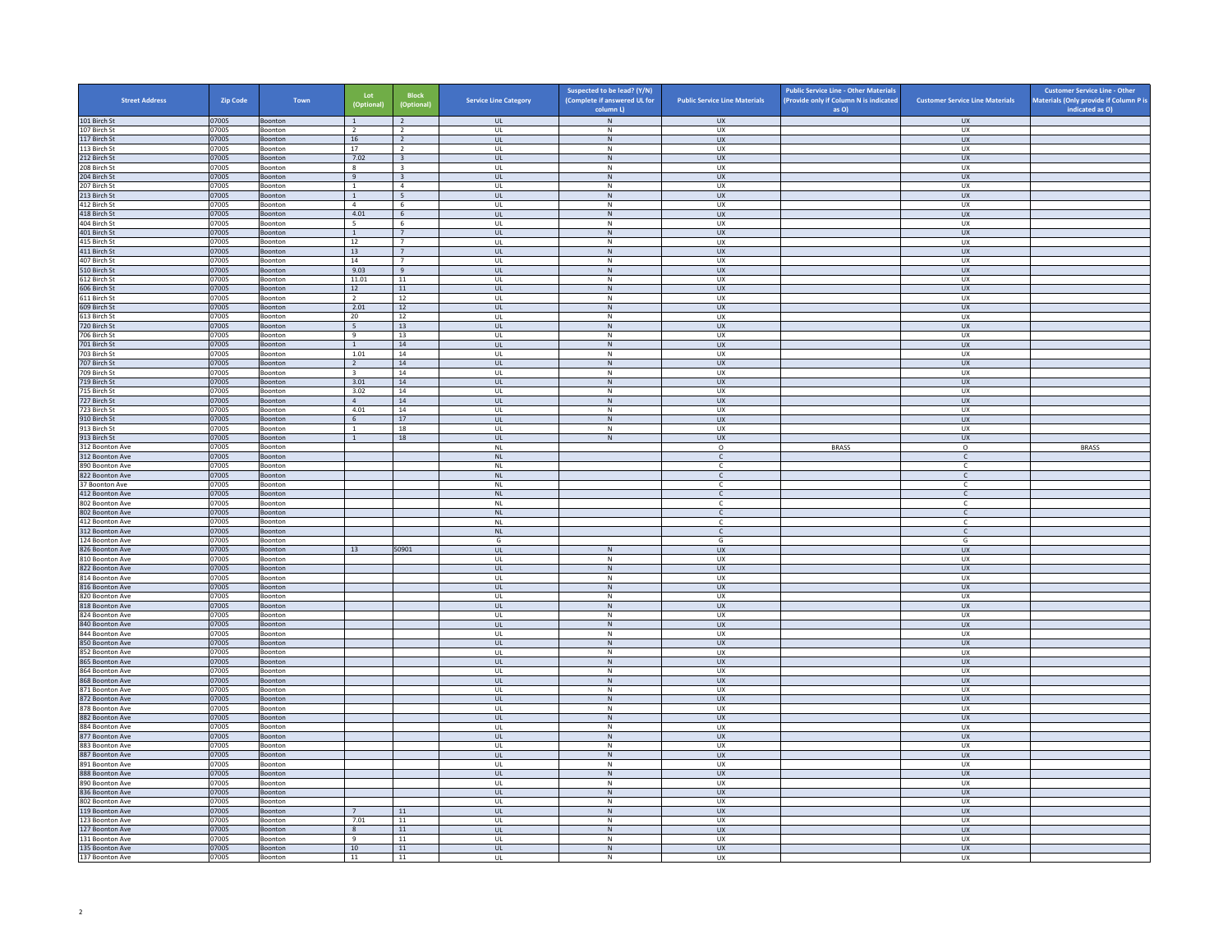| <b>Street Address</b>              | Zip Code       | Town                      | Lot<br>(Optional)      | <b>Block</b><br>(Optional)                         | <b>Service Line Category</b>      | Suspected to be lead? (Y/N)<br>(Complete if answered UL for | <b>Public Service Line Materials</b> | <b>Public Service Line - Other Materials</b><br>(Provide only if Column N is indicated | <b>Customer Service Line Materials</b> | <b>Customer Service Line - Other</b><br>Materials (Only provide if Column P is |
|------------------------------------|----------------|---------------------------|------------------------|----------------------------------------------------|-----------------------------------|-------------------------------------------------------------|--------------------------------------|----------------------------------------------------------------------------------------|----------------------------------------|--------------------------------------------------------------------------------|
| 101 Birch St                       | 07005          | Boonton                   | $\mathbf{1}$           | $\overline{2}$                                     | <b>UL</b>                         | column L)<br>${\sf N}$                                      | <b>UX</b>                            | as O)                                                                                  | <b>UX</b>                              | indicated as O)                                                                |
| 107 Birch St                       | 07005          | Boonton                   | $\overline{2}$         | $\overline{2}$                                     | <b>UL</b>                         | N                                                           | UX                                   |                                                                                        | <b>UX</b>                              |                                                                                |
| 117 Birch St                       | 07005          | Boonton                   | $16\,$                 | $\overline{2}$                                     | <b>UL</b>                         | ${\sf N}$                                                   | ${\sf U}{\sf X}$                     |                                                                                        | UX                                     |                                                                                |
| 113 Birch St                       | 07005          | Boonton                   | 17                     | $\overline{2}$                                     | UL                                | ${\sf N}$                                                   | UX                                   |                                                                                        | <b>UX</b>                              |                                                                                |
| 212 Birch St<br>208 Birch St       | 07005<br>07005 | Boonton<br>Boonton        | 7.02<br>8              | $\overline{\mathbf{3}}$<br>$\overline{\mathbf{3}}$ | <b>UL</b><br>UL                   | N<br>${\sf N}$                                              | <b>UX</b><br>UX                      |                                                                                        | <b>UX</b><br><b>UX</b>                 |                                                                                |
| 204 Birch St                       | 07005          | Boonton                   | 9                      | $\overline{3}$                                     | $\mathbf{u}$                      | N                                                           | $\overline{11}$                      |                                                                                        | $\overline{U}$                         |                                                                                |
| 207 Birch St                       | 07005          | Boonton                   | $\overline{1}$         | $\overline{4}$                                     | UL                                | ${\sf N}$                                                   | UX                                   |                                                                                        | UX                                     |                                                                                |
| 213 Birch St                       | 07005          | Boonton                   | <sup>1</sup>           | 5                                                  | <b>UL</b>                         | N                                                           | UX                                   |                                                                                        | <b>UX</b>                              |                                                                                |
| 412 Birch St<br>418 Birch St       | 07005<br>07005 | Boonton<br>Boonton        | $\overline{4}$<br>4.01 | $6\phantom{.}6$<br>6                               | UL<br><b>UL</b>                   | ${\sf N}$<br>$\,$ N                                         | UX<br><b>UX</b>                      |                                                                                        | UX<br><b>UX</b>                        |                                                                                |
| 404 Birch St                       | 07005          | Boonton                   | 5                      | -6                                                 | UL                                | N                                                           | <b>UX</b>                            |                                                                                        | <b>UX</b>                              |                                                                                |
| 401 Birch St                       | 07005          | Boonton                   | $\,$ 1 $\,$            | $\overline{7}$                                     | UL                                | ${\sf N}$                                                   | UX                                   |                                                                                        | UX                                     |                                                                                |
| 415 Birch St                       | 07005          | <b>Boonton</b>            | 12                     | $\overline{7}$                                     | $\mathbf{U}$                      | N                                                           | UX                                   |                                                                                        | UX                                     |                                                                                |
| 411 Birch St                       | 07005          | Boonton                   | 13                     | $7\overline{ }$                                    | UL                                | N                                                           | <b>UX</b>                            |                                                                                        | UX                                     |                                                                                |
| 407 Birch St<br>510 Birch St       | 07005<br>07005 | Boonton<br>Boonton        | 14<br>9.03             | $\overline{7}$<br>$\mathsf g$                      | <b>UL</b><br>UL                   | N<br>N                                                      | UX<br>UX                             |                                                                                        | UX<br>UX                               |                                                                                |
| 612 Birch St                       | 07005          | Boonton                   | 11.01                  | 11                                                 | UL                                | ${\sf N}$                                                   | UX                                   |                                                                                        | UX                                     |                                                                                |
| 606 Birch St                       | 07005          | Boonton                   | 12                     | 11                                                 | <b>UL</b>                         | N                                                           | <b>UX</b>                            |                                                                                        | <b>UX</b>                              |                                                                                |
| 611 Birch St                       | 07005          | Boonton                   | $\overline{2}$         | 12                                                 | UL                                | ${\sf N}$                                                   | UX                                   |                                                                                        | <b>UX</b>                              |                                                                                |
| 609 Birch St                       | 07005          | Boonton                   | 2.01                   | 12                                                 | $\mathbf{U}$                      | N                                                           | $\overline{11}$                      |                                                                                        | UX                                     |                                                                                |
| 613 Birch St                       | 07005          | Boonton                   | 20                     | $12\,$                                             | UL                                | ${\sf N}$                                                   | UX<br>${\sf U}{\sf X}$               |                                                                                        | UX                                     |                                                                                |
| 720 Birch St<br>706 Birch St       | 07005<br>07005 | Boonton<br>Boonton        | $5\overline{5}$<br>9   | 13<br>13                                           | UL<br>UL                          | N<br>${\sf N}$                                              | UX                                   |                                                                                        | UX<br>UX                               |                                                                                |
| 701 Birch St                       | 07005          | Boonton                   | $\mathbf{1}$           | 14                                                 | UL                                | ${\sf N}$                                                   | <b>UX</b>                            |                                                                                        | <b>UX</b>                              |                                                                                |
| 703 Birch St                       | 07005          | Boonton                   | 1.01                   | 14                                                 | UL                                | N                                                           | <b>UX</b>                            |                                                                                        | <b>UX</b>                              |                                                                                |
| 707 Birch St                       | 07005          | Boonton                   | $\overline{2}$         | ${\bf 14}$                                         | $_{\sf UL}$                       | ${\sf N}$                                                   | ${\sf U}{\sf X}$                     |                                                                                        | ${\sf U}{\sf X}$                       |                                                                                |
| 709 Birch St                       | 07005          | Boonton                   | $\overline{3}$         | 14                                                 | $\mathbf{U}$                      | N                                                           | UX                                   |                                                                                        | UX                                     |                                                                                |
| 719 Birch St<br>715 Birch St       | 07005<br>07005 | Boonton<br>Boonton        | 3.01<br>3.02           | 14<br>14                                           | UL<br><b>UL</b>                   | ${\sf N}$<br>N                                              | UX<br>UX                             |                                                                                        | <b>UX</b><br>UX                        |                                                                                |
| 727 Birch St                       | 07005          | Boonton                   | $\overline{4}$         | 14                                                 | UL                                | N                                                           | <b>UX</b>                            |                                                                                        | UX                                     |                                                                                |
| 723 Birch St                       | 07005          | Boonton                   | 4.01                   | 14                                                 | UL                                | ${\sf N}$                                                   | UX                                   |                                                                                        | UX                                     |                                                                                |
| 910 Birch St                       | 07005          | Boonton                   | 6                      | 17                                                 | <b>UL</b>                         | N                                                           | <b>UX</b>                            |                                                                                        | <b>UX</b>                              |                                                                                |
| 913 Birch St                       | 07005          | Boonton                   | $\overline{1}$         | 18                                                 | $_{\sf UL}$                       | $\mathsf{N}$                                                | UX                                   |                                                                                        | UX                                     |                                                                                |
| 913 Birch St<br>312 Boonton Ave    | 07005<br>07005 | Boonton<br>Boonton        | <sup>1</sup>           | 18                                                 | $\mathbf{U}$<br>$\mathsf{NL}\,$   | N                                                           | <b>UX</b><br>$\mathsf{O}$            | <b>BRASS</b>                                                                           | UX<br>0                                | <b>BRASS</b>                                                                   |
| 312 Boonton Ave                    | 07005          | Boonton                   |                        |                                                    | NI                                |                                                             | $\mathsf{C}$                         |                                                                                        | $\mathsf{C}$                           |                                                                                |
| 890 Boonton Ave                    | 07005          | Boonton                   |                        |                                                    | NL                                |                                                             | $\mathsf{C}$                         |                                                                                        | $\mathsf{C}$                           |                                                                                |
| 822 Boonton Ave                    | 07005          | Boonton                   |                        |                                                    | NL                                |                                                             | $\mathsf{C}$                         |                                                                                        | $\mathsf{C}$                           |                                                                                |
| 37 Boonton Ave                     | 07005          | Boonton                   |                        |                                                    | <b>NL</b>                         |                                                             | C.                                   |                                                                                        | C                                      |                                                                                |
| 412 Boonton Ave<br>802 Boonton Ave | 07005<br>07005 | Boonton<br>Boonton        |                        |                                                    | NL<br><b>NL</b>                   |                                                             | C<br>$\mathsf{C}$                    |                                                                                        | $\mathsf{C}$<br>$\mathsf{C}$           |                                                                                |
| 802 Boonton Ave                    | 07005          | Boonton                   |                        |                                                    | $\mathsf{NL}\xspace$              |                                                             | $\mathsf{C}$                         |                                                                                        | $\mathsf{C}$                           |                                                                                |
| 412 Boonton Ave                    | 07005          | Boonton                   |                        |                                                    | $\sf NL$                          |                                                             | $\mathsf{C}$                         |                                                                                        | $\mathsf{C}$                           |                                                                                |
| 312 Boonton Ave                    | 07005          | Boonton                   |                        |                                                    | <b>NL</b>                         |                                                             | $\mathsf{C}$                         |                                                                                        | $\mathsf{C}$                           |                                                                                |
| 124 Boonton Ave                    | 07005          | Boonton                   |                        |                                                    | G                                 |                                                             | G                                    |                                                                                        | G                                      |                                                                                |
| 826 Boonton Ave<br>810 Boonton Ave | 07005<br>07005 | Boonton<br>Boonton        | 13                     | 50901                                              | $\mathbf{u}$<br>UL                | N<br>$\mathsf{N}$                                           | UX<br>UX                             |                                                                                        | $\overline{U}$<br>UX                   |                                                                                |
| 822 Boonton Ave                    | 07005          | Boonton                   |                        |                                                    | <b>UL</b>                         | N                                                           | <b>UX</b>                            |                                                                                        | <b>UX</b>                              |                                                                                |
| 814 Boonton Ave                    | 07005          | Boonton                   |                        |                                                    | UL                                | ${\sf N}$                                                   | UX                                   |                                                                                        | UX                                     |                                                                                |
| 816 Boonton Ave                    | 07005          | Boonton                   |                        |                                                    | UL                                | ${\sf N}$                                                   | <b>UX</b>                            |                                                                                        | UX                                     |                                                                                |
| 820 Boonton Ave                    | 07005          | Boonton                   |                        |                                                    | UL                                | $\mathsf{N}$                                                | UX                                   |                                                                                        | UX                                     |                                                                                |
| 818 Boonton Ave<br>824 Boonton Ave | 07005<br>07005 | Boonton<br>Boonton        |                        |                                                    | UL<br>- UI                        | ${\sf N}$<br>N                                              | <b>UX</b><br>UX                      |                                                                                        | <b>UX</b><br>UX                        |                                                                                |
| 840 Boonton Ave                    | 07005          | Boonton                   |                        |                                                    | UL                                | N                                                           | UX                                   |                                                                                        | UX                                     |                                                                                |
| 844 Boonton Ave                    | 07005          | Boonton                   |                        |                                                    | <b>UL</b>                         | N                                                           | <b>UX</b>                            |                                                                                        | UX                                     |                                                                                |
| 850 Boonton Ave                    | 07005          | Boonton                   |                        |                                                    | $\mathsf{UL}$                     | ${\sf N}$                                                   | UX                                   |                                                                                        | UX                                     |                                                                                |
| 852 Boonton Ave                    | 07005          | Boonton                   |                        |                                                    | UL                                | $\,N\,$                                                     | UX                                   |                                                                                        | UX                                     |                                                                                |
| 865 Boonton Ave<br>864 Boonton Ave | 07005<br>07005 | Boonton<br>Boonton        |                        |                                                    | <b>UL</b><br>UL                   | N<br>${\sf N}$                                              | <b>UX</b><br>UX                      |                                                                                        | <b>UX</b><br>UX                        |                                                                                |
| 868 Boonton Ave                    | 07005          | Boonton                   |                        |                                                    | $\mathbf{u}$                      | N                                                           | UX                                   |                                                                                        | <b>UX</b>                              |                                                                                |
| 871 Boonton Ave                    | 07005          | Boonton                   |                        |                                                    | UL                                | ${\sf N}$                                                   | UX                                   |                                                                                        | UX                                     |                                                                                |
| 872 Boonton Ave                    | 07005          | Boonton                   |                        |                                                    | <b>UL</b>                         | N                                                           | <b>UX</b>                            |                                                                                        | <b>UX</b>                              |                                                                                |
| 878 Boonton Ave                    | 07005          | Boonton                   |                        |                                                    | UL                                | ${\sf N}$                                                   | UX                                   |                                                                                        | UX                                     |                                                                                |
| 882 Boonton Ave<br>884 Boonton Ave | 07005<br>07005 | Boonton<br>Boonton        |                        |                                                    | UL<br>UL                          | ${\sf N}$<br>$\mathsf{N}$                                   | UX<br>UX                             |                                                                                        | UX<br>UX                               |                                                                                |
| 877 Boonton Ave                    | 07005          | Boonton                   |                        |                                                    | $\ensuremath{\mathsf{UL}}\xspace$ | ${\sf N}$                                                   | UX                                   |                                                                                        | ${\sf U}{\sf X}$                       |                                                                                |
| 883 Boonton Ave                    | 07005          | Boonton                   |                        |                                                    | <b>UI</b>                         | N                                                           | <b>UX</b>                            |                                                                                        | UX                                     |                                                                                |
| 887 Boonton Ave                    | 07005          | Boonton                   |                        |                                                    | UL                                | ${\sf N}$                                                   | UX                                   |                                                                                        | UX                                     |                                                                                |
| 891 Boonton Ave                    | 07005          | Boonton                   |                        |                                                    | <b>UL</b>                         | N                                                           | UX                                   |                                                                                        | UX                                     |                                                                                |
| 888 Boonton Ave                    | 07005          | Boonton                   |                        |                                                    | $\mathsf{UL}$                     | ${\sf N}$                                                   | UX                                   |                                                                                        | UX                                     |                                                                                |
| 890 Boonton Ave<br>836 Boonton Ave | 07005<br>07005 | Boonton<br><b>Boonton</b> |                        |                                                    | UL<br><b>UL</b>                   | N<br>N                                                      | UX<br><b>UX</b>                      |                                                                                        | UX<br>UX                               |                                                                                |
| 802 Boonton Ave                    | 07005          | Boonton                   |                        |                                                    | UL                                | ${\sf N}$                                                   | UX                                   |                                                                                        | UX                                     |                                                                                |
| 119 Boonton Ave                    | 07005          | Boonton                   | 7                      | 11                                                 | $\mathbf{u}$                      | N                                                           | $\overline{11}$                      |                                                                                        | <b>UX</b>                              |                                                                                |
| 123 Boonton Ave                    | 07005          | Boonton                   | 7.01                   | 11                                                 | UL                                | ${\sf N}$                                                   | UX                                   |                                                                                        | UX                                     |                                                                                |
| 127 Boonton Ave<br>131 Boonton Ave | 07005<br>07005 | Boonton<br>Boonton        | 8<br>9                 | 11<br>11                                           | <b>UL</b><br>UL                   | N<br>$\mathsf{N}$                                           | <b>UX</b><br>UX                      |                                                                                        | <b>UX</b><br>UX                        |                                                                                |
| 135 Boonton Ave                    | 07005          | Boonton                   | 10                     | 11                                                 | UL                                | N                                                           | UX                                   |                                                                                        | UX                                     |                                                                                |
| 137 Boonton Ave                    | 07005          | Boonton                   | 11                     | 11                                                 | UL                                | $\mathsf{N}$                                                | <b>UX</b>                            |                                                                                        | <b>UX</b>                              |                                                                                |
|                                    |                |                           |                        |                                                    |                                   |                                                             |                                      |                                                                                        |                                        |                                                                                |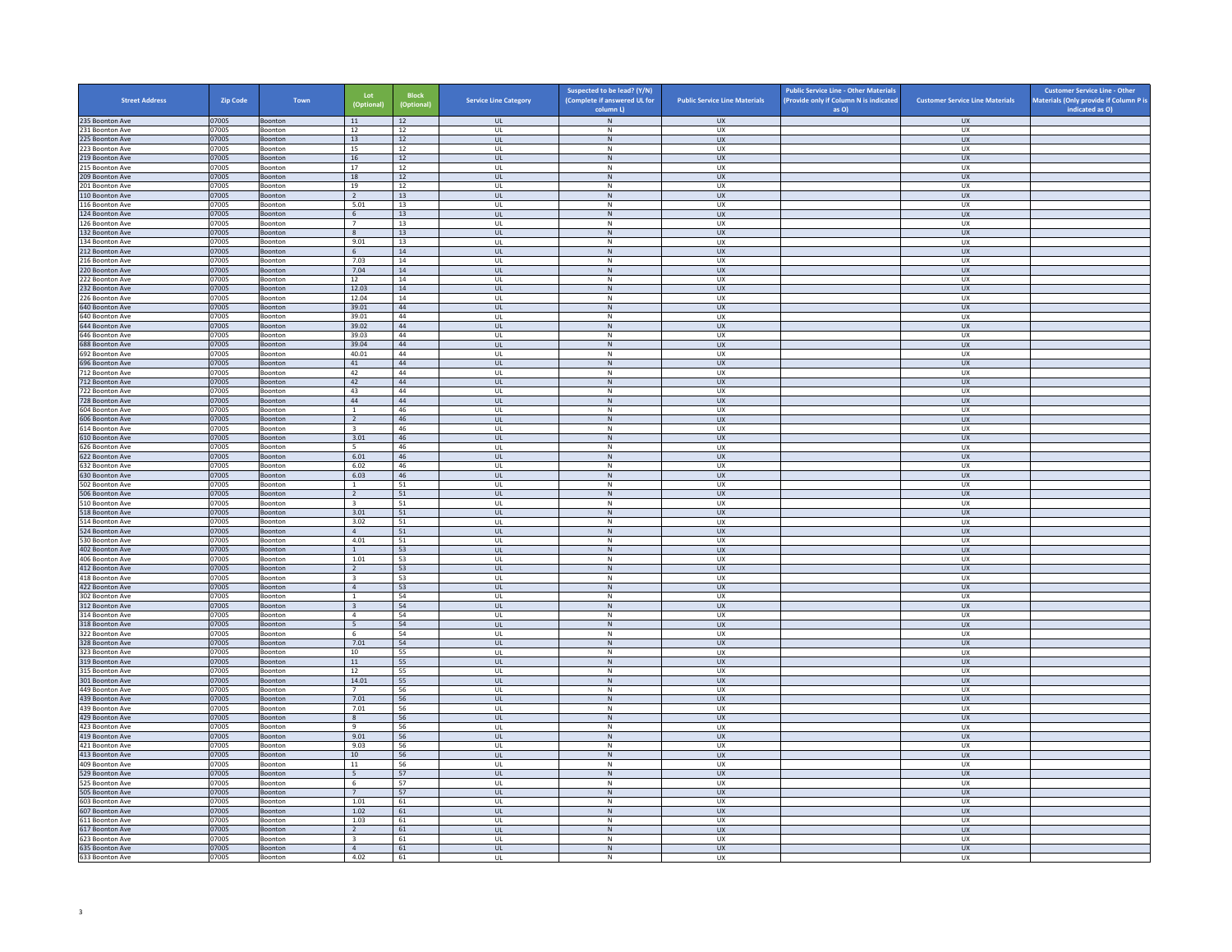| <b>Street Address</b>              | <b>Zip Code</b> | Town                      | Lot<br>(Optional)                         | <b>Block</b><br>(Optional) | <b>Service Line Category</b> | Suspected to be lead? (Y/N)<br>(Complete if answered UL for<br>column L) | <b>Public Service Line Materials</b> | <b>Public Service Line - Other Materials</b><br>(Provide only if Column N is indicated<br>as O) | <b>Customer Service Line Materials</b> | <b>Customer Service Line - Other</b><br>Materials (Only provide if Column P is<br>indicated as O) |
|------------------------------------|-----------------|---------------------------|-------------------------------------------|----------------------------|------------------------------|--------------------------------------------------------------------------|--------------------------------------|-------------------------------------------------------------------------------------------------|----------------------------------------|---------------------------------------------------------------------------------------------------|
| 235 Boonton Ave                    | 07005           | Boonton                   | 11                                        | 12                         | <b>UL</b>                    | N                                                                        | <b>UX</b>                            |                                                                                                 | <b>UX</b>                              |                                                                                                   |
| 231 Boonton Ave                    | 07005           | Boonton                   | 12                                        | 12                         | UL                           | N                                                                        | UX                                   |                                                                                                 | <b>UX</b>                              |                                                                                                   |
| 225 Boonton Ave                    | 07005           | Boonton                   | 13                                        | $12\,$                     | $_{\sf UL}$                  | ${\sf N}$                                                                | UX                                   |                                                                                                 | UX                                     |                                                                                                   |
| 223 Boonton Ave<br>219 Boonton Ave | 07005<br>07005  | Boonton<br><b>Boonton</b> | 15<br>16                                  | 12<br>12                   | UL<br><b>UL</b>              | N<br>N                                                                   | UX<br><b>UX</b>                      |                                                                                                 | <b>UX</b><br><b>UX</b>                 |                                                                                                   |
| 215 Boonton Ave                    | 07005           | Boonton                   | 17                                        | 12                         | UL                           | $\,$ N                                                                   | UX                                   |                                                                                                 | UX                                     |                                                                                                   |
| 209 Boonton Ave                    | 07005           | <b>Boonton</b>            | 18                                        | 12                         | $\mathbf{u}$                 | N                                                                        | UX                                   |                                                                                                 | $\overline{U}$                         |                                                                                                   |
| 201 Boonton Ave                    | 07005           | Boonton                   | 19                                        | $12\,$                     | UL                           | $\mathsf{N}$                                                             | UX                                   |                                                                                                 | UX                                     |                                                                                                   |
| 110 Boonton Ave<br>116 Boonton Ave | 07005<br>07005  | Boonton<br>Boonton        | <sup>2</sup><br>5.01                      | 13<br>13                   | <b>UL</b><br>$\mathsf{UL}$   | N<br>${\sf N}$                                                           | <b>UX</b><br>UX                      |                                                                                                 | <b>UX</b><br>UX                        |                                                                                                   |
| 124 Boonton Ave                    | 07005           | Boonton                   | $6\overline{6}$                           | 13                         | UL                           | N                                                                        | <b>UX</b>                            |                                                                                                 | <b>UX</b>                              |                                                                                                   |
| 126 Boonton Ave                    | 07005           | Boonton                   | $\overline{7}$                            | 13                         | UL                           | N                                                                        | <b>UX</b>                            |                                                                                                 | <b>UX</b>                              |                                                                                                   |
| 132 Boonton Ave                    | 07005           | Boonton                   | $\,$ 8                                    | 13                         | UL                           | ${\sf N}$                                                                | UX                                   |                                                                                                 | UX                                     |                                                                                                   |
| 134 Boonton Ave                    | 07005           | <b>Boonton</b>            | 9.01                                      | 13                         | $\mathbf{U}$                 | N                                                                        | UX                                   |                                                                                                 | UX                                     |                                                                                                   |
| 212 Boonton Ave<br>216 Boonton Ave | 07005<br>07005  | Boonton<br>Boonton        | 6<br>7.03                                 | 14<br>14                   | UL<br>UL                     | $\mathsf{N}$<br>N                                                        | UX<br>UX                             |                                                                                                 | UX<br><b>UX</b>                        |                                                                                                   |
| 220 Boonton Ave                    | 07005           | Boonton                   | 7.04                                      | $14\,$                     | <b>UL</b>                    | ${\sf N}$                                                                | UX                                   |                                                                                                 | UX                                     |                                                                                                   |
| 22 Boonton Ave                     | 07005           | Boonton                   | 12                                        | 14                         | UL                           | $\mathsf{N}$                                                             | UX                                   |                                                                                                 | UX                                     |                                                                                                   |
| 232 Boonton Ave                    | 07005           | <b>Boonton</b>            | 12.03                                     | 14                         | <b>UL</b>                    | N                                                                        | <b>UX</b>                            |                                                                                                 | <b>UX</b>                              |                                                                                                   |
| 226 Boonton Ave                    | 07005           | Boonton                   | 12.04                                     | 14                         | UL                           | ${\sf N}$                                                                | UX                                   |                                                                                                 | UX                                     |                                                                                                   |
| 640 Boonton Ave<br>540 Boonton Ave | 07005<br>07005  | Boonton<br>Boonton        | 39.01<br>39.01                            | 44<br>44                   | $\mathbf{u}$<br>UL           | N<br>N                                                                   | UX<br>UX                             |                                                                                                 | UX<br>UX                               |                                                                                                   |
| 644 Boonton Ave                    | 07005           | Boonton                   | 39.02                                     | $\Delta\Delta$             | <b>UL</b>                    | N                                                                        | <b>UX</b>                            |                                                                                                 | <b>UX</b>                              |                                                                                                   |
| 646 Boonton Ave                    | 07005           | Boonton                   | 39.03                                     | 44                         | UL                           | $\mathsf{N}$                                                             | UX                                   |                                                                                                 | UX                                     |                                                                                                   |
| 688 Boonton Ave                    | 07005           | Boonton                   | 39.04                                     | 44                         | UL                           | N                                                                        | <b>UX</b>                            |                                                                                                 | <b>UX</b>                              |                                                                                                   |
| 692 Boonton Ave                    | 07005           | Boonton                   | 40.01                                     | 44                         | UL                           | N                                                                        | <b>UX</b>                            |                                                                                                 | <b>UX</b>                              |                                                                                                   |
| 596 Boonton Ave<br>712 Boonton Ave | 07005<br>07005  | Boonton<br>Boonton        | $41\,$<br>42                              | 44<br>44                   | $_{\sf UL}$<br>$\mathbf{U}$  | ${\sf N}$<br>N                                                           | ${\sf U}{\sf X}$<br><b>UX</b>        |                                                                                                 | ${\sf U}{\sf X}$<br><b>UX</b>          |                                                                                                   |
| 712 Boonton Ave                    | 07005           | Boonton                   | 42                                        | 44                         | <b>UL</b>                    | $\,$ N                                                                   | UX                                   |                                                                                                 | <b>UX</b>                              |                                                                                                   |
| 722 Boonton Ave                    | 07005           | Boonton                   | 43                                        | $\Delta\Delta$             | UL                           | N                                                                        | UX                                   |                                                                                                 | UX                                     |                                                                                                   |
| 728 Boonton Ave                    | 07005           | Boonton                   | 44                                        | 44                         | <b>UL</b>                    | ${\sf N}$                                                                | <b>UX</b>                            |                                                                                                 | <b>UX</b>                              |                                                                                                   |
| 604 Boonton Ave                    | 07005           | Boonton                   | $\mathbf{1}$                              | 46<br>46                   | UL                           | N                                                                        | UX<br><b>UX</b>                      |                                                                                                 | UX<br><b>UX</b>                        |                                                                                                   |
| 606 Boonton Ave<br>614 Boonton Ave | 07005<br>07005  | Boonton<br>Boonton        | <sup>2</sup><br>$\overline{\mathbf{3}}$   | 46                         | <b>UL</b><br>UL              | N<br>${\sf N}$                                                           | UX                                   |                                                                                                 | UX                                     |                                                                                                   |
| 610 Boonton Ave                    | 07005           | Boonton                   | 3.01                                      | 46                         | $\mathbf{U}$                 | N                                                                        | <b>UX</b>                            |                                                                                                 | <b>UX</b>                              |                                                                                                   |
| 526 Boonton Ave                    | 07005           | Boonton                   | 5                                         | 46                         | UL                           | N                                                                        | UX                                   |                                                                                                 | UX                                     |                                                                                                   |
| 622 Boonton Ave                    | 07005           | Boonton                   | 6.01                                      | 46                         | <b>UL</b>                    | N                                                                        | <b>UX</b>                            |                                                                                                 | <b>UX</b>                              |                                                                                                   |
| 632 Boonton Ave<br>630 Boonton Ave | 07005<br>07005  | Boonton<br>Boonton        | 6.02<br>6.03                              | 46<br>46                   | UL<br>UL                     | ${\sf N}$<br>$\,$ N                                                      | UX<br><b>UX</b>                      |                                                                                                 | UX<br><b>UX</b>                        |                                                                                                   |
| 502 Boonton Ave                    | 07005           | Boonton                   | $\mathbf{1}$                              | 51                         | UL                           | N                                                                        | <b>UX</b>                            |                                                                                                 | <b>UX</b>                              |                                                                                                   |
| 506 Boonton Ave                    | 07005           | Boonton                   | $\overline{2}$                            | $51\,$                     | $_{\sf UL}$                  | ${\sf N}$                                                                | ${\sf U}{\sf X}$                     |                                                                                                 | ${\sf U}{\sf X}$                       |                                                                                                   |
| 510 Boonton Ave                    | 07005           | <b>Boonton</b>            | $\overline{3}$                            | 51                         | $\mathbf{U}$                 | N                                                                        | <b>UX</b>                            |                                                                                                 | <b>UX</b>                              |                                                                                                   |
| 518 Boonton Ave                    | 07005           | Boonton<br>Boonton        | 3.01                                      | 51                         | $\mathsf{UL}$                | $\mathsf{N}$<br>N                                                        | UX                                   |                                                                                                 | UX<br><b>UX</b>                        |                                                                                                   |
| 514 Boonton Ave<br>524 Boonton Ave | 07005<br>07005  | Boonton                   | 3.02<br>$\overline{4}$                    | 51<br>51                   | UL<br><b>UL</b>              | N                                                                        | UX<br><b>UX</b>                      |                                                                                                 | <b>UX</b>                              |                                                                                                   |
| 530 Boonton Ave                    | 07005           | Boonton                   | 4.01                                      | 51                         | UL                           | $\mathsf{N}$                                                             | UX                                   |                                                                                                 | UX                                     |                                                                                                   |
| 402 Boonton Ave                    | 07005           | Boonton                   | $\overline{1}$                            | 53                         | $\mathbf{u}$                 | N                                                                        | UX                                   |                                                                                                 | UX                                     |                                                                                                   |
| 406 Boonton Ave                    | 07005           | Boonton                   | 1.01                                      | 53                         | UL<br>$\mathbf{u}$           | $\mathsf{N}$<br>N                                                        | UX<br>$\overline{u}$                 |                                                                                                 | UX                                     |                                                                                                   |
| 412 Boonton Ave<br>418 Boonton Ave | 07005<br>07005  | Boonton<br>Boonton        | <sup>2</sup><br>$\overline{\mathbf{3}}$   | 53<br>53                   | UL                           | ${\sf N}$                                                                | UX                                   |                                                                                                 | $\overline{11}$<br>UX                  |                                                                                                   |
| 422 Boonton Ave                    | 07005           | Boonton                   | $\overline{4}$                            | 53                         | UL                           | N                                                                        | <b>UX</b>                            |                                                                                                 | UX                                     |                                                                                                   |
| 302 Boonton Ave                    | 07005           | Boonton                   | $\mathbf{1}$                              | 54                         | UL                           | ${\sf N}$                                                                | UX                                   |                                                                                                 | UX                                     |                                                                                                   |
| 312 Boonton Ave                    | 07005           | Boonton                   | $\overline{\mathbf{3}}$                   | 54                         | UL                           | $\,$ N                                                                   | <b>UX</b>                            |                                                                                                 | <b>UX</b>                              |                                                                                                   |
| 314 Boonton Ave<br>18 Boonton Ave  | 07005<br>07005  | <b>Boonton</b><br>Boonton | $\overline{a}$<br>5                       | 54<br>54                   | Ш<br>$\mathsf{UL}$           | N<br>$\mathsf{N}$                                                        | UX<br>UX                             |                                                                                                 | UX<br>UX                               |                                                                                                   |
| 322 Boonton Ave                    | 07005           | Boonton                   | 6                                         | 54                         | UL                           | N                                                                        | <b>UX</b>                            |                                                                                                 | <b>UX</b>                              |                                                                                                   |
| 328 Boonton Ave                    | 07005           | Boonton                   | 7.01                                      | 54                         | $_{\sf UL}$                  | ${\sf N}$                                                                | UX                                   |                                                                                                 | UX                                     |                                                                                                   |
| 323 Boonton Ave                    | 07005           | Boonton                   | 10                                        | 55                         | UL                           | N                                                                        | UX                                   |                                                                                                 | UX                                     |                                                                                                   |
| 319 Boonton Ave<br>315 Boonton Ave | 07005           | <b>Boonton</b>            | 11<br>12                                  | 55<br>55                   | <b>UL</b>                    | N<br>$\,$ N                                                              | <b>UX</b><br>UX                      |                                                                                                 | <b>UX</b><br>UX                        |                                                                                                   |
| 301 Boonton Ave                    | 07005<br>07005  | Boonton<br>Boonton        | 14.01                                     | 55                         | UL<br>$\mathbf{u}$           | N                                                                        | UX                                   |                                                                                                 | $\overline{U}$                         |                                                                                                   |
| 449 Boonton Ave                    | 07005           | Boonton                   | $\overline{7}$                            | 56                         | UL                           | $\mathsf{N}$                                                             | UX                                   |                                                                                                 | UX                                     |                                                                                                   |
| 439 Boonton Ave                    | 07005           | Boonton                   | 7.01                                      | 56                         | <b>UL</b>                    | N                                                                        | <b>UX</b>                            |                                                                                                 | <b>UX</b>                              |                                                                                                   |
| 439 Boonton Ave                    | 07005           | Boonton                   | 7.01                                      | 56                         | $\mathsf{UL}$                | ${\sf N}$                                                                | UX                                   |                                                                                                 | UX                                     |                                                                                                   |
| 429 Boonton Ave<br>423 Boonton Ave | 07005<br>07005  | Boonton<br>Boonton        | 8<br>9                                    | 56<br>56                   | UL<br>UL                     | N<br>${\sf N}$                                                           | UX<br>UX                             |                                                                                                 | UX<br>UX                               |                                                                                                   |
| 419 Boonton Ave                    | 07005           | Boonton                   | 9.01                                      | 56                         | $_{\sf UL}$                  | ${\sf N}$                                                                | UX                                   |                                                                                                 | <b>UX</b>                              |                                                                                                   |
| 421 Boonton Ave                    | 07005           | <b>Boonton</b>            | 9.03                                      | 56                         | $\mathbf{U}$                 | N                                                                        | UX                                   |                                                                                                 | <b>UX</b>                              |                                                                                                   |
| 413 Boonton Ave                    | 07005           | Boonton                   | 10                                        | 56                         | UL                           | $\mathsf{N}$                                                             | UX                                   |                                                                                                 | UX                                     |                                                                                                   |
| 409 Boonton Ave                    | 07005           | Boonton                   | 11                                        | 56                         | UL                           | N                                                                        | <b>UX</b>                            |                                                                                                 | <b>UX</b>                              |                                                                                                   |
| 529 Boonton Ave<br>525 Boonton Ave | 07005<br>07005  | Boonton<br>Boonton        | $5\overline{5}$<br>6                      | 57<br>57                   | $_{\sf UL}$<br>UL            | ${\sf N}$<br>$\,$ N                                                      | UX<br>UX                             |                                                                                                 | UX<br>UX                               |                                                                                                   |
| 505 Boonton Ave                    | 07005           | Boonton                   | 7                                         | 57                         | <b>UL</b>                    | N                                                                        | <b>UX</b>                            |                                                                                                 | <b>UX</b>                              |                                                                                                   |
| 603 Boonton Ave                    | 07005           | Boonton                   | 1.01                                      | 61                         | UL                           | ${\sf N}$                                                                | UX                                   |                                                                                                 | UX                                     |                                                                                                   |
| 607 Boonton Ave                    | 07005           | Boonton                   | 1.02                                      | 61                         | $\mathbf{u}$                 | N                                                                        | UX                                   |                                                                                                 | $\overline{U}$                         |                                                                                                   |
| 611 Boonton Ave                    | 07005           | Boonton                   | 1.03                                      | 61                         | UL                           | $\mathsf{N}$<br>N                                                        | UX                                   |                                                                                                 | UX                                     |                                                                                                   |
| 617 Boonton Ave<br>623 Boonton Ave | 07005<br>07005  | Boonton<br>Boonton        | $\overline{2}$<br>$\overline{\mathbf{3}}$ | 61<br>61                   | UL.<br>UL                    | N                                                                        | <b>UX</b><br><b>UX</b>               |                                                                                                 | <b>UX</b><br>UX                        |                                                                                                   |
| 635 Boonton Ave                    | 07005           | Boonton                   | $\overline{4}$                            | 61                         | UL                           | N                                                                        | <b>UX</b>                            |                                                                                                 | UX                                     |                                                                                                   |
| 633 Boonton Ave                    | 07005           | Boonton                   | 4.02                                      | 61                         | UL                           | N                                                                        | <b>UX</b>                            |                                                                                                 | <b>UX</b>                              |                                                                                                   |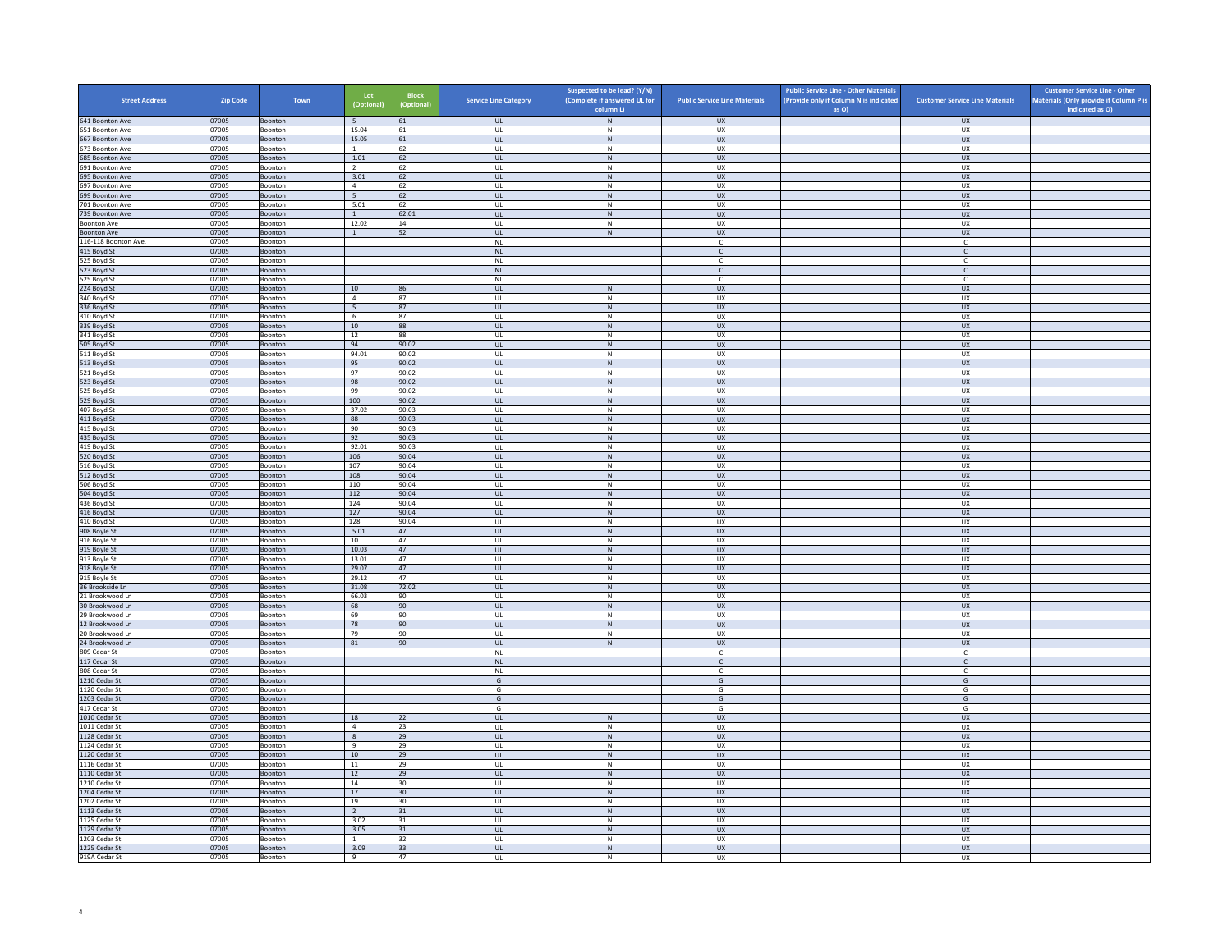| <b>Street Address</b>              | <b>Zip Code</b> | Town                      | Lot<br>(Optional)      | <b>Block</b><br>(Optional) | <b>Service Line Category</b> | Suspected to be lead? (Y/N)<br>(Complete if answered UL for<br>column L) | <b>Public Service Line Materials</b> | <b>Public Service Line - Other Materials</b><br>(Provide only if Column N is indicated<br>as O) | <b>Customer Service Line Materials</b> | <b>Customer Service Line - Other</b><br>Materials (Only provide if Column P is<br>indicated as O) |
|------------------------------------|-----------------|---------------------------|------------------------|----------------------------|------------------------------|--------------------------------------------------------------------------|--------------------------------------|-------------------------------------------------------------------------------------------------|----------------------------------------|---------------------------------------------------------------------------------------------------|
| 641 Boonton Ave                    | 07005           | Boonton                   | 5 <sup>5</sup>         | 61                         | <b>UL</b>                    | $\,$ N $\,$                                                              | <b>UX</b>                            |                                                                                                 | <b>UX</b>                              |                                                                                                   |
| 651 Boonton Ave                    | 07005           | Boonton                   | 15.04                  | 61                         | UL                           | N                                                                        | UX                                   |                                                                                                 | <b>UX</b>                              |                                                                                                   |
| 667 Boonton Ave                    | 07005           | Boonton                   | 15.05                  | 61                         | $_{\sf UL}$                  | ${\sf N}$                                                                | UX                                   |                                                                                                 | <b>UX</b>                              |                                                                                                   |
| 673 Boonton Ave<br>685 Boonton Ave | 07005<br>07005  | Boonton<br><b>Boonton</b> | $\overline{1}$<br>1.01 | 62<br>62                   | UL<br><b>UL</b>              | $\,$ N<br>${\sf N}$                                                      | <b>UX</b><br><b>UX</b>               |                                                                                                 | <b>UX</b><br><b>UX</b>                 |                                                                                                   |
| 691 Boonton Ave                    | 07005           | Boonton                   | $\overline{2}$         | 62                         | UL                           | $\,$ N                                                                   | UX                                   |                                                                                                 | UX                                     |                                                                                                   |
| 695 Boonton Ave                    | 07005           | <b>Boonton</b>            | 3.01                   | 62                         | $\mathbf{u}$                 | N                                                                        | UX                                   |                                                                                                 | UX                                     |                                                                                                   |
| 697 Boonton Ave                    | 07005           | Boonton                   | $\overline{4}$         | 62                         | UL                           | N                                                                        | UX                                   |                                                                                                 | UX                                     |                                                                                                   |
| 699 Boonton Ave<br>701 Boonton Ave | 07005<br>07005  | Boonton<br>Boonton        | 5<br>5.01              | 62<br>62                   | <b>UL</b><br>$\mathsf{UL}$   | N<br>${\sf N}$                                                           | <b>UX</b><br>UX                      |                                                                                                 | <b>UX</b><br>UX                        |                                                                                                   |
| 739 Boonton Ave                    | 07005           | Boonton                   | 1                      | 62.01                      | <b>UL</b>                    | N                                                                        | <b>UX</b>                            |                                                                                                 | <b>UX</b>                              |                                                                                                   |
| <b>Boonton Ave</b>                 | 07005           | Boonton                   | 12.02                  | 14                         | UL                           | N                                                                        | <b>UX</b>                            |                                                                                                 | <b>UX</b>                              |                                                                                                   |
| <b>Boonton Ave</b>                 | 07005           | Boonton                   | $\mathbf{1}$           | 52                         | $_{\sf UL}$                  | ${\sf N}$                                                                | UX                                   |                                                                                                 | UX                                     |                                                                                                   |
| 116-118 Boonton Ave.               | 07005           | <b>Boonton</b>            |                        |                            | NI                           |                                                                          | $\mathbb{C}$                         |                                                                                                 | $\mathsf{C}$                           |                                                                                                   |
| 415 Boyd St<br>525 Boyd St         | 07005<br>07005  | Boonton<br>Boonton        |                        |                            | $\mathsf{NL}$<br><b>NL</b>   |                                                                          | $\mathsf{C}$<br><b>C</b>             |                                                                                                 | $\mathsf{C}$<br>C                      |                                                                                                   |
| 523 Boyd St                        | 07005           | Boonton                   |                        |                            | $\mathsf{NL}\xspace$         |                                                                          | $\mathsf{C}$                         |                                                                                                 | $\mathsf{C}$                           |                                                                                                   |
| 525 Boyd St                        | 07005           | Boonton                   |                        |                            | <b>NL</b>                    |                                                                          | $\mathsf{C}$                         |                                                                                                 | $\mathsf{C}$                           |                                                                                                   |
| 224 Boyd St                        | 07005           | <b>Boonton</b>            | 10                     | 86                         | <b>UL</b>                    | $\,$ N $\,$                                                              | <b>UX</b>                            |                                                                                                 | <b>UX</b>                              |                                                                                                   |
| 340 Boyd St                        | 07005           | Boonton                   | $\overline{4}$         | 87                         | UL                           | ${\sf N}$                                                                | UX                                   |                                                                                                 | UX                                     |                                                                                                   |
| 336 Boyd St<br>310 Boyd St         | 07005<br>07005  | Boonton<br>Boonton        | - 5<br>6               | 87<br>87                   | $\mathbf{u}$<br>UL           | N<br>N                                                                   | $\overline{u}$<br>UX                 |                                                                                                 | UX<br>UX                               |                                                                                                   |
| 339 Boyd St                        | 07005           | Boonton                   | 10                     | 88                         | <b>UL</b>                    | N                                                                        | <b>UX</b>                            |                                                                                                 | <b>UX</b>                              |                                                                                                   |
| 341 Boyd St                        | 07005           | Boonton                   | 12                     | 88                         | UL                           | ${\sf N}$                                                                | UX                                   |                                                                                                 | UX                                     |                                                                                                   |
| 505 Boyd St                        | 07005           | Boonton                   | 94                     | 90.02                      | <b>UL</b>                    | N                                                                        | <b>UX</b>                            |                                                                                                 | <b>UX</b>                              |                                                                                                   |
| 511 Boyd St                        | 07005           | Boonton                   | 94.01                  | 90.02                      | UL                           | N                                                                        | <b>UX</b>                            |                                                                                                 | <b>UX</b>                              |                                                                                                   |
| 513 Boyd St                        | 07005<br>07005  | Boonton<br>Boonton        | 95<br>97               | 90.02<br>90.02             | $_{\sf UL}$<br>$\mathbf{U}$  | ${\sf N}$<br>N                                                           | ${\sf U}{\sf X}$<br><b>UX</b>        |                                                                                                 | ${\sf U}{\sf X}$<br><b>UX</b>          |                                                                                                   |
| 521 Boyd St<br>523 Boyd St         | 07005           | Boonton                   | 98                     | 90.02                      | <b>UL</b>                    | $\,$ N                                                                   | <b>UX</b>                            |                                                                                                 | <b>UX</b>                              |                                                                                                   |
| 525 Boyd St                        | 07005           | Boonton                   | 99                     | 90.02                      | UL                           | N                                                                        | UX                                   |                                                                                                 | UX                                     |                                                                                                   |
| 529 Boyd St                        | 07005           | Boonton                   | 100                    | 90.02                      | UL                           | ${\sf N}$                                                                | <b>UX</b>                            |                                                                                                 | <b>UX</b>                              |                                                                                                   |
| 407 Boyd St                        | 07005           | Boonton                   | 37.02                  | 90.03                      | UL                           | N                                                                        | UX                                   |                                                                                                 | UX                                     |                                                                                                   |
| 411 Boyd St                        | 07005           | Boonton                   | 88<br>90               | 90.03<br>90.03             | <b>UL</b>                    | N<br>${\sf N}$                                                           | <b>UX</b>                            |                                                                                                 | <b>UX</b><br>UX                        |                                                                                                   |
| 415 Boyd St<br>435 Boyd St         | 07005<br>07005  | Boonton<br>Boonton        | 92                     | 90.03                      | UL<br>UL <sub>1</sub>        | N                                                                        | UX<br><b>UX</b>                      |                                                                                                 | <b>UX</b>                              |                                                                                                   |
| 419 Boyd St                        | 07005           | Boonton                   | 92.01                  | 90.03                      | UL                           | N                                                                        | UX                                   |                                                                                                 | UX                                     |                                                                                                   |
| 520 Boyd St                        | 07005           | Boonton                   | 106                    | 90.04                      | UL                           | N                                                                        | <b>UX</b>                            |                                                                                                 | <b>UX</b>                              |                                                                                                   |
| 516 Boyd St                        | 07005           | Boonton                   | 107                    | 90.04                      | UL                           | ${\sf N}$                                                                | UX                                   |                                                                                                 | UX                                     |                                                                                                   |
| 512 Boyd St                        | 07005<br>07005  | Boonton                   | 108<br>110             | 90.04<br>90.04             | UL<br>UL                     | $\,$ N<br>N                                                              | <b>UX</b><br><b>UX</b>               |                                                                                                 | <b>UX</b><br><b>UX</b>                 |                                                                                                   |
| 506 Boyd St<br>504 Boyd St         | 07005           | Boonton<br>Boonton        | $112\,$                | 90.04                      | $_{\sf UL}$                  | ${\sf N}$                                                                | ${\sf U}{\sf X}$                     |                                                                                                 | ${\sf U}{\sf X}$                       |                                                                                                   |
| 436 Boyd St                        | 07005           | Boonton                   | 124                    | 90.04                      | UL                           | N                                                                        | <b>UX</b>                            |                                                                                                 | <b>UX</b>                              |                                                                                                   |
| 416 Boyd St                        | 07005           | Boonton                   | 127                    | 90.04                      | UL                           | $\mathsf{N}$                                                             | UX                                   |                                                                                                 | UX                                     |                                                                                                   |
| 410 Boyd St                        | 07005           | Boonton                   | 128                    | 90.04                      | UL                           | N                                                                        | UX                                   |                                                                                                 | <b>UX</b>                              |                                                                                                   |
| 908 Boyle St                       | 07005           | Boonton                   | 5.01                   | 47                         | UL                           | ${\sf N}$                                                                | <b>UX</b>                            |                                                                                                 | <b>UX</b>                              |                                                                                                   |
| 916 Boyle St<br>919 Boyle St       | 07005<br>07005  | Boonton<br>Boonton        | 10<br>10.03            | 47<br>47                   | UL<br>$\mathbf{u}$           | $\,$ N<br>N                                                              | UX<br>$\overline{11}$                |                                                                                                 | UX<br>UX                               |                                                                                                   |
| 913 Boyle St                       | 07005           | Boonton                   | 13.01                  | 47                         | UL                           | ${\sf N}$                                                                | UX                                   |                                                                                                 | UX                                     |                                                                                                   |
| 918 Boyle St                       | 07005           | Boonton                   | 29.07                  | 47                         | $\mathbf{u}$                 | N                                                                        | <b>UX</b>                            |                                                                                                 | $\overline{11}$                        |                                                                                                   |
| 915 Boyle St                       | 07005           | Boonton                   | 29.12                  | 47                         | UL                           | ${\sf N}$                                                                | UX                                   |                                                                                                 | UX                                     |                                                                                                   |
| 36 Brookside Ln<br>21 Brookwood Ln | 07005<br>07005  | Boonton<br>Boonton        | 31.08<br>66.03         | 72.02<br>90                | UL<br>UL                     | N<br>${\sf N}$                                                           | <b>UX</b><br>UX                      |                                                                                                 | UX<br>UX                               |                                                                                                   |
| 30 Brookwood Ln                    | 07005           | Boonton                   | 68                     | 90                         | UL                           | $\,$ N                                                                   | <b>UX</b>                            |                                                                                                 | <b>UX</b>                              |                                                                                                   |
| 29 Brookwood In                    | 07005           | <b>Boonton</b>            | 69                     | 90                         | $\mathbf{U}$                 | N                                                                        | <b>UX</b>                            |                                                                                                 | UX                                     |                                                                                                   |
| 12 Brookwood Ln                    | 07005           | Boonton                   | 78                     | 90                         | $\mathsf{UL}$                | ${\sf N}$                                                                | UX                                   |                                                                                                 | UX                                     |                                                                                                   |
| 20 Brookwood Ln                    | 07005           | Boonton                   | 79                     | 90                         | UL                           | N                                                                        | <b>UX</b>                            |                                                                                                 | <b>UX</b>                              |                                                                                                   |
| 24 Brookwood Ln<br>809 Cedar St    | 07005<br>07005  | Boonton<br>Boonton        | 81                     | 90                         | $_{\sf UL}$<br><b>NL</b>     | ${\sf N}$                                                                | UX<br>$\mathsf{C}$                   |                                                                                                 | UX<br>$\mathsf{C}$                     |                                                                                                   |
| 117 Cedar St                       | 07005           | <b>Boonton</b>            |                        |                            | <b>NL</b>                    |                                                                          | <b>C</b>                             |                                                                                                 | $\mathsf{C}$                           |                                                                                                   |
| 808 Cedar St                       | 07005           | Boonton                   |                        |                            | <b>NL</b>                    |                                                                          | $\mathsf{C}$                         |                                                                                                 | c                                      |                                                                                                   |
| 1210 Cedar St                      | 07005           | Boonton                   |                        |                            | G                            |                                                                          | G                                    |                                                                                                 | G                                      |                                                                                                   |
| 1120 Cedar St                      | 07005           | Boonton                   |                        |                            | G                            |                                                                          | G                                    |                                                                                                 | G                                      |                                                                                                   |
| 1203 Cedar St<br>417 Cedar St      | 07005<br>07005  | Boonton<br>Boonton        |                        |                            | G<br>G                       |                                                                          | G<br>G                               |                                                                                                 | G<br>G                                 |                                                                                                   |
| 1010 Cedar St                      | 07005           | Boonton                   | 18                     | 22                         | UL                           | N                                                                        | <b>UX</b>                            |                                                                                                 | UX                                     |                                                                                                   |
| 1011 Cedar St                      | 07005           | Boonton                   | $\overline{4}$         | 23                         | UL                           | ${\sf N}$                                                                | UX                                   |                                                                                                 | UX                                     |                                                                                                   |
| 1128 Cedar St                      | 07005           | Boonton                   | 8                      | 29                         | $_{\sf UL}$                  | ${\sf N}$                                                                | UX                                   |                                                                                                 | <b>UX</b>                              |                                                                                                   |
| 1124 Cedar St                      | 07005           | <b>Boonton</b>            | $\mathbf{q}$           | 29                         | $\mathbf{U}$                 | N                                                                        | <b>UX</b>                            |                                                                                                 | UX                                     |                                                                                                   |
| 1120 Cedar St<br>1116 Cedar St     | 07005<br>07005  | Boonton<br>Boonton        | $10\,$<br>11           | 29<br>29                   | UL<br>UL                     | ${\sf N}$<br>N                                                           | UX<br><b>UX</b>                      |                                                                                                 | UX<br>UX                               |                                                                                                   |
| 1110 Cedar St                      | 07005           | Boonton                   | $12\,$                 | 29                         | $_{\sf UL}$                  | ${\sf N}$                                                                | UX                                   |                                                                                                 | UX                                     |                                                                                                   |
| 1210 Cedar St                      | 07005           | Boonton                   | 14                     | 30                         | UL                           | $\,$ N                                                                   | UX                                   |                                                                                                 | UX                                     |                                                                                                   |
| 1204 Cedar St                      | 07005           | Boonton                   | 17                     | 30                         | <b>UL</b>                    | N                                                                        | <b>UX</b>                            |                                                                                                 | <b>UX</b>                              |                                                                                                   |
| 1202 Cedar St<br>1113 Cedar St     | 07005<br>07005  | Boonton<br>Boonton        | 19<br>$\overline{2}$   | 30<br>31                   | UL<br>$\mathbf{u}$           | ${\sf N}$<br>N                                                           | UX<br>UX                             |                                                                                                 | UX<br><b>UX</b>                        |                                                                                                   |
| 1125 Cedar St                      | 07005           | Boonton                   | 3.02                   | 31                         | UL                           | $\mathsf{N}$                                                             | UX                                   |                                                                                                 | UX                                     |                                                                                                   |
| 1129 Cedar St                      | 07005           | Boonton                   | 3.05                   | 31                         | UL.                          | N                                                                        | <b>UX</b>                            |                                                                                                 | <b>UX</b>                              |                                                                                                   |
| 1203 Cedar St                      | 07005           | Boonton                   | 1                      | 32                         | UL                           | ${\sf N}$                                                                | UX                                   |                                                                                                 | UX                                     |                                                                                                   |
| 1225 Cedar St                      | 07005           | Boonton                   | 3.09                   | 33                         | UL                           | N                                                                        | <b>UX</b>                            |                                                                                                 | UX                                     |                                                                                                   |
| 919A Cedar St                      | 07005           | Boonton                   | و                      | 47                         | UL                           | N                                                                        | <b>UX</b>                            |                                                                                                 | <b>UX</b>                              |                                                                                                   |

4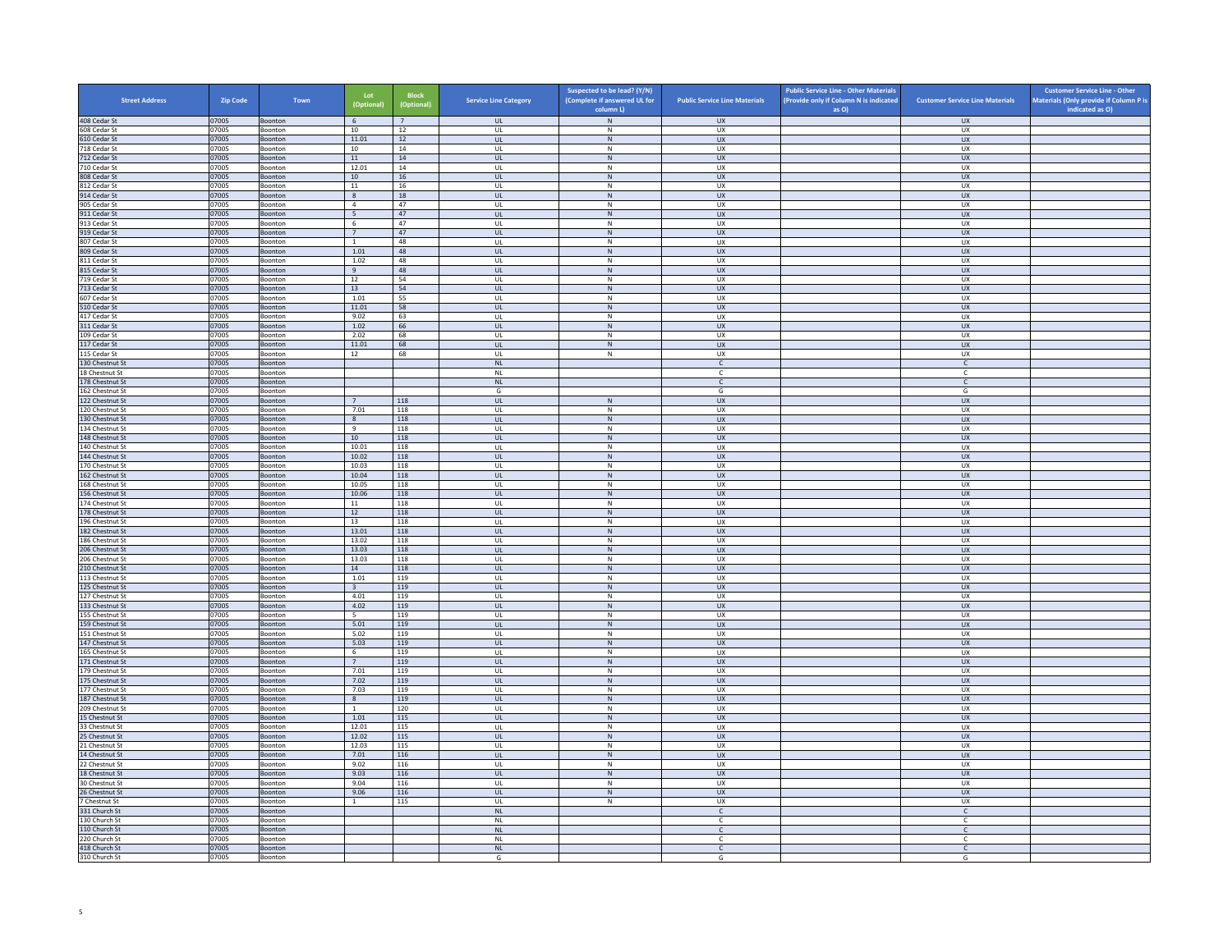| <b>Street Address</b>              | <b>Zip Code</b> | Town               | Lot<br>(Optional)       | <b>Block</b><br>(Optional) | <b>Service Line Category</b>                      | Suspected to be lead? (Y/N)<br>(Complete if answered UL for | <b>Public Service Line Materials</b> | <b>Public Service Line - Other Materials</b><br>(Provide only if Column N is indicated | <b>Customer Service Line Materials</b> | <b>Customer Service Line - Other</b><br>Materials (Only provide if Column P is |
|------------------------------------|-----------------|--------------------|-------------------------|----------------------------|---------------------------------------------------|-------------------------------------------------------------|--------------------------------------|----------------------------------------------------------------------------------------|----------------------------------------|--------------------------------------------------------------------------------|
| 408 Cedar St                       | 07005           | Boonton            | 6                       | $\overline{7}$             | <b>UL</b>                                         | column L)<br>${\sf N}$                                      | <b>UX</b>                            | as O)                                                                                  | <b>UX</b>                              | indicated as O)                                                                |
| 608 Cedar St                       | 07005           | Boonton            | 10                      | 12                         | <b>UL</b>                                         | N                                                           | UX                                   |                                                                                        | <b>UX</b>                              |                                                                                |
| 610 Cedar St                       | 07005           | Boonton            | 11.01                   | 12                         | <b>UL</b>                                         | ${\sf N}$                                                   | ${\sf U}{\sf X}$                     |                                                                                        | UX                                     |                                                                                |
| 718 Cedar St                       | 07005           | Boonton            | 10                      | 14                         | UL                                                | ${\sf N}$                                                   | UX                                   |                                                                                        | <b>UX</b>                              |                                                                                |
| 712 Cedar St<br>710 Cedar St       | 07005<br>07005  | Boonton<br>Boonton | 11<br>12.01             | 14<br>14                   | <b>UL</b><br>UL                                   | N<br>${\sf N}$                                              | <b>UX</b><br>UX                      |                                                                                        | <b>UX</b><br>UX                        |                                                                                |
| 808 Cedar St                       | 07005           | Boonton            | 10 <sup>1</sup>         | 16                         | $\mathbf{U}$                                      | N                                                           | UX                                   |                                                                                        | $\overline{U}$                         |                                                                                |
| 812 Cedar St                       | 07005           | Boonton            | $11\,$                  | 16                         | UL                                                | ${\sf N}$                                                   | UX                                   |                                                                                        | UX                                     |                                                                                |
| 914 Cedar St                       | 07005           | Boonton            | 8                       | 18                         | <b>UL</b>                                         | N                                                           | UX                                   |                                                                                        | <b>UX</b>                              |                                                                                |
| 905 Cedar St<br>911 Cedar St       | 07005<br>07005  | Boonton<br>Boonton | $\overline{4}$<br>5     | 47<br>47                   | UL<br>UL                                          | ${\sf N}$<br>$\,$ N                                         | UX<br>UX                             |                                                                                        | UX<br><b>UX</b>                        |                                                                                |
| 913 Cedar St                       | 07005           | Boonton            | - 6                     | 47                         | UL                                                | N                                                           | <b>UX</b>                            |                                                                                        | <b>UX</b>                              |                                                                                |
| 919 Cedar St                       | 07005           | Boonton            | $7\phantom{.0}$         | 47                         | UL                                                | ${\sf N}$                                                   | UX                                   |                                                                                        | UX                                     |                                                                                |
| 807 Cedar St                       | 07005           | <b>Boonton</b>     | $\overline{1}$          | 48                         | $\mathbf{U}$                                      | $\mathsf{N}$                                                | UX                                   |                                                                                        | UX                                     |                                                                                |
| 809 Cedar St                       | 07005           | Boonton            | 1.01                    | 48                         | UL                                                | N                                                           | UX                                   |                                                                                        | UX                                     |                                                                                |
| 811 Cedar St<br>815 Cedar St       | 07005<br>07005  | Boonton<br>Boonton | 1.02<br>9               | 48<br>48                   | <b>UL</b><br>UL                                   | N<br>N                                                      | UX<br>UX                             |                                                                                        | UX<br>UX                               |                                                                                |
| 719 Cedar St                       | 07005           | Boonton            | 12                      | 54                         | UL                                                | ${\sf N}$                                                   | UX                                   |                                                                                        | UX                                     |                                                                                |
| 713 Cedar St                       | 07005           | Boonton            | 13                      | 54                         | <b>UL</b>                                         | N                                                           | <b>UX</b>                            |                                                                                        | <b>UX</b>                              |                                                                                |
| 607 Cedar St                       | 07005           | Boonton            | 1.01                    | 55                         | UL                                                | ${\sf N}$                                                   | UX                                   |                                                                                        | <b>UX</b>                              |                                                                                |
| 510 Cedar St                       | 07005           | Boonton            | 11.01                   | 58                         | $\mathbf{U}$                                      | N                                                           | $\overline{11}$                      |                                                                                        | UX                                     |                                                                                |
| 417 Cedar St                       | 07005           | Boonton            | 9.02                    | 63                         | UL                                                | ${\sf N}$                                                   | UX                                   |                                                                                        | UX                                     |                                                                                |
| 311 Cedar St<br>109 Cedar St       | 07005<br>07005  | Boonton<br>Boonton | 1.02<br>2.02            | 66<br>68                   | UL<br>UL                                          | N<br>${\sf N}$                                              | UX<br>UX                             |                                                                                        | UX<br>UX                               |                                                                                |
| 117 Cedar St                       | 07005           | Boonton            | 11.01                   | 68                         | UL                                                | $\,$ N                                                      | <b>UX</b>                            |                                                                                        | <b>UX</b>                              |                                                                                |
| 115 Cedar St                       | 07005           | Boonton            | 12                      | 68                         | UL                                                | N                                                           | <b>UX</b>                            |                                                                                        | UX                                     |                                                                                |
| 130 Chestnut St                    | 07005           | Boonton            |                         |                            | $\mathsf{NL}$                                     |                                                             | C                                    |                                                                                        | $\mathsf{C}$                           |                                                                                |
| 18 Chestnut St                     | 07005           | Boonton            |                         |                            | NI                                                |                                                             | $\mathbb{C}$                         |                                                                                        | $\mathsf{C}$                           |                                                                                |
| 178 Chestnut St                    | 07005           | Boonton            |                         |                            | $\mathsf{NL}\xspace$                              |                                                             | $\mathsf{C}$                         |                                                                                        | $\mathsf{C}$                           |                                                                                |
| 162 Chestnut St<br>122 Chestnut St | 07005<br>07005  | Boonton<br>Boonton | $\overline{7}$          | 118                        | G<br>UL                                           | N                                                           | G<br><b>UX</b>                       |                                                                                        | G<br>UX                                |                                                                                |
| 120 Chestnut St                    | 07005           | Boonton            | 7.01                    | 118                        | UL                                                | ${\sf N}$                                                   | UX                                   |                                                                                        | UX                                     |                                                                                |
| 130 Chestnut St                    | 07005           | Boonton            | 8                       | 118                        | <b>UL</b>                                         | N                                                           | <b>UX</b>                            |                                                                                        | <b>UX</b>                              |                                                                                |
| 134 Chestnut St                    | 07005           | Boonton            | 9                       | 118                        | $_{\sf UL}$                                       | $\mathsf{N}$                                                | UX                                   |                                                                                        | UX                                     |                                                                                |
| 148 Chestnut St                    | 07005           | Boonton            | 10 <sup>1</sup>         | 118                        | $\mathbf{U}$                                      | N                                                           | $\overline{11}$                      |                                                                                        | UX                                     |                                                                                |
| 140 Chestnut St<br>144 Chestnut St | 07005<br>07005  | Boonton<br>Boonton | 10.01<br>10.02          | 118<br>118                 | UL<br><b>UL</b>                                   | ${\sf N}$<br>N                                              | UX<br><b>UX</b>                      |                                                                                        | UX<br><b>UX</b>                        |                                                                                |
| 170 Chestnut St                    | 07005           | Boonton            | 10.03                   | 118                        | UL                                                | ${\sf N}$                                                   | UX                                   |                                                                                        | UX                                     |                                                                                |
| 162 Chestnut St                    | 07005           | Boonton            | 10.04                   | 118                        | UL.                                               | $\,$ N                                                      | <b>UX</b>                            |                                                                                        | <b>UX</b>                              |                                                                                |
| 168 Chestnut St                    | 07005           | Boonton            | 10.05                   | 118                        | <b>UL</b>                                         | N                                                           | <b>UX</b>                            |                                                                                        | <b>UX</b>                              |                                                                                |
| 156 Chestnut St                    | 07005           | Boonton            | 10.06                   | 118                        | $_{\sf UL}$                                       | ${\sf N}$                                                   | UX                                   |                                                                                        | ${\sf U}{\sf X}$                       |                                                                                |
| 174 Chestnut St<br>178 Chestnut St | 07005<br>07005  | Boonton<br>Boonton | 11<br>12                | 118<br>118                 | UL<br><b>UL</b>                                   | N<br>${\sf N}$                                              | UX<br><b>UX</b>                      |                                                                                        | UX<br><b>UX</b>                        |                                                                                |
| 196 Chestnut St                    | 07005           | Boonton            | 13                      | 118                        | UL                                                | ${\sf N}$                                                   | UX                                   |                                                                                        | UX                                     |                                                                                |
| 182 Chestnut St                    | 07005           | Boonton            | 13.01                   | 118                        | <b>UL</b>                                         | N                                                           | <b>UX</b>                            |                                                                                        | UX                                     |                                                                                |
| 186 Chestnut St                    | 07005           | Boonton            | 13.02                   | 118                        | UL                                                | ${\sf N}$                                                   | UX                                   |                                                                                        | UX                                     |                                                                                |
| 206 Chestnut St                    | 07005           | Boonton            | 13.03                   | 118                        | $\mathbf{u}$                                      | N                                                           | UX                                   |                                                                                        | $\overline{U}$                         |                                                                                |
| 206 Chestnut St                    | 07005<br>07005  | Boonton            | 13.03<br>14             | 118<br>118                 | UL<br><b>UL</b>                                   | $\mathsf{N}$<br>N                                           | UX<br><b>UX</b>                      |                                                                                        | UX<br><b>UX</b>                        |                                                                                |
| 210 Chestnut St<br>113 Chestnut St | 07005           | Boonton<br>Boonton | 1.01                    | 119                        | UL                                                | ${\sf N}$                                                   | UX                                   |                                                                                        | UX                                     |                                                                                |
| 125 Chestnut St                    | 07005           | Boonton            | $\overline{\mathbf{3}}$ | 119                        | UL                                                | ${\sf N}$                                                   | <b>UX</b>                            |                                                                                        | UX                                     |                                                                                |
| 127 Chestnut St                    | 07005           | Boonton            | 4.01                    | 119                        | UL                                                | ${\sf N}$                                                   | UX                                   |                                                                                        | UX                                     |                                                                                |
| 133 Chestnut St                    | 07005           | Boonton            | 4.02                    | 119                        | UL                                                | ${\sf N}$                                                   | <b>UX</b>                            |                                                                                        | <b>UX</b>                              |                                                                                |
| 155 Chestnut St                    | 07005           | Boonton            | -5                      | 119                        | $\mathbf{U}$                                      | N<br>N                                                      | UX                                   |                                                                                        | UX                                     |                                                                                |
| 159 Chestnut St<br>151 Chestnut St | 07005<br>07005  | Boonton<br>Boonton | 5.01<br>5.02            | 119<br>119                 | UL<br><b>UL</b>                                   | N                                                           | UX<br><b>UX</b>                      |                                                                                        | UX<br><b>UX</b>                        |                                                                                |
| 147 Chestnut St                    | 07005           | Boonton            | 5.03                    | 119                        | <b>UL</b>                                         | ${\sf N}$                                                   | UX                                   |                                                                                        | UX                                     |                                                                                |
| 165 Chestnut St                    | 07005           | Boonton            | 6                       | 119                        | UL                                                | $\,N\,$                                                     | UX                                   |                                                                                        | UX                                     |                                                                                |
| 171 Chestnut St                    | 07005           | Boonton            | $7^{\circ}$             | 119                        | <b>UL</b>                                         | N                                                           | <b>UX</b>                            |                                                                                        | UX                                     |                                                                                |
| 179 Chestnut St                    | 07005           | Boonton            | 7.01                    | 119                        | UL                                                | ${\sf N}$                                                   | UX<br>UX                             |                                                                                        | UX                                     |                                                                                |
| 175 Chestnut St<br>177 Chestnut St | 07005<br>07005  | Boonton<br>Boonton | 7.02<br>7.03            | 119<br>119                 | $\mathbf{u}$<br>UL                                | N<br>$\mathsf{N}$                                           | UX                                   |                                                                                        | <b>UX</b><br>UX                        |                                                                                |
| 187 Chestnut St                    | 07005           | Boonton            | 8                       | 119                        | <b>UL</b>                                         | N                                                           | <b>UX</b>                            |                                                                                        | <b>UX</b>                              |                                                                                |
| 209 Chestnut St                    | 07005           | Boonton            | <sup>1</sup>            | 120                        | UL                                                | ${\sf N}$                                                   | UX                                   |                                                                                        | UX                                     |                                                                                |
| 15 Chestnut St                     | 07005           | Boonton            | 1.01                    | 115                        | UL                                                | ${\sf N}$                                                   | UX                                   |                                                                                        | UX                                     |                                                                                |
| 33 Chestnut St                     | 07005           | Boonton            | 12.01                   | 115                        | UL                                                | ${\sf N}$                                                   | UX                                   |                                                                                        | UX                                     |                                                                                |
| 25 Chestnut St<br>21 Chestnut St   | 07005<br>07005  | Boonton<br>Boonton | 12.02<br>12.03          | 115<br>115                 | $\ensuremath{\mathsf{UL}}\xspace$<br>$\mathbf{U}$ | ${\sf N}$<br>N                                              | UX<br><b>UX</b>                      |                                                                                        | ${\sf U}{\sf X}$<br>UX                 |                                                                                |
| 14 Chestnut St                     | 07005           | Boonton            | 7.01                    | 116                        | UL                                                | ${\sf N}$                                                   | UX                                   |                                                                                        | UX                                     |                                                                                |
| 22 Chestnut St                     | 07005           | Boonton            | 9.02                    | 116                        | <b>UL</b>                                         | N                                                           | UX                                   |                                                                                        | <b>UX</b>                              |                                                                                |
| 18 Chestnut St                     | 07005           | Boonton            | 9.03                    | 116                        | $\mathsf{UL}$                                     | ${\sf N}$                                                   | UX                                   |                                                                                        | UX                                     |                                                                                |
| 30 Chestnut St                     | 07005           | Boonton            | 9.04                    | 116                        | UL                                                | N                                                           | UX                                   |                                                                                        | UX                                     |                                                                                |
| 26 Chestnut St                     | 07005           | Boonton            | 9.06                    | 116                        | <b>UL</b>                                         | N                                                           | <b>UX</b>                            |                                                                                        | UX                                     |                                                                                |
| 7 Chestnut St<br>331 Church St     | 07005<br>07005  | Boonton<br>Boonton | $\mathbf{1}$            | 115                        | UL<br>NI                                          | ${\sf N}$                                                   | UX<br>$\mathsf{C}$                   |                                                                                        | UX<br>$\mathsf{C}$                     |                                                                                |
| 130 Church St                      | 07005           | Boonton            |                         |                            | $\mathsf{NL}$                                     |                                                             | c                                    |                                                                                        | c                                      |                                                                                |
| 110 Church St                      | 07005           | Boonton            |                         |                            | <b>NL</b>                                         |                                                             | $\mathsf{C}$                         |                                                                                        | $\mathsf{C}$                           |                                                                                |
| 220 Church St                      | 07005           | Boonton            |                         |                            | <b>NL</b>                                         |                                                             | C                                    |                                                                                        | c                                      |                                                                                |
| 418 Church St                      | 07005           | Boonton            |                         |                            | <b>NL</b>                                         |                                                             | $\mathsf{C}$                         |                                                                                        | $\mathsf{C}$                           |                                                                                |
| 310 Church St                      | 07005           | Boonton            |                         |                            | G                                                 |                                                             | G                                    |                                                                                        | G                                      |                                                                                |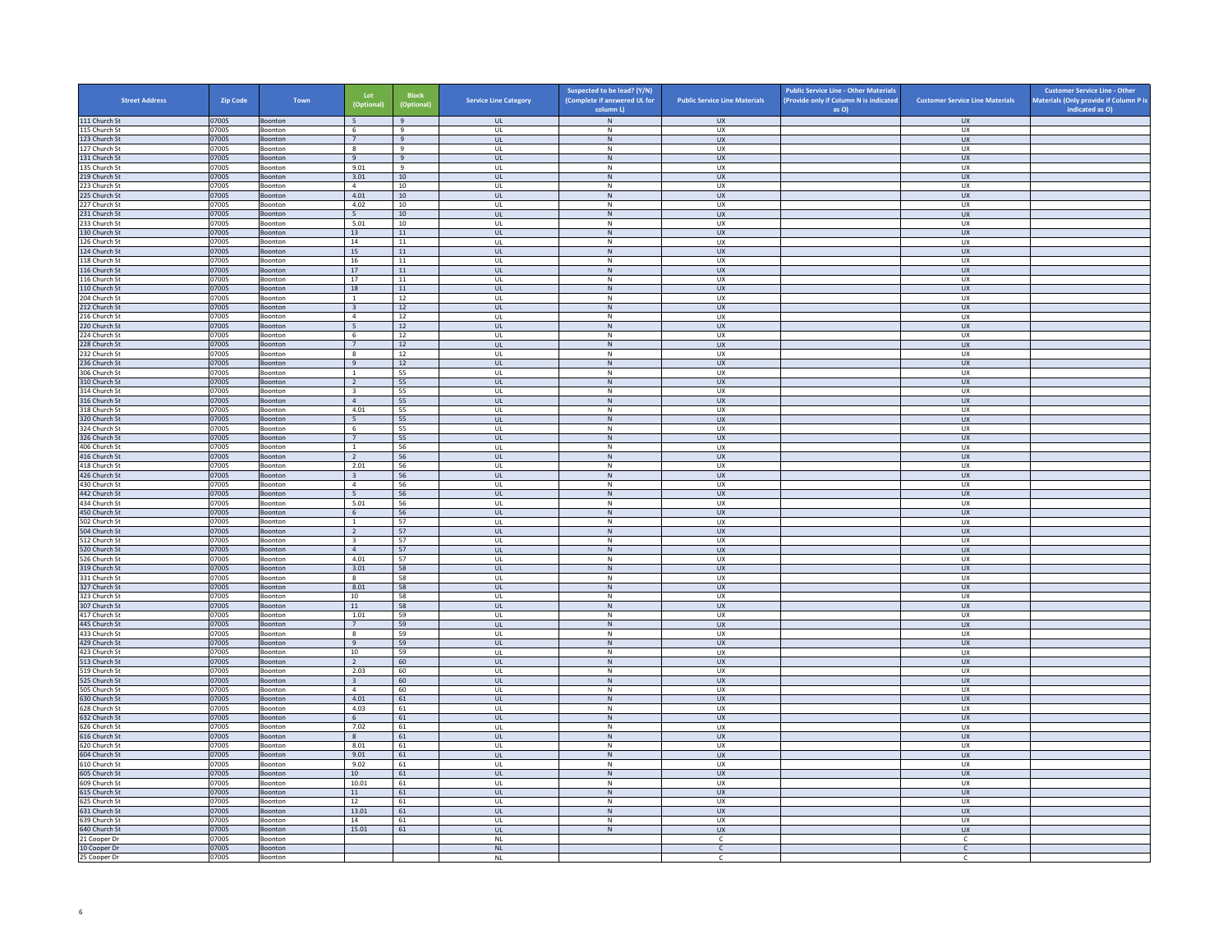| <b>Street Address</b>          | Zip Code       | Town                      | Lot<br>(Optional)                         | <b>Block</b><br>(Optional) | <b>Service Line Category</b> | Suspected to be lead? (Y/N)<br>(Complete if answered UL for<br>column L) | <b>Public Service Line Materials</b> | <b>Public Service Line - Other Materials</b><br>(Provide only if Column N is indicated<br>as O) | <b>Customer Service Line Materials</b> | <b>Customer Service Line - Other</b><br>Materials (Only provide if Column P is<br>indicated as O) |
|--------------------------------|----------------|---------------------------|-------------------------------------------|----------------------------|------------------------------|--------------------------------------------------------------------------|--------------------------------------|-------------------------------------------------------------------------------------------------|----------------------------------------|---------------------------------------------------------------------------------------------------|
| 111 Church St                  | 07005          | Boonton                   | 5                                         | 9                          | <b>UL</b>                    | N                                                                        | <b>UX</b>                            |                                                                                                 | <b>UX</b>                              |                                                                                                   |
| 115 Church St                  | 07005          | Boonton                   | 6                                         | 9                          | UL                           | N                                                                        | UX                                   |                                                                                                 | UX                                     |                                                                                                   |
| 123 Church St                  | 07005          | Boonton                   | $7\overline{ }$                           | $9\,$                      | $_{\sf UL}$                  | ${\sf N}$                                                                | UX                                   |                                                                                                 | UX                                     |                                                                                                   |
| 127 Church St                  | 07005          | Boonton                   | $\boldsymbol{8}$<br>9                     | $\mathbf{q}$<br>9          | UL<br><b>UL</b>              | $\,$ N<br>N                                                              | UX<br><b>UX</b>                      |                                                                                                 | UX<br><b>UX</b>                        |                                                                                                   |
| 131 Church St<br>135 Church St | 07005<br>07005 | Boonton<br>Boonton        | 9.01                                      | 9                          | UL                           | ${\sf N}$                                                                | UX                                   |                                                                                                 | UX                                     |                                                                                                   |
| 219 Church St                  | 07005          | Boonton                   | 3.01                                      | 10 <sup>1</sup>            | $\mathbf{u}$                 | N                                                                        | <b>UX</b>                            |                                                                                                 | UX                                     |                                                                                                   |
| 223 Church St                  | 07005          | Boonton                   | $\overline{4}$                            | 10                         | UL                           | N                                                                        | UX                                   |                                                                                                 | UX                                     |                                                                                                   |
| 225 Church St                  | 07005          | Boonton                   | 4.01                                      | 10                         | UL                           | N                                                                        | <b>UX</b>                            |                                                                                                 | <b>UX</b>                              |                                                                                                   |
| 227 Church St<br>231 Church St | 07005<br>07005 | Boonton<br>Boonton        | 4.02<br>5 <sup>5</sup>                    | 10<br>10                   | UL<br>UL                     | ${\sf N}$<br>$\,$ N                                                      | UX<br><b>UX</b>                      |                                                                                                 | UX<br><b>UX</b>                        |                                                                                                   |
| 233 Church St                  | 07005          | <b>Boonton</b>            | 5.01                                      | 10                         | $\mathbf{U}$                 | N                                                                        | UX                                   |                                                                                                 | <b>UX</b>                              |                                                                                                   |
| 130 Church St                  | 07005          | Boonton                   | 13                                        | $11\,$                     | $_{\sf UL}$                  | $\,$ N                                                                   | UX                                   |                                                                                                 | UX                                     |                                                                                                   |
| 126 Church St                  | 07005          | Boonton                   | 14                                        | 11                         | UL                           | N                                                                        | <b>UX</b>                            |                                                                                                 | <b>UX</b>                              |                                                                                                   |
| 124 Church St                  | 07005          | Boonton                   | 15                                        | 11                         | $_{\sf UL}$                  | ${\sf N}$<br>N                                                           | UX                                   |                                                                                                 | UX                                     |                                                                                                   |
| 118 Church St<br>116 Church St | 07005<br>07005 | Boonton<br>Boonton        | 16<br>17                                  | ${\bf 11}$<br>11           | UL<br><b>UL</b>              | N                                                                        | UX<br><b>UX</b>                      |                                                                                                 | UX<br><b>UX</b>                        |                                                                                                   |
| 116 Church St                  | 07005          | Boonton                   | 17                                        | 11                         | UL                           | $\,$ N                                                                   | UX                                   |                                                                                                 | UX                                     |                                                                                                   |
| 110 Church St                  | 07005          | Boonton                   | 18                                        | 11                         | $\mathbf{u}$                 | N                                                                        | UX                                   |                                                                                                 | <b>UX</b>                              |                                                                                                   |
| 204 Church St                  | 07005          | Boonton                   | $\mathbf{1}$                              | 12                         | UL                           | N                                                                        | UX                                   |                                                                                                 | UX                                     |                                                                                                   |
| 212 Church St<br>216 Church St | 07005<br>07005 | Boonton<br>Boonton        | $\overline{\mathbf{3}}$<br>$\sqrt{4}$     | 12<br>$12\,$               | UL.<br>UL                    | N<br>${\sf N}$                                                           | <b>UX</b><br>UX                      |                                                                                                 | <b>UX</b><br>UX                        |                                                                                                   |
| 220 Church St                  | 07005          | Boonton                   | $\overline{5}$                            | 12                         | UL                           | N                                                                        | <b>UX</b>                            |                                                                                                 | <b>UX</b>                              |                                                                                                   |
| 224 Church St                  | 07005          | Boonton                   | 6                                         | 12                         | UL                           | ${\sf N}$                                                                | UX                                   |                                                                                                 | UX                                     |                                                                                                   |
| 228 Church St                  | 07005          | Boonton                   | $7\phantom{.0}$                           | 12                         | $_{\sf UL}$                  | ${\sf N}$                                                                | UX                                   |                                                                                                 | ${\sf U}{\sf X}$                       |                                                                                                   |
| 232 Church St                  | 07005          | Boonton                   | 8                                         | 12                         | UL                           | N                                                                        | <b>UX</b>                            |                                                                                                 | <b>UX</b>                              |                                                                                                   |
| 236 Church St                  | 07005          | Boonton                   | 9<br>$\overline{1}$                       | 12                         | <b>UL</b>                    | $\,$ N<br>N                                                              | <b>UX</b>                            |                                                                                                 | <b>UX</b>                              |                                                                                                   |
| 306 Church St<br>310 Church St | 07005<br>07005 | Boonton<br><b>Boonton</b> | $\overline{2}$                            | 55<br>55                   | UL<br><b>UL</b>              | $\,$ N                                                                   | <b>UX</b><br><b>UX</b>               |                                                                                                 | <b>UX</b><br><b>UX</b>                 |                                                                                                   |
| 314 Church St                  | 07005          | Boonton                   | $\overline{\mathbf{3}}$                   | 55                         | UL                           | $\,N\,$                                                                  | UX                                   |                                                                                                 | UX                                     |                                                                                                   |
| 316 Church St                  | 07005          | Boonton                   | $\overline{4}$                            | 55                         | $\mathbf{u}$                 | N                                                                        | UX                                   |                                                                                                 | $\overline{U}$                         |                                                                                                   |
| 318 Church St                  | 07005          | Boonton                   | 4.01                                      | 55                         | UL                           | ${\sf N}$                                                                | UX                                   |                                                                                                 | UX                                     |                                                                                                   |
| 320 Church St                  | 07005          | Boonton                   | 5                                         | 55                         | <b>UL</b>                    | N<br>$\mathsf{N}$                                                        | <b>UX</b>                            |                                                                                                 | <b>UX</b>                              |                                                                                                   |
| 324 Church St<br>326 Church St | 07005<br>07005 | Boonton<br>Boonton        | $\,$ 6<br>$7^{\circ}$                     | 55<br>55                   | $\mathsf{UL}$<br>UL          | N                                                                        | UX<br><b>UX</b>                      |                                                                                                 | UX<br><b>UX</b>                        |                                                                                                   |
| 406 Church St                  | 07005          | Boonton                   | <sup>1</sup>                              | 56                         | UL                           | N                                                                        | <b>UX</b>                            |                                                                                                 | UX                                     |                                                                                                   |
| 416 Church St                  | 07005          | Boonton                   | $\overline{2}$                            | 56                         | $_{\sf UL}$                  | ${\sf N}$                                                                | UX                                   |                                                                                                 | UX                                     |                                                                                                   |
| 418 Church St                  | 07005          | <b>Boonton</b>            | 2.01                                      | 56                         | $\mathbf{U}$                 | N                                                                        | UX                                   |                                                                                                 | UX                                     |                                                                                                   |
| 426 Church St                  | 07005          | Boonton                   | $\overline{\mathbf{3}}$                   | 56                         | UL                           | $\,$ N                                                                   | UX                                   |                                                                                                 | UX                                     |                                                                                                   |
| 430 Church St<br>442 Church St | 07005<br>07005 | Boonton<br>Boonton        | $\overline{4}$<br>5                       | 56<br>56                   | UL<br>UL                     | N<br>$\,$ N                                                              | UX<br><b>UX</b>                      |                                                                                                 | UX<br><b>UX</b>                        |                                                                                                   |
| 434 Church St                  | 07005          | Boonton                   | 5.01                                      | 56                         | UL                           | ${\sf N}$                                                                | UX                                   |                                                                                                 | UX                                     |                                                                                                   |
| 450 Church St                  | 07005          | Boonton                   | 6                                         | 56                         | <b>UL</b>                    | N                                                                        | <b>UX</b>                            |                                                                                                 | <b>UX</b>                              |                                                                                                   |
| 502 Church St                  | 07005          | Boonton                   | $\,$ 1 $\,$                               | 57                         | UL                           | ${\sf N}$                                                                | UX                                   |                                                                                                 | UX                                     |                                                                                                   |
| 504 Church St                  | 07005          | Boonton                   | <sup>2</sup>                              | 57                         | $\mathbf{u}$                 | N                                                                        | $\overline{11}$                      |                                                                                                 | $\overline{11}$<br>UX                  |                                                                                                   |
| 512 Church St<br>520 Church St | 07005<br>07005 | Boonton<br>Boonton        | $\overline{\mathbf{3}}$<br>$\overline{4}$ | 57<br>57                   | UL<br>UL                     | N<br>N                                                                   | UX<br>UX                             |                                                                                                 | UX                                     |                                                                                                   |
| 526 Church St                  | 07005          | Boonton                   | 4.01                                      | 57                         | UL                           | ${\sf N}$                                                                | UX                                   |                                                                                                 | UX                                     |                                                                                                   |
| 319 Church St                  | 07005          | Boonton                   | 3.01                                      | 58                         | UL                           | $\,$ N                                                                   | <b>UX</b>                            |                                                                                                 | <b>UX</b>                              |                                                                                                   |
| 331 Church St                  | 07005          | <b>Boonton</b>            | -8                                        | 58                         | $\mathbf{U}$                 | N                                                                        | <b>UX</b>                            |                                                                                                 | UX                                     |                                                                                                   |
| 327 Church St<br>323 Church St | 07005<br>07005 | Boonton<br>Boonton        | 8.01<br>10                                | 58<br>58                   | UL<br>UL                     | ${\sf N}$<br>N                                                           | UX<br><b>UX</b>                      |                                                                                                 | UX<br>UX                               |                                                                                                   |
| 307 Church St                  | 07005          | Boonton                   | $11\,$                                    | 58                         | $_{\sf UL}$                  | ${\sf N}$                                                                | UX                                   |                                                                                                 | UX                                     |                                                                                                   |
| 417 Church St                  | 07005          | Boonton                   | 1.01                                      | 59                         | UL                           | N                                                                        | UX                                   |                                                                                                 | UX                                     |                                                                                                   |
| 445 Church St                  | 07005          | Boonton                   | $7^{\circ}$                               | 59                         | <b>UL</b>                    | N                                                                        | <b>UX</b>                            |                                                                                                 | <b>UX</b>                              |                                                                                                   |
| 433 Church St                  | 07005          | Boonton                   | $\boldsymbol{8}$                          | 59                         | UL                           | ${\sf N}$                                                                | UX                                   |                                                                                                 | UX                                     |                                                                                                   |
| 429 Church St<br>423 Church St | 07005<br>07005 | Boonton<br>Boonton        | $\overline{q}$<br>10                      | 59<br>59                   | $\mathbf{u}$<br>UL           | N<br>$\mathsf{N}$                                                        | UX<br>UX                             |                                                                                                 | <b>UX</b><br>UX                        |                                                                                                   |
| 513 Church St                  | 07005          | Boonton                   | $\overline{2}$                            | 60                         | UL.                          | N                                                                        | <b>UX</b>                            |                                                                                                 | <b>UX</b>                              |                                                                                                   |
| 519 Church St                  | 07005          | Boonton                   | 2.03                                      | 60                         | UL                           | N                                                                        | UX                                   |                                                                                                 | UX                                     |                                                                                                   |
| 525 Church St                  | 07005          | Boonton                   | $\overline{\mathbf{3}}$                   | 60                         | UL                           | N                                                                        | <b>UX</b>                            |                                                                                                 | <b>UX</b>                              |                                                                                                   |
| 505 Church St                  | 07005          | Boonton                   | $\overline{4}$                            | 60                         | UL                           | N                                                                        | <b>UX</b>                            |                                                                                                 | <b>UX</b>                              |                                                                                                   |
| 630 Church St<br>628 Church St | 07005<br>07005 | Boonton<br>Boonton        | 4.01<br>4.03                              | 61<br>61                   | $_{\sf UL}$<br>UL            | $\,$ N<br>N                                                              | ${\sf U}{\sf X}$<br><b>UX</b>        |                                                                                                 | ${\sf U}{\sf X}$<br><b>UX</b>          |                                                                                                   |
| 632 Church St                  | 07005          | Boonton                   | 6                                         | 61                         | UL                           | $\,$ N                                                                   | <b>UX</b>                            |                                                                                                 | UX                                     |                                                                                                   |
| 626 Church St                  | 07005          | Boonton                   | 7.02                                      | 61                         | UL                           | N                                                                        | <b>UX</b>                            |                                                                                                 | <b>UX</b>                              |                                                                                                   |
| 616 Church St                  | 07005          | <b>Boonton</b>            | 8                                         | 61                         | <b>UL</b>                    | $\,$ N $\,$                                                              | <b>UX</b>                            |                                                                                                 | <b>UX</b>                              |                                                                                                   |
| 620 Church St                  | 07005          | Boonton                   | 8.01                                      | 61                         | UL                           | ${\sf N}$                                                                | <b>UX</b>                            |                                                                                                 | UX                                     |                                                                                                   |
| 604 Church St<br>610 Church St | 07005<br>07005 | Boonton<br>Boonton        | 9.01<br>9.02                              | 61<br>61                   | $\mathbf{u}$<br>UL           | N<br>${\sf N}$                                                           | UX<br>UX                             |                                                                                                 | UX<br>UX                               |                                                                                                   |
| 605 Church St                  | 07005          | Boonton                   | 10                                        | 61                         | <b>UL</b>                    | N                                                                        | <b>UX</b>                            |                                                                                                 | <b>UX</b>                              |                                                                                                   |
| 609 Church St                  | 07005          | Boonton                   | 10.01                                     | 61                         | $\mathsf{UL}$                | ${\sf N}$                                                                | UX                                   |                                                                                                 | UX                                     |                                                                                                   |
| 615 Church St                  | 07005          | Boonton                   | 11                                        | 61                         | UL                           | N                                                                        | <b>UX</b>                            |                                                                                                 | <b>UX</b>                              |                                                                                                   |
| 625 Church St                  | 07005          | Boonton                   | 12                                        | 61                         | UL                           | N                                                                        | <b>UX</b>                            |                                                                                                 | <b>UX</b>                              |                                                                                                   |
| 631 Church St<br>639 Church St | 07005<br>07005 | Boonton<br><b>Boonton</b> | 13.01<br>14                               | 61<br>61                   | $_{\sf UL}$<br>$\mathbf{U}$  | ${\sf N}$<br>N                                                           | UX<br>UX                             |                                                                                                 | UX<br>UX                               |                                                                                                   |
| 640 Church St                  | 07005          | Boonton                   | 15.01                                     | 61                         | UL                           | ${\sf N}$                                                                | UX                                   |                                                                                                 | UX                                     |                                                                                                   |
| 21 Cooper Dr                   | 07005          | Boonton                   |                                           |                            | <b>NL</b>                    |                                                                          | C                                    |                                                                                                 | c                                      |                                                                                                   |
| 10 Cooper Dr                   | 07005          | Boonton                   |                                           |                            | <b>NL</b>                    |                                                                          | C                                    |                                                                                                 | $\mathsf{C}$                           |                                                                                                   |
| 25 Cooper Dr                   | 07005          | Boonton                   |                                           |                            | <b>NL</b>                    |                                                                          | C                                    |                                                                                                 | $\mathsf{C}$                           |                                                                                                   |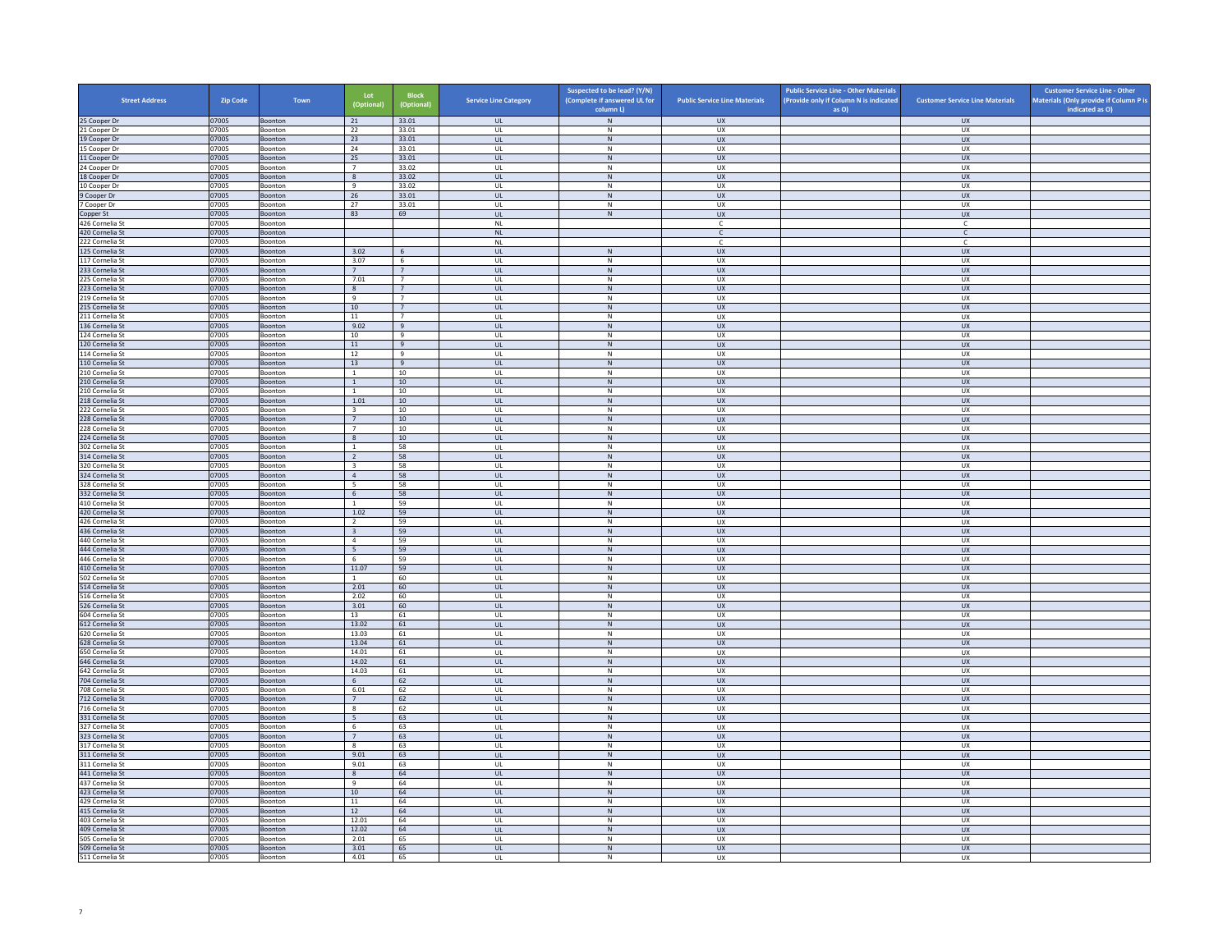| <b>Street Address</b>              | Zip Code       | Town                      | Lot<br>(Optional)                         | <b>Block</b><br>(Optional) | <b>Service Line Category</b>  | Suspected to be lead? (Y/N)<br>(Complete if answered UL for<br>column L) | <b>Public Service Line Materials</b> | <b>Public Service Line - Other Materials</b><br>(Provide only if Column N is indicated<br>as O) | <b>Customer Service Line Materials</b> | <b>Customer Service Line - Other</b><br>Materials (Only provide if Column P is<br>indicated as O) |
|------------------------------------|----------------|---------------------------|-------------------------------------------|----------------------------|-------------------------------|--------------------------------------------------------------------------|--------------------------------------|-------------------------------------------------------------------------------------------------|----------------------------------------|---------------------------------------------------------------------------------------------------|
| 25 Cooper Dr                       | 07005          | Boonton                   | 21                                        | 33.01                      | <b>UL</b>                     | $\,$ N $\,$                                                              | <b>UX</b>                            |                                                                                                 | <b>UX</b>                              |                                                                                                   |
| 21 Cooper Dr                       | 07005          | Boonton                   | 22                                        | 33.01                      | UL                            | N                                                                        | UX                                   |                                                                                                 | <b>UX</b>                              |                                                                                                   |
| 19 Cooper Dr                       | 07005          | Boonton                   | 23                                        | 33.01                      | $_{\sf UL}$                   | ${\sf N}$                                                                | UX                                   |                                                                                                 | UX                                     |                                                                                                   |
| 15 Cooper Dr                       | 07005<br>07005 | Boonton<br><b>Boonton</b> | 24<br>25                                  | 33.01<br>33.01             | UL<br><b>UL</b>               | N<br>$\,$ N                                                              | <b>UX</b><br><b>UX</b>               |                                                                                                 | <b>UX</b><br><b>UX</b>                 |                                                                                                   |
| 11 Cooper Dr<br>24 Cooper Dr       | 07005          | Boonton                   | $\overline{7}$                            | 33.02                      | UL                            | ${\sf N}$                                                                | UX                                   |                                                                                                 | UX                                     |                                                                                                   |
| 18 Cooper Dr                       | 07005          | <b>Boonton</b>            | $\mathbf{g}$                              | 33.02                      | $\mathbf{u}$                  | N                                                                        | UX                                   |                                                                                                 | UX                                     |                                                                                                   |
| 10 Cooper Dr                       | 07005          | Boonton                   | 9                                         | 33.02                      | UL                            | N                                                                        | UX                                   |                                                                                                 | UX                                     |                                                                                                   |
| 9 Cooper Dr<br>7 Cooper Dr         | 07005<br>07005 | Boonton<br>Boonton        | 26<br>27                                  | 33.01<br>33.01             | <b>UL</b><br>$\mathsf{UL}$    | N<br>${\sf N}$                                                           | <b>UX</b><br>UX                      |                                                                                                 | <b>UX</b><br>UX                        |                                                                                                   |
| Copper St                          | 07005          | Boonton                   | 83                                        | 69                         | <b>UL</b>                     | $\,$ N                                                                   | <b>UX</b>                            |                                                                                                 | <b>UX</b>                              |                                                                                                   |
| 426 Cornelia St                    | 07005          | Boonton                   |                                           |                            | <b>NL</b>                     |                                                                          | <b>C</b>                             |                                                                                                 | C                                      |                                                                                                   |
| 420 Cornelia St                    | 07005          | Boonton                   |                                           |                            | $\mathsf{NL}$                 |                                                                          | $\mathsf{C}$                         |                                                                                                 | $\mathsf{C}$                           |                                                                                                   |
| 222 Cornelia St                    | 07005          | <b>Boonton</b>            |                                           |                            | NI                            |                                                                          | $\mathbb{C}$                         |                                                                                                 | $\mathsf{C}$                           |                                                                                                   |
| 125 Cornelia St<br>117 Cornelia St | 07005<br>07005 | Boonton<br>Boonton        | 3.02<br>3.07                              | 6<br>6                     | $\mathsf{UL}$<br>UL           | $\,$ N<br>N                                                              | UX<br>UX                             |                                                                                                 | UX<br><b>UX</b>                        |                                                                                                   |
| 233 Cornelia St                    | 07005          | Boonton                   | $7\overline{ }$                           | $7^{\circ}$                | $_{\sf UL}$                   | ${\sf N}$                                                                | UX                                   |                                                                                                 | UX                                     |                                                                                                   |
| 225 Cornelia St                    | 07005          | Boonton                   | 7.01                                      | $\overline{7}$             | UL                            | $\mathsf{N}$                                                             | UX                                   |                                                                                                 | UX                                     |                                                                                                   |
| 223 Cornelia St                    | 07005          | <b>Boonton</b>            | 8                                         | 7                          | <b>UL</b>                     | N                                                                        | <b>UX</b>                            |                                                                                                 | <b>UX</b>                              |                                                                                                   |
| 219 Cornelia St                    | 07005          | Boonton                   | 9                                         | $7\overline{ }$            | UL                            | ${\sf N}$                                                                | UX                                   |                                                                                                 | UX                                     |                                                                                                   |
| 215 Cornelia St<br>211 Cornelia St | 07005<br>07005 | Boonton<br>Boonton        | 10<br>$11\,$                              | 7<br>$\overline{7}$        | $\mathbf{u}$<br>UL            | N<br>N                                                                   | $\overline{u}$<br>UX                 |                                                                                                 | UX<br>UX                               |                                                                                                   |
| 136 Cornelia St                    | 07005          | Boonton                   | 9.02                                      | $\mathbf{q}$               | <b>UL</b>                     | N                                                                        | <b>UX</b>                            |                                                                                                 | <b>UX</b>                              |                                                                                                   |
| 124 Cornelia St                    | 07005          | Boonton                   | 10                                        | 9                          | UL                            | ${\sf N}$                                                                | UX                                   |                                                                                                 | UX                                     |                                                                                                   |
| 120 Cornelia St                    | 07005          | Boonton                   | 11                                        | 9                          | UL                            | N                                                                        | <b>UX</b>                            |                                                                                                 | <b>UX</b>                              |                                                                                                   |
| 114 Cornelia St                    | 07005          | Boonton                   | 12                                        | 9                          | UL                            | N                                                                        | <b>UX</b>                            |                                                                                                 | <b>UX</b>                              |                                                                                                   |
| 110 Cornelia St<br>210 Cornelia St | 07005<br>07005 | Boonton<br>Boonton        | 13<br>1                                   | 9<br>10                    | $_{\sf UL}$<br>$\mathbf{U}$   | ${\sf N}$<br>N                                                           | ${\sf U}{\sf X}$<br><b>UX</b>        |                                                                                                 | ${\sf U}{\sf X}$<br><b>UX</b>          |                                                                                                   |
| 210 Cornelia St                    | 07005          | Boonton                   | $\mathbf{1}$                              | 10                         | <b>UL</b>                     | $\,$ N                                                                   | <b>UX</b>                            |                                                                                                 | <b>UX</b>                              |                                                                                                   |
| 210 Cornelia St                    | 07005          | Boonton                   | <sup>1</sup>                              | 10                         | UL                            | N                                                                        | UX                                   |                                                                                                 | UX                                     |                                                                                                   |
| 218 Cornelia St                    | 07005          | Boonton                   | 1.01                                      | 10                         | UL                            | ${\sf N}$                                                                | <b>UX</b>                            |                                                                                                 | <b>UX</b>                              |                                                                                                   |
| 222 Cornelia St                    | 07005          | Boonton                   | $\overline{\mathbf{3}}$<br>7              | 10<br>10                   | UL                            | N                                                                        | UX<br><b>UX</b>                      |                                                                                                 | UX<br><b>UX</b>                        |                                                                                                   |
| 228 Cornelia St<br>228 Cornelia St | 07005<br>07005 | Boonton<br>Boonton        | $\overline{7}$                            | $10\,$                     | <b>UL</b><br>UL               | N<br>${\sf N}$                                                           | UX                                   |                                                                                                 | UX                                     |                                                                                                   |
| 224 Cornelia St                    | 07005          | Boonton                   | 8                                         | 10                         | $\mathbf{u}$                  | N                                                                        | <b>UX</b>                            |                                                                                                 | <b>UX</b>                              |                                                                                                   |
| 302 Cornelia St                    | 07005          | Boonton                   | $\mathbf{1}$                              | 58                         | UL                            | N                                                                        | UX                                   |                                                                                                 | UX                                     |                                                                                                   |
| 314 Cornelia St                    | 07005          | Boonton                   | 2                                         | 58                         | UL                            | N                                                                        | <b>UX</b>                            |                                                                                                 | <b>UX</b>                              |                                                                                                   |
| 320 Cornelia St<br>324 Cornelia St | 07005<br>07005 | Boonton                   | $\overline{\mathbf{3}}$<br>$\overline{4}$ | 58<br>58                   | UL<br>UL                      | ${\sf N}$<br>$\,$ N                                                      | UX<br><b>UX</b>                      |                                                                                                 | UX<br><b>UX</b>                        |                                                                                                   |
| 328 Cornelia St                    | 07005          | Boonton<br>Boonton        | - 5                                       | 58                         | UL                            | N                                                                        | <b>UX</b>                            |                                                                                                 | <b>UX</b>                              |                                                                                                   |
| 332 Cornelia St                    | 07005          | Boonton                   | 6                                         | 58                         | $_{\sf UL}$                   | ${\sf N}$                                                                | ${\sf U}{\sf X}$                     |                                                                                                 | ${\sf U}{\sf X}$                       |                                                                                                   |
| 410 Cornelia St                    | 07005          | Boonton                   | $\overline{1}$                            | 59                         | $\mathbf{U}$                  | N                                                                        | <b>UX</b>                            |                                                                                                 | <b>UX</b>                              |                                                                                                   |
| 420 Cornelia St                    | 07005          | Boonton                   | 1.02                                      | 59                         | $\mathsf{UL}$                 | $\mathsf{N}$                                                             | UX                                   |                                                                                                 | UX                                     |                                                                                                   |
| 426 Cornelia St<br>436 Cornelia St | 07005<br>07005 | Boonton<br>Boonton        | $\overline{2}$<br>$\overline{\mathbf{3}}$ | 59<br>59                   | UL<br>UL                      | N<br>${\sf N}$                                                           | UX<br><b>UX</b>                      |                                                                                                 | <b>UX</b><br><b>UX</b>                 |                                                                                                   |
| 440 Cornelia St                    | 07005          | Boonton                   | $\overline{4}$                            | 59                         | UL                            | N                                                                        | UX                                   |                                                                                                 | UX                                     |                                                                                                   |
| 444 Cornelia St                    | 07005          | Boonton                   | 5 <sup>1</sup>                            | 59                         | $\mathbf{u}$                  | N                                                                        | $\overline{11}$                      |                                                                                                 | UX                                     |                                                                                                   |
| 446 Cornelia St                    | 07005          | Boonton                   | 6                                         | 59                         | UL                            | ${\sf N}$                                                                | UX                                   |                                                                                                 | UX                                     |                                                                                                   |
| 410 Cornelia St<br>502 Cornelia St | 07005<br>07005 | Boonton<br>Boonton        | 11.07<br><sup>1</sup>                     | 59<br>60                   | $\mathbf{u}$<br>UL            | N<br>${\sf N}$                                                           | $\overline{11}$<br>UX                |                                                                                                 | $\overline{11}$<br>UX                  |                                                                                                   |
| 514 Cornelia St                    | 07005          | Boonton                   | 2.01                                      | 60                         | UL                            | N                                                                        | <b>UX</b>                            |                                                                                                 | UX                                     |                                                                                                   |
| 516 Cornelia St                    | 07005          | Boonton                   | 2.02                                      | 60                         | UL                            | ${\sf N}$                                                                | UX                                   |                                                                                                 | UX                                     |                                                                                                   |
| 526 Cornelia St                    | 07005          | Boonton                   | 3.01                                      | 60                         | UL                            | $\,$ N                                                                   | <b>UX</b>                            |                                                                                                 | <b>UX</b>                              |                                                                                                   |
| 604 Cornelia St<br>612 Cornelia St | 07005<br>07005 | <b>Boonton</b><br>Boonton | 13<br>13.02                               | 61<br>61                   | $\mathbf{U}$<br>$\mathsf{UL}$ | N<br>$\mathsf{N}$                                                        | <b>UX</b><br>UX                      |                                                                                                 | UX<br>UX                               |                                                                                                   |
| 620 Cornelia St                    | 07005          | Boonton                   | 13.03                                     | 61                         | UL                            | N                                                                        | <b>UX</b>                            |                                                                                                 | <b>UX</b>                              |                                                                                                   |
| 628 Cornelia St                    | 07005          | Boonton                   | 13.04                                     | 61                         | $_{\sf UL}$                   | ${\sf N}$                                                                | UX                                   |                                                                                                 | UX                                     |                                                                                                   |
| 650 Cornelia St                    | 07005          | Boonton                   | 14.01                                     | 61                         | UL                            | N                                                                        | <b>UX</b>                            |                                                                                                 | UX                                     |                                                                                                   |
| 646 Cornelia St                    | 07005          | <b>Boonton</b>            | 14.02                                     | 61                         | <b>UL</b>                     | N                                                                        | <b>UX</b>                            |                                                                                                 | <b>UX</b>                              |                                                                                                   |
| 642 Cornelia St<br>704 Cornelia St | 07005<br>07005 | Boonton<br>Boonton        | 14.03<br>6                                | 61<br>62                   | UL<br>$\mathbf{u}$            | $\,$ N<br>N                                                              | UX<br>UX                             |                                                                                                 | UX<br>$\overline{U}$                   |                                                                                                   |
| 708 Cornelia St                    | 07005          | Boonton                   | 6.01                                      | 62                         | UL                            | ${\sf N}$                                                                | UX                                   |                                                                                                 | UX                                     |                                                                                                   |
| 712 Cornelia St                    | 07005          | Boonton                   | $7^{\circ}$                               | 62                         | <b>UL</b>                     | N                                                                        | <b>UX</b>                            |                                                                                                 | <b>UX</b>                              |                                                                                                   |
| 716 Cornelia St                    | 07005          | Boonton                   | $\bf{8}$                                  | 62                         | UL                            | ${\sf N}$                                                                | UX                                   |                                                                                                 | UX                                     |                                                                                                   |
| 331 Cornelia St<br>327 Cornelia St | 07005<br>07005 | Boonton<br>Boonton        | $\overline{5}$<br>6                       | 63<br>63                   | UL<br>UL                      | N<br>${\sf N}$                                                           | UX<br>UX                             |                                                                                                 | UX<br>UX                               |                                                                                                   |
| 323 Cornelia St                    | 07005          | Boonton                   | 7                                         | 63                         | $_{\sf UL}$                   | ${\sf N}$                                                                | UX                                   |                                                                                                 | <b>UX</b>                              |                                                                                                   |
| 317 Cornelia St                    | 07005          | <b>Boonton</b>            | $\mathbf{g}$                              | 63                         | $\mathbf{U}$                  | N                                                                        | <b>UX</b>                            |                                                                                                 | UX                                     |                                                                                                   |
| 311 Cornelia St                    | 07005          | Boonton                   | 9.01                                      | 63                         | UL                            | ${\sf N}$                                                                | UX                                   |                                                                                                 | UX                                     |                                                                                                   |
| 311 Cornelia St                    | 07005          | Boonton                   | 9.01                                      | 63                         | UL                            | N                                                                        | <b>UX</b>                            |                                                                                                 | UX                                     |                                                                                                   |
| 441 Cornelia St<br>437 Cornelia St | 07005<br>07005 | Boonton<br>Boonton        | 8<br>9                                    | 64<br>64                   | $_{\sf UL}$<br>UL             | ${\sf N}$<br>$\,$ N                                                      | UX<br>UX                             |                                                                                                 | UX<br>UX                               |                                                                                                   |
| 423 Cornelia St                    | 07005          | Boonton                   | 10                                        | 64                         | <b>UL</b>                     | N                                                                        | <b>UX</b>                            |                                                                                                 | <b>UX</b>                              |                                                                                                   |
| 429 Cornelia St                    | 07005          | Boonton                   | $11\,$                                    | 64                         | UL                            | ${\sf N}$                                                                | UX                                   |                                                                                                 | UX                                     |                                                                                                   |
| 415 Cornelia St                    | 07005          | Boonton                   | 12                                        | 64                         | $\mathbf{u}$                  | N                                                                        | UX                                   |                                                                                                 | <b>UX</b>                              |                                                                                                   |
| 403 Cornelia St                    | 07005          | Boonton                   | 12.01                                     | 64                         | UL                            | $\mathsf{N}$                                                             | UX                                   |                                                                                                 | UX                                     |                                                                                                   |
| 409 Cornelia St<br>505 Cornelia St | 07005<br>07005 | Boonton<br>Boonton        | 12.02<br>2.01                             | 64<br>65                   | UL.<br>UL                     | N<br>${\sf N}$                                                           | <b>UX</b><br>UX                      |                                                                                                 | UX<br>UX                               |                                                                                                   |
| 509 Cornelia St                    | 07005          | Boonton                   | 3.01                                      | 65                         | UL                            | N                                                                        | <b>UX</b>                            |                                                                                                 | UX                                     |                                                                                                   |
| 511 Cornelia St                    | 07005          | Boonton                   | 4.01                                      | 65                         | UL                            | N                                                                        | <b>UX</b>                            |                                                                                                 | <b>UX</b>                              |                                                                                                   |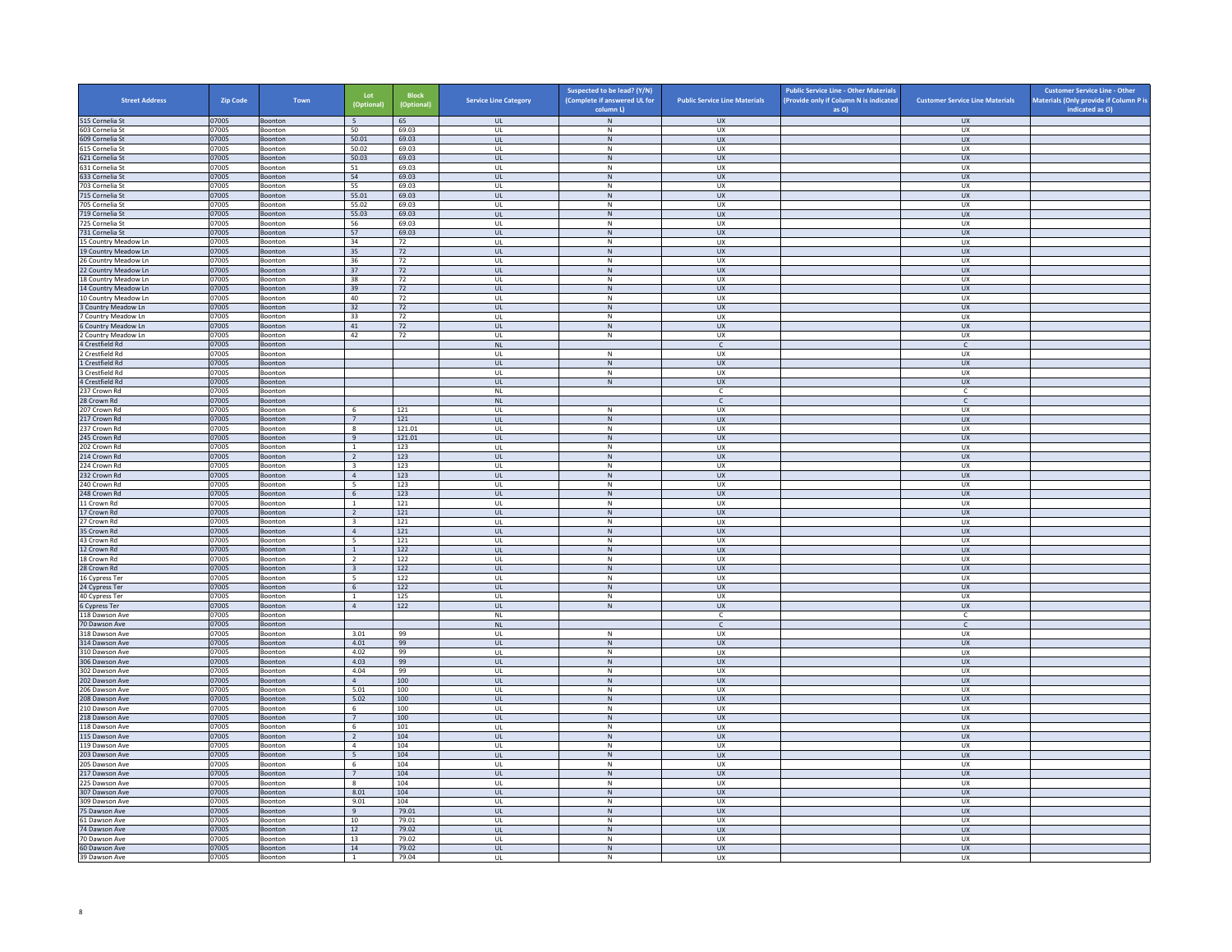| <b>Street Address</b>                        | Zip Code       | Town                      | Lot<br>(Optional)                | <b>Block</b><br>(Optional) | <b>Service Line Category</b> | Suspected to be lead? (Y/N)<br>(Complete if answered UL for<br>column L) | <b>Public Service Line Materials</b> | <b>Public Service Line - Other Materials</b><br>(Provide only if Column N is indicated<br>as O) | <b>Customer Service Line Materials</b> | <b>Customer Service Line - Other</b><br>Materials (Only provide if Column P is<br>indicated as O) |
|----------------------------------------------|----------------|---------------------------|----------------------------------|----------------------------|------------------------------|--------------------------------------------------------------------------|--------------------------------------|-------------------------------------------------------------------------------------------------|----------------------------------------|---------------------------------------------------------------------------------------------------|
| 515 Cornelia St                              | 07005          | Boonton                   | 5 <sup>5</sup>                   | 65                         | <b>UL</b>                    | $\,$ N $\,$                                                              | <b>UX</b>                            |                                                                                                 | <b>UX</b>                              |                                                                                                   |
| 603 Cornelia St                              | 07005          | Boonton                   | 50                               | 69.03                      | UL                           | N                                                                        | UX                                   |                                                                                                 | <b>UX</b>                              |                                                                                                   |
| 609 Cornelia St                              | 07005          | Boonton                   | 50.01                            | 69.03                      | $_{\sf UL}$                  | ${\sf N}$                                                                | UX                                   |                                                                                                 | UX                                     |                                                                                                   |
| 615 Cornelia St                              | 07005<br>07005 | Boonton                   | 50.02<br>50.03                   | 69.03<br>69.03             | UL<br><b>UL</b>              | N<br>$\,$ N                                                              | <b>UX</b><br><b>UX</b>               |                                                                                                 | <b>UX</b><br><b>UX</b>                 |                                                                                                   |
| 621 Cornelia St<br>631 Cornelia St           | 07005          | <b>Boonton</b><br>Boonton | 51                               | 69.03                      | UL                           | ${\sf N}$                                                                | UX                                   |                                                                                                 | UX                                     |                                                                                                   |
| 633 Cornelia St                              | 07005          | <b>Boonton</b>            | 54                               | 69.03                      | $\mathbf{u}$                 | N                                                                        | UX                                   |                                                                                                 | $\overline{U}$                         |                                                                                                   |
| 703 Cornelia St                              | 07005          | Boonton                   | 55                               | 69.03                      | UL                           | $\mathsf{N}$                                                             | UX                                   |                                                                                                 | UX                                     |                                                                                                   |
| 715 Cornelia St                              | 07005          | Boonton                   | 55.01                            | 69.03                      | <b>UL</b>                    | N                                                                        | <b>UX</b>                            |                                                                                                 | <b>UX</b>                              |                                                                                                   |
| 705 Cornelia St<br>719 Cornelia St           | 07005<br>07005 | Boonton<br>Boonton        | 55.02<br>55.03                   | 69.03<br>69.03             | $\mathsf{UL}$<br><b>UL</b>   | ${\sf N}$<br>N                                                           | UX<br><b>UX</b>                      |                                                                                                 | UX<br><b>UX</b>                        |                                                                                                   |
| 725 Cornelia St                              | 07005          | Boonton                   | 56                               | 69.03                      | UL                           | N                                                                        | <b>UX</b>                            |                                                                                                 | UX                                     |                                                                                                   |
| 731 Cornelia St                              | 07005          | Boonton                   | 57                               | 69.03                      | $_{\sf UL}$                  | ${\sf N}$                                                                | UX                                   |                                                                                                 | UX                                     |                                                                                                   |
| 15 Country Meadow Ln                         | 07005          | <b>Boonton</b>            | 34                               | 72                         | $\mathbf{U}$                 | N                                                                        | UX                                   |                                                                                                 | UX                                     |                                                                                                   |
| 19 Country Meadow Ln                         | 07005<br>07005 | Boonton<br>Boonton        | 35<br>36                         | 72<br>72                   | UL<br>UL                     | $\mathsf{N}$<br>N                                                        | UX<br>UX                             |                                                                                                 | UX<br><b>UX</b>                        |                                                                                                   |
| 26 Country Meadow Ln<br>22 Country Meadow Ln | 07005          | Boonton                   | 37                               | 72                         | $_{\sf UL}$                  | ${\sf N}$                                                                | UX                                   |                                                                                                 | UX                                     |                                                                                                   |
| 18 Country Meadow Ln                         | 07005          | Boonton                   | 38                               | 72                         | UL                           | $\mathsf{N}$                                                             | UX                                   |                                                                                                 | UX                                     |                                                                                                   |
| 14 Country Meadow Ln                         | 07005          | <b>Boonton</b>            | 39                               | 72                         | <b>UL</b>                    | N                                                                        | <b>UX</b>                            |                                                                                                 | <b>UX</b>                              |                                                                                                   |
| 10 Country Meadow Ln                         | 07005          | Boonton                   | 40                               | 72                         | UL                           | ${\sf N}$                                                                | UX                                   |                                                                                                 | UX                                     |                                                                                                   |
| 3 Country Meadow Ln<br>Country Meadow Ln     | 07005<br>07005 | Boonton<br>Boonton        | 32<br>33                         | 72<br>72                   | $\mathbf{u}$<br>UL           | N<br>N                                                                   | UX<br>UX                             |                                                                                                 | UX<br>UX                               |                                                                                                   |
| 6 Country Meadow Ln                          | 07005          | Boonton                   | 41                               | 72                         | <b>UL</b>                    | N                                                                        | <b>UX</b>                            |                                                                                                 | <b>UX</b>                              |                                                                                                   |
| Country Meadow Ln                            | 07005          | Boonton                   | 42                               | 72                         | UL                           | ${\sf N}$                                                                | UX                                   |                                                                                                 | UX                                     |                                                                                                   |
| 4 Crestfield Rd                              | 07005          | Boonton                   |                                  |                            | $\mathsf{NL}\xspace$         |                                                                          | $\mathsf{C}$                         |                                                                                                 | $\mathsf{C}$                           |                                                                                                   |
| Crestfield Rd                                | 07005          | Boonton                   |                                  |                            | UL                           | N                                                                        | <b>UX</b>                            |                                                                                                 | <b>UX</b>                              |                                                                                                   |
| 1 Crestfield Rd                              | 07005          | Boonton                   |                                  |                            | UL<br>$\mathbf{U}$           | ${\sf N}$<br>N                                                           | ${\sf U}{\sf X}$                     |                                                                                                 | ${\sf U}{\sf X}$                       |                                                                                                   |
| 3 Crestfield Rd<br>4 Crestfield Rd           | 07005<br>07005 | Boonton<br>Boonton        |                                  |                            | <b>UL</b>                    | $\,N\,$                                                                  | <b>UX</b><br><b>UX</b>               |                                                                                                 | <b>UX</b><br><b>UX</b>                 |                                                                                                   |
| 237 Crown Rd                                 | 07005          | Boonton                   |                                  |                            | <b>NL</b>                    |                                                                          | c                                    |                                                                                                 | C                                      |                                                                                                   |
| 28 Crown Rd                                  | 07005          | Boonton                   |                                  |                            | NL                           |                                                                          | $\mathsf{C}$                         |                                                                                                 | $\mathsf{C}$                           |                                                                                                   |
| 207 Crown Rd                                 | 07005          | Boonton                   | 6                                | 121                        | UL                           | N                                                                        | UX                                   |                                                                                                 | UX                                     |                                                                                                   |
| 217 Crown Rd                                 | 07005          | Boonton                   | 7                                | 121                        | <b>UL</b>                    | N                                                                        | <b>UX</b>                            |                                                                                                 | <b>UX</b>                              |                                                                                                   |
| 237 Crown Rd<br>245 Crown Rd                 | 07005<br>07005 | Boonton<br>Boonton        | $\boldsymbol{8}$<br>9            | 121.01<br>121.01           | UL<br>$\mathbf{u}$           | ${\sf N}$<br>N                                                           | UX<br><b>UX</b>                      |                                                                                                 | UX<br><b>UX</b>                        |                                                                                                   |
| 202 Crown Rd                                 | 07005          | Boonton                   | $\mathbf{1}$                     | 123                        | UL                           | N                                                                        | UX                                   |                                                                                                 | UX                                     |                                                                                                   |
| 214 Crown Rd                                 | 07005          | Boonton                   | $\overline{2}$                   | 123                        | UL                           | N                                                                        | <b>UX</b>                            |                                                                                                 | <b>UX</b>                              |                                                                                                   |
| 224 Crown Rd                                 | 07005          | Boonton                   | $\overline{\mathbf{3}}$          | 123                        | UL                           | ${\sf N}$                                                                | UX                                   |                                                                                                 | UX                                     |                                                                                                   |
| 232 Crown Rd                                 | 07005<br>07005 | Boonton                   | $\overline{4}$                   | 123                        | UL                           | $\,$ N                                                                   | <b>UX</b>                            |                                                                                                 | <b>UX</b>                              |                                                                                                   |
| 240 Crown Rd<br>248 Crown Rd                 | 07005          | Boonton<br>Boonton        | - 5<br>6                         | 123<br>123                 | UL<br>$_{\sf UL}$            | N<br>$\,$ N                                                              | <b>UX</b><br>${\sf U}{\sf X}$        |                                                                                                 | <b>UX</b><br>${\sf U}{\sf X}$          |                                                                                                   |
| 11 Crown Rd                                  | 07005          | Boonton                   | $\overline{1}$                   | 121                        | $\mathbf{U}$                 | N                                                                        | <b>UX</b>                            |                                                                                                 | <b>UX</b>                              |                                                                                                   |
| 17 Crown Rd                                  | 07005          | Boonton                   | $\overline{2}$                   | 121                        | $\mathsf{UL}$                | $\mathsf{N}$                                                             | UX                                   |                                                                                                 | UX                                     |                                                                                                   |
| 27 Crown Rd                                  | 07005          | Boonton                   | $\overline{\mathbf{3}}$          | 121                        | UL                           | N                                                                        | UX                                   |                                                                                                 | <b>UX</b>                              |                                                                                                   |
| 35 Crown Rd                                  | 07005          | Boonton                   | $\overline{4}$                   | 121                        | UL                           | $\,$ N                                                                   | <b>UX</b>                            |                                                                                                 | <b>UX</b>                              |                                                                                                   |
| 43 Crown Rd<br>12 Crown Rd                   | 07005<br>07005 | Boonton<br>Boonton        | 5<br>$\overline{1}$              | 121<br>122                 | UL<br>$\mathbf{u}$           | N<br>N                                                                   | UX<br>UX                             |                                                                                                 | UX<br>UX                               |                                                                                                   |
| 18 Crown Rd                                  | 07005          | Boonton                   | $\overline{2}$                   | 122                        | UL                           | ${\sf N}$                                                                | UX                                   |                                                                                                 | UX                                     |                                                                                                   |
| 28 Crown Rd                                  | 07005          | Boonton                   | $\overline{\mathbf{3}}$          | 122                        | $\mathbf{u}$                 | N                                                                        | $\overline{11}$                      |                                                                                                 | $\overline{11}$                        |                                                                                                   |
| 16 Cypress Ter                               | 07005          | Boonton                   | $\overline{5}$                   | 122                        | UL                           | ${\sf N}$                                                                | UX                                   |                                                                                                 | UX                                     |                                                                                                   |
| 24 Cypress Ter                               | 07005<br>07005 | Boonton<br>Boonton        | 6<br>$\mathbf{1}$                | 122<br>125                 | UL<br>UL                     | N<br>${\sf N}$                                                           | <b>UX</b><br>UX                      |                                                                                                 | UX<br>UX                               |                                                                                                   |
| 40 Cypress Ter<br>6 Cypress Ter              | 07005          | Boonton                   | 4                                | 122                        | UL                           | N                                                                        | UX                                   |                                                                                                 | <b>UX</b>                              |                                                                                                   |
| 118 Dawson Ave                               | 07005          | <b>Boonton</b>            |                                  |                            | NI                           |                                                                          | C.                                   |                                                                                                 | C.                                     |                                                                                                   |
| 70 Dawson Ave                                | 07005          | Boonton                   |                                  |                            | $\mathsf{NL}$                |                                                                          | $\epsilon$                           |                                                                                                 | $\mathsf{C}$                           |                                                                                                   |
| 318 Dawson Ave                               | 07005          | Boonton                   | 3.01                             | 99                         | UL                           | N                                                                        | <b>UX</b>                            |                                                                                                 | <b>UX</b>                              |                                                                                                   |
| 314 Dawson Ave<br>310 Dawson Ave             | 07005<br>07005 | Boonton<br>Boonton        | 4.01<br>4.02                     | 99<br>99                   | $_{\sf UL}$<br>UL            | ${\sf N}$<br>${\sf N}$                                                   | UX<br><b>UX</b>                      |                                                                                                 | UX<br>UX                               |                                                                                                   |
| 306 Dawson Ave                               | 07005          | <b>Boonton</b>            | 4.03                             | 99                         | <b>UL</b>                    | N                                                                        | <b>UX</b>                            |                                                                                                 | <b>UX</b>                              |                                                                                                   |
| 302 Dawson Ave                               | 07005          | Boonton                   | 4.04                             | 99                         | UL                           | ${\sf N}$                                                                | UX                                   |                                                                                                 | UX                                     |                                                                                                   |
| 202 Dawson Ave                               | 07005          | Boonton                   | $\overline{4}$                   | 100                        | $\mathbf{u}$                 | N                                                                        | UX                                   |                                                                                                 | $\overline{U}$                         |                                                                                                   |
| 206 Dawson Ave                               | 07005          | Boonton                   | 5.01                             | 100                        | UL                           | $\mathsf{N}$<br>N                                                        | UX                                   |                                                                                                 | UX                                     |                                                                                                   |
| 208 Dawson Ave<br>10 Dawson Ave              | 07005<br>07005 | Boonton<br>Boonton        | 5.02<br>6                        | 100<br>100                 | <b>UL</b><br>$\mathsf{UL}$   | ${\sf N}$                                                                | <b>UX</b><br>UX                      |                                                                                                 | <b>UX</b><br>UX                        |                                                                                                   |
| 218 Dawson Ave                               | 07005          | Boonton                   | $7\overline{ }$                  | 100                        | UL                           | N                                                                        | UX                                   |                                                                                                 | UX                                     |                                                                                                   |
| 118 Dawson Ave                               | 07005          | Boonton                   | 6                                | 101                        | UL                           | ${\sf N}$                                                                | UX                                   |                                                                                                 | UX                                     |                                                                                                   |
| 115 Dawson Ave                               | 07005          | Boonton                   | $\overline{2}$                   | 104                        | $_{\sf UL}$                  | ${\sf N}$                                                                | UX                                   |                                                                                                 | <b>UX</b>                              |                                                                                                   |
| 119 Dawson Ave<br>203 Dawson Ave             | 07005<br>07005 | <b>Boonton</b><br>Boonton | $\overline{4}$<br>$\overline{5}$ | 104<br>104                 | $\mathbf{U}$<br>UL           | N<br>$\mathsf{N}$                                                        | <b>UX</b><br>UX                      |                                                                                                 | UX<br>UX                               |                                                                                                   |
| 205 Dawson Ave                               | 07005          | Boonton                   | 6                                | 104                        | UL                           | N                                                                        | <b>UX</b>                            |                                                                                                 | UX                                     |                                                                                                   |
| 217 Dawson Ave                               | 07005          | Boonton                   | $7\phantom{.0}$                  | 104                        | $_{\sf UL}$                  | ${\sf N}$                                                                | UX                                   |                                                                                                 | UX                                     |                                                                                                   |
| 225 Dawson Ave                               | 07005          | Boonton                   | 8                                | 104                        | UL                           | ${\sf N}$                                                                | UX                                   |                                                                                                 | UX                                     |                                                                                                   |
| 307 Dawson Ave                               | 07005          | Boonton                   | 8.01                             | 104                        | <b>UL</b>                    | N                                                                        | <b>UX</b>                            |                                                                                                 | <b>UX</b>                              |                                                                                                   |
| 309 Dawson Ave<br>75 Dawson Ave              | 07005<br>07005 | Boonton<br>Boonton        | 9.01<br>$\overline{9}$           | 104<br>79.01               | UL<br>$\mathbf{u}$           | ${\sf N}$<br>N                                                           | UX<br>UX                             |                                                                                                 | UX<br><b>UX</b>                        |                                                                                                   |
| 61 Dawson Ave                                | 07005          | Boonton                   | $10\,$                           | 79.01                      | UL                           | $\mathsf{N}$                                                             | UX                                   |                                                                                                 | UX                                     |                                                                                                   |
| 74 Dawson Ave                                | 07005          | Boonton                   | 12                               | 79.02                      | UL.                          | N                                                                        | <b>UX</b>                            |                                                                                                 | <b>UX</b>                              |                                                                                                   |
| 70 Dawson Ave                                | 07005          | Boonton                   | 13                               | 79.02                      | UL                           | ${\sf N}$                                                                | UX                                   |                                                                                                 | UX                                     |                                                                                                   |
| 60 Dawson Ave                                | 07005          | Boonton                   | 14                               | 79.02                      | UL                           | N                                                                        | <b>UX</b>                            |                                                                                                 | UX                                     |                                                                                                   |
| 39 Dawson Ave                                | 07005          | Boonton                   | 1                                | 79.04                      | UL                           | N                                                                        | <b>UX</b>                            |                                                                                                 | <b>UX</b>                              |                                                                                                   |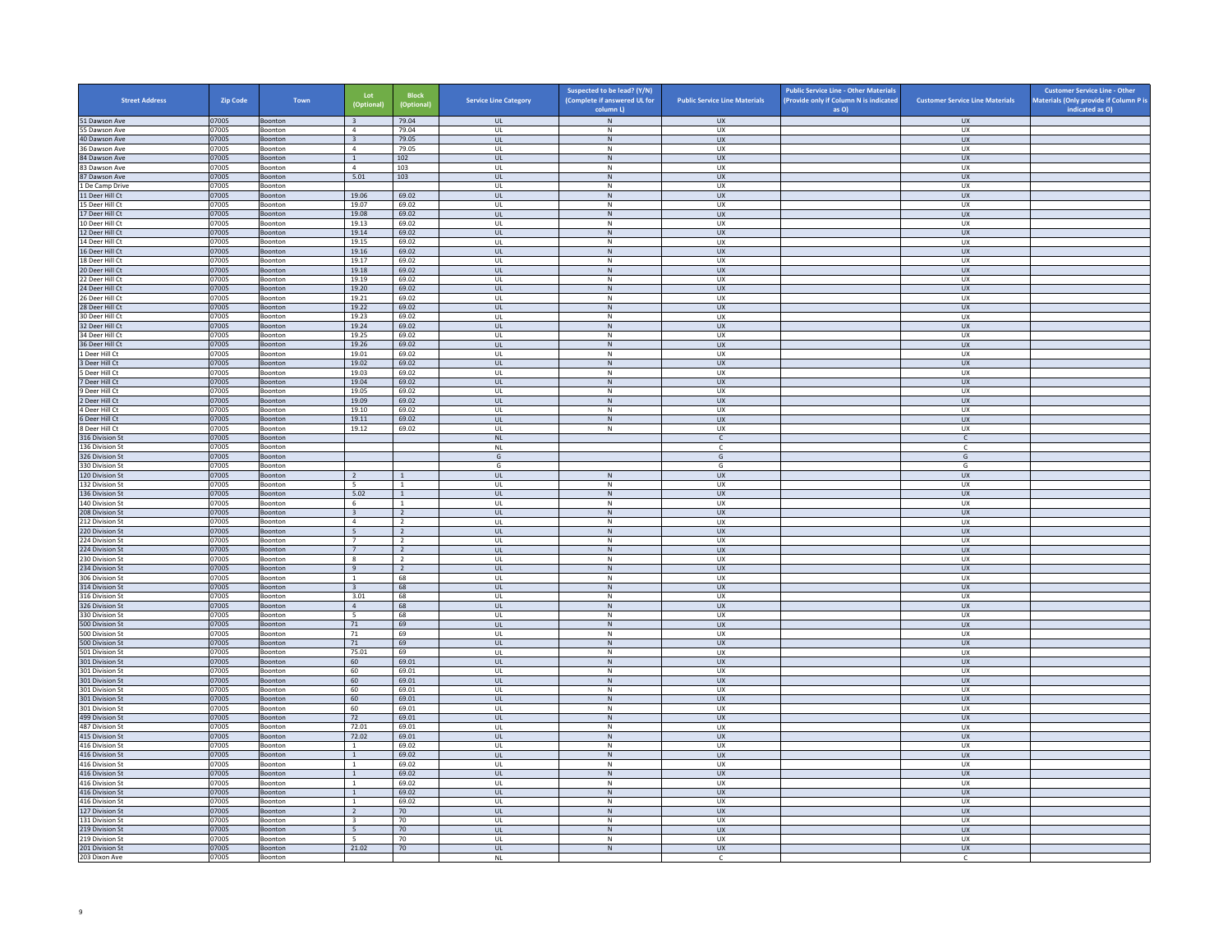| <b>Street Address</b>              | Zip Code       | Town                      | Lot<br>(Optional)                         | <b>Block</b><br>(Optional)       | <b>Service Line Category</b>      | Suspected to be lead? (Y/N)<br>(Complete if answered UL for | <b>Public Service Line Materials</b> | <b>Public Service Line - Other Materials</b><br>(Provide only if Column N is indicated | <b>Customer Service Line Materials</b> | <b>Customer Service Line - Other</b><br>Materials (Only provide if Column P is |
|------------------------------------|----------------|---------------------------|-------------------------------------------|----------------------------------|-----------------------------------|-------------------------------------------------------------|--------------------------------------|----------------------------------------------------------------------------------------|----------------------------------------|--------------------------------------------------------------------------------|
|                                    |                |                           |                                           |                                  |                                   | column L)                                                   |                                      | as O)                                                                                  |                                        | indicated as O)                                                                |
| 51 Dawson Ave<br>55 Dawson Ave     | 07005<br>07005 | Boonton<br>Boonton        | $\overline{\mathbf{3}}$<br>$\overline{4}$ | 79.04<br>79.04                   | <b>UL</b><br>UL                   | N<br>N                                                      | UX<br>UX                             |                                                                                        | <b>UX</b><br>UX                        |                                                                                |
| 40 Dawson Ave                      | 07005          | Boonton                   | $\overline{\mathbf{3}}$                   | 79.05                            | $_{\sf UL}$                       | ${\sf N}$                                                   | UX                                   |                                                                                        | UX                                     |                                                                                |
| 36 Dawson Ave                      | 07005          | Boonton                   | $\overline{4}$                            | 79.05                            | UL                                | ${\sf N}$                                                   | UX                                   |                                                                                        | UX                                     |                                                                                |
| 84 Dawson Ave                      | 07005          | Boonton                   | $\mathbf{1}$<br>$\overline{a}$            | 102                              | <b>UL</b>                         | N                                                           | <b>UX</b>                            |                                                                                        | <b>UX</b>                              |                                                                                |
| 83 Dawson Ave<br>87 Dawson Ave     | 07005<br>07005 | Boonton<br>Boonton        | 5.01                                      | 103<br>103                       | UL<br>$\mathbf{u}$                | ${\sf N}$<br>N                                              | UX<br><b>UX</b>                      |                                                                                        | UX<br>UX                               |                                                                                |
| 1 De Camp Drive                    | 07005          | Boonton                   |                                           |                                  | UL                                | N                                                           | UX                                   |                                                                                        | UX                                     |                                                                                |
| 11 Deer Hill Ct                    | 07005          | Boonton                   | 19.06                                     | 69.02                            | UL                                | N                                                           | <b>UX</b>                            |                                                                                        | <b>UX</b>                              |                                                                                |
| 15 Deer Hill Ct                    | 07005          | Boonton                   | 19.07                                     | 69.02                            | UL                                | ${\sf N}$                                                   | UX                                   |                                                                                        | UX                                     |                                                                                |
| 17 Deer Hill Ct<br>10 Deer Hill Ct | 07005<br>07005 | Boonton<br><b>Boonton</b> | 19.08<br>19.13                            | 69.02<br>69.02                   | UL<br>$\mathbf{U}$                | $\,$ N<br>N                                                 | <b>UX</b><br>UX                      |                                                                                        | <b>UX</b><br><b>UX</b>                 |                                                                                |
| 12 Deer Hill Ct                    | 07005          | Boonton                   | 19.14                                     | 69.02                            | $_{\sf UL}$                       | $\,$ N                                                      | UX                                   |                                                                                        | UX                                     |                                                                                |
| 14 Deer Hill Ct                    | 07005          | Boonton                   | 19.15                                     | 69.02                            | UL                                | N                                                           | <b>UX</b>                            |                                                                                        | <b>UX</b>                              |                                                                                |
| 16 Deer Hill Ct                    | 07005          | Boonton                   | 19.16                                     | 69.02                            | $_{\sf UL}$                       | ${\sf N}$                                                   | UX                                   |                                                                                        | UX                                     |                                                                                |
| 18 Deer Hill Ct                    | 07005          | Boonton                   | 19.17                                     | 69.02                            | UL                                | N                                                           | UX                                   |                                                                                        | UX                                     |                                                                                |
| 20 Deer Hill Ct<br>22 Deer Hill Ct | 07005<br>07005 | Boonton<br>Boonton        | 19.18<br>19.19                            | 69.02<br>69.02                   | <b>UL</b><br>UL                   | N<br>N                                                      | <b>UX</b><br>UX                      |                                                                                        | <b>UX</b><br>UX                        |                                                                                |
| 24 Deer Hill Ct                    | 07005          | Boonton                   | 19.20                                     | 69.02                            | $\mathbf{u}$                      | N                                                           | UX                                   |                                                                                        | <b>UX</b>                              |                                                                                |
| 26 Deer Hill Ct                    | 07005          | Boonton                   | 19.21                                     | 69.02                            | UL                                | $\mathsf{N}$                                                | UX                                   |                                                                                        | UX                                     |                                                                                |
| 28 Deer Hill Ct                    | 07005          | Boonton                   | 19.22                                     | 69.02                            | UL.                               | N                                                           | <b>UX</b>                            |                                                                                        | <b>UX</b>                              |                                                                                |
| 30 Deer Hill Ct                    | 07005          | Boonton                   | 19.23                                     | 69.02                            | UL                                | ${\sf N}$                                                   | UX                                   |                                                                                        | UX                                     |                                                                                |
| 32 Deer Hill Ct<br>34 Deer Hill Ct | 07005<br>07005 | Boonton<br>Boonton        | 19.24<br>19.25                            | 69.02<br>69.02                   | UL<br>UL                          | N<br>${\sf N}$                                              | <b>UX</b><br>UX                      |                                                                                        | <b>UX</b><br>UX                        |                                                                                |
| 36 Deer Hill Ct                    | 07005          | Boonton                   | 19.26                                     | 69.02                            | $_{\sf UL}$                       | ${\sf N}$                                                   | UX                                   |                                                                                        | ${\sf U}{\sf X}$                       |                                                                                |
| 1 Deer Hill Ct                     | 07005          | Boonton                   | 19.01                                     | 69.02                            | UL                                | N                                                           | <b>UX</b>                            |                                                                                        | <b>UX</b>                              |                                                                                |
| 3 Deer Hill Ct                     | 07005          | Boonton                   | 19.02                                     | 69.02                            | UL                                | $\,$ N                                                      | <b>UX</b>                            |                                                                                        | <b>UX</b>                              |                                                                                |
| 5 Deer Hill Ct                     | 07005          | Boonton                   | 19.03                                     | 69.02                            | UL                                | N                                                           | <b>UX</b>                            |                                                                                        | <b>UX</b>                              |                                                                                |
| 7 Deer Hill Ct<br>9 Deer Hill Ct   | 07005<br>07005 | <b>Boonton</b><br>Boonton | 19.04<br>19.05                            | 69.02<br>69.02                   | <b>UL</b><br>UL                   | $\,$ N<br>$\,N\,$                                           | <b>UX</b><br>UX                      |                                                                                        | <b>UX</b><br>UX                        |                                                                                |
| 2 Deer Hill Ct                     | 07005          | <b>Boonton</b>            | 19.09                                     | 69.02                            | $\mathbf{u}$                      | N                                                           | UX                                   |                                                                                        | $\overline{U}$                         |                                                                                |
| Deer Hill Ct                       | 07005          | Boonton                   | 19.10                                     | 69.02                            | UL                                | ${\sf N}$                                                   | UX                                   |                                                                                        | UX                                     |                                                                                |
| 6 Deer Hill Ct                     | 07005          | Boonton                   | 19.11                                     | 69.02                            | <b>UL</b>                         | N                                                           | <b>UX</b>                            |                                                                                        | <b>UX</b>                              |                                                                                |
| 8 Deer Hill Ct                     | 07005          | Boonton                   | 19.12                                     | 69.02                            | $\mathsf{UL}$                     | ${\sf N}$                                                   | UX                                   |                                                                                        | UX                                     |                                                                                |
| 316 Division St<br>136 Division St | 07005<br>07005 | Boonton<br>Boonton        |                                           |                                  | $\mathsf{NL}\xspace$<br><b>NL</b> |                                                             | $\mathsf{C}$<br><b>C</b>             |                                                                                        | $\mathsf{C}$<br>C                      |                                                                                |
| 326 Division St                    | 07005          | Boonton                   |                                           |                                  | ${\mathsf G}$                     |                                                             | ${\mathsf G}$                        |                                                                                        | G                                      |                                                                                |
| 330 Division St                    | 07005          | <b>Boonton</b>            |                                           |                                  | G                                 |                                                             | G                                    |                                                                                        | G                                      |                                                                                |
| 120 Division St                    | 07005          | Boonton                   | $\overline{2}$                            | $\overline{1}$                   | $\mathsf{UL}$                     | $\,$ N $\,$                                                 | UX                                   |                                                                                        | UX                                     |                                                                                |
| 132 Division St<br>136 Division St | 07005<br>07005 | Boonton<br>Boonton        | - 5<br>5.02                               | -1<br>1                          | UL<br>UL                          | N<br>$\,$ N                                                 | UX<br><b>UX</b>                      |                                                                                        | <b>UX</b><br><b>UX</b>                 |                                                                                |
| 140 Division St                    | 07005          | Boonton                   | 6                                         | $\overline{1}$                   | UL                                | ${\sf N}$                                                   | UX                                   |                                                                                        | UX                                     |                                                                                |
| 208 Division St                    | 07005          | Boonton                   | $\overline{\mathbf{3}}$                   | $\overline{2}$                   | <b>UL</b>                         | N                                                           | <b>UX</b>                            |                                                                                        | <b>UX</b>                              |                                                                                |
| 212 Division St                    | 07005          | Boonton                   | $\sqrt{4}$                                | $\overline{2}$                   | UL                                | ${\sf N}$                                                   | UX                                   |                                                                                        | UX                                     |                                                                                |
| 220 Division St                    | 07005          | Boonton                   | 5 <sup>5</sup>                            | $\overline{2}$                   | $\mathbf{u}$                      | N                                                           | $\overline{11}$                      |                                                                                        | UX                                     |                                                                                |
| 24 Division St<br>224 Division St  | 07005<br>07005 | Boonton<br>Boonton        | $\overline{7}$<br>7                       | $\overline{2}$<br>$\overline{2}$ | UL<br>UL                          | N<br>N                                                      | UX<br><b>UX</b>                      |                                                                                        | UX<br>UX                               |                                                                                |
| 230 Division St                    | 07005          | Boonton                   | $\boldsymbol{8}$                          | $\overline{2}$                   | UL                                | ${\sf N}$                                                   | UX                                   |                                                                                        | UX                                     |                                                                                |
| 234 Division St                    | 07005          | Boonton                   | 9                                         | $\overline{2}$                   | UL                                | $\,$ N                                                      | <b>UX</b>                            |                                                                                        | <b>UX</b>                              |                                                                                |
| 306 Division St                    | 07005          | <b>Boonton</b>            | $\overline{1}$                            | 68                               | $\mathbf{U}$                      | N                                                           | <b>UX</b>                            |                                                                                        | UX                                     |                                                                                |
| 314 Division St<br>316 Division St | 07005<br>07005 | Boonton<br>Boonton        | $\overline{\mathbf{3}}$<br>3.01           | 68<br>68                         | UL<br>UL                          | $\mathsf{N}$<br>N                                           | UX<br><b>UX</b>                      |                                                                                        | UX<br><b>UX</b>                        |                                                                                |
| 326 Division St                    | 07005          | Boonton                   | $\overline{4}$                            | 68                               | $_{\sf UL}$                       | ${\sf N}$                                                   | UX                                   |                                                                                        | UX                                     |                                                                                |
| 330 Division St                    | 07005          | Boonton                   | 5                                         | 68                               | UL                                | N                                                           | UX                                   |                                                                                        | UX                                     |                                                                                |
| 500 Division St                    | 07005          | Boonton                   | 71                                        | 69                               | <b>UL</b>                         | N                                                           | <b>UX</b>                            |                                                                                        | <b>UX</b>                              |                                                                                |
| 500 Division St<br>500 Division St | 07005<br>07005 | Boonton                   | 71<br>71                                  | 69<br>69                         | UL<br>$\mathbf{u}$                | ${\sf N}$<br>N                                              | UX<br>UX                             |                                                                                        | UX<br><b>UX</b>                        |                                                                                |
| 501 Division St                    | 07005          | Boonton<br>Boonton        | 75.01                                     | 69                               | UL                                | $\mathsf{N}$                                                | UX                                   |                                                                                        | UX                                     |                                                                                |
| 301 Division St                    | 07005          | Boonton                   | 60                                        | 69.01                            | UL.                               | N                                                           | <b>UX</b>                            |                                                                                        | <b>UX</b>                              |                                                                                |
| 301 Division St                    | 07005          | Boonton                   | 60                                        | 69.01                            | UL                                | N                                                           | <b>UX</b>                            |                                                                                        | UX                                     |                                                                                |
| 301 Division St                    | 07005          | Boonton                   | 60                                        | 69.01                            | UL                                | N                                                           | <b>UX</b>                            |                                                                                        | <b>UX</b>                              |                                                                                |
| 301 Division St<br>301 Division St | 07005<br>07005 | Boonton<br>Boonton        | 60<br>60                                  | 69.01<br>69.01                   | UL<br>$_{\sf UL}$                 | N<br>$\,$ N                                                 | <b>UX</b><br>${\sf U}{\sf X}$        |                                                                                        | <b>UX</b><br>${\sf U}{\sf X}$          |                                                                                |
| 301 Division St                    | 07005          | Boonton                   | 60                                        | 69.01                            | UL                                | N                                                           | <b>UX</b>                            |                                                                                        | <b>UX</b>                              |                                                                                |
| 499 Division St                    | 07005          | Boonton                   | 72                                        | 69.01                            | UL                                | $\,$ N                                                      | <b>UX</b>                            |                                                                                        | UX                                     |                                                                                |
| 487 Division St                    | 07005          | Boonton                   | 72.01                                     | 69.01                            | UL                                | N                                                           | <b>UX</b>                            |                                                                                        | <b>UX</b>                              |                                                                                |
| 415 Division St<br>416 Division St | 07005<br>07005 | <b>Boonton</b><br>Boonton | 72.02<br>$\mathbf{1}$                     | 69.01<br>69.02                   | <b>UL</b>                         | $\,$ N $\,$<br>${\sf N}$                                    | <b>UX</b><br><b>UX</b>               |                                                                                        | <b>UX</b><br>UX                        |                                                                                |
| 416 Division St                    | 07005          | Boonton                   | 1                                         | 69.02                            | UL<br>$\mathbf{u}$                | N                                                           | UX                                   |                                                                                        | $\overline{U}$                         |                                                                                |
| 416 Division St                    | 07005          | Boonton                   | $\mathbf{1}$                              | 69.02                            | UL                                | ${\sf N}$                                                   | UX                                   |                                                                                        | UX                                     |                                                                                |
| 416 Division St                    | 07005          | Boonton                   | $\mathbf{1}$                              | 69.02                            | <b>UL</b>                         | N                                                           | <b>UX</b>                            |                                                                                        | <b>UX</b>                              |                                                                                |
| 416 Division St                    | 07005          | Boonton                   | $\,$ 1 $\,$                               | 69.02                            | $\mathsf{UL}$                     | ${\sf N}$                                                   | UX                                   |                                                                                        | UX                                     |                                                                                |
| 416 Division St<br>416 Division St | 07005<br>07005 | Boonton<br>Boonton        | $\mathbf{1}$<br>$\mathbf{1}$              | 69.02<br>69.02                   | UL<br>UL                          | N<br>N                                                      | <b>UX</b><br><b>UX</b>               |                                                                                        | <b>UX</b><br><b>UX</b>                 |                                                                                |
| 127 Division St                    | 07005          | Boonton                   | $\overline{2}$                            | 70                               | $_{\sf UL}$                       | ${\sf N}$                                                   | UX                                   |                                                                                        | UX                                     |                                                                                |
| 131 Division St                    | 07005          | <b>Boonton</b>            | $\overline{3}$                            | 70                               | $\mathbf{U}$                      | N                                                           | <b>UX</b>                            |                                                                                        | UX                                     |                                                                                |
| 219 Division St                    | 07005          | Boonton                   | $5\phantom{.0}$                           | 70                               | UL                                | $\,$ N                                                      | UX                                   |                                                                                        | UX                                     |                                                                                |
| 219 Division St                    | 07005          | Boonton                   | - 5                                       | 70                               | UL                                | N                                                           | UX                                   |                                                                                        | UX                                     |                                                                                |
| 201 Division St<br>203 Dixon Ave   | 07005<br>07005 | Boonton<br>Boonton        | 21.02                                     | $70\,$                           | UL<br><b>NL</b>                   | ${\sf N}$                                                   | <b>UX</b><br>$\mathsf{C}$            |                                                                                        | <b>UX</b><br>$\mathsf{C}$              |                                                                                |
|                                    |                |                           |                                           |                                  |                                   |                                                             |                                      |                                                                                        |                                        |                                                                                |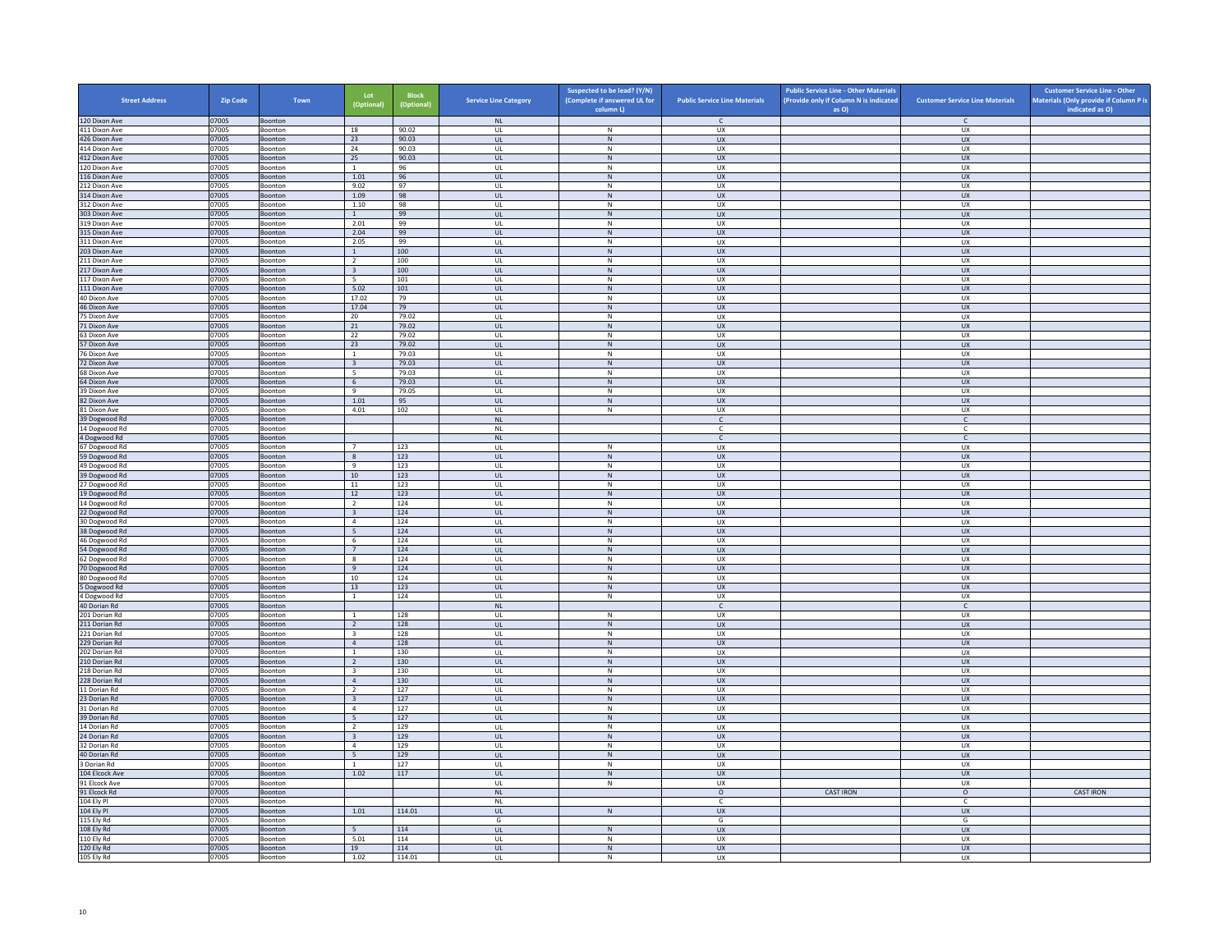| <b>Street Address</b>          | <b>Zip Code</b> | Town               | Lot<br>(Optional)                         | <b>Block</b><br>(Optional) | <b>Service Line Category</b>            | Suspected to be lead? (Y/N)<br>(Complete if answered UL for | <b>Public Service Line Materials</b> | <b>Public Service Line - Other Materials</b><br>(Provide only if Column N is indicated | <b>Customer Service Line Materials</b> | <b>Customer Service Line - Other</b><br>Materials (Only provide if Column P is |
|--------------------------------|-----------------|--------------------|-------------------------------------------|----------------------------|-----------------------------------------|-------------------------------------------------------------|--------------------------------------|----------------------------------------------------------------------------------------|----------------------------------------|--------------------------------------------------------------------------------|
|                                |                 |                    |                                           |                            |                                         | column L)                                                   | $\mathsf{C}$                         | as O)                                                                                  |                                        | indicated as O)                                                                |
| 120 Dixon Ave<br>411 Dixon Ave | 07005<br>07005  | Boonton<br>Boonton | 18                                        | 90.02                      | NL<br>UL                                | N                                                           | UX                                   |                                                                                        | $\mathsf{C}$<br><b>UX</b>              |                                                                                |
| 426 Dixon Ave                  | 07005           | Boonton            | 23                                        | 90.03                      | UL                                      | ${\sf N}$                                                   | ${\sf U}{\sf X}$                     |                                                                                        | UX                                     |                                                                                |
| 414 Dixon Ave                  | 07005           | Boonton            | 24                                        | 90.03                      | UL                                      | ${\sf N}$                                                   | UX                                   |                                                                                        | UX                                     |                                                                                |
| 412 Dixon Ave                  | 07005           | Boonton            | 25                                        | 90.03                      | UL                                      | N                                                           | <b>UX</b>                            |                                                                                        | UX                                     |                                                                                |
| 120 Dixon Ave<br>116 Dixon Ave | 07005<br>07005  | Boonton<br>Boonton | $\mathbf{1}$<br>1.01                      | 96<br>96                   | UL<br>$\mathbf{U}$                      | ${\sf N}$<br>N                                              | UX<br>UX                             |                                                                                        | UX<br>$\overline{U}$                   |                                                                                |
| 212 Dixon Ave                  | 07005           | Boonton            | 9.02                                      | 97                         | UL                                      | ${\sf N}$                                                   | UX                                   |                                                                                        | UX                                     |                                                                                |
| 314 Dixon Ave                  | 07005           | Boonton            | 1.09                                      | 98                         | <b>UL</b>                               | N                                                           | UX                                   |                                                                                        | <b>UX</b>                              |                                                                                |
| 312 Dixon Ave                  | 07005           | Boonton            | 1.10                                      | 98                         | UL                                      | ${\sf N}$                                                   | UX                                   |                                                                                        | UX                                     |                                                                                |
| 303 Dixon Ave<br>319 Dixon Ave | 07005<br>07005  | Boonton<br>Boonton | $\mathbf{1}$<br>2.01                      | 99<br>99                   | UL<br>UL                                | $\,$ N<br>N                                                 | UX<br><b>UX</b>                      |                                                                                        | <b>UX</b><br>UX                        |                                                                                |
| 315 Dixon Ave                  | 07005           | Boonton            | 2.04                                      | 99                         | UL                                      | ${\sf N}$                                                   | UX                                   |                                                                                        | UX                                     |                                                                                |
| 311 Dixon Ave                  | 07005           | <b>Boonton</b>     | 2.05                                      | 99                         | $\mathbf{U}$                            | $\mathsf{N}$                                                | UX                                   |                                                                                        | UX                                     |                                                                                |
| 203 Dixon Ave                  | 07005           | Boonton            | $\mathbf{1}$                              | 100                        | UL                                      | N                                                           | UX                                   |                                                                                        | UX                                     |                                                                                |
| 211 Dixon Ave                  | 07005           | Boonton            | $\overline{2}$                            | 100                        | <b>UL</b>                               | N                                                           | UX                                   |                                                                                        | UX                                     |                                                                                |
| 217 Dixon Ave<br>117 Dixon Ave | 07005<br>07005  | Boonton<br>Boonton | $\overline{\mathbf{3}}$<br>- 5            | 100<br>101                 | UL<br>UL                                | N<br>${\sf N}$                                              | UX<br>UX                             |                                                                                        | UX<br>UX                               |                                                                                |
| 111 Dixon Ave                  | 07005           | Boonton            | 5.02                                      | 101                        | <b>UL</b>                               | N                                                           | <b>UX</b>                            |                                                                                        | <b>UX</b>                              |                                                                                |
| 40 Dixon Ave                   | 07005           | Boonton            | 17.02                                     | 79                         | UL                                      | ${\sf N}$                                                   | UX                                   |                                                                                        | UX                                     |                                                                                |
| 46 Dixon Ave                   | 07005           | Boonton            | 17.04                                     | 79                         | $\mathbf{u}$                            | N                                                           | $\overline{11}$                      |                                                                                        | UX                                     |                                                                                |
| 75 Dixon Ave                   | 07005           | Boonton            | 20                                        | 79.02                      | UL                                      | ${\sf N}$                                                   | UX                                   |                                                                                        | UX                                     |                                                                                |
| 71 Dixon Ave<br>63 Dixon Ave   | 07005<br>07005  | Boonton<br>Boonton | 21<br>22                                  | 79.02<br>79.02             | UL<br>UL                                | N<br>${\sf N}$                                              | ${\sf U}{\sf X}$<br>UX               |                                                                                        | UX<br>UX                               |                                                                                |
| 57 Dixon Ave                   | 07005           | Boonton            | 23                                        | 79.02                      | UL                                      | ${\sf N}$                                                   | UX                                   |                                                                                        | <b>UX</b>                              |                                                                                |
| 76 Dixon Ave                   | 07005           | Boonton            | <sup>1</sup>                              | 79.03                      | UL                                      | N                                                           | <b>UX</b>                            |                                                                                        | <b>UX</b>                              |                                                                                |
| 72 Dixon Ave                   | 07005           | Boonton            | $\overline{\mathbf{3}}$                   | 79.03                      | $_{\sf UL}$                             | ${\sf N}$                                                   | ${\sf U}{\sf X}$                     |                                                                                        | ${\sf U}{\sf X}$                       |                                                                                |
| 68 Dixon Ave                   | 07005           | Boonton            | $5\overline{5}$                           | 79.03                      | $\mathbf{U}$                            | N                                                           | UX                                   |                                                                                        | UX                                     |                                                                                |
| 64 Dixon Ave                   | 07005           | Boonton            | 6                                         | 79.03                      | UL                                      | ${\sf N}$                                                   | UX                                   |                                                                                        | UX                                     |                                                                                |
| 39 Dixon Ave<br>82 Dixon Ave   | 07005<br>07005  | Boonton<br>Boonton | 9<br>1.01                                 | 79.05<br>95                | <b>UL</b><br>UL                         | N<br>N                                                      | UX<br><b>UX</b>                      |                                                                                        | UX<br>UX                               |                                                                                |
| 81 Dixon Ave                   | 07005           | Boonton            | 4.01                                      | 102                        | UL                                      | ${\sf N}$                                                   | UX                                   |                                                                                        | UX                                     |                                                                                |
| 39 Dogwood Rd                  | 07005           | Boonton            |                                           |                            | <b>NL</b>                               |                                                             | $\mathsf{C}$                         |                                                                                        | $\mathsf{C}$                           |                                                                                |
| 14 Dogwood Rd                  | 07005           | Boonton            |                                           |                            | <b>NL</b>                               |                                                             | c                                    |                                                                                        | c                                      |                                                                                |
| 4 Dogwood Rd                   | 07005           | Boonton            |                                           |                            | NI                                      |                                                             | $\mathsf{C}$                         |                                                                                        | $\mathsf{C}$                           |                                                                                |
| 67 Dogwood Rd<br>59 Dogwood Rd | 07005<br>07005  | Boonton<br>Boonton | $\overline{7}$<br>8                       | 123<br>123                 | UL<br><b>UL</b>                         | ${\sf N}$<br>N                                              | UX<br><b>UX</b>                      |                                                                                        | UX<br><b>UX</b>                        |                                                                                |
| 49 Dogwood Rd                  | 07005           | Boonton            | 9                                         | 123                        | UL                                      | ${\sf N}$                                                   | UX                                   |                                                                                        | UX                                     |                                                                                |
| 39 Dogwood Rd                  | 07005           | Boonton            | 10                                        | 123                        | UL.                                     | $\,$ N                                                      | <b>UX</b>                            |                                                                                        | <b>UX</b>                              |                                                                                |
| 27 Dogwood Rd                  | 07005           | Boonton            | 11                                        | 123                        | UL                                      | N                                                           | <b>UX</b>                            |                                                                                        | <b>UX</b>                              |                                                                                |
| 19 Dogwood Rd                  | 07005           | Boonton            | $12\,$                                    | 123                        | $_{\sf UL}$                             | ${\sf N}$                                                   | UX                                   |                                                                                        | ${\sf U}{\sf X}$                       |                                                                                |
| 14 Dogwood Rd<br>22 Dogwood Rd | 07005<br>07005  | Boonton<br>Boonton | $\overline{2}$<br>$\overline{\mathbf{3}}$ | 124<br>124                 | UL<br><b>UL</b>                         | N<br>${\sf N}$                                              | UX<br><b>UX</b>                      |                                                                                        | UX<br><b>UX</b>                        |                                                                                |
| 30 Dogwood Rd                  | 07005           | Boonton            | $\overline{4}$                            | 124                        | UL                                      | ${\sf N}$                                                   | UX                                   |                                                                                        | UX                                     |                                                                                |
| 38 Dogwood Rd                  | 07005           | Boonton            | 5 <sup>5</sup>                            | 124                        | <b>UL</b>                               | N                                                           | <b>UX</b>                            |                                                                                        | UX                                     |                                                                                |
| 46 Dogwood Rd                  | 07005           | Boonton            | 6                                         | 124                        | UL                                      | ${\sf N}$                                                   | UX                                   |                                                                                        | UX                                     |                                                                                |
| 54 Dogwood Rd                  | 07005           | Boonton            | $7^{\circ}$                               | 124                        | $\mathbf{u}$                            | N                                                           | UX                                   |                                                                                        | $\overline{U}$                         |                                                                                |
| 62 Dogwood Rd<br>70 Dogwood Rd | 07005<br>07005  | Boonton<br>Boonton | 8<br>9                                    | 124<br>124                 | UL<br><b>UL</b>                         | ${\sf N}$<br>N                                              | UX<br><b>UX</b>                      |                                                                                        | UX<br><b>UX</b>                        |                                                                                |
| 80 Dogwood Rd                  | 07005           | Boonton            | $10\,$                                    | 124                        | UL                                      | ${\sf N}$                                                   | UX                                   |                                                                                        | UX                                     |                                                                                |
| 5 Dogwood Rd                   | 07005           | Boonton            | 13                                        | 123                        | UL                                      | ${\sf N}$                                                   | <b>UX</b>                            |                                                                                        | UX                                     |                                                                                |
| 4 Dogwood Rd                   | 07005           | Boonton            | $\overline{1}$                            | 124                        | UL                                      | $\mathsf N$                                                 | <b>UX</b>                            |                                                                                        | UX                                     |                                                                                |
| 40 Dorian Rd<br>201 Dorian Rd  | 07005<br>07005  | Boonton            | $\overline{1}$                            | 128                        | NL<br>$\mathbf{U}$                      | $\mathbb N$                                                 | $\mathsf{C}$<br>UX                   |                                                                                        | $\mathsf{C}$<br>UX                     |                                                                                |
| 211 Dorian Rd                  | 07005           | Boonton<br>Boonton | $\overline{2}$                            | 128                        | UL                                      | ${\sf N}$                                                   | UX                                   |                                                                                        | UX                                     |                                                                                |
| 221 Dorian Rd                  | 07005           | Boonton            | $\overline{\mathbf{3}}$                   | 128                        | UL                                      | N                                                           | <b>UX</b>                            |                                                                                        | <b>UX</b>                              |                                                                                |
| 229 Dorian Rd                  | 07005           | Boonton            | $\overline{4}$                            | 128                        | <b>UL</b>                               | ${\sf N}$                                                   | UX                                   |                                                                                        | UX                                     |                                                                                |
| 202 Dorian Rd                  | 07005           | Boonton            | $\overline{1}$                            | 130                        | UL                                      | $\,N\,$                                                     | UX                                   |                                                                                        | UX                                     |                                                                                |
| 210 Dorian Rd                  | 07005           | Boonton            | <sup>2</sup>                              | 130                        | UL                                      | N                                                           | <b>UX</b>                            |                                                                                        | UX                                     |                                                                                |
| 218 Dorian Rd<br>228 Dorian Rd | 07005<br>07005  | Boonton<br>Boonton | $\overline{\mathbf{3}}$<br>$\overline{4}$ | 130<br>130                 | UL<br>$\mathbf{u}$                      | ${\sf N}$<br>N                                              | UX<br>UX                             |                                                                                        | UX<br><b>UX</b>                        |                                                                                |
| 11 Dorian Rd                   | 07005           | Boonton            | $\overline{2}$                            | 127                        | UL                                      | ${\sf N}$                                                   | UX                                   |                                                                                        | UX                                     |                                                                                |
| 23 Dorian Rd                   | 07005           | Boonton            | $\overline{\mathbf{3}}$                   | 127                        | <b>UL</b>                               | N                                                           | <b>UX</b>                            |                                                                                        | <b>UX</b>                              |                                                                                |
| 31 Dorian Rd                   | 07005           | Boonton            | $\overline{4}$                            | 127                        | UL                                      | ${\sf N}$                                                   | UX                                   |                                                                                        | UX                                     |                                                                                |
| 39 Dorian Rd                   | 07005           | Boonton            | 5                                         | 127                        | UL                                      | ${\sf N}$                                                   | UX                                   |                                                                                        | UX                                     |                                                                                |
| 14 Dorian Rd<br>24 Dorian Rd   | 07005<br>07005  | Boonton<br>Boonton | $\overline{2}$<br>$\overline{\mathbf{3}}$ | 129<br>129                 | UL<br>$\ensuremath{\mathsf{UL}}\xspace$ | ${\sf N}$<br>${\sf N}$                                      | UX<br>UX                             |                                                                                        | UX<br>${\sf U}{\sf X}$                 |                                                                                |
| 32 Dorian Rd                   | 07005           | Boonton            | $\overline{4}$                            | 129                        | UL                                      | N                                                           | <b>UX</b>                            |                                                                                        | UX                                     |                                                                                |
| 40 Dorian Rd                   | 07005           | Boonton            | $5\overline{5}$                           | 129                        | UL                                      | ${\sf N}$                                                   | UX                                   |                                                                                        | UX                                     |                                                                                |
| 3 Dorian Rd                    | 07005           | Boonton            | $\overline{1}$                            | 127                        | <b>UL</b>                               | N                                                           | <b>UX</b>                            |                                                                                        | UX                                     |                                                                                |
| 104 Elcock Ave                 | 07005           | Boonton            | 1.02                                      | 117                        | $\mathsf{UL}$                           | ${\sf N}$                                                   | UX                                   |                                                                                        | UX                                     |                                                                                |
| 91 Elcock Ave<br>91 Elcock Rd  | 07005<br>07005  | Boonton<br>Boonton |                                           |                            | UL<br><b>NL</b>                         | $\,N\,$                                                     | UX<br>$\circ$                        | <b>CAST IRON</b>                                                                       | UX<br>$\circ$                          | <b>CAST IRON</b>                                                               |
| 104 Ely Pl                     | 07005           | Boonton            |                                           |                            | <b>NL</b>                               |                                                             | c                                    |                                                                                        | $\mathsf{C}$                           |                                                                                |
| 104 Ely Pl                     | 07005           | Boonton            | 1.01                                      | 114.01                     | $\mathbf{u}$                            | N                                                           | $\overline{11}$                      |                                                                                        | UX                                     |                                                                                |
| 115 Ely Rd                     | 07005           | Boonton            |                                           |                            | G                                       |                                                             | G                                    |                                                                                        | G                                      |                                                                                |
| 108 Ely Rd                     | 07005           | Boonton            | 5                                         | 114                        | <b>UL</b>                               | N                                                           | <b>UX</b>                            |                                                                                        | <b>UX</b>                              |                                                                                |
| 110 Ely Rd<br>120 Ely Rd       | 07005<br>07005  | Boonton<br>Boonton | 5.01<br>19                                | 114<br>114                 | UL<br>UL                                | ${\sf N}$<br>${\sf N}$                                      | UX<br>UX                             |                                                                                        | UX<br>UX                               |                                                                                |
| 105 Ely Rd                     | 07005           | Boonton            | 1.02                                      | 114.01                     | UL                                      | N                                                           | <b>UX</b>                            |                                                                                        | <b>UX</b>                              |                                                                                |
|                                |                 |                    |                                           |                            |                                         |                                                             |                                      |                                                                                        |                                        |                                                                                |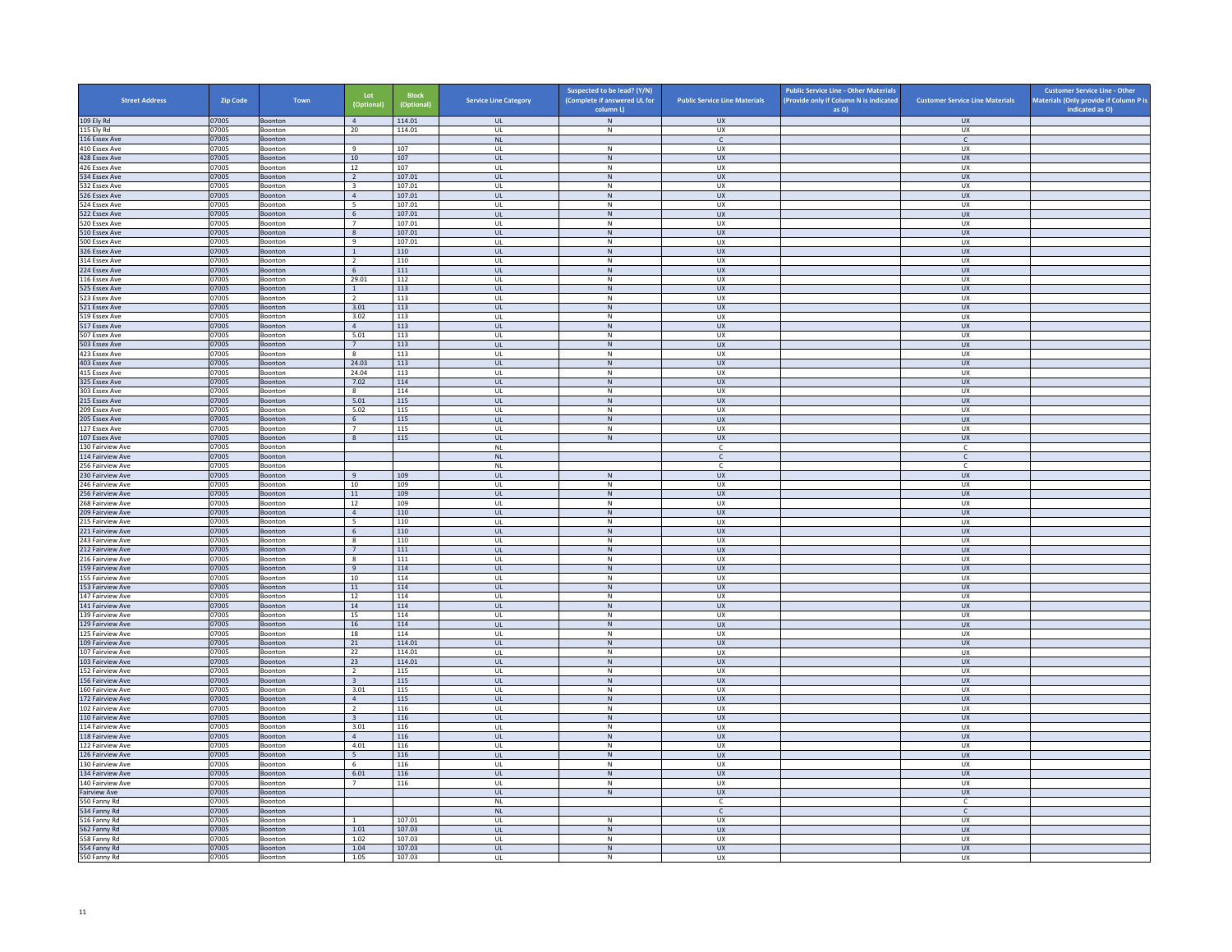| <b>Street Address</b>                | Zip Code       | Town                      | Lot<br>(Optional)                 | <b>Block</b><br>(Optional) | <b>Service Line Category</b>      | Suspected to be lead? (Y/N)<br>(Complete if answered UL for<br>column L) | <b>Public Service Line Materials</b> | <b>Public Service Line - Other Materials</b><br>(Provide only if Column N is indicated<br>as O) | <b>Customer Service Line Materials</b> | <b>Customer Service Line - Other</b><br>Materials (Only provide if Column P is<br>indicated as O) |
|--------------------------------------|----------------|---------------------------|-----------------------------------|----------------------------|-----------------------------------|--------------------------------------------------------------------------|--------------------------------------|-------------------------------------------------------------------------------------------------|----------------------------------------|---------------------------------------------------------------------------------------------------|
| 109 Ely Rd                           | 07005          | Boonton                   | $\overline{4}$                    | 114.01                     | <b>UL</b>                         | ${\sf N}$                                                                | <b>UX</b>                            |                                                                                                 | <b>UX</b>                              |                                                                                                   |
| 115 Ely Rd                           | 07005          | Boonton                   | 20                                | 114.01                     | <b>UL</b>                         | N                                                                        | UX                                   |                                                                                                 | <b>UX</b>                              |                                                                                                   |
| 116 Essex Ave                        | 07005          | Boonton                   |                                   |                            | $\mathsf{NL}\xspace$              |                                                                          | $\mathsf{C}^-$                       |                                                                                                 | $\mathsf{C}^-$                         |                                                                                                   |
| 410 Essex Ave<br>428 Essex Ave       | 07005          | Boonton                   | 9<br>10                           | 107<br>107                 | UL<br><b>UL</b>                   | ${\sf N}$<br>N                                                           | UX<br><b>UX</b>                      |                                                                                                 | <b>UX</b><br>UX                        |                                                                                                   |
| 426 Essex Ave                        | 07005<br>07005 | Boonton<br>Boonton        | 12                                | 107                        | UL                                | ${\sf N}$                                                                | UX                                   |                                                                                                 | UX                                     |                                                                                                   |
| 534 Essex Ave                        | 07005          | Boonton                   | $\overline{2}$                    | 107.01                     | $\mathbf{U}$                      | N                                                                        | UX                                   |                                                                                                 | $\overline{U}$                         |                                                                                                   |
| 532 Essex Ave                        | 07005          | Boonton                   | $\overline{\mathbf{3}}$           | 107.01                     | UL                                | ${\sf N}$                                                                | UX                                   |                                                                                                 | UX                                     |                                                                                                   |
| 526 Essex Ave                        | 07005          | Boonton                   | $\overline{4}$                    | 107.01                     | <b>UL</b>                         | N                                                                        | <b>UX</b>                            |                                                                                                 | <b>UX</b>                              |                                                                                                   |
| 524 Essex Ave<br>522 Essex Ave       | 07005<br>07005 | Boonton<br>Boonton        | 5 <sub>5</sub><br>$6\overline{6}$ | 107.01<br>107.01           | UL<br>UL                          | ${\sf N}$<br>$\,$ N                                                      | UX<br><b>UX</b>                      |                                                                                                 | UX<br>UX                               |                                                                                                   |
| 520 Essex Ave                        | 07005          | Boonton                   | $7^{\circ}$                       | 107.01                     | UL                                | N                                                                        | <b>UX</b>                            |                                                                                                 | <b>UX</b>                              |                                                                                                   |
| 510 Essex Ave                        | 07005          | Boonton                   | 8                                 | 107.01                     | UL                                | ${\sf N}$                                                                | UX                                   |                                                                                                 | UX                                     |                                                                                                   |
| 500 Essex Ave                        | 07005          | <b>Boonton</b>            | $\overline{q}$                    | 107.01                     | $\mathbf{U}$                      | $\mathbb N$                                                              | UX                                   |                                                                                                 | UX                                     |                                                                                                   |
| 326 Essex Ave                        | 07005          | Boonton                   | <sup>1</sup>                      | 110                        | UL                                | $\mathsf{N}$                                                             | <b>UX</b>                            |                                                                                                 | UX                                     |                                                                                                   |
| 314 Essex Ave<br>224 Essex Ave       | 07005<br>07005 | Boonton<br>Boonton        | <sup>2</sup><br>6                 | 110<br>111                 | UL<br>$_{\sf UL}$                 | N<br>${\sf N}$                                                           | <b>UX</b><br>UX                      |                                                                                                 | <b>UX</b><br>UX                        |                                                                                                   |
| 116 Essex Ave                        | 07005          | Boonton                   | 29.01                             | 112                        | UL                                | ${\sf N}$                                                                | UX                                   |                                                                                                 | UX                                     |                                                                                                   |
| 525 Essex Ave                        | 07005          | Boonton                   | <sup>1</sup>                      | 113                        | UL.                               | N                                                                        | <b>UX</b>                            |                                                                                                 | <b>UX</b>                              |                                                                                                   |
| 523 Essex Ave                        | 07005          | Boonton                   | $\overline{2}$                    | 113                        | UL                                | ${\sf N}$                                                                | UX                                   |                                                                                                 | UX                                     |                                                                                                   |
| 521 Essex Ave                        | 07005          | <b>Boonton</b>            | 3.01                              | 113                        | $\mathbf{u}$                      | N                                                                        | $\overline{11}$                      |                                                                                                 | UX                                     |                                                                                                   |
| 519 Essex Ave<br>517 Essex Ave       | 07005<br>07005 | Boonton<br>Boonton        | 3.02<br>$\mathbf{A}$              | 113<br>113                 | UL<br><b>UL</b>                   | ${\sf N}$<br>N                                                           | UX<br>UX                             |                                                                                                 | UX<br>UX                               |                                                                                                   |
| 507 Essex Ave                        | 07005          | Boonton                   | 5.01                              | 113                        | UL                                | ${\sf N}$                                                                | UX                                   |                                                                                                 | UX                                     |                                                                                                   |
| 503 Essex Ave                        | 07005          | Boonton                   | 7                                 | 113                        | UL.                               | $\,$ N                                                                   | <b>UX</b>                            |                                                                                                 | UX                                     |                                                                                                   |
| 423 Essex Ave                        | 07005          | Boonton                   | 8                                 | 113                        | UL                                | N                                                                        | <b>UX</b>                            |                                                                                                 | <b>UX</b>                              |                                                                                                   |
| 403 Essex Ave                        | 07005          | Boonton                   | 24.03                             | 113                        | $\mathsf{UL}$                     | $\mathsf{N}$                                                             | UX                                   |                                                                                                 | ${\sf U}{\sf X}$                       |                                                                                                   |
| 415 Essex Ave<br>325 Essex Ave       | 07005<br>07005 | <b>Boonton</b><br>Boonton | 24.04<br>7.02                     | 113<br>114                 | $\mathbf{U}$<br>UL                | N<br>${\sf N}$                                                           | UX<br><b>UX</b>                      |                                                                                                 | UX<br>UX                               |                                                                                                   |
| 303 Essex Ave                        | 07005          | Boonton                   | $\mathbf{R}$                      | 114                        | UL                                | N                                                                        | U X                                  |                                                                                                 | UX                                     |                                                                                                   |
| 215 Essex Ave                        | 07005          | Boonton                   | 5.01                              | 115                        | UL                                | ${\sf N}$                                                                | <b>UX</b>                            |                                                                                                 | UX                                     |                                                                                                   |
| 209 Essex Ave                        | 07005          | Boonton                   | 5.02                              | 115                        | UL                                | ${\sf N}$                                                                | UX                                   |                                                                                                 | UX                                     |                                                                                                   |
| 205 Essex Ave                        | 07005          | Boonton                   | 6                                 | 115                        | <b>UL</b>                         | N                                                                        | UX                                   |                                                                                                 | <b>UX</b>                              |                                                                                                   |
| 127 Essex Ave<br>107 Essex Ave       | 07005<br>07005 | Boonton<br>Boonton        | $\overline{7}$<br>$\mathbf{8}$    | 115<br>115                 | UL<br>$\mathbf{U}$                | $\mathsf{N}$<br>N                                                        | UX<br>$\overline{11}$                |                                                                                                 | UX<br>UX                               |                                                                                                   |
| 130 Fairview Ave                     | 07005          | Boonton                   |                                   |                            | $\mathsf{NL}\,$                   |                                                                          | C                                    |                                                                                                 | c                                      |                                                                                                   |
| 114 Fairview Ave                     | 07005          | Boonton                   |                                   |                            | <b>NL</b>                         |                                                                          | $\mathsf{C}$                         |                                                                                                 | $\mathsf{C}$                           |                                                                                                   |
| 256 Fairview Ave                     | 07005          | Boonton                   |                                   |                            | NL                                |                                                                          | $\mathfrak{c}$                       |                                                                                                 | $\mathsf{C}$                           |                                                                                                   |
| 230 Fairview Ave                     | 07005          | Boonton                   | 9                                 | 109                        | <b>UL</b>                         | N                                                                        | <b>UX</b>                            |                                                                                                 | <b>UX</b>                              |                                                                                                   |
| 246 Fairview Ave<br>256 Fairview Ave | 07005<br>07005 | Boonton                   | 10<br>$11\,$                      | 109<br>109                 | <b>UL</b>                         | N                                                                        | <b>UX</b><br><b>UX</b>               |                                                                                                 | <b>UX</b><br>${\sf U}{\sf X}$          |                                                                                                   |
| 268 Fairview Ave                     | 07005          | Boonton<br>Boonton        | 12                                | 109                        | $_{\sf UL}$<br>UL                 | ${\sf N}$<br>N                                                           | <b>UX</b>                            |                                                                                                 | <b>UX</b>                              |                                                                                                   |
| 209 Fairview Ave                     | 07005          | Boonton                   | $\overline{4}$                    | 110                        | UL                                | ${\sf N}$                                                                | <b>UX</b>                            |                                                                                                 | <b>UX</b>                              |                                                                                                   |
| 215 Fairview Ave                     | 07005          | Boonton                   | $5\overline{5}$                   | 110                        | UL                                | $\,$ N                                                                   | UX                                   |                                                                                                 | UX                                     |                                                                                                   |
| 221 Fairview Ave                     | 07005          | Boonton                   | 6                                 | 110                        | <b>UL</b>                         | N                                                                        | <b>UX</b>                            |                                                                                                 | UX                                     |                                                                                                   |
| 243 Fairview Ave<br>212 Fairview Ave | 07005<br>07005 | Boonton<br>Boonton        | 8<br>$7^{\circ}$                  | 110<br>111                 | UL<br>$\mathbf{u}$                | ${\sf N}$<br>N                                                           | UX<br>UX                             |                                                                                                 | UX<br>UX                               |                                                                                                   |
| 216 Fairview Ave                     | 07005          | Boonton                   | $\mathbf{8}$                      | 111                        | UL                                | $\mathsf{N}$                                                             | UX                                   |                                                                                                 | UX                                     |                                                                                                   |
| 159 Fairview Ave                     | 07005          | Boonton                   | 9                                 | 114                        | <b>UL</b>                         | N                                                                        | <b>UX</b>                            |                                                                                                 | <b>UX</b>                              |                                                                                                   |
| 155 Fairview Ave                     | 07005          | Boonton                   | $10\,$                            | 114                        | UL                                | ${\sf N}$                                                                | UX                                   |                                                                                                 | UX                                     |                                                                                                   |
| 153 Fairview Ave                     | 07005          | Boonton                   | 11                                | 114                        | UL                                | ${\sf N}$                                                                | <b>UX</b>                            |                                                                                                 | UX                                     |                                                                                                   |
| 147 Fairview Ave<br>141 Fairview Ave | 07005<br>07005 | Boonton                   | 12<br>14                          | 114<br>114                 | UL<br>UL                          | ${\sf N}$<br>$\,$ N                                                      | <b>UX</b><br><b>UX</b>               |                                                                                                 | UX<br>UX                               |                                                                                                   |
| 139 Fairview Ave                     | 07005          | Boonton<br><b>Boonton</b> | 15                                | 114                        | UL                                | N                                                                        | U X                                  |                                                                                                 | UX                                     |                                                                                                   |
| 129 Fairview Ave                     | 07005          | Boonton                   | $16\,$                            | 114                        | UL                                | $\mathsf{N}$                                                             | UX                                   |                                                                                                 | UX                                     |                                                                                                   |
| 125 Fairview Ave                     | 07005          | Boonton                   | 18                                | 114                        | UL                                | N                                                                        | <b>UX</b>                            |                                                                                                 | <b>UX</b>                              |                                                                                                   |
| 109 Fairview Ave                     | 07005          | Boonton                   | 21                                | 114.01                     | UL                                | ${\sf N}$                                                                | <b>UX</b>                            |                                                                                                 | UX                                     |                                                                                                   |
| 107 Fairview Ave<br>103 Fairview Ave | 07005<br>07005 | Boonton<br>Boonton        | 22<br>23                          | 114.01<br>114.01           | UL<br><b>UL</b>                   | ${\sf N}$<br>$\mathsf{N}$                                                | UX<br><b>UX</b>                      |                                                                                                 | UX<br>UX                               |                                                                                                   |
| 152 Fairview Ave                     | 07005          | Boonton                   | $\overline{2}$                    | 115                        | UL                                | ${\sf N}$                                                                | UX                                   |                                                                                                 | UX                                     |                                                                                                   |
| 156 Fairview Ave                     | 07005          | Boonton                   | $\overline{3}$                    | 115                        | $\mathbf{U}$                      | N                                                                        | UX                                   |                                                                                                 | UX                                     |                                                                                                   |
| 160 Fairview Ave                     | 07005          | Boonton                   | 3.01                              | 115                        | UL                                | ${\sf N}$                                                                | UX                                   |                                                                                                 | UX                                     |                                                                                                   |
| 172 Fairview Ave                     | 07005          | Boonton                   | $\overline{4}$                    | 115                        | <b>UL</b>                         | N                                                                        | <b>UX</b>                            |                                                                                                 | <b>UX</b>                              |                                                                                                   |
| 102 Fairview Ave<br>110 Fairview Ave | 07005<br>07005 | Boonton<br>Boonton        | $\overline{2}$<br>$\overline{3}$  | 116<br>116                 | UL<br>UL                          | ${\sf N}$<br>${\sf N}$                                                   | UX<br>UX                             |                                                                                                 | UX<br>UX                               |                                                                                                   |
| 114 Fairview Ave                     | 07005          | Boonton                   | 3.01                              | 116                        | UL                                | ${\sf N}$                                                                | UX                                   |                                                                                                 | UX                                     |                                                                                                   |
| 118 Fairview Ave                     | 07005          | Boonton                   | $\overline{4}$                    | 116                        | $\ensuremath{\mathsf{UL}}\xspace$ | ${\sf N}$                                                                | <b>UX</b>                            |                                                                                                 | UX                                     |                                                                                                   |
| 122 Fairview Ave                     | 07005          | <b>Boonton</b>            | 4.01                              | 116                        | UL                                | N                                                                        | U X                                  |                                                                                                 | UX                                     |                                                                                                   |
| 126 Fairview Ave                     | 07005          | Boonton                   | 5                                 | 116                        | UL                                | ${\sf N}$                                                                | UX                                   |                                                                                                 | UX                                     |                                                                                                   |
| 130 Fairview Ave<br>134 Fairview Ave | 07005<br>07005 | Boonton<br>Boonton        | - 6<br>6.01                       | 116<br>116                 | UL<br>UL                          | N<br>${\sf N}$                                                           | <b>UX</b><br><b>UX</b>               |                                                                                                 | <b>UX</b><br>UX                        |                                                                                                   |
| 140 Fairview Ave                     | 07005          | Boonton                   | $7^{\circ}$                       | 116                        | UL                                | $\,$ N                                                                   | UX                                   |                                                                                                 | UX                                     |                                                                                                   |
| <b>Fairview Ave</b>                  | 07005          | Boonton                   |                                   |                            | <b>UL</b>                         | N                                                                        | <b>UX</b>                            |                                                                                                 | UX                                     |                                                                                                   |
| 550 Fanny Rd                         | 07005          | Boonton                   |                                   |                            | $\mathsf{NL}$                     |                                                                          | c                                    |                                                                                                 | $\mathsf{C}$                           |                                                                                                   |
| 534 Fanny Rd                         | 07005          | Boonton                   |                                   |                            | <b>NI</b>                         |                                                                          | $\mathsf{C}$                         |                                                                                                 | $\mathsf{C}$                           |                                                                                                   |
| 516 Fanny Rd                         | 07005          | Boonton                   |                                   | 107.01                     | UL                                | $\mathsf{N}$                                                             | UX                                   |                                                                                                 | UX                                     |                                                                                                   |
| 562 Fanny Rd<br>558 Fanny Rd         | 07005<br>07005 | Boonton<br>Boonton        | 1.01<br>1.02                      | 107.03<br>107.03           | UL<br>UL                          | N<br>$\mathsf{N}$                                                        | <b>UX</b><br>UX                      |                                                                                                 | <b>UX</b><br>UX                        |                                                                                                   |
| 554 Fanny Rd                         | 07005          | Boonton                   | 1.04                              | 107.03                     | UL                                | ${\sf N}$                                                                | UX                                   |                                                                                                 | UX                                     |                                                                                                   |
| 550 Fanny Rd                         | 07005          | Boonton                   | 1.05                              | 107.03                     | UL                                | N                                                                        | UX                                   |                                                                                                 | <b>UX</b>                              |                                                                                                   |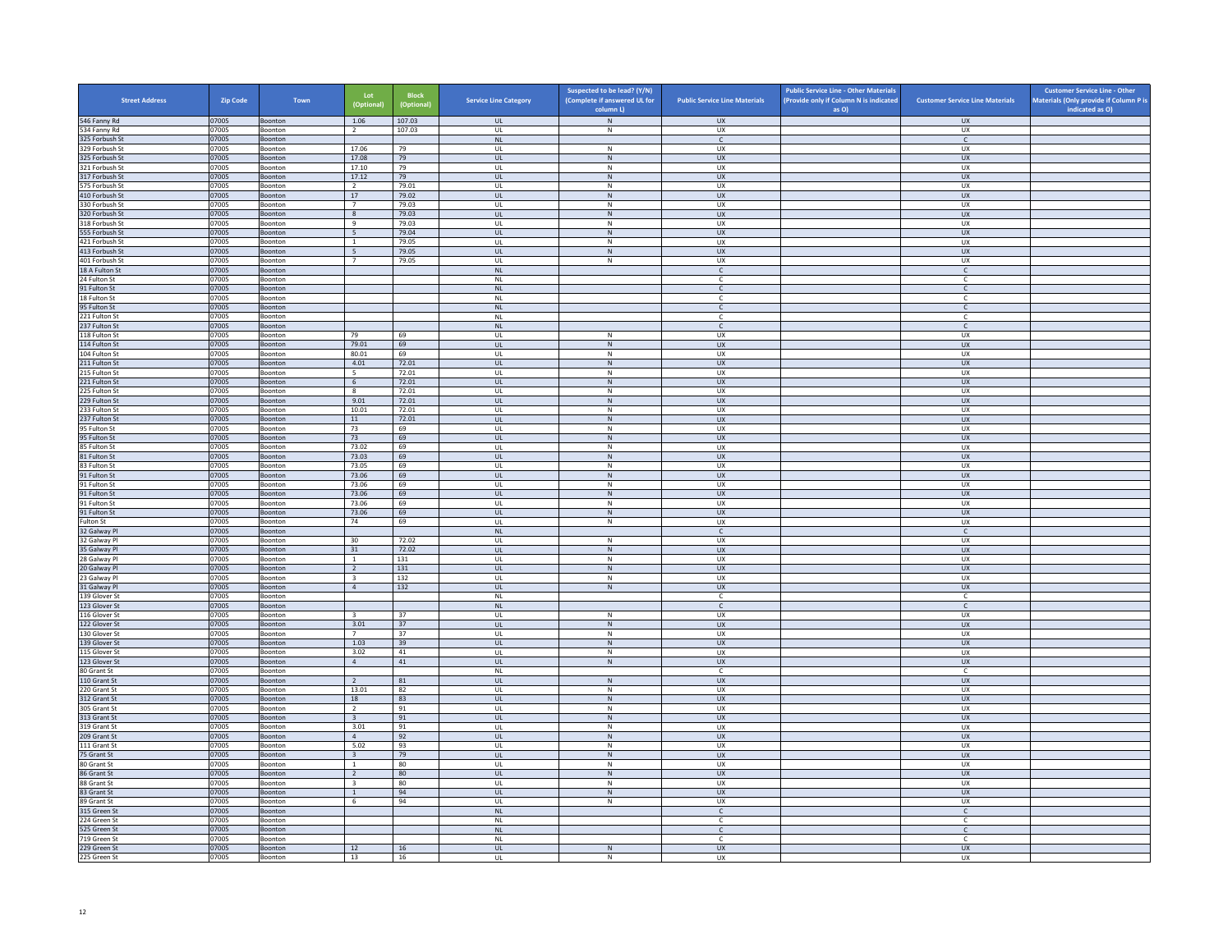| <b>Street Address</b>            | Zip Code       | Town                      | Lot<br>(Optional)                       | <b>Block</b><br>(Optional) | <b>Service Line Category</b>      | Suspected to be lead? (Y/N)<br>(Complete if answered UL for | <b>Public Service Line Materials</b> | <b>Public Service Line - Other Materials</b><br>(Provide only if Column N is indicated | <b>Customer Service Line Materials</b> | <b>Customer Service Line - Other</b><br>Materials (Only provide if Column P is |
|----------------------------------|----------------|---------------------------|-----------------------------------------|----------------------------|-----------------------------------|-------------------------------------------------------------|--------------------------------------|----------------------------------------------------------------------------------------|----------------------------------------|--------------------------------------------------------------------------------|
| 546 Fanny Rd                     | 07005          | Boonton                   | 1.06                                    | 107.03                     | <b>UL</b>                         | column L)<br>$\,N\,$                                        | <b>UX</b>                            | as O)                                                                                  | <b>UX</b>                              | indicated as O)                                                                |
| 534 Fanny Rd                     | 07005          | Boonton                   | $\overline{2}$                          | 107.03                     | <b>UL</b>                         | N                                                           | UX                                   |                                                                                        | UX                                     |                                                                                |
| 325 Forbush St                   | 07005          | Boonton                   |                                         |                            | NL                                |                                                             | $\mathsf{C}^-$                       |                                                                                        | $\mathsf{C}^-$                         |                                                                                |
| 329 Forbush St                   | 07005          | Boonton                   | 17.06                                   | 79                         | UL                                | ${\sf N}$                                                   | UX                                   |                                                                                        | UX                                     |                                                                                |
| 325 Forbush St<br>321 Forbush St | 07005<br>07005 | Boonton<br>Boonton        | 17.08<br>17.10                          | 79<br>79                   | <b>UL</b><br>UL                   | N<br>${\sf N}$                                              | <b>UX</b><br>UX                      |                                                                                        | <b>UX</b><br><b>UX</b>                 |                                                                                |
| 317 Forbush St                   | 07005          | Boonton                   | 17.12                                   | 79                         | $\mathbf{u}$                      | N                                                           | UX                                   |                                                                                        | $\overline{U}$                         |                                                                                |
| 575 Forbush St                   | 07005          | Boonton                   | $\overline{2}$                          | 79.01                      | UL                                | ${\sf N}$                                                   | UX                                   |                                                                                        | UX                                     |                                                                                |
| 410 Forbush St                   | 07005          | Boonton                   | 17                                      | 79.02                      | <b>UL</b>                         | N                                                           | UX                                   |                                                                                        | <b>UX</b>                              |                                                                                |
| 330 Forbush St<br>320 Forbush St | 07005<br>07005 | Boonton<br>Boonton        | $7\overline{ }$<br>8                    | 79.03<br>79.03             | UL<br><b>UL</b>                   | ${\sf N}$<br>$\,$ N                                         | UX<br><b>UX</b>                      |                                                                                        | UX<br><b>UX</b>                        |                                                                                |
| 318 Forbush St                   | 07005          | Boonton                   | 9                                       | 79.03                      | UL                                | N                                                           | <b>UX</b>                            |                                                                                        | UX                                     |                                                                                |
| 555 Forbush St                   | 07005          | Boonton                   | $5\overline{5}$                         | 79.04                      | UL                                | ${\sf N}$                                                   | UX                                   |                                                                                        | UX                                     |                                                                                |
| 421 Forbush St                   | 07005          | <b>Boonton</b>            | $\overline{1}$                          | 79.05                      | $\mathbf{U}$                      | N                                                           | UX                                   |                                                                                        | UX                                     |                                                                                |
| 413 Forbush St                   | 07005          | Boonton                   | $5\overline{5}$                         | 79.05                      | UL                                | N                                                           | <b>UX</b>                            |                                                                                        | UX                                     |                                                                                |
| 401 Forbush St<br>18 A Fulton St | 07005<br>07005 | Boonton<br>Boonton        | $\overline{7}$                          | 79.05                      | <b>UL</b><br>$\mathsf{NL}$        | N                                                           | UX<br>C                              |                                                                                        | UX<br>$\mathsf{C}$                     |                                                                                |
| 24 Fulton St                     | 07005          | Boonton                   |                                         |                            | <b>NL</b>                         |                                                             | $\mathsf{C}$                         |                                                                                        | $\mathsf{C}$                           |                                                                                |
| 91 Fulton St                     | 07005          | Boonton                   |                                         |                            | NL                                |                                                             | $\epsilon$                           |                                                                                        | $\mathsf{C}$                           |                                                                                |
| 18 Fulton St                     | 07005          | Boonton                   |                                         |                            | $\mathsf{NL}$                     |                                                             | $\epsilon$                           |                                                                                        | $\mathsf{C}$                           |                                                                                |
| 95 Fulton St                     | 07005          | Boonton                   |                                         |                            | N1                                |                                                             | $\mathsf{C}$                         |                                                                                        | $\epsilon$                             |                                                                                |
| 221 Fulton St                    | 07005          | Boonton                   |                                         |                            | $\mathsf{NL}$<br><b>NL</b>        |                                                             | c                                    |                                                                                        | c                                      |                                                                                |
| 237 Fulton St<br>118 Fulton St   | 07005<br>07005 | Boonton<br>Boonton        | 79                                      | 69                         | UL                                | ${\sf N}$                                                   | $\mathsf{C}$<br>UX                   |                                                                                        | $\mathsf{C}$<br>UX                     |                                                                                |
| 114 Fulton St                    | 07005          | Boonton                   | 79.01                                   | 69                         | UL                                | $\,$ N                                                      | <b>UX</b>                            |                                                                                        | <b>UX</b>                              |                                                                                |
| 104 Fulton St                    | 07005          | Boonton                   | 80.01                                   | 69                         | UL                                | N                                                           | <b>UX</b>                            |                                                                                        | <b>UX</b>                              |                                                                                |
| 211 Fulton St                    | 07005          | Boonton                   | 4.01                                    | 72.01                      | $_{\sf UL}$                       | ${\sf N}$                                                   | ${\sf U}{\sf X}$                     |                                                                                        | ${\sf U}{\sf X}$                       |                                                                                |
| 215 Fulton St                    | 07005          | Boonton                   | - 5                                     | 72.01                      | $\mathbf{U}$                      | N                                                           | UX                                   |                                                                                        | UX                                     |                                                                                |
| 221 Fulton St<br>225 Fulton St   | 07005<br>07005 | Boonton<br>Boonton        | 6<br>8                                  | 72.01<br>72.01             | UL<br><b>UL</b>                   | ${\sf N}$<br>N                                              | UX<br>UX                             |                                                                                        | <b>UX</b><br>UX                        |                                                                                |
| 229 Fulton St                    | 07005          | Boonton                   | 9.01                                    | 72.01                      | UL                                | N                                                           | <b>UX</b>                            |                                                                                        | UX                                     |                                                                                |
| 233 Fulton St                    | 07005          | Boonton                   | 10.01                                   | 72.01                      | UL                                | ${\sf N}$                                                   | UX                                   |                                                                                        | UX                                     |                                                                                |
| 237 Fulton St                    | 07005          | Boonton                   | 11                                      | 72.01                      | <b>UL</b>                         | N                                                           | <b>UX</b>                            |                                                                                        | <b>UX</b>                              |                                                                                |
| 95 Fulton St                     | 07005          | Boonton                   | 73                                      | 69                         | $_{\sf UL}$                       | N                                                           | UX                                   |                                                                                        | UX                                     |                                                                                |
| 95 Fulton St<br>85 Fulton St     | 07005<br>07005 | Boonton<br>Boonton        | 73<br>73.02                             | 69<br>69                   | $\mathbf{u}$<br>UL                | N<br>${\sf N}$                                              | $\overline{11}$<br>UX                |                                                                                        | UX<br>UX                               |                                                                                |
| 81 Fulton St                     | 07005          | Boonton                   | 73.03                                   | 69                         | <b>UL</b>                         | N                                                           | <b>UX</b>                            |                                                                                        | <b>UX</b>                              |                                                                                |
| 83 Fulton St                     | 07005          | Boonton                   | 73.05                                   | 69                         | UL                                | ${\sf N}$                                                   | UX                                   |                                                                                        | UX                                     |                                                                                |
| 91 Fulton St                     | 07005          | Boonton                   | 73.06                                   | 69                         | UL.                               | $\,N\,$                                                     | <b>UX</b>                            |                                                                                        | <b>UX</b>                              |                                                                                |
| 91 Fulton St                     | 07005          | Boonton                   | 73.06                                   | 69                         | UL                                | N                                                           | <b>UX</b>                            |                                                                                        | <b>UX</b>                              |                                                                                |
| 91 Fulton St<br>91 Fulton St     | 07005<br>07005 | Boonton<br>Boonton        | 73.06<br>73.06                          | 69<br>69                   | $_{\sf UL}$<br>UL                 | ${\sf N}$<br>N                                              | UX<br>UX                             |                                                                                        | ${\sf U}{\sf X}$<br>UX                 |                                                                                |
| 91 Fulton St                     | 07005          | Boonton                   | 73.06                                   | 69                         | <b>UL</b>                         | ${\sf N}$                                                   | <b>UX</b>                            |                                                                                        | <b>UX</b>                              |                                                                                |
| Fulton St                        | 07005          | Boonton                   | 74                                      | 69                         | UL                                | ${\sf N}$                                                   | UX                                   |                                                                                        | UX                                     |                                                                                |
| 32 Galway Pl                     | 07005          | Boonton                   |                                         |                            | <b>NL</b>                         |                                                             | $\mathsf{C}$                         |                                                                                        | $\mathsf{C}$                           |                                                                                |
| 32 Galway Pl                     | 07005          | Boonton                   | 30                                      | 72.02                      | UL                                | ${\sf N}$                                                   | UX                                   |                                                                                        | UX                                     |                                                                                |
| 35 Galway Pl<br>28 Galway Pl     | 07005<br>07005 | Boonton<br>Boonton        | 31<br>$\overline{1}$                    | 72.02<br>131               | $\mathbf{u}$<br>UL                | N<br>${\sf N}$                                              | UX<br>UX                             |                                                                                        | $\overline{U}$<br>UX                   |                                                                                |
| 20 Galway Pl                     | 07005          | Boonton                   | $\overline{2}$                          | 131                        | <b>UL</b>                         | N                                                           | <b>UX</b>                            |                                                                                        | <b>UX</b>                              |                                                                                |
| 23 Galway Pl                     | 07005          | Boonton                   | $\overline{\mathbf{3}}$                 | 132                        | UL                                | ${\sf N}$                                                   | UX                                   |                                                                                        | UX                                     |                                                                                |
| 31 Galway Pl                     | 07005          | Boonton                   | $\overline{4}$                          | 132                        | UL                                | ${\sf N}$                                                   | <b>UX</b>                            |                                                                                        | UX                                     |                                                                                |
| 139 Glover St                    | 07005          | Boonton                   |                                         |                            | <b>NL</b>                         |                                                             | $\mathsf{C}$                         |                                                                                        | $\mathsf{C}$                           |                                                                                |
| 123 Glover St<br>116 Glover St   | 07005<br>07005 | Boonton<br>Boonton        | $\overline{3}$                          | 37                         | NL<br>$\mathbf{U}$                | $\mathbb N$                                                 | $\mathsf{C}$<br>UX                   |                                                                                        | $\mathsf{C}$<br>UX                     |                                                                                |
| 122 Glover St                    | 07005          | Boonton                   | 3.01                                    | 37                         | UL                                | ${\sf N}$                                                   | UX                                   |                                                                                        | UX                                     |                                                                                |
| 130 Glover St                    | 07005          | Boonton                   | $\overline{7}$                          | 37                         | <b>UL</b>                         | N                                                           | <b>UX</b>                            |                                                                                        | <b>UX</b>                              |                                                                                |
| 139 Glover St                    | 07005          | Boonton                   | 1.03                                    | 39                         | $\mathsf{UL}$                     | ${\sf N}$                                                   | UX                                   |                                                                                        | UX                                     |                                                                                |
| 115 Glover St                    | 07005          | Boonton                   | 3.02                                    | 41                         | UL                                | $\,N\,$                                                     | UX                                   |                                                                                        | <b>UX</b>                              |                                                                                |
| 123 Glover St                    | 07005          | Boonton                   | $\overline{4}$                          | 41                         | UL<br><b>NL</b>                   | N                                                           | <b>UX</b><br>$\mathsf{C}$            |                                                                                        | UX<br>c                                |                                                                                |
| 80 Grant St<br>110 Grant St      | 07005<br>07005 | Boonton<br>Boonton        | $\overline{2}$                          | 81                         | $\mathbf{u}$                      | N                                                           | $\overline{11}$                      |                                                                                        | <b>UX</b>                              |                                                                                |
| 220 Grant St                     | 07005          | Boonton                   | 13.01                                   | 82                         | UL                                | ${\sf N}$                                                   | UX                                   |                                                                                        | UX                                     |                                                                                |
| 312 Grant St                     | 07005          | Boonton                   | 18                                      | 83                         | <b>UL</b>                         | N                                                           | <b>UX</b>                            |                                                                                        | <b>UX</b>                              |                                                                                |
| 305 Grant St                     | 07005          | Boonton                   | $\overline{2}$                          | 91                         | UL                                | ${\sf N}$                                                   | UX                                   |                                                                                        | UX                                     |                                                                                |
| 313 Grant St<br>319 Grant St     | 07005<br>07005 | Boonton<br>Boonton        | $\overline{\mathbf{3}}$<br>3.01         | 91<br>91                   | UL<br>UL                          | ${\sf N}$<br>${\sf N}$                                      | UX<br>UX                             |                                                                                        | UX<br>UX                               |                                                                                |
| 209 Grant St                     | 07005          | Boonton                   | $\overline{4}$                          | 92                         | $\ensuremath{\mathsf{UL}}\xspace$ | ${\sf N}$                                                   | UX                                   |                                                                                        | ${\sf U}{\sf X}$                       |                                                                                |
| 111 Grant St                     | 07005          | Boonton                   | 5.02                                    | 93                         | UL                                | N                                                           | <b>UX</b>                            |                                                                                        | UX                                     |                                                                                |
| 75 Grant St                      | 07005          | Boonton                   | $\overline{\mathbf{3}}$                 | 79                         | UL                                | ${\sf N}$                                                   | UX                                   |                                                                                        | UX                                     |                                                                                |
| 80 Grant St                      | 07005          | Boonton                   | $\overline{1}$                          | 80                         | <b>UL</b>                         | N                                                           | UX                                   |                                                                                        | UX                                     |                                                                                |
| 86 Grant St                      | 07005          | Boonton                   | $\overline{2}$                          | 80                         | $\mathsf{UL}$                     | ${\sf N}$                                                   | UX                                   |                                                                                        | UX                                     |                                                                                |
| 88 Grant St<br>83 Grant St       | 07005<br>07005 | Boonton<br><b>Boonton</b> | $\overline{\mathbf{3}}$<br>$\mathbf{1}$ | 80<br>94                   | UL<br><b>UL</b>                   | $\,N\,$<br>N                                                | <b>UX</b><br><b>UX</b>               |                                                                                        | UX<br>UX                               |                                                                                |
| 89 Grant St                      | 07005          | Boonton                   | 6                                       | 94                         | UL                                | ${\sf N}$                                                   | UX                                   |                                                                                        | UX                                     |                                                                                |
| 315 Green St                     | 07005          | Boonton                   |                                         |                            | NI                                |                                                             | $\mathbb{C}$                         |                                                                                        | $\mathsf{C}$                           |                                                                                |
| 224 Green St                     | 07005          | Boonton                   |                                         |                            | $\mathsf{NL}$                     |                                                             | c                                    |                                                                                        | c                                      |                                                                                |
| 525 Green St                     | 07005          | Boonton                   |                                         |                            | <b>NL</b>                         |                                                             | $\mathsf{C}$                         |                                                                                        | $\mathsf{C}$                           |                                                                                |
| 719 Green St<br>229 Green St     | 07005<br>07005 | Boonton<br>Boonton        | 12                                      | 16                         | <b>NL</b><br>UL                   | N                                                           | C<br>UX                              |                                                                                        | C<br>UX                                |                                                                                |
| 225 Green St                     | 07005          | Boonton                   | 13                                      | 16                         | UL                                | $\overline{\mathsf{N}}$                                     | <b>UX</b>                            |                                                                                        | <b>UX</b>                              |                                                                                |
|                                  |                |                           |                                         |                            |                                   |                                                             |                                      |                                                                                        |                                        |                                                                                |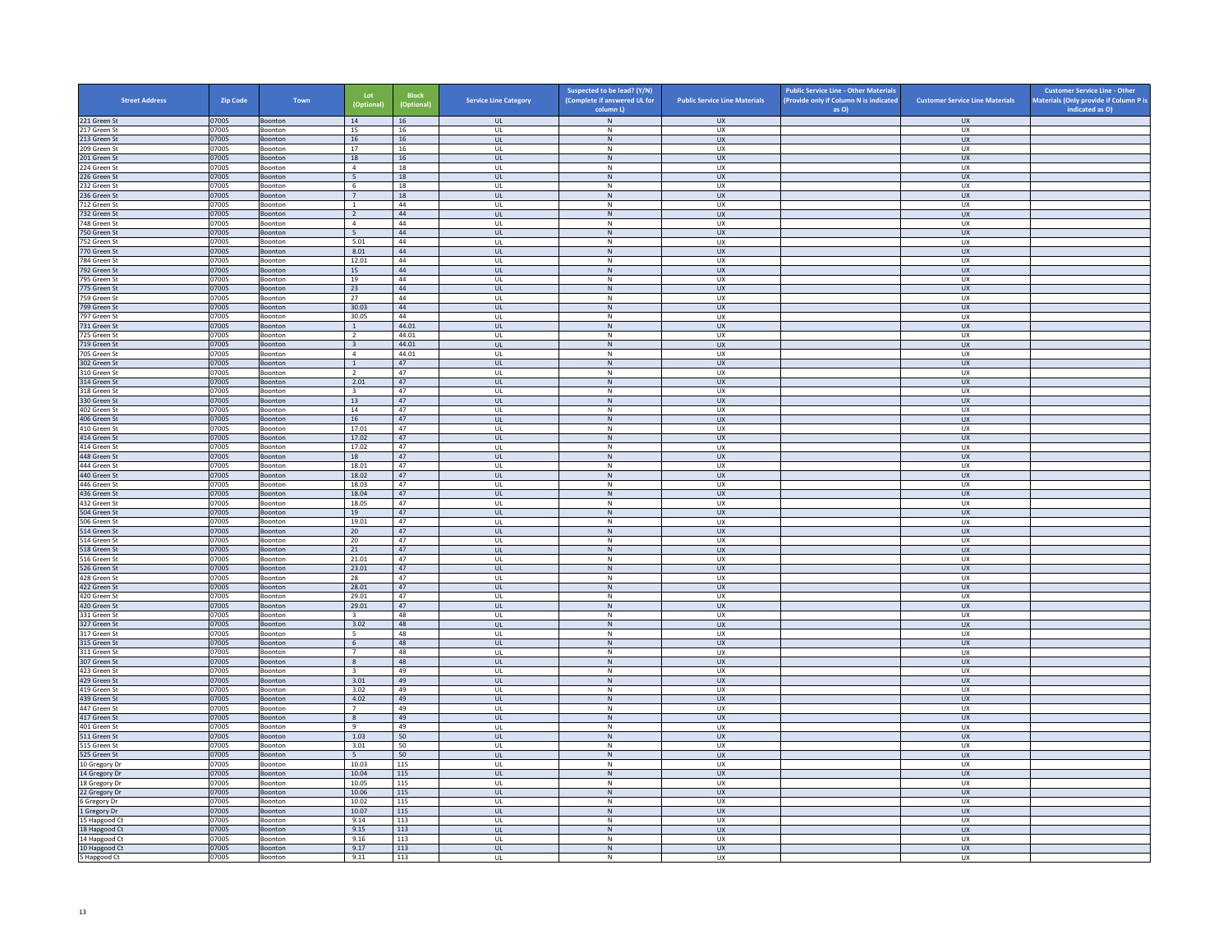| <b>Street Address</b>          | Zip Code       | Town                      | Lot<br>(Optional)               | <b>Block</b><br>(Optional) | <b>Service Line Category</b> | Suspected to be lead? (Y/N)<br>(Complete if answered UL for<br>column L) | <b>Public Service Line Materials</b> | <b>Public Service Line - Other Materials</b><br>(Provide only if Column N is indicated<br>as O) | <b>Customer Service Line Materials</b> | <b>Customer Service Line - Other</b><br>Materials (Only provide if Column P is<br>indicated as O) |
|--------------------------------|----------------|---------------------------|---------------------------------|----------------------------|------------------------------|--------------------------------------------------------------------------|--------------------------------------|-------------------------------------------------------------------------------------------------|----------------------------------------|---------------------------------------------------------------------------------------------------|
| 221 Green St                   | 07005          | Boonton                   | 14                              | 16                         | <b>UL</b>                    | ${\sf N}$                                                                | <b>UX</b>                            |                                                                                                 | <b>UX</b>                              |                                                                                                   |
| 217 Green St                   | 07005          | Boonton                   | 15                              | 16                         | UL                           | N                                                                        | UX                                   |                                                                                                 | <b>UX</b>                              |                                                                                                   |
| 213 Green St                   | 07005          | Boonton                   | $16\,$                          | 16                         | $_{\sf UL}$                  | ${\sf N}$                                                                | UX                                   |                                                                                                 | UX                                     |                                                                                                   |
| 209 Green St                   | 07005<br>07005 | Boonton                   | 17<br>18                        | 16<br>16                   | UL<br><b>UL</b>              | $\,$ N<br>$\,$ N                                                         | <b>UX</b><br><b>UX</b>               |                                                                                                 | <b>UX</b><br><b>UX</b>                 |                                                                                                   |
| 201 Green St<br>224 Green St   | 07005          | <b>Boonton</b><br>Boonton | $\overline{4}$                  | 18                         | UL                           | $\,$ N                                                                   | UX                                   |                                                                                                 | UX                                     |                                                                                                   |
| 226 Green St                   | 07005          | <b>Boonton</b>            | 5 <sup>5</sup>                  | 18                         | $\mathbf{u}$                 | N                                                                        | UX                                   |                                                                                                 | UX                                     |                                                                                                   |
| 232 Green St                   | 07005          | Boonton                   | 6                               | $18\,$                     | UL                           | $\mathsf{N}$                                                             | UX                                   |                                                                                                 | UX                                     |                                                                                                   |
| 236 Green St                   | 07005          | Boonton                   | 7                               | 18                         | <b>UL</b>                    | N                                                                        | <b>UX</b>                            |                                                                                                 | <b>UX</b>                              |                                                                                                   |
| 712 Green St<br>732 Green St   | 07005<br>07005 | Boonton<br>Boonton        | $\,$ 1 $\,$<br>$\overline{2}$   | 44<br>44                   | $\mathsf{UL}$<br><b>UL</b>   | ${\sf N}$<br>$\,$ N                                                      | UX<br><b>UX</b>                      |                                                                                                 | UX<br><b>UX</b>                        |                                                                                                   |
| 748 Green St                   | 07005          | Boonton                   | $\overline{4}$                  | 44                         | UL                           | N                                                                        | <b>UX</b>                            |                                                                                                 | UX                                     |                                                                                                   |
| 750 Green St                   | 07005          | Boonton                   | $\overline{5}$                  | 44                         | $_{\sf UL}$                  | ${\sf N}$                                                                | UX                                   |                                                                                                 | UX                                     |                                                                                                   |
| 752 Green St                   | 07005          | <b>Boonton</b>            | 5.01                            | 44                         | $\mathbf{U}$                 | N                                                                        | UX                                   |                                                                                                 | UX                                     |                                                                                                   |
| 770 Green St                   | 07005<br>07005 | Boonton                   | 8.01                            | 44<br>44                   | UL                           | $\mathsf{N}$<br>N                                                        | UX                                   |                                                                                                 | UX<br><b>UX</b>                        |                                                                                                   |
| 784 Green St<br>792 Green St   | 07005          | Boonton<br>Boonton        | 12.01<br>15                     | 44                         | UL<br>$_{\sf UL}$            | ${\sf N}$                                                                | UX<br>UX                             |                                                                                                 | UX                                     |                                                                                                   |
| 795 Green St                   | 07005          | Boonton                   | 19                              | 44                         | UL                           | $\mathsf{N}$                                                             | UX                                   |                                                                                                 | UX                                     |                                                                                                   |
| 775 Green St                   | 07005          | <b>Boonton</b>            | 23                              | 44                         | <b>UL</b>                    | N                                                                        | <b>UX</b>                            |                                                                                                 | <b>UX</b>                              |                                                                                                   |
| 759 Green St                   | 07005          | Boonton                   | 27                              | 44                         | UL                           | ${\sf N}$                                                                | UX                                   |                                                                                                 | UX                                     |                                                                                                   |
| 799 Green St<br>797 Green St   | 07005<br>07005 | Boonton<br>Boonton        | 30.03<br>30.05                  | 44<br>44                   | $\mathbf{u}$<br>UL           | N<br>N                                                                   | UX<br>UX                             |                                                                                                 | UX<br>UX                               |                                                                                                   |
| 731 Green St                   | 07005          | Boonton                   | <sup>1</sup>                    | 44.01                      | <b>UL</b>                    | N                                                                        | <b>UX</b>                            |                                                                                                 | <b>UX</b>                              |                                                                                                   |
| 725 Green St                   | 07005          | Boonton                   | $\overline{2}$                  | 44.01                      | UL                           | ${\sf N}$                                                                | UX                                   |                                                                                                 | UX                                     |                                                                                                   |
| 719 Green St                   | 07005          | Boonton                   | $\overline{\mathbf{3}}$         | 44.01                      | UL                           | N                                                                        | <b>UX</b>                            |                                                                                                 | <b>UX</b>                              |                                                                                                   |
| 705 Green St                   | 07005          | Boonton                   | $\overline{4}$                  | 44.01                      | UL                           | N                                                                        | <b>UX</b>                            |                                                                                                 | <b>UX</b>                              |                                                                                                   |
| 302 Green St<br>310 Green St   | 07005<br>07005 | Boonton<br>Boonton        | $\,$ 1 $\,$<br>$\overline{2}$   | 47<br>47                   | $_{\sf UL}$<br>UL            | ${\sf N}$<br>N                                                           | ${\sf U}{\sf X}$<br><b>UX</b>        |                                                                                                 | ${\sf U}{\sf X}$<br><b>UX</b>          |                                                                                                   |
| 314 Green St                   | 07005          | Boonton                   | 2.01                            | 47                         | <b>UL</b>                    | $\,$ N                                                                   | <b>UX</b>                            |                                                                                                 | <b>UX</b>                              |                                                                                                   |
| 318 Green St                   | 07005          | Boonton                   | $\overline{\mathbf{3}}$         | 47                         | UL                           | N                                                                        | UX                                   |                                                                                                 | UX                                     |                                                                                                   |
| 330 Green St                   | 07005          | Boonton                   | 13                              | 47                         | UL                           | $\,$ N                                                                   | <b>UX</b>                            |                                                                                                 | <b>UX</b>                              |                                                                                                   |
| 402 Green St                   | 07005          | Boonton                   | 14                              | 47                         | UL                           | ${\sf N}$                                                                | UX                                   |                                                                                                 | UX                                     |                                                                                                   |
| 406 Green St<br>410 Green St   | 07005<br>07005 | Boonton<br>Boonton        | 16<br>17.01                     | 47<br>47                   | <b>UL</b><br>UL              | N<br>${\sf N}$                                                           | <b>UX</b><br>UX                      |                                                                                                 | <b>UX</b><br>UX                        |                                                                                                   |
| 414 Green St                   | 07005          | Boonton                   | 17.02                           | 47                         | <b>UL</b>                    | N                                                                        | <b>UX</b>                            |                                                                                                 | <b>UX</b>                              |                                                                                                   |
| 414 Green St                   | 07005          | Boonton                   | 17.02                           | 47                         | UL                           | N                                                                        | UX                                   |                                                                                                 | UX                                     |                                                                                                   |
| 448 Green St                   | 07005          | Boonton                   | 18                              | 47                         | UL                           | N                                                                        | <b>UX</b>                            |                                                                                                 | <b>UX</b>                              |                                                                                                   |
| 444 Green St                   | 07005          | Boonton                   | 18.01                           | 47                         | UL                           | ${\sf N}$                                                                | UX                                   |                                                                                                 | UX                                     |                                                                                                   |
| 440 Green St<br>446 Green St   | 07005<br>07005 | Boonton<br>Boonton        | 18.02<br>18.03                  | 47<br>47                   | UL<br>UL                     | $\,$ N<br>N                                                              | <b>UX</b><br><b>UX</b>               |                                                                                                 | <b>UX</b><br><b>UX</b>                 |                                                                                                   |
| 436 Green St                   | 07005          | Boonton                   | 18.04                           | 47                         | $_{\sf UL}$                  | $\,$ N                                                                   | ${\sf U}{\sf X}$                     |                                                                                                 | ${\sf U}{\sf X}$                       |                                                                                                   |
| 432 Green St                   | 07005          | Boonton                   | 18.05                           | 47                         | UL                           | N                                                                        | <b>UX</b>                            |                                                                                                 | <b>UX</b>                              |                                                                                                   |
| 504 Green St                   | 07005          | Boonton                   | 19                              | 47                         | $\mathsf{UL}$                | $\mathsf{N}$                                                             | UX                                   |                                                                                                 | UX                                     |                                                                                                   |
| 506 Green St<br>514 Green St   | 07005<br>07005 | Boonton<br>Boonton        | 19.01<br>20                     | 47<br>47                   | UL<br>UL                     | N<br>$\,$ N                                                              | UX<br><b>UX</b>                      |                                                                                                 | <b>UX</b><br><b>UX</b>                 |                                                                                                   |
| 514 Green St                   | 07005          | Boonton                   | 20                              | 47                         | UL                           | N                                                                        | UX                                   |                                                                                                 | UX                                     |                                                                                                   |
| 518 Green St                   | 07005          | Boonton                   | 21                              | 47                         | $\mathbf{u}$                 | N                                                                        | $\overline{11}$                      |                                                                                                 | UX                                     |                                                                                                   |
| 516 Green St                   | 07005          | Boonton                   | 21.01                           | 47                         | UL                           | ${\sf N}$                                                                | UX                                   |                                                                                                 | UX                                     |                                                                                                   |
| 526 Green St                   | 07005          | Boonton                   | 23.01                           | 47                         | $\mathbf{u}$                 | N                                                                        | <b>UX</b>                            |                                                                                                 | <b>UX</b>                              |                                                                                                   |
| 428 Green St<br>422 Green St   | 07005<br>07005 | Boonton<br>Boonton        | 28<br>28.01                     | 47<br>47                   | UL<br>UL                     | ${\sf N}$<br>N                                                           | UX<br><b>UX</b>                      |                                                                                                 | UX<br>UX                               |                                                                                                   |
| 420 Green St                   | 07005          | Boonton                   | 29.01                           | 47                         | UL                           | ${\sf N}$                                                                | UX                                   |                                                                                                 | UX                                     |                                                                                                   |
| 420 Green St                   | 07005          | Boonton                   | 29.01                           | 47                         | UL                           | $\,$ N                                                                   | <b>UX</b>                            |                                                                                                 | <b>UX</b>                              |                                                                                                   |
| 331 Green St                   | 07005          | <b>Boonton</b>            | $\overline{3}$                  | 48                         | $\mathbf{U}$                 | N                                                                        | UX                                   |                                                                                                 | UX                                     |                                                                                                   |
| 327 Green St<br>317 Green St   | 07005<br>07005 | Boonton<br>Boonton        | 3.02<br>5                       | 48<br>48                   | $\mathsf{UL}$<br>UL          | $\mathsf{N}$<br>N                                                        | UX<br><b>UX</b>                      |                                                                                                 | UX<br><b>UX</b>                        |                                                                                                   |
| 315 Green St                   | 07005          | Boonton                   | $6\overline{6}$                 | 48                         | $_{\sf UL}$                  | ${\sf N}$                                                                | UX                                   |                                                                                                 | UX                                     |                                                                                                   |
| 311 Green St                   | 07005          | Boonton                   | $7^{\circ}$                     | 48                         | UL                           | N                                                                        | <b>UX</b>                            |                                                                                                 | UX                                     |                                                                                                   |
| 307 Green St                   | 07005          | <b>Boonton</b>            | 8                               | 48                         | <b>UL</b>                    | N                                                                        | <b>UX</b>                            |                                                                                                 | <b>UX</b>                              |                                                                                                   |
| 423 Green St<br>429 Green St   | 07005<br>07005 | Boonton<br>Boonton        | $\overline{\mathbf{3}}$<br>3.01 | 49<br>49                   | UL<br>$\mathbf{u}$           | ${\sf N}$<br>N                                                           | UX<br>UX                             |                                                                                                 | UX<br>$\overline{U}$                   |                                                                                                   |
| 419 Green St                   | 07005          | Boonton                   | 3.02                            | 49                         | UL                           | ${\sf N}$                                                                | UX                                   |                                                                                                 | UX                                     |                                                                                                   |
| 439 Green St                   | 07005          | Boonton                   | 4.02                            | 49                         | <b>UL</b>                    | N                                                                        | <b>UX</b>                            |                                                                                                 | <b>UX</b>                              |                                                                                                   |
| 447 Green St                   | 07005          | Boonton                   | $\overline{7}$                  | 49                         | UL                           | ${\sf N}$                                                                | UX                                   |                                                                                                 | UX                                     |                                                                                                   |
| 417 Green St                   | 07005          | Boonton                   | 8                               | 49                         | UL                           | N                                                                        | UX                                   |                                                                                                 | UX                                     |                                                                                                   |
| 401 Green St<br>511 Green St   | 07005<br>07005 | Boonton<br>Boonton        | 9<br>1.03                       | 49<br>50                   | UL<br>$_{\sf UL}$            | ${\sf N}$<br>${\sf N}$                                                   | UX<br>UX                             |                                                                                                 | UX<br><b>UX</b>                        |                                                                                                   |
| 515 Green St                   | 07005          | <b>Boonton</b>            | 3.01                            | 50                         | $\mathbf{U}$                 | N                                                                        | <b>UX</b>                            |                                                                                                 | UX                                     |                                                                                                   |
| 525 Green St                   | 07005          | Boonton                   | 5                               | 50                         | UL                           | ${\sf N}$                                                                | UX                                   |                                                                                                 | UX                                     |                                                                                                   |
| 10 Gregory Dr                  | 07005          | Boonton                   | 10.03                           | 115                        | UL                           | N                                                                        | <b>UX</b>                            |                                                                                                 | UX                                     |                                                                                                   |
| 14 Gregory Dr                  | 07005          | Boonton                   | 10.04                           | 115                        | $_{\sf UL}$                  | ${\sf N}$                                                                | UX                                   |                                                                                                 | UX                                     |                                                                                                   |
| 18 Gregory Dr<br>22 Gregory Dr | 07005<br>07005 | Boonton<br>Boonton        | 10.05<br>10.06                  | 115<br>115                 | UL<br><b>UL</b>              | ${\sf N}$<br>N                                                           | UX<br><b>UX</b>                      |                                                                                                 | UX<br><b>UX</b>                        |                                                                                                   |
| 6 Gregory Dr                   | 07005          | Boonton                   | 10.02                           | 115                        | UL                           | ${\sf N}$                                                                | UX                                   |                                                                                                 | UX                                     |                                                                                                   |
| 1 Gregory Dr                   | 07005          | Boonton                   | 10.07                           | 115                        | $\mathbf{u}$                 | N                                                                        | UX                                   |                                                                                                 | <b>UX</b>                              |                                                                                                   |
| 15 Hapgood Ct                  | 07005          | Boonton                   | 9.14                            | 113                        | UL                           | $\mathsf{N}$                                                             | UX                                   |                                                                                                 | UX                                     |                                                                                                   |
| 18 Hapgood Ct<br>14 Hapgood Ct | 07005<br>07005 | Boonton<br>Boonton        | 9.15<br>9.16                    | 113<br>113                 | UL.<br>UL                    | N<br>${\sf N}$                                                           | <b>UX</b><br>UX                      |                                                                                                 | <b>UX</b><br>UX                        |                                                                                                   |
| 10 Hapgood Ct                  | 07005          | Boonton                   | 9.17                            | 113                        | UL                           | N                                                                        | <b>UX</b>                            |                                                                                                 | UX                                     |                                                                                                   |
| 5 Hapgood Ct                   | 07005          | Boonton                   | 9.11                            | 113                        | UL                           | N                                                                        | <b>UX</b>                            |                                                                                                 | <b>UX</b>                              |                                                                                                   |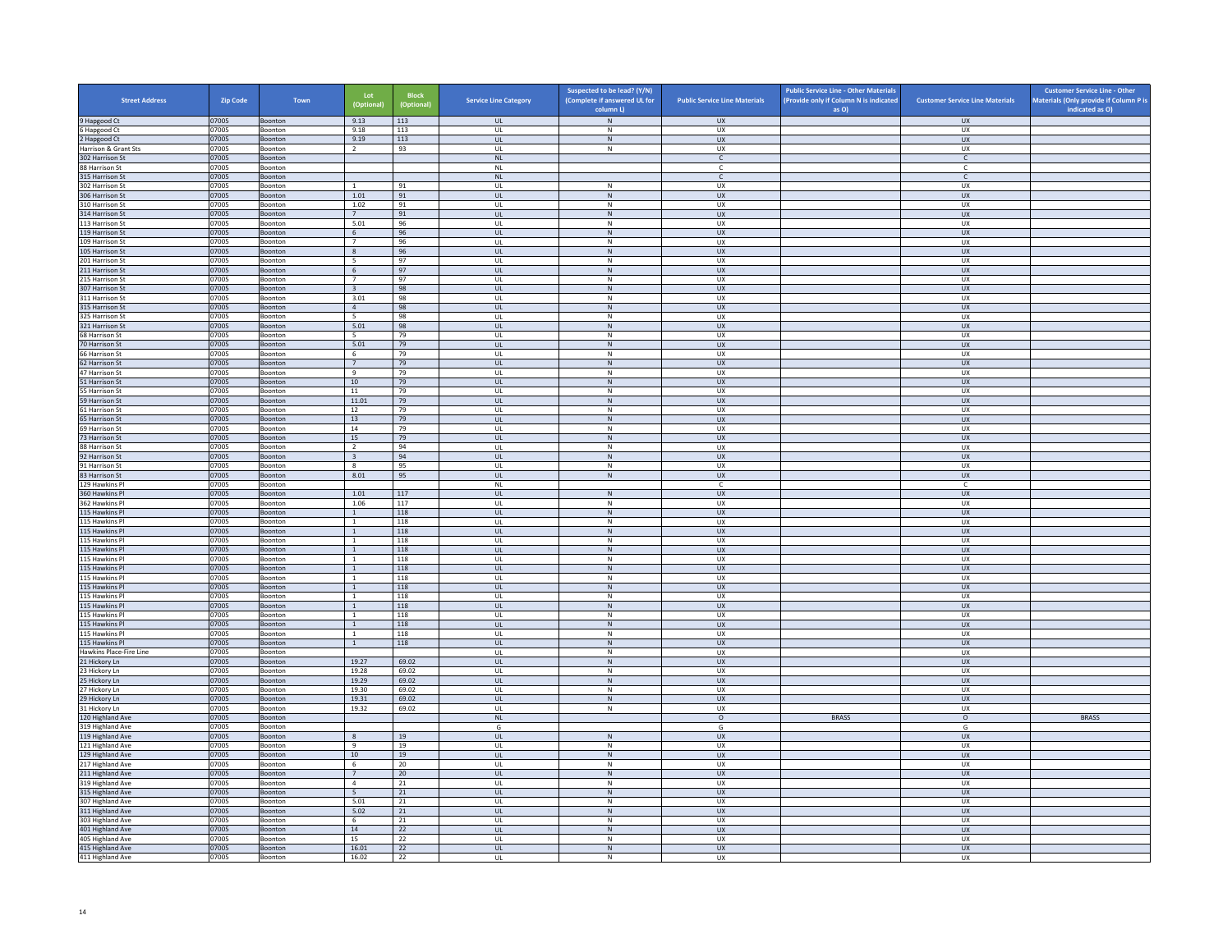| <b>Street Address</b>                | <b>Zip Code</b> | Town               | Lot<br>(Optional)                         | <b>Block</b><br>(Optional) | <b>Service Line Category</b>      | Suspected to be lead? (Y/N)<br>(Complete if answered UL for | <b>Public Service Line Materials</b> | <b>Public Service Line - Other Materials</b><br>(Provide only if Column N is indicated | <b>Customer Service Line Materials</b> | <b>Customer Service Line - Other</b><br>Materials (Only provide if Column P is |
|--------------------------------------|-----------------|--------------------|-------------------------------------------|----------------------------|-----------------------------------|-------------------------------------------------------------|--------------------------------------|----------------------------------------------------------------------------------------|----------------------------------------|--------------------------------------------------------------------------------|
|                                      |                 |                    |                                           |                            |                                   | column L)                                                   |                                      | as O)                                                                                  |                                        | indicated as O)                                                                |
| 9 Hapgood Ct<br>6 Hapgood Ct         | 07005<br>07005  | Boonton<br>Boonton | 9.13<br>9.18                              | 113<br>113                 | <b>UL</b><br><b>UL</b>            | ${\sf N}$<br>N                                              | <b>UX</b><br>UX                      |                                                                                        | <b>UX</b><br>UX                        |                                                                                |
| 2 Hapgood Ct                         | 07005           | Boonton            | 9.19                                      | 113                        | UL                                | ${\sf N}$                                                   | UX                                   |                                                                                        | UX                                     |                                                                                |
| Harrison & Grant Sts                 | 07005           | Boonton            | <sup>2</sup>                              | 93                         | UL                                | $\,N\,$                                                     | UX                                   |                                                                                        | UX                                     |                                                                                |
| 302 Harrison St                      | 07005           | Boonton            |                                           |                            | <b>NL</b>                         |                                                             | $\mathsf{C}$                         |                                                                                        | $\mathsf{C}$                           |                                                                                |
| 88 Harrison St<br>315 Harrison St    | 07005<br>07005  | Boonton<br>Boonton |                                           |                            | <b>NL</b><br>NI                   |                                                             | $\mathsf{C}$<br>$\mathsf{C}$         |                                                                                        | c<br>$\mathsf{C}$                      |                                                                                |
| 302 Harrison St                      | 07005           | Boonton            |                                           | 91                         | UL                                | $\mathsf{N}$                                                | UX                                   |                                                                                        | UX                                     |                                                                                |
| 306 Harrison St                      | 07005           | Boonton            | 1.01                                      | 91                         | <b>UL</b>                         | N                                                           | UX                                   |                                                                                        | <b>UX</b>                              |                                                                                |
| 310 Harrison St                      | 07005           | Boonton            | 1.02                                      | 91                         | UL                                | ${\sf N}$                                                   | UX                                   |                                                                                        | UX                                     |                                                                                |
| 314 Harrison St<br>113 Harrison St   | 07005           | Boonton            | 7                                         | 91<br>96                   | UL<br>UL                          | $\,$ N                                                      | UX<br><b>UX</b>                      |                                                                                        | <b>UX</b><br>UX                        |                                                                                |
| 119 Harrison St                      | 07005<br>07005  | Boonton<br>Boonton | 5.01<br>6                                 | 96                         | UL                                | N<br>${\sf N}$                                              | UX                                   |                                                                                        | UX                                     |                                                                                |
| 109 Harrison St                      | 07005           | <b>Boonton</b>     | $\overline{7}$                            | 96                         | $\mathbf{U}$                      | $\mathsf{N}$                                                | UX                                   |                                                                                        | UX                                     |                                                                                |
| 105 Harrison St                      | 07005           | Boonton            | 8                                         | 96                         | UL                                | N                                                           | UX                                   |                                                                                        | UX                                     |                                                                                |
| 201 Harrison St                      | 07005           | Boonton            | 5                                         | 97                         | <b>UL</b>                         | N                                                           | UX                                   |                                                                                        | UX                                     |                                                                                |
| 211 Harrison St                      | 07005           | Boonton            | 6<br>$\overline{7}$                       | 97                         | UL                                | N                                                           | UX                                   |                                                                                        | UX                                     |                                                                                |
| 215 Harrison St<br>307 Harrison St   | 07005<br>07005  | Boonton<br>Boonton | $\overline{\mathbf{3}}$                   | 97<br>98                   | UL<br><b>UL</b>                   | ${\sf N}$<br>N                                              | UX<br><b>UX</b>                      |                                                                                        | UX<br><b>UX</b>                        |                                                                                |
| 311 Harrison St                      | 07005           | Boonton            | 3.01                                      | 98                         | UL                                | ${\sf N}$                                                   | UX                                   |                                                                                        | <b>UX</b>                              |                                                                                |
| 315 Harrison St                      | 07005           | Boonton            | $\overline{4}$                            | 98                         | $\mathbf{u}$                      | N                                                           | $\overline{11}$                      |                                                                                        | UX                                     |                                                                                |
| 325 Harrison St                      | 07005           | Boonton            | 5                                         | 98                         | UL                                | ${\sf N}$                                                   | UX                                   |                                                                                        | UX                                     |                                                                                |
| 321 Harrison St<br>68 Harrison St    | 07005<br>07005  | Boonton<br>Boonton | 5.01<br>5                                 | 98<br>79                   | UL<br>UL                          | N<br>${\sf N}$                                              | ${\sf U}{\sf X}$<br>UX               |                                                                                        | UX<br>UX                               |                                                                                |
| 70 Harrison St                       | 07005           | Boonton            | 5.01                                      | 79                         | UL                                | ${\sf N}$                                                   | <b>UX</b>                            |                                                                                        | <b>UX</b>                              |                                                                                |
| 66 Harrison St                       | 07005           | Boonton            | - 6                                       | 79                         | UL                                | N                                                           | <b>UX</b>                            |                                                                                        | <b>UX</b>                              |                                                                                |
| 62 Harrison St                       | 07005           | Boonton            | $7\phantom{.0}$                           | 79                         | $_{\sf UL}$                       | N                                                           | ${\sf U}{\sf X}$                     |                                                                                        | ${\sf U}{\sf X}$                       |                                                                                |
| 47 Harrison St                       | 07005           | Boonton            | $\overline{9}$                            | 79                         | $\mathbf{U}$                      | N                                                           | UX                                   |                                                                                        | UX                                     |                                                                                |
| 51 Harrison St                       | 07005           | Boonton            | $10\,$                                    | 79                         | UL                                | ${\sf N}$<br>N                                              | UX                                   |                                                                                        | UX                                     |                                                                                |
| 55 Harrison St<br>59 Harrison St     | 07005<br>07005  | Boonton<br>Boonton | 11<br>11.01                               | 79<br>79                   | <b>UL</b><br>UL                   | N                                                           | UX<br><b>UX</b>                      |                                                                                        | UX<br>UX                               |                                                                                |
| 61 Harrison St                       | 07005           | Boonton            | 12                                        | 79                         | UL                                | ${\sf N}$                                                   | UX                                   |                                                                                        | UX                                     |                                                                                |
| 65 Harrison St                       | 07005           | Boonton            | 13                                        | 79                         | <b>UL</b>                         | N                                                           | <b>UX</b>                            |                                                                                        | <b>UX</b>                              |                                                                                |
| 69 Harrison St                       | 07005           | Boonton            | 14                                        | 79                         | UL                                | $\mathsf{N}$                                                | UX                                   |                                                                                        | UX                                     |                                                                                |
| 73 Harrison St                       | 07005<br>07005  | Boonton            | 15                                        | 79<br>94                   | $\mathbf{U}$                      | N                                                           | $\overline{11}$                      |                                                                                        | UX                                     |                                                                                |
| 88 Harrison St<br>92 Harrison St     | 07005           | Boonton<br>Boonton | $\overline{2}$<br>$\overline{\mathbf{3}}$ | 94                         | UL<br><b>UL</b>                   | ${\sf N}$<br>N                                              | UX<br><b>UX</b>                      |                                                                                        | UX<br><b>UX</b>                        |                                                                                |
| 91 Harrison St                       | 07005           | Boonton            | $\mathbf{8}$                              | 95                         | UL                                | ${\sf N}$                                                   | UX                                   |                                                                                        | UX                                     |                                                                                |
| 83 Harrison St                       | 07005           | Boonton            | 8.01                                      | 95                         | <b>UL</b>                         | $\,N\,$                                                     | <b>UX</b>                            |                                                                                        | <b>UX</b>                              |                                                                                |
| 129 Hawkins Pl                       | 07005           | Boonton            |                                           |                            | <b>NL</b>                         |                                                             | C.                                   |                                                                                        | C                                      |                                                                                |
| 360 Hawkins Pl<br>362 Hawkins Pl     | 07005<br>07005  | Boonton<br>Boonton | $1.01\,$<br>1.06                          | $117\,$<br>117             | $_{\sf UL}$<br>UL                 | ${\sf N}$<br>N                                              | UX<br>UX                             |                                                                                        | ${\sf U}{\sf X}$<br>UX                 |                                                                                |
| 115 Hawkins Pl                       | 07005           | Boonton            | 1                                         | 118                        | <b>UL</b>                         | ${\sf N}$                                                   | <b>UX</b>                            |                                                                                        | <b>UX</b>                              |                                                                                |
| 115 Hawkins Pl                       | 07005           | Boonton            | $\overline{1}$                            | 118                        | UL                                | ${\sf N}$                                                   | UX                                   |                                                                                        | UX                                     |                                                                                |
| 115 Hawkins Pl                       | 07005           | Boonton            | <sup>1</sup>                              | 118                        | <b>UL</b>                         | N                                                           | <b>UX</b>                            |                                                                                        | UX                                     |                                                                                |
| 115 Hawkins Pl                       | 07005           | Boonton            | $\overline{1}$                            | 118                        | UL                                | ${\sf N}$                                                   | UX                                   |                                                                                        | UX                                     |                                                                                |
| 115 Hawkins Pl<br>115 Hawkins Pl     | 07005<br>07005  | Boonton<br>Boonton | $\overline{1}$<br>$\mathbf{1}$            | 118<br>118                 | $\mathbf{u}$<br>UL                | N<br>$\mathsf{N}$                                           | UX<br>UX                             |                                                                                        | $\overline{U}$<br>UX                   |                                                                                |
| 115 Hawkins Pl                       | 07005           | Boonton            | <sup>1</sup>                              | 118                        | <b>UL</b>                         | N                                                           | <b>UX</b>                            |                                                                                        | <b>UX</b>                              |                                                                                |
| 115 Hawkins Pl                       | 07005           | Boonton            | $\,$ 1 $\,$                               | 118                        | UL                                | ${\sf N}$                                                   | UX                                   |                                                                                        | UX                                     |                                                                                |
| 115 Hawkins Pl                       | 07005           | Boonton            | $\overline{1}$                            | 118                        | UL                                | ${\sf N}$                                                   | <b>UX</b>                            |                                                                                        | UX                                     |                                                                                |
| 115 Hawkins Pl                       | 07005           | Boonton            | $\overline{1}$                            | 118                        | UL                                | ${\sf N}$                                                   | UX                                   |                                                                                        | UX                                     |                                                                                |
| 115 Hawkins Pl<br>115 Hawkins Pl     | 07005<br>07005  | Boonton<br>Boonton | $\overline{1}$<br><sup>1</sup>            | 118<br>118                 | UL<br>$\mathbf{U}$                | ${\sf N}$<br>N                                              | <b>UX</b><br>UX                      |                                                                                        | <b>UX</b><br>UX                        |                                                                                |
| 115 Hawkins Pl                       | 07005           | Boonton            | $\overline{1}$                            | 118                        | UL                                | N                                                           | UX                                   |                                                                                        | UX                                     |                                                                                |
| 115 Hawkins Pl                       | 07005           | Boonton            | $\overline{1}$                            | 118                        | UL                                | N                                                           | <b>UX</b>                            |                                                                                        | <b>UX</b>                              |                                                                                |
| 115 Hawkins Pl                       | 07005           | Boonton            | $\mathbf{1}$                              | 118                        | <b>UL</b>                         | ${\sf N}$                                                   | UX                                   |                                                                                        | UX                                     |                                                                                |
| Hawkins Place-Fire Line              | 07005<br>07005  | Boonton<br>Boonton | 19.27                                     | 69.02                      | UL<br>UL                          | $\,N\,$<br>N                                                | UX<br><b>UX</b>                      |                                                                                        | UX<br>UX                               |                                                                                |
| 21 Hickory Ln<br>23 Hickory Ln       | 07005           | Boonton            | 19.28                                     | 69.02                      | UL                                | ${\sf N}$                                                   | UX                                   |                                                                                        | UX                                     |                                                                                |
| 25 Hickory Ln                        | 07005           | Boonton            | 19.29                                     | 69.02                      | $\mathbf{u}$                      | N                                                           | UX                                   |                                                                                        | <b>UX</b>                              |                                                                                |
| 27 Hickory Ln                        | 07005           | Boonton            | 19.30                                     | 69.02                      | UL                                | ${\sf N}$                                                   | UX                                   |                                                                                        | UX                                     |                                                                                |
| 29 Hickory Ln                        | 07005           | Boonton            | 19.31                                     | 69.02                      | <b>UL</b>                         | N                                                           | <b>UX</b>                            |                                                                                        | <b>UX</b>                              |                                                                                |
| 31 Hickory Ln                        | 07005           | Boonton<br>Boonton | 19.32                                     | 69.02                      | UL<br><b>NL</b>                   | ${\sf N}$                                                   | UX<br>$\circ$                        | <b>BRASS</b>                                                                           | UX<br>$\circ$                          | <b>BRASS</b>                                                                   |
| 120 Highland Ave<br>319 Highland Ave | 07005<br>07005  | Boonton            |                                           |                            | G                                 |                                                             | G                                    |                                                                                        | G                                      |                                                                                |
| 119 Highland Ave                     | 07005           | Boonton            | $\boldsymbol{8}$                          | 19                         | $\ensuremath{\mathsf{UL}}\xspace$ | ${\sf N}$                                                   | UX                                   |                                                                                        | UX                                     |                                                                                |
| 121 Highland Ave                     | 07005           | Boonton            | $\overline{9}$                            | 19                         | UL                                | $\mathbb N$                                                 | UX                                   |                                                                                        | UX                                     |                                                                                |
| 129 Highland Ave                     | 07005           | Boonton            | $10\,$                                    | 19                         | UL                                | ${\sf N}$                                                   | UX                                   |                                                                                        | UX                                     |                                                                                |
| 217 Highland Ave<br>211 Highland Ave | 07005<br>07005  | Boonton<br>Boonton | 6<br>$7\overline{ }$                      | 20<br>20                   | <b>UL</b><br>$\mathsf{UL}$        | N<br>${\sf N}$                                              | UX<br>UX                             |                                                                                        | UX<br>UX                               |                                                                                |
| 319 Highland Ave                     | 07005           | Boonton            | $\overline{4}$                            | 21                         | UL                                | N                                                           | UX                                   |                                                                                        | UX                                     |                                                                                |
| 315 Highland Ave                     | 07005           | Boonton            | 5 <sup>5</sup>                            | 21                         | <b>UL</b>                         | N                                                           | <b>UX</b>                            |                                                                                        | UX                                     |                                                                                |
| 307 Highland Ave                     | 07005           | Boonton            | 5.01                                      | 21                         | UL                                | ${\sf N}$                                                   | UX                                   |                                                                                        | UX                                     |                                                                                |
| 311 Highland Ave                     | 07005           | Boonton            | 5.02                                      | 21                         | $\mathbf{u}$                      | N                                                           | $\overline{11}$                      |                                                                                        | <b>UX</b>                              |                                                                                |
| 303 Highland Ave<br>401 Highland Ave | 07005<br>07005  | Boonton<br>Boonton | 6<br>14                                   | 21<br>22                   | UL<br><b>UL</b>                   | ${\sf N}$<br>N                                              | UX<br><b>UX</b>                      |                                                                                        | UX<br><b>UX</b>                        |                                                                                |
| 405 Highland Ave                     | 07005           | Boonton            | 15                                        | 22                         | UL                                | $\mathsf{N}$                                                | UX                                   |                                                                                        | UX                                     |                                                                                |
| 415 Highland Ave                     | 07005           | Boonton            | 16.01                                     | 22                         | UL                                | ${\sf N}$                                                   | UX                                   |                                                                                        | UX                                     |                                                                                |
| 411 Highland Ave                     | 07005           | Boonton            | 16.02                                     | 22                         | UL                                | N                                                           | <b>UX</b>                            |                                                                                        | <b>UX</b>                              |                                                                                |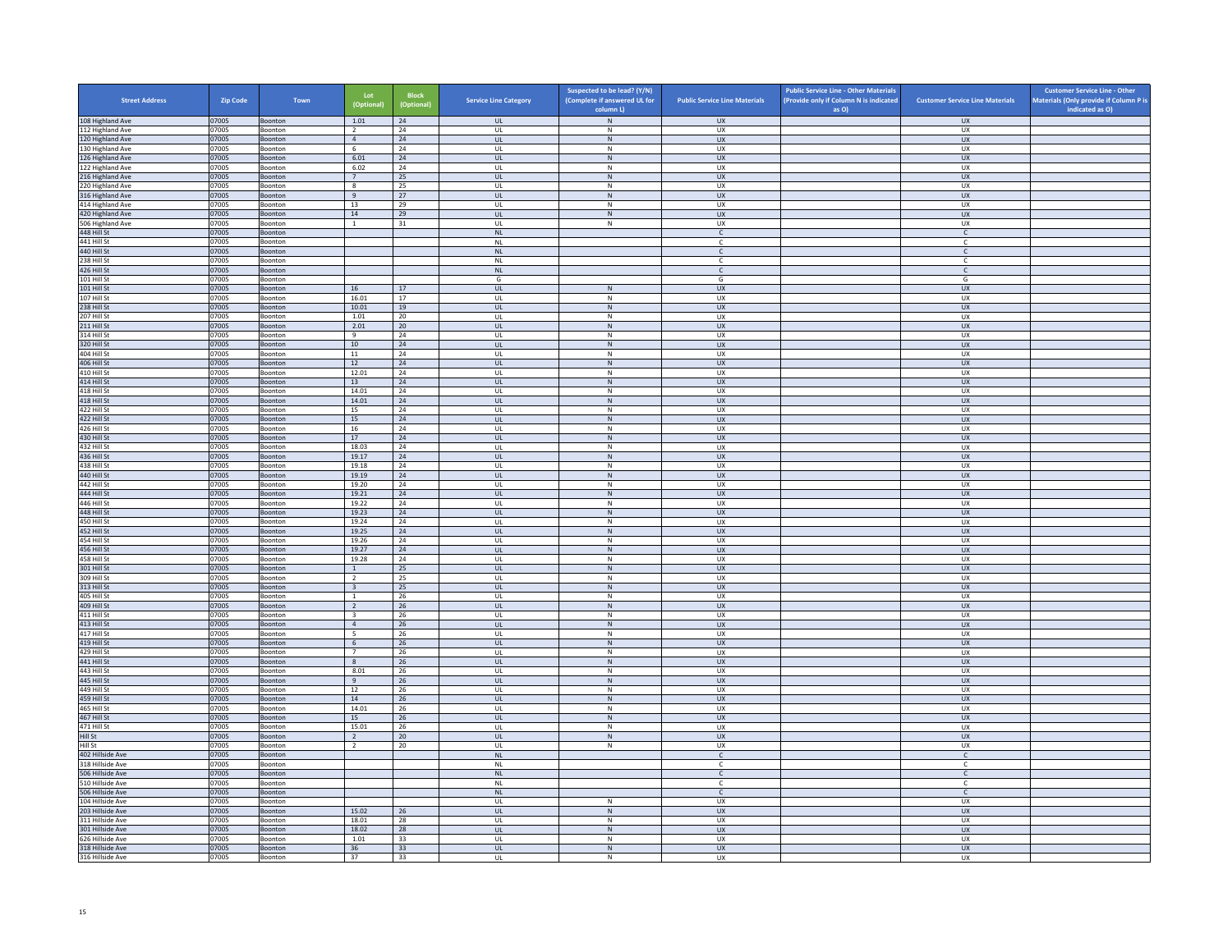| <b>Street Address</b>                | Zip Code       | Town               | Lot<br>(Optional)                         | <b>Block</b><br>(Optional) | <b>Service Line Category</b>      | Suspected to be lead? (Y/N)<br>(Complete if answered UL for<br>column L) | <b>Public Service Line Materials</b> | <b>Public Service Line - Other Materials</b><br>(Provide only if Column N is indicated<br>as O) | <b>Customer Service Line Materials</b> | <b>Customer Service Line - Other</b><br>Materials (Only provide if Column P is<br>indicated as O) |
|--------------------------------------|----------------|--------------------|-------------------------------------------|----------------------------|-----------------------------------|--------------------------------------------------------------------------|--------------------------------------|-------------------------------------------------------------------------------------------------|----------------------------------------|---------------------------------------------------------------------------------------------------|
| 108 Highland Ave                     | 07005          | Boonton            | 1.01                                      | 24                         | $\ensuremath{\mathsf{UL}}\xspace$ | $\,$ N $\,$                                                              | UX                                   |                                                                                                 | UX                                     |                                                                                                   |
| 112 Highland Ave                     | 07005          | Boonton            | $\overline{2}$                            | 24                         | UL                                | N                                                                        | UX                                   |                                                                                                 | UX.                                    |                                                                                                   |
| 120 Highland Ave                     | 07005          | Boonton            | $\overline{4}$                            | 24                         | UL                                | $\,$ N                                                                   | <b>UX</b>                            |                                                                                                 | <b>UX</b>                              |                                                                                                   |
| 130 Highland Ave<br>126 Highland Ave | 07005<br>07005 | Boonton<br>Boonton | $6\phantom{1}$<br>6.01                    | 24<br>24                   | UL<br>UL                          | N<br>$\,$ N                                                              | UX<br><b>UX</b>                      |                                                                                                 | UX<br><b>UX</b>                        |                                                                                                   |
| 122 Highland Ave                     | 07005          | Boonton            | 6.02                                      | 24                         | UL                                | ${\sf N}$                                                                | UX                                   |                                                                                                 | UX                                     |                                                                                                   |
| 216 Highland Ave                     | 07005          | Boonton            | $7^{\circ}$                               | 25                         | <b>UL</b>                         | N                                                                        | <b>UX</b>                            |                                                                                                 | <b>UX</b>                              |                                                                                                   |
| 220 Highland Ave                     | 07005<br>07005 | Boonton<br>Boonton | $\boldsymbol{8}$<br>$\overline{q}$        | 25<br>27                   | UL<br>$\mathbf{u}$                | ${\sf N}$<br>N                                                           | UX<br>UX                             |                                                                                                 | UX<br>$\overline{U}$                   |                                                                                                   |
| 316 Highland Ave<br>414 Highland Ave | 07005          | Boonton            | 13                                        | 29                         | UL                                | ${\sf N}$                                                                | UX                                   |                                                                                                 | UX                                     |                                                                                                   |
| 420 Highland Ave                     | 07005          | Boonton            | 14                                        | 29                         | <b>UL</b>                         | N                                                                        | <b>UX</b>                            |                                                                                                 | <b>UX</b>                              |                                                                                                   |
| 506 Highland Ave                     | 07005          | Boonton            | $\,$ 1 $\,$                               | 31                         | UL                                | ${\sf N}$                                                                | UX                                   |                                                                                                 | UX                                     |                                                                                                   |
| 448 Hill St<br>441 Hill St           | 07005<br>07005 | Boonton<br>Boonton |                                           |                            | <b>NL</b><br>$\mathsf{NL}$        |                                                                          | $\epsilon$<br>$\mathsf{C}$           |                                                                                                 | $\mathsf{C}$<br>$\mathsf{C}$           |                                                                                                   |
| 440 Hill St                          | 07005          | Boonton            |                                           |                            | $\mathsf{NL}\xspace$              |                                                                          | $\mathsf{C}$                         |                                                                                                 | $\mathsf{C}$                           |                                                                                                   |
| 238 Hill St                          | 07005          | <b>Boonton</b>     |                                           |                            | NI                                |                                                                          | C.                                   |                                                                                                 | C.                                     |                                                                                                   |
| 426 Hill St<br>101 Hill St           | 07005<br>07005 | Boonton<br>Boonton |                                           |                            | $\mathsf{NL}$<br>G                |                                                                          | $\mathsf{C}$<br>G                    |                                                                                                 | $\mathsf{C}$<br>G                      |                                                                                                   |
| 101 Hill St                          | 07005          | Boonton            | 16                                        | 17                         | UL                                | $\,$ N                                                                   | UX                                   |                                                                                                 | <b>UX</b>                              |                                                                                                   |
| 107 Hill St                          | 07005          | Boonton            | 16.01                                     | 17                         | UL                                | N                                                                        | UX                                   |                                                                                                 | UX                                     |                                                                                                   |
| 238 Hill St                          | 07005          | Boonton            | 10.01                                     | 19                         | UL                                | $\,$ N                                                                   | <b>UX</b>                            |                                                                                                 | <b>UX</b>                              |                                                                                                   |
| 207 Hill St<br>211 Hill St           | 07005<br>07005 | Boonton<br>Boonton | 1.01<br>2.01                              | 20<br>20                   | UL<br><b>UL</b>                   | ${\sf N}$<br>N                                                           | UX<br>UX                             |                                                                                                 | UX<br><b>UX</b>                        |                                                                                                   |
| 314 Hill St                          | 07005          | Boonton            | 9                                         | 24                         | UL                                | ${\sf N}$                                                                | UX                                   |                                                                                                 | UX                                     |                                                                                                   |
| 320 Hill St                          | 07005          | <b>Boonton</b>     | 10 <sup>1</sup>                           | 24                         | $\mathbf{u}$                      | N                                                                        | $\overline{u}$                       |                                                                                                 | UX                                     |                                                                                                   |
| 404 Hill St                          | 07005          | Boonton            | 11                                        | 24                         | UL                                | N                                                                        | UX                                   |                                                                                                 | UX                                     |                                                                                                   |
| 406 Hill St<br>410 Hill St           | 07005<br>07005 | Boonton<br>Boonton | 12<br>12.01                               | 24<br>24                   | <b>UL</b><br>$\mathsf{UL}$        | N<br>${\sf N}$                                                           | <b>UX</b><br>UX                      |                                                                                                 | <b>UX</b><br>UX                        |                                                                                                   |
| 414 Hill St                          | 07005          | Boonton            | 13                                        | 24                         | UL.                               | N                                                                        | <b>UX</b>                            |                                                                                                 | <b>UX</b>                              |                                                                                                   |
| 418 Hill St                          | 07005          | Boonton            | 14.01                                     | 24                         | UL                                | N                                                                        | <b>UX</b>                            |                                                                                                 | UX                                     |                                                                                                   |
| 418 Hill St<br>422 Hill St           | 07005<br>07005 | Boonton<br>Boonton | 14.01<br>15                               | 24<br>$^{24}$              | UL<br>$\mathbf{U}$                | $\,$ N<br>$\mathbf N$                                                    | UX<br>UX                             |                                                                                                 | UX<br>UX                               |                                                                                                   |
| 422 Hill St                          | 07005          | Boonton            | 15                                        | 24                         | UL                                | $\,$ N                                                                   | UX                                   |                                                                                                 | UX                                     |                                                                                                   |
| 426 Hill St                          | 07005          | Boonton            | 16                                        | 24                         | UL                                | N                                                                        | <b>UX</b>                            |                                                                                                 | <b>UX</b>                              |                                                                                                   |
| 430 Hill St                          | 07005          | Boonton            | 17                                        | 24                         | UL                                | $\,$ N                                                                   | UX                                   |                                                                                                 | UX                                     |                                                                                                   |
| 432 Hill St<br>436 Hill St           | 07005<br>07005 | Boonton<br>Boonton | 18.03<br>19.17                            | 24<br>24                   | UL<br>UL                          | N<br>$\,$ N                                                              | <b>UX</b><br><b>UX</b>               |                                                                                                 | <b>UX</b><br><b>UX</b>                 |                                                                                                   |
| 438 Hill St                          | 07005          | Boonton            | 19.18                                     | 24                         | UL                                | ${\sf N}$                                                                | UX                                   |                                                                                                 | UX                                     |                                                                                                   |
| 440 Hill St                          | 07005          | <b>Boonton</b>     | 19.19                                     | 24                         | UL <sub>1</sub>                   | N                                                                        | <b>UX</b>                            |                                                                                                 | <b>UX</b>                              |                                                                                                   |
| 442 Hill St<br>444 Hill St           | 07005<br>07005 | Boonton<br>Boonton | 19.20<br>19.21                            | 24<br>24                   | UL<br>$\mathbf{u}$                | ${\sf N}$<br>N                                                           | UX<br>$\overline{11}$                |                                                                                                 | UX<br><b>UX</b>                        |                                                                                                   |
| 446 Hill St                          | 07005          | Boonton            | 19.22                                     | 24                         | UL                                | $\mathsf{N}$                                                             | UX                                   |                                                                                                 | UX                                     |                                                                                                   |
| 448 Hill St                          | 07005          | Boonton            | 19.23                                     | 24                         | UL.                               | N                                                                        | <b>UX</b>                            |                                                                                                 | <b>UX</b>                              |                                                                                                   |
| 450 Hill St                          | 07005          | Boonton            | 19.24                                     | 24                         | UL                                | ${\sf N}$                                                                | UX                                   |                                                                                                 | UX                                     |                                                                                                   |
| 452 Hill St<br>454 Hill St           | 07005<br>07005 | Boonton<br>Boonton | 19.25<br>19.26                            | 24<br>24                   | UL<br>UL                          | N<br>${\sf N}$                                                           | <b>UX</b><br>UX                      |                                                                                                 | <b>UX</b><br>UX                        |                                                                                                   |
| 456 Hill St                          | 07005          | Boonton            | 19.27                                     | 24                         | $\ensuremath{\mathsf{UL}}\xspace$ | ${\sf N}$                                                                | ${\sf U}{\sf X}$                     |                                                                                                 | <b>UX</b>                              |                                                                                                   |
| 458 Hill St                          | 07005          | <b>Boonton</b>     | 19.28                                     | 24                         | $\mathbf{U}$                      | N                                                                        | <b>UX</b>                            |                                                                                                 | UX                                     |                                                                                                   |
| 301 Hill St<br>309 Hill St           | 07005<br>07005 | Boonton<br>Boonton | $\mathbf{1}$<br>$\overline{2}$            | 25<br>25                   | UL<br>UL                          | ${\sf N}$<br>N                                                           | UX<br><b>UX</b>                      |                                                                                                 | UX<br>UX                               |                                                                                                   |
| 313 Hill St                          | 07005          | Boonton            | $\overline{\mathbf{3}}$                   | 25                         | $_{\sf UL}$                       | ${\sf N}$                                                                | UX                                   |                                                                                                 | UX                                     |                                                                                                   |
| 405 Hill St                          | 07005          | Boonton            | 1                                         | 26                         | UL                                | N                                                                        | UX                                   |                                                                                                 | UX                                     |                                                                                                   |
| 409 Hill St                          | 07005          | Boonton            | 2                                         | 26                         | <b>UL</b>                         | N                                                                        | <b>UX</b>                            |                                                                                                 | <b>UX</b>                              |                                                                                                   |
| 411 Hill St<br>413 Hill St           | 07005<br>07005 | Boonton<br>Boonton | $\overline{\mathbf{3}}$<br>$\overline{4}$ | 26<br>26                   | UL<br>UL                          | N<br>$\mathsf{N}$                                                        | UX<br><b>UX</b>                      |                                                                                                 | UX<br><b>UX</b>                        |                                                                                                   |
| 417 Hill St                          | 07005          | Boonton            | $\overline{\phantom{a}}$                  | 26                         | UL                                | ${\sf N}$                                                                | UX                                   |                                                                                                 | UX                                     |                                                                                                   |
| 419 Hill St                          | 07005          | Boonton            | 6                                         | 26                         | $\mathbf{u}$                      | N                                                                        | UX                                   |                                                                                                 | UX                                     |                                                                                                   |
| 429 Hill St<br>441 Hill St           | 07005<br>07005 | Boonton<br>Boonton | $\overline{7}$<br>8                       | 26<br>26                   | UL<br><b>UL</b>                   | N<br>N                                                                   | UX<br><b>UX</b>                      |                                                                                                 | UX<br><b>UX</b>                        |                                                                                                   |
| 443 Hill St                          | 07005          | Boonton            | 8.01                                      | 26                         | UL                                | $\mathsf{N}$                                                             | UX                                   |                                                                                                 | UX                                     |                                                                                                   |
| 445 Hill St                          | 07005          | Boonton            | 9                                         | 26                         | <b>UL</b>                         | N                                                                        | <b>UX</b>                            |                                                                                                 | <b>UX</b>                              |                                                                                                   |
| 449 Hill St<br>459 Hill St           | 07005<br>07005 | Boonton<br>Boonton | 12<br>$14\,$                              | 26<br>$26\,$               | UL<br>$_{\sf UL}$                 | N<br>${\sf N}$                                                           | <b>UX</b><br>UX                      |                                                                                                 | <b>UX</b><br><b>UX</b>                 |                                                                                                   |
| 465 Hill St                          | 07005          | <b>Boonton</b>     | 14.01                                     | 26                         | $\mathbf{U}$                      | N                                                                        | UX                                   |                                                                                                 | UX                                     |                                                                                                   |
| 467 Hill St                          | 07005          | Boonton            | 15                                        | 26                         | $_{\sf UL}$                       | ${\sf N}$                                                                | UX                                   |                                                                                                 | <b>UX</b>                              |                                                                                                   |
| 471 Hill St                          | 07005          | Boonton            | 15.01                                     | 26                         | UL                                | N                                                                        | UX                                   |                                                                                                 | <b>UX</b>                              |                                                                                                   |
| Hill St<br>Hill St                   | 07005<br>07005 | Boonton<br>Boonton | $\overline{2}$<br>$\overline{2}$          | 20<br>20                   | $_{\sf UL}$<br>UL                 | ${\sf N}$<br>${\sf N}$                                                   | UX<br>UX                             |                                                                                                 | <b>UX</b><br><b>UX</b>                 |                                                                                                   |
| 402 Hillside Ave                     | 07005          | <b>Boonton</b>     |                                           |                            | <b>NL</b>                         |                                                                          | $\mathsf{C}$                         |                                                                                                 | $\mathsf{C}$                           |                                                                                                   |
| 318 Hillside Ave                     | 07005          | Boonton            |                                           |                            | $\sf NL$                          |                                                                          | $\mathsf{C}$                         |                                                                                                 | c                                      |                                                                                                   |
| 506 Hillside Ave                     | 07005          | Boonton            |                                           |                            | NI                                |                                                                          | $\epsilon$<br>$\mathsf{C}$           |                                                                                                 | $\mathsf{C}$<br>c                      |                                                                                                   |
| 510 Hillside Ave<br>506 Hillside Ave | 07005<br>07005 | Boonton<br>Boonton |                                           |                            | $\mathsf{NL}$<br>NI               |                                                                          | $\mathsf{C}$                         |                                                                                                 | $\mathsf{C}$                           |                                                                                                   |
| 104 Hillside Ave                     | 07005          | Boonton            |                                           |                            | UL                                | $\mathsf{N}$                                                             | UX                                   |                                                                                                 | UX                                     |                                                                                                   |
| 203 Hillside Ave                     | 07005          | Boonton            | 15.02                                     | 26                         | <b>UL</b>                         | N                                                                        | <b>UX</b>                            |                                                                                                 | <b>UX</b>                              |                                                                                                   |
| 311 Hillside Ave<br>301 Hillside Ave | 07005<br>07005 | Boonton<br>Boonton | 18.01<br>18.02                            | 28<br>28                   | UL<br>UL                          | ${\sf N}$<br>$\,$ N                                                      | UX<br><b>UX</b>                      |                                                                                                 | UX<br><b>UX</b>                        |                                                                                                   |
| 626 Hillside Ave                     | 07005          | Boonton            | 1.01                                      | 33                         | UL                                | $\overline{N}$                                                           | <b>UX</b>                            |                                                                                                 | <b>UX</b>                              |                                                                                                   |
| 318 Hillside Ave                     | 07005          | Boonton            | 36                                        | 33                         | $_{\sf UL}$                       | ${\sf N}$                                                                | UX                                   |                                                                                                 | UX                                     |                                                                                                   |
| 316 Hillside Ave                     | 07005          | Boonton            | 37                                        | 33                         | UL                                | N                                                                        | <b>UX</b>                            |                                                                                                 | <b>UX</b>                              |                                                                                                   |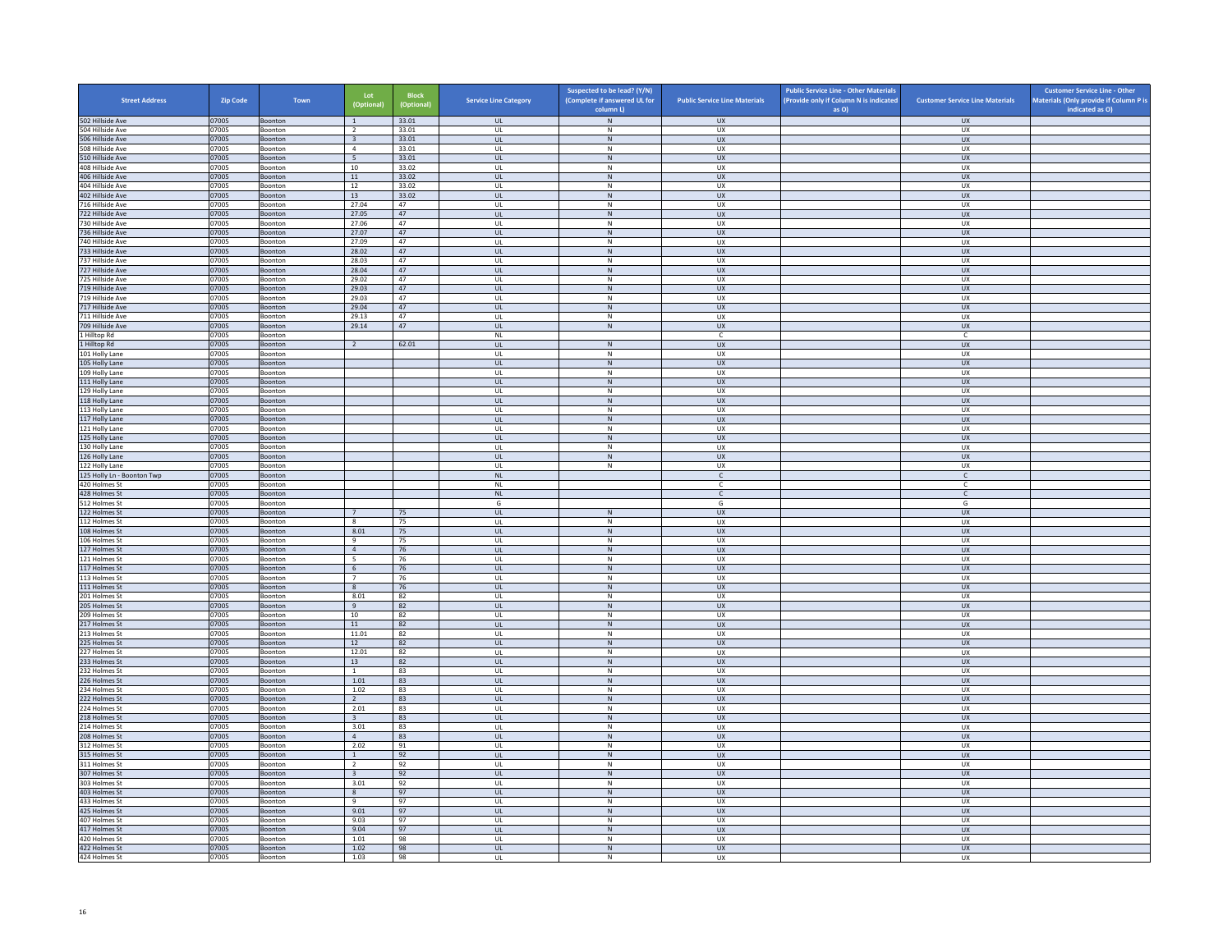| <b>Street Address</b>                | <b>Zip Code</b> | Town               | Lot<br>(Optional)                | <b>Block</b><br>(Optional) | <b>Service Line Category</b>      | Suspected to be lead? (Y/N)<br>(Complete if answered UL for | <b>Public Service Line Materials</b> | <b>Public Service Line - Other Materials</b><br>(Provide only if Column N is indicated | <b>Customer Service Line Materials</b> | <b>Customer Service Line - Other</b><br>Materials (Only provide if Column P is |
|--------------------------------------|-----------------|--------------------|----------------------------------|----------------------------|-----------------------------------|-------------------------------------------------------------|--------------------------------------|----------------------------------------------------------------------------------------|----------------------------------------|--------------------------------------------------------------------------------|
|                                      |                 |                    |                                  |                            |                                   | column L)                                                   |                                      | as O)                                                                                  |                                        | indicated as O)                                                                |
| 502 Hillside Ave<br>504 Hillside Ave | 07005<br>07005  | Boonton<br>Boonton | $\overline{1}$<br>$\overline{2}$ | 33.01<br>33.01             | <b>UL</b><br><b>UL</b>            | ${\sf N}$<br>N                                              | <b>UX</b><br>UX                      |                                                                                        | <b>UX</b><br><b>UX</b>                 |                                                                                |
| 506 Hillside Ave                     | 07005           | Boonton            | $\overline{\mathbf{3}}$          | 33.01                      | <b>UL</b>                         | ${\sf N}$                                                   | ${\sf U}{\sf X}$                     |                                                                                        | UX                                     |                                                                                |
| 508 Hillside Ave                     | 07005           | Boonton            | $\overline{4}$                   | 33.01                      | UL                                | ${\sf N}$                                                   | UX                                   |                                                                                        | <b>UX</b>                              |                                                                                |
| 510 Hillside Ave                     | 07005           | Boonton            | $5\overline{5}$                  | 33.01                      | <b>UL</b>                         | N                                                           | <b>UX</b>                            |                                                                                        | <b>UX</b>                              |                                                                                |
| 408 Hillside Ave<br>406 Hillside Ave | 07005<br>07005  | Boonton<br>Boonton | 10<br>11                         | 33.02<br>33.02             | UL<br>$\mathbf{U}$                | ${\sf N}$<br>N                                              | UX<br>UX                             |                                                                                        | UX<br>$\overline{U}$                   |                                                                                |
| 404 Hillside Ave                     | 07005           | Boonton            | 12                               | 33.02                      | UL                                | ${\sf N}$                                                   | UX                                   |                                                                                        | UX                                     |                                                                                |
| 402 Hillside Ave                     | 07005           | Boonton            | 13                               | 33.02                      | <b>UL</b>                         | N                                                           | UX                                   |                                                                                        | <b>UX</b>                              |                                                                                |
| 716 Hillside Ave                     | 07005           | Boonton            | 27.04                            | 47                         | UL                                | ${\sf N}$                                                   | UX                                   |                                                                                        | UX                                     |                                                                                |
| 722 Hillside Ave<br>730 Hillside Ave | 07005<br>07005  | Boonton<br>Boonton | 27.05<br>27.06                   | 47<br>47                   | UL<br>UL                          | $\,$ N<br>N                                                 | UX<br><b>UX</b>                      |                                                                                        | <b>UX</b><br><b>UX</b>                 |                                                                                |
| 736 Hillside Ave                     | 07005           | Boonton            | 27.07                            | 47                         | UL                                | ${\sf N}$                                                   | UX                                   |                                                                                        | UX                                     |                                                                                |
| 740 Hillside Ave                     | 07005           | <b>Boonton</b>     | 27.09                            | 47                         | $\mathbf{U}$                      | $\mathsf{N}$                                                | UX                                   |                                                                                        | UX                                     |                                                                                |
| 733 Hillside Ave                     | 07005           | Boonton            | 28.02                            | 47                         | UL                                | N                                                           | UX                                   |                                                                                        | UX                                     |                                                                                |
| 737 Hillside Ave<br>727 Hillside Ave | 07005<br>07005  | Boonton<br>Boonton | 28.03<br>28.04                   | 47<br>47                   | <b>UL</b><br>UL                   | N<br>N                                                      | UX<br>UX                             |                                                                                        | UX<br>UX                               |                                                                                |
| 725 Hillside Ave                     | 07005           | Boonton            | 29.02                            | 47                         | UL                                | ${\sf N}$                                                   | UX                                   |                                                                                        | UX                                     |                                                                                |
| 719 Hillside Ave                     | 07005           | Boonton            | 29.03                            | 47                         | <b>UL</b>                         | N                                                           | <b>UX</b>                            |                                                                                        | <b>UX</b>                              |                                                                                |
| 719 Hillside Ave                     | 07005           | Boonton            | 29.03                            | 47                         | UL                                | ${\sf N}$                                                   | UX                                   |                                                                                        | <b>UX</b>                              |                                                                                |
| 717 Hillside Ave<br>711 Hillside Ave | 07005<br>07005  | Boonton<br>Boonton | 29.04<br>29.13                   | 47<br>47                   | $\mathbf{U}$<br>UL                | N<br>${\sf N}$                                              | $\overline{11}$<br>UX                |                                                                                        | UX<br>UX                               |                                                                                |
| 709 Hillside Ave                     | 07005           | Boonton            | 29.14                            | 47                         | UL                                | N                                                           | <b>UX</b>                            |                                                                                        | UX                                     |                                                                                |
| 1 Hilltop Rd                         | 07005           | Boonton            |                                  |                            | NL                                |                                                             | $\mathsf{C}$                         |                                                                                        | $\mathsf{C}$                           |                                                                                |
| 1 Hilltop Rd                         | 07005           | Boonton            | $\overline{2}$                   | 62.01                      | UL                                | $\,N\,$                                                     | <b>UX</b>                            |                                                                                        | <b>UX</b>                              |                                                                                |
| 101 Holly Lane                       | 07005           | Boonton            |                                  |                            | UL                                | N                                                           | <b>UX</b>                            |                                                                                        | <b>UX</b>                              |                                                                                |
| 105 Holly Lane<br>109 Holly Lane     | 07005<br>07005  | Boonton<br>Boonton |                                  |                            | $_{\sf UL}$<br>$\mathbf{U}$       | ${\sf N}$<br>N                                              | ${\sf U}{\sf X}$<br>UX               |                                                                                        | ${\sf U}{\sf X}$<br>UX                 |                                                                                |
| 111 Holly Lane                       | 07005           | Boonton            |                                  |                            | UL                                | ${\sf N}$                                                   | UX                                   |                                                                                        | <b>UX</b>                              |                                                                                |
| 129 Holly Lane                       | 07005           | Boonton            |                                  |                            | <b>UL</b>                         | N                                                           | UX                                   |                                                                                        | UX                                     |                                                                                |
| 118 Holly Lane                       | 07005           | Boonton            |                                  |                            | UL                                | N                                                           | <b>UX</b>                            |                                                                                        | UX                                     |                                                                                |
| 113 Holly Lane<br>117 Holly Lane     | 07005<br>07005  | Boonton<br>Boonton |                                  |                            | UL<br><b>UL</b>                   | ${\sf N}$<br>N                                              | UX<br><b>UX</b>                      |                                                                                        | UX<br><b>UX</b>                        |                                                                                |
| 121 Holly Lane                       | 07005           | Boonton            |                                  |                            | $_{\sf UL}$                       | $\mathsf{N}$                                                | UX                                   |                                                                                        | UX                                     |                                                                                |
| 125 Holly Lane                       | 07005           | Boonton            |                                  |                            | $\mathbf{U}$                      | N                                                           | $\overline{11}$                      |                                                                                        | UX                                     |                                                                                |
| 130 Holly Lane                       | 07005           | Boonton            |                                  |                            | UL                                | ${\sf N}$                                                   | UX                                   |                                                                                        | UX                                     |                                                                                |
| 126 Holly Lane<br>122 Holly Lane     | 07005<br>07005  | Boonton<br>Boonton |                                  |                            | <b>UL</b><br>UL                   | N<br>$\mathsf N$                                            | <b>UX</b><br>UX                      |                                                                                        | <b>UX</b><br>UX                        |                                                                                |
| 125 Holly Ln - Boonton Twp           | 07005           | Boonton            |                                  |                            | NL                                |                                                             | $\mathsf{C}$                         |                                                                                        | $\mathsf{C}$                           |                                                                                |
| 420 Holmes St                        | 07005           | Boonton            |                                  |                            | <b>NL</b>                         |                                                             | C.                                   |                                                                                        | C                                      |                                                                                |
| 428 Holmes St                        | 07005           | Boonton            |                                  |                            | NL                                |                                                             | $\mathsf{C}$                         |                                                                                        | $\mathsf{C}$                           |                                                                                |
| 512 Holmes St                        | 07005           | Boonton            |                                  |                            | G                                 |                                                             | G                                    |                                                                                        | G                                      |                                                                                |
| 122 Holmes St<br>112 Holmes St       | 07005<br>07005  | Boonton<br>Boonton | $7\overline{ }$<br>8             | 75<br>75                   | <b>UL</b><br>UL                   | ${\sf N}$<br>${\sf N}$                                      | <b>UX</b><br>UX                      |                                                                                        | <b>UX</b><br>UX                        |                                                                                |
| 108 Holmes St                        | 07005           | Boonton            | 8.01                             | 75                         | <b>UL</b>                         | N                                                           | <b>UX</b>                            |                                                                                        | UX                                     |                                                                                |
| 106 Holmes St                        | 07005           | Boonton            | $_{9}$                           | 75                         | UL                                | ${\sf N}$                                                   | UX                                   |                                                                                        | UX                                     |                                                                                |
| 127 Holmes St                        | 07005           | Boonton            | $\overline{4}$                   | 76                         | $\mathbf{u}$                      | N                                                           | UX                                   |                                                                                        | $\overline{U}$                         |                                                                                |
| 121 Holmes St<br>117 Holmes St       | 07005<br>07005  | Boonton<br>Boonton | 5<br>6                           | 76<br>76                   | UL<br><b>UL</b>                   | $\mathsf{N}$<br>N                                           | UX<br><b>UX</b>                      |                                                                                        | UX<br><b>UX</b>                        |                                                                                |
| 113 Holmes St                        | 07005           | Boonton            | $7\overline{ }$                  | 76                         | UL                                | ${\sf N}$                                                   | UX                                   |                                                                                        | UX                                     |                                                                                |
| 111 Holmes St                        | 07005           | Boonton            | 8                                | 76                         | UL                                | ${\sf N}$                                                   | <b>UX</b>                            |                                                                                        | UX                                     |                                                                                |
| 201 Holmes St                        | 07005           | Boonton            | 8.01                             | 82                         | UL                                | ${\sf N}$                                                   | UX                                   |                                                                                        | UX                                     |                                                                                |
| 205 Holmes St<br>209 Holmes St       | 07005<br>07005  | Boonton<br>Boonton | 9<br>10                          | 82<br>82                   | UL<br>$\mathbf{U}$                | ${\sf N}$<br>N                                              | <b>UX</b><br>UX                      |                                                                                        | <b>UX</b><br>UX                        |                                                                                |
| 217 Holmes St                        | 07005           | Boonton            | $11\,$                           | 82                         | UL                                | N                                                           | UX                                   |                                                                                        | UX                                     |                                                                                |
| 213 Holmes St                        | 07005           | Boonton            | 11.01                            | 82                         | <b>UL</b>                         | N                                                           | <b>UX</b>                            |                                                                                        | <b>UX</b>                              |                                                                                |
| 225 Holmes St                        | 07005           | Boonton            | 12                               | 82                         | $\mathsf{UL}$                     | ${\sf N}$                                                   | UX                                   |                                                                                        | UX                                     |                                                                                |
| 227 Holmes St<br>233 Holmes St       | 07005<br>07005  | Boonton<br>Boonton | 12.01                            | 82<br>82                   | UL<br><b>UL</b>                   | $\,$ N<br>N                                                 | UX<br><b>UX</b>                      |                                                                                        | UX<br>UX                               |                                                                                |
| 232 Holmes St                        | 07005           | Boonton            | 13<br>$\mathbf{1}$               | 83                         | UL                                | ${\sf N}$                                                   | UX                                   |                                                                                        | UX                                     |                                                                                |
| 226 Holmes St                        | 07005           | Boonton            | 1.01                             | 83                         | $\mathbf{u}$                      | N                                                           | UX                                   |                                                                                        | <b>UX</b>                              |                                                                                |
| 234 Holmes St                        | 07005           | Boonton            | 1.02                             | 83                         | UL                                | ${\sf N}$                                                   | UX                                   |                                                                                        | UX                                     |                                                                                |
| 222 Holmes St                        | 07005           | Boonton            | 2                                | 83                         | <b>UL</b>                         | N                                                           | <b>UX</b>                            |                                                                                        | <b>UX</b>                              |                                                                                |
| 224 Holmes St<br>218 Holmes St       | 07005<br>07005  | Boonton<br>Boonton | 2.01<br>$\overline{\mathbf{3}}$  | 83<br>83                   | UL<br>UL                          | ${\sf N}$<br>${\sf N}$                                      | UX<br>UX                             |                                                                                        | UX<br>UX                               |                                                                                |
| 214 Holmes St                        | 07005           | Boonton            | 3.01                             | 83                         | UL                                | ${\sf N}$                                                   | UX                                   |                                                                                        | UX                                     |                                                                                |
| 208 Holmes St                        | 07005           | Boonton            | $\overline{4}$                   | 83                         | $\ensuremath{\mathsf{UL}}\xspace$ | ${\sf N}$                                                   | UX                                   |                                                                                        | ${\sf U}{\sf X}$                       |                                                                                |
| 312 Holmes St                        | 07005           | Boonton            | 2.02                             | 91                         | $\mathbf{U}$                      | N                                                           | <b>UX</b>                            |                                                                                        | UX                                     |                                                                                |
| 315 Holmes St<br>311 Holmes St       | 07005           | Boonton<br>Boonton | <sup>1</sup><br>$\overline{2}$   | 92<br>92                   | UL<br><b>UL</b>                   | ${\sf N}$<br>N                                              | UX<br>UX                             |                                                                                        | UX<br>UX                               |                                                                                |
| 307 Holmes St                        | 07005<br>07005  | Boonton            | $\overline{\mathbf{3}}$          | 92                         | $\mathsf{UL}$                     | ${\sf N}$                                                   | UX                                   |                                                                                        | UX                                     |                                                                                |
| 303 Holmes St                        | 07005           | Boonton            | 3.01                             | 92                         | UL                                | N                                                           | UX                                   |                                                                                        | UX                                     |                                                                                |
| 403 Holmes St                        | 07005           | Boonton            | 8                                | 97                         | <b>UL</b>                         | N                                                           | <b>UX</b>                            |                                                                                        | UX                                     |                                                                                |
| 433 Holmes St                        | 07005           | Boonton            | 9                                | 97                         | UL                                | ${\sf N}$                                                   | UX                                   |                                                                                        | UX                                     |                                                                                |
| 425 Holmes St<br>407 Holmes St       | 07005<br>07005  | Boonton<br>Boonton | 9.01<br>9.03                     | 97<br>97                   | $\mathbf{u}$<br>UL                | N<br>${\sf N}$                                              | $\overline{11}$<br>UX                |                                                                                        | <b>UX</b><br>UX                        |                                                                                |
| 417 Holmes St                        | 07005           | Boonton            | 9.04                             | 97                         | <b>UL</b>                         | N                                                           | <b>UX</b>                            |                                                                                        | <b>UX</b>                              |                                                                                |
| 420 Holmes St                        | 07005           | Boonton            | 1.01                             | 98                         | UL                                | $\mathsf{N}$                                                | UX                                   |                                                                                        | UX                                     |                                                                                |
| 422 Holmes St                        | 07005           | Boonton            | 1.02                             | 98                         | UL                                | N                                                           | UX                                   |                                                                                        | UX                                     |                                                                                |
| 424 Holmes St                        | 07005           | Boonton            | 1.03                             | 98                         | UL                                | N                                                           | <b>UX</b>                            |                                                                                        | <b>UX</b>                              |                                                                                |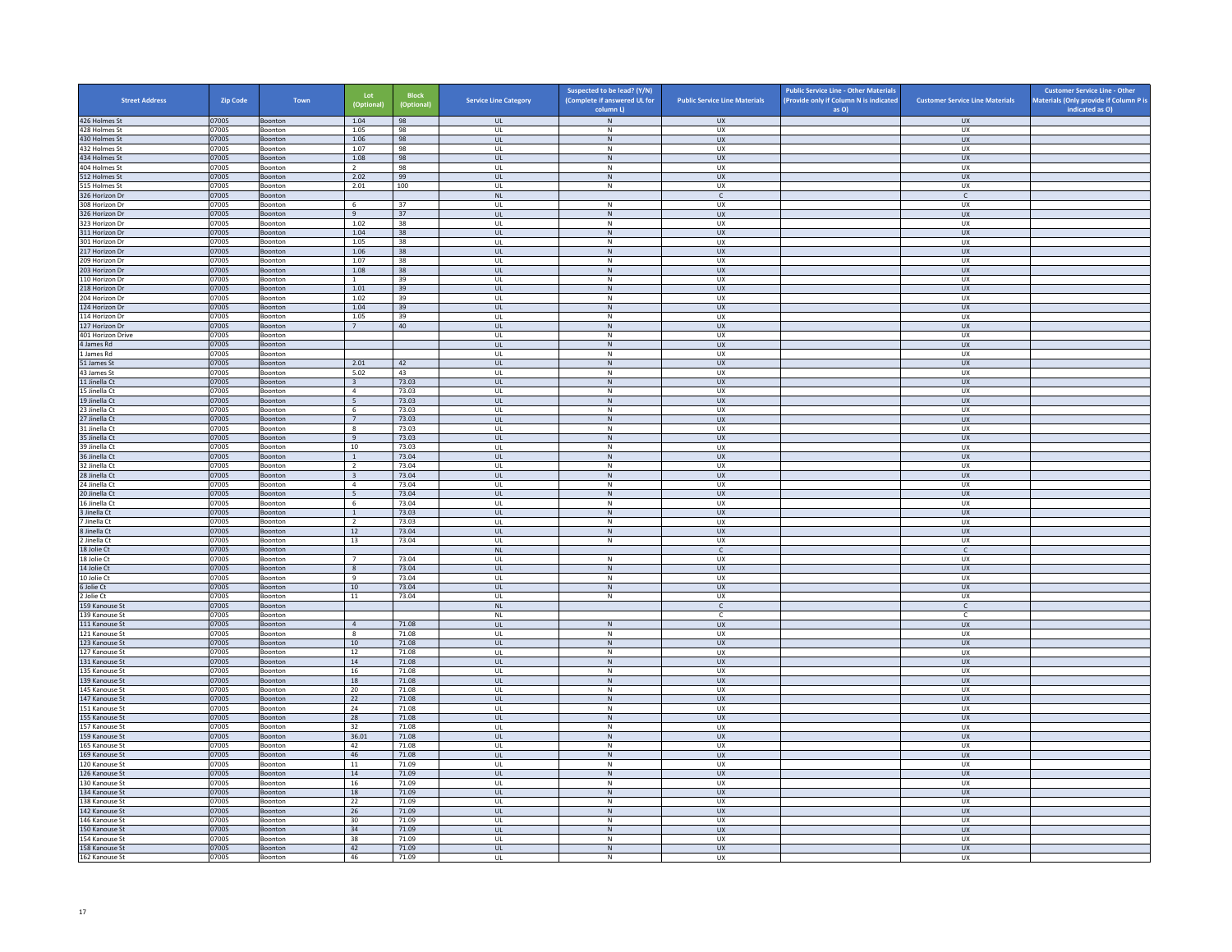| <b>Street Address</b>            | Zip Code       | Town                      | Lot<br>(Optional)       | <b>Block</b><br>(Optional) | <b>Service Line Category</b> | Suspected to be lead? (Y/N)<br>(Complete if answered UL for<br>column L) | <b>Public Service Line Materials</b> | <b>Public Service Line - Other Materials</b><br>(Provide only if Column N is indicated<br>as O) | <b>Customer Service Line Materials</b> | <b>Customer Service Line - Other</b><br>Materials (Only provide if Column P is<br>indicated as O) |
|----------------------------------|----------------|---------------------------|-------------------------|----------------------------|------------------------------|--------------------------------------------------------------------------|--------------------------------------|-------------------------------------------------------------------------------------------------|----------------------------------------|---------------------------------------------------------------------------------------------------|
| 426 Holmes St                    | 07005          | Boonton                   | 1.04                    | 98                         | <b>UL</b>                    | ${\sf N}$                                                                | <b>UX</b>                            |                                                                                                 | <b>UX</b>                              |                                                                                                   |
| 428 Holmes St                    | 07005          | Boonton                   | 1.05                    | 98                         | UL                           | N                                                                        | UX                                   |                                                                                                 | <b>UX</b>                              |                                                                                                   |
| 430 Holmes St                    | 07005          | Boonton                   | 1.06                    | 98                         | $_{\sf UL}$                  | ${\sf N}$                                                                | UX                                   |                                                                                                 | UX                                     |                                                                                                   |
| 432 Holmes St<br>434 Holmes St   | 07005<br>07005 | Boonton<br><b>Boonton</b> | 1.07<br>1.08            | 98<br>98                   | UL<br><b>UL</b>              | N<br>${\sf N}$                                                           | <b>UX</b><br><b>UX</b>               |                                                                                                 | <b>UX</b><br><b>UX</b>                 |                                                                                                   |
| 404 Holmes St                    | 07005          | Boonton                   | $\overline{2}$          | 98                         | UL                           | $\,$ N                                                                   | UX                                   |                                                                                                 | UX                                     |                                                                                                   |
| 512 Holmes St                    | 07005          | <b>Boonton</b>            | 2.02                    | 99                         | $\mathbf{u}$                 | N                                                                        | UX                                   |                                                                                                 | UX                                     |                                                                                                   |
| 15 Holmes St                     | 07005          | Boonton                   | 2.01                    | 100                        | UL                           | ${\sf N}$                                                                | UX                                   |                                                                                                 | UX                                     |                                                                                                   |
| 326 Horizon Dr<br>308 Horizon Dr | 07005<br>07005 | Boonton<br>Boonton        | 6                       | 37                         | <b>NL</b><br>$\mathsf{UL}$   | ${\sf N}$                                                                | $\mathsf{C}$<br>UX                   |                                                                                                 | $\mathsf{C}$<br>UX                     |                                                                                                   |
| 326 Horizon Dr                   | 07005          | Boonton                   | 9                       | 37                         | <b>UL</b>                    | N                                                                        | <b>UX</b>                            |                                                                                                 | <b>UX</b>                              |                                                                                                   |
| 323 Horizon Dr                   | 07005          | Boonton                   | 1.02                    | 38                         | UL                           | N                                                                        | <b>UX</b>                            |                                                                                                 | UX                                     |                                                                                                   |
| 311 Horizon Dr                   | 07005          | Boonton                   | 1.04                    | $38\,$                     | $_{\sf UL}$                  | ${\sf N}$                                                                | UX                                   |                                                                                                 | UX                                     |                                                                                                   |
| 301 Horizon Dr                   | 07005          | <b>Boonton</b>            | 1.05                    | 38                         | $\mathbf{U}$                 | N<br>N                                                                   | UX                                   |                                                                                                 | UX                                     |                                                                                                   |
| 217 Horizon Dr<br>209 Horizon Dr | 07005<br>07005 | Boonton<br>Boonton        | 1.06<br>1.07            | 38<br>38                   | UL<br>UL                     | N                                                                        | UX<br>UX                             |                                                                                                 | UX<br><b>UX</b>                        |                                                                                                   |
| 203 Horizon Dr                   | 07005          | Boonton                   | 1.08                    | 38                         | $_{\sf UL}$                  | ${\sf N}$                                                                | UX                                   |                                                                                                 | UX                                     |                                                                                                   |
| 110 Horizon Dr                   | 07005          | Boonton                   | $\overline{1}$          | 39                         | UL                           | $\mathsf{N}$                                                             | UX                                   |                                                                                                 | UX                                     |                                                                                                   |
| 218 Horizon Dr                   | 07005          | <b>Boonton</b>            | 1.01                    | 39                         | <b>UL</b>                    | N                                                                        | <b>UX</b>                            |                                                                                                 | <b>UX</b>                              |                                                                                                   |
| 204 Horizon Dr<br>124 Horizon Dr | 07005<br>07005 | Boonton<br>Boonton        | 1.02<br>1.04            | 39<br>39                   | UL<br>$\mathbf{u}$           | ${\sf N}$<br>N                                                           | UX<br>$\overline{u}$                 |                                                                                                 | UX<br>UX                               |                                                                                                   |
| 114 Horizon Dr                   | 07005          | Boonton                   | 1.05                    | 39                         | UL                           | N                                                                        | UX                                   |                                                                                                 | UX                                     |                                                                                                   |
| 127 Horizon Dr                   | 07005          | Boonton                   | 7                       | 40                         | <b>UL</b>                    | N                                                                        | <b>UX</b>                            |                                                                                                 | <b>UX</b>                              |                                                                                                   |
| 401 Horizon Drive                | 07005          | Boonton                   |                         |                            | UL                           | ${\sf N}$                                                                | UX                                   |                                                                                                 | UX                                     |                                                                                                   |
| 4 James Rd<br>James Rd           | 07005<br>07005 | Boonton                   |                         |                            | <b>UL</b><br>UL              | N<br>N                                                                   | <b>UX</b><br><b>UX</b>               |                                                                                                 | <b>UX</b><br><b>UX</b>                 |                                                                                                   |
| 51 James St                      | 07005          | Boonton<br>Boonton        | 2.01                    | 42                         | $_{\sf UL}$                  | ${\sf N}$                                                                | ${\sf U}{\sf X}$                     |                                                                                                 | ${\sf U}{\sf X}$                       |                                                                                                   |
| 43 James St                      | 07005          | Boonton                   | 5.02                    | 43                         | $\mathbf{U}$                 | N                                                                        | <b>UX</b>                            |                                                                                                 | <b>UX</b>                              |                                                                                                   |
| 11 Jinella Ct                    | 07005          | Boonton                   | $\overline{\mathbf{3}}$ | 73.03                      | <b>UL</b>                    | $\,$ N                                                                   | <b>UX</b>                            |                                                                                                 | <b>UX</b>                              |                                                                                                   |
| 15 Jinella Ct<br>19 Jinella Ct   | 07005<br>07005 | Boonton<br>Boonton        | $\overline{4}$<br>5     | 73.03<br>73.03             | UL<br>UL                     | N<br>${\sf N}$                                                           | UX<br><b>UX</b>                      |                                                                                                 | UX<br><b>UX</b>                        |                                                                                                   |
| 23 Jinella Ct                    | 07005          | Boonton                   | 6                       | 73.03                      | UL                           | N                                                                        | UX                                   |                                                                                                 | UX                                     |                                                                                                   |
| 27 Jinella Ct                    | 07005          | Boonton                   | 7                       | 73.03                      | <b>UL</b>                    | N                                                                        | <b>UX</b>                            |                                                                                                 | <b>UX</b>                              |                                                                                                   |
| 31 Jinella Ct                    | 07005          | Boonton                   | $\boldsymbol{8}$        | 73.03                      | UL                           | ${\sf N}$                                                                | UX                                   |                                                                                                 | UX                                     |                                                                                                   |
| 35 Jinella Ct                    | 07005          | Boonton                   | 9                       | 73.03                      | $\mathbf{u}$                 | N                                                                        | <b>UX</b>                            |                                                                                                 | <b>UX</b>                              |                                                                                                   |
| 39 Jinella Ct<br>36 Jinella Ct   | 07005<br>07005 | Boonton<br>Boonton        | 10<br>$\,$ 1 $\,$       | 73.03<br>73.04             | UL<br>UL                     | N<br>N                                                                   | UX<br><b>UX</b>                      |                                                                                                 | UX<br><b>UX</b>                        |                                                                                                   |
| 32 Jinella Ct                    | 07005          | Boonton                   | $\overline{2}$          | 73.04                      | UL                           | ${\sf N}$                                                                | UX                                   |                                                                                                 | UX                                     |                                                                                                   |
| 28 Jinella Ct                    | 07005          | Boonton                   | $\overline{\mathbf{3}}$ | 73.04                      | UL                           | $\,$ N                                                                   | <b>UX</b>                            |                                                                                                 | <b>UX</b>                              |                                                                                                   |
| 24 Jinella Ct                    | 07005          | Boonton                   | $\overline{4}$          | 73.04                      | UL                           | N                                                                        | <b>UX</b>                            |                                                                                                 | <b>UX</b>                              |                                                                                                   |
| 20 Jinella Ct<br>16 Jinella Ct   | 07005<br>07005 | Boonton<br>Boonton        | 5<br>6                  | 73.04<br>73.04             | $_{\sf UL}$<br>UL            | ${\sf N}$<br>N                                                           | ${\sf U}{\sf X}$<br><b>UX</b>        |                                                                                                 | ${\sf U}{\sf X}$<br><b>UX</b>          |                                                                                                   |
| 3 Jinella Ct                     | 07005          | Boonton                   | $\mathbf{1}$            | 73.03                      | UL                           | $\mathsf{N}$                                                             | UX                                   |                                                                                                 | UX                                     |                                                                                                   |
| Jinella Ct                       | 07005          | Boonton                   | $\overline{2}$          | 73.03                      | UL                           | N                                                                        | UX                                   |                                                                                                 | <b>UX</b>                              |                                                                                                   |
| Jinella Ct                       | 07005          | Boonton                   | 12                      | 73.04                      | UL                           | ${\sf N}$                                                                | <b>UX</b>                            |                                                                                                 | <b>UX</b>                              |                                                                                                   |
| Jinella Ct<br>18 Jolie Ct        | 07005<br>07005 | Boonton                   | 13                      | 73.04                      | UL<br><b>NI</b>              | $\,$ N                                                                   | UX<br>$\mathsf{C}$                   |                                                                                                 | UX<br>$\mathsf{C}$                     |                                                                                                   |
| 18 Jolie Ct                      | 07005          | Boonton<br>Boonton        | $\overline{7}$          | 73.04                      | UL                           | ${\sf N}$                                                                | UX                                   |                                                                                                 | UX                                     |                                                                                                   |
| 14 Jolie Ct                      | 07005          | Boonton                   | 8                       | 73.04                      | $\mathbf{u}$                 | N                                                                        | <b>UX</b>                            |                                                                                                 | <b>UX</b>                              |                                                                                                   |
| 10 Jolie Ct                      | 07005          | Boonton                   | $\,9$                   | 73.04                      | UL                           | ${\sf N}$                                                                | UX                                   |                                                                                                 | UX                                     |                                                                                                   |
| 5 Jolie Ct                       | 07005          | Boonton                   | 10                      | 73.04                      | UL                           | N                                                                        | <b>UX</b>                            |                                                                                                 | UX                                     |                                                                                                   |
| 2 Jolie Ct<br>159 Kanouse St     | 07005<br>07005 | Boonton<br>Boonton        | $11\,$                  | 73.04                      | UL<br>$\mathsf{NL}$          | ${\sf N}$                                                                | UX<br>$\mathsf{C}$                   |                                                                                                 | UX<br>$\mathsf{C}$                     |                                                                                                   |
| 139 Kanouse St                   | 07005          | <b>Boonton</b>            |                         |                            | NI                           |                                                                          | C.                                   |                                                                                                 | $\mathsf{C}$                           |                                                                                                   |
| 111 Kanouse St                   | 07005          | Boonton                   | $\overline{4}$          | 71.08                      | $_{\sf UL}$                  | $\mathsf{N}$                                                             | UX                                   |                                                                                                 | UX                                     |                                                                                                   |
| 121 Kanouse St                   | 07005          | Boonton                   | $\boldsymbol{8}$        | 71.08                      | UL                           | N                                                                        | <b>UX</b>                            |                                                                                                 | <b>UX</b>                              |                                                                                                   |
| 123 Kanouse St<br>127 Kanouse St | 07005<br>07005 | Boonton<br>Boonton        | $10\,$<br>12            | 71.08<br>71.08             | $_{\sf UL}$<br>UL            | ${\sf N}$<br>N                                                           | UX<br><b>UX</b>                      |                                                                                                 | UX<br>UX                               |                                                                                                   |
| 131 Kanouse St                   | 07005          | <b>Boonton</b>            | 14                      | 71.08                      | <b>UL</b>                    | N                                                                        | <b>UX</b>                            |                                                                                                 | <b>UX</b>                              |                                                                                                   |
| 135 Kanouse St                   | 07005          | Boonton                   | 16                      | 71.08                      | UL                           | $\,$ N                                                                   | UX                                   |                                                                                                 | UX                                     |                                                                                                   |
| 139 Kanouse St                   | 07005          | Boonton                   | 18                      | 71.08                      | $\mathbf{u}$                 | N                                                                        | UX                                   |                                                                                                 | $\overline{U}$                         |                                                                                                   |
| 145 Kanouse St<br>147 Kanouse St | 07005<br>07005 | Boonton<br>Boonton        | 20<br>22                | 71.08<br>71.08             | UL<br><b>UL</b>              | ${\sf N}$<br>N                                                           | UX<br><b>UX</b>                      |                                                                                                 | UX<br><b>UX</b>                        |                                                                                                   |
| 151 Kanouse St                   | 07005          | Boonton                   | 24                      | 71.08                      | UL                           | ${\sf N}$                                                                | UX                                   |                                                                                                 | UX                                     |                                                                                                   |
| 155 Kanouse St                   | 07005          | Boonton                   | 28                      | 71.08                      | UL                           | N                                                                        | UX                                   |                                                                                                 | UX                                     |                                                                                                   |
| 157 Kanouse St                   | 07005          | Boonton                   | 32                      | 71.08                      | UL                           | ${\sf N}$                                                                | UX                                   |                                                                                                 | UX                                     |                                                                                                   |
| 159 Kanouse St                   | 07005          | Boonton                   | 36.01                   | 71.08                      | $_{\sf UL}$                  | ${\sf N}$                                                                | UX                                   |                                                                                                 | <b>UX</b>                              |                                                                                                   |
| 165 Kanouse St<br>169 Kanouse St | 07005<br>07005 | <b>Boonton</b><br>Boonton | 42<br>46                | 71.08<br>71.08             | $\mathbf{U}$<br>UL           | N<br>${\sf N}$                                                           | <b>UX</b><br>UX                      |                                                                                                 | UX<br>UX                               |                                                                                                   |
| 120 Kanouse St                   | 07005          | Boonton                   | 11                      | 71.09                      | UL                           | N                                                                        | <b>UX</b>                            |                                                                                                 | UX                                     |                                                                                                   |
| 126 Kanouse St                   | 07005          | Boonton                   | 14                      | 71.09                      | $_{\sf UL}$                  | ${\sf N}$                                                                | UX                                   |                                                                                                 | UX                                     |                                                                                                   |
| 130 Kanouse St                   | 07005          | Boonton                   | 16                      | 71.09                      | UL                           | $\,$ N                                                                   | UX                                   |                                                                                                 | UX                                     |                                                                                                   |
| 134 Kanouse St                   | 07005          | Boonton                   | 18                      | 71.09                      | <b>UL</b>                    | N                                                                        | <b>UX</b>                            |                                                                                                 | <b>UX</b>                              |                                                                                                   |
| 138 Kanouse St<br>142 Kanouse St | 07005<br>07005 | Boonton<br>Boonton        | 22<br>26                | 71.09<br>71.09             | UL<br>$\mathbf{u}$           | ${\sf N}$<br>N                                                           | UX<br>UX                             |                                                                                                 | UX<br><b>UX</b>                        |                                                                                                   |
| 146 Kanouse St                   | 07005          | Boonton                   | 30                      | 71.09                      | UL                           | N                                                                        | UX                                   |                                                                                                 | UX                                     |                                                                                                   |
| 150 Kanouse St                   | 07005          | Boonton                   | 34                      | 71.09                      | UL.                          | N                                                                        | <b>UX</b>                            |                                                                                                 | <b>UX</b>                              |                                                                                                   |
| 154 Kanouse St                   | 07005          | Boonton                   | 38                      | 71.09                      | UL                           | ${\sf N}$                                                                | UX                                   |                                                                                                 | UX                                     |                                                                                                   |
| 158 Kanouse St                   | 07005<br>07005 | Boonton                   | 42<br>46                | 71.09<br>71.09             | UL<br>UL                     | N<br>N                                                                   | <b>UX</b><br><b>UX</b>               |                                                                                                 | UX<br><b>UX</b>                        |                                                                                                   |
| 162 Kanouse St                   |                | Boonton                   |                         |                            |                              |                                                                          |                                      |                                                                                                 |                                        |                                                                                                   |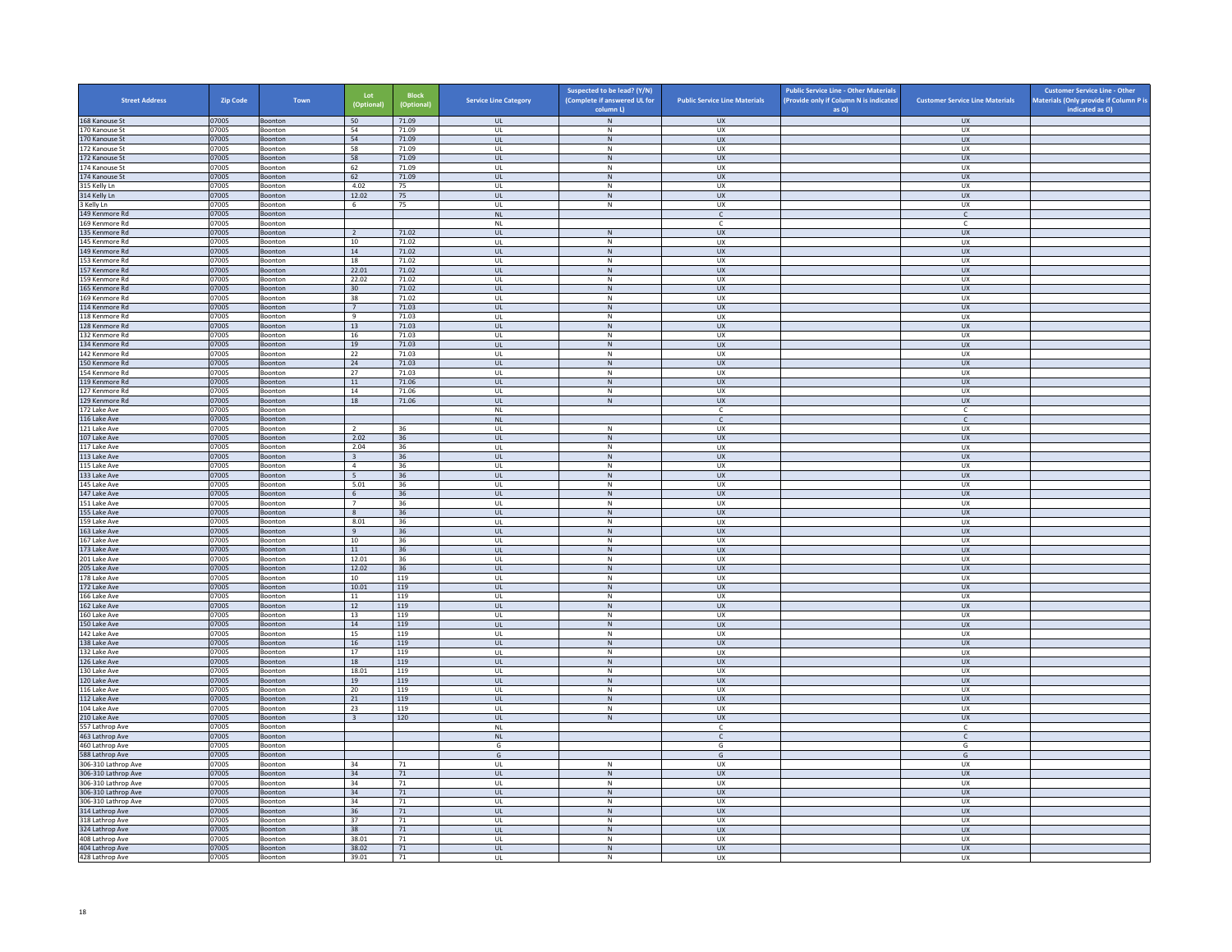| <b>Street Address</b>                      | Zip Code       | Town               | Lot<br>(Optional)       | <b>Block</b><br>(Optional) | <b>Service Line Category</b> | Suspected to be lead? (Y/N)<br>(Complete if answered UL for | <b>Public Service Line Materials</b> | <b>Public Service Line - Other Materials</b><br>(Provide only if Column N is indicated | <b>Customer Service Line Materials</b> | <b>Customer Service Line - Other</b><br>Materials (Only provide if Column P is |
|--------------------------------------------|----------------|--------------------|-------------------------|----------------------------|------------------------------|-------------------------------------------------------------|--------------------------------------|----------------------------------------------------------------------------------------|----------------------------------------|--------------------------------------------------------------------------------|
| 168 Kanouse St                             | 07005          | Boonton            | 50                      | 71.09                      | <b>UL</b>                    | column L)<br>${\sf N}$                                      | <b>UX</b>                            | as O)                                                                                  | <b>UX</b>                              | indicated as O)                                                                |
| 170 Kanouse St                             | 07005          | Boonton            | 54                      | 71.09                      | <b>UL</b>                    | N                                                           | UX                                   |                                                                                        | <b>UX</b>                              |                                                                                |
| 170 Kanouse St                             | 07005          | Boonton            | 54                      | 71.09                      | UL                           | ${\sf N}$                                                   | UX                                   |                                                                                        | UX                                     |                                                                                |
| 172 Kanouse St                             | 07005          | Boonton            | 58                      | 71.09                      | UL                           | ${\sf N}$                                                   | UX                                   |                                                                                        | <b>UX</b>                              |                                                                                |
| 172 Kanouse St                             | 07005<br>07005 | Boonton            | 58<br>62                | 71.09<br>71.09             | UL                           | N<br>${\sf N}$                                              | <b>UX</b><br>UX                      |                                                                                        | <b>UX</b><br>UX                        |                                                                                |
| 174 Kanouse St<br>174 Kanouse St           | 07005          | Boonton<br>Boonton | 62                      | 71.09                      | UL<br>$\mathbf{U}$           | N                                                           | UX                                   |                                                                                        | $\overline{U}$                         |                                                                                |
| 315 Kelly Ln                               | 07005          | Boonton            | 4.02                    | 75                         | UL                           | ${\sf N}$                                                   | UX                                   |                                                                                        | UX                                     |                                                                                |
| 314 Kelly Ln                               | 07005          | Boonton            | 12.02                   | 75                         | <b>UL</b>                    | N                                                           | UX                                   |                                                                                        | <b>UX</b>                              |                                                                                |
| 3 Kelly Ln                                 | 07005          | Boonton            | 6                       | 75                         | UL                           | ${\sf N}$                                                   | UX                                   |                                                                                        | UX                                     |                                                                                |
| 149 Kenmore Rd<br>169 Kenmore Rd           | 07005<br>07005 | Boonton<br>Boonton |                         |                            | NL<br><b>NL</b>              |                                                             | $\mathsf{C}$<br>-C                   |                                                                                        | $\mathsf{C}$<br>C                      |                                                                                |
| 135 Kenmore Rd                             | 07005          | Boonton            | $\overline{2}$          | 71.02                      | UL                           | ${\sf N}$                                                   | UX                                   |                                                                                        | UX                                     |                                                                                |
| 145 Kenmore Rd                             | 07005          | <b>Boonton</b>     | 10                      | 71.02                      | $\mathbf{U}$                 | $\mathsf{N}$                                                | UX                                   |                                                                                        | UX                                     |                                                                                |
| 149 Kenmore Rd                             | 07005          | Boonton            | $14\,$                  | 71.02                      | UL                           | N                                                           | UX                                   |                                                                                        | UX                                     |                                                                                |
| 153 Kenmore Rd                             | 07005          | Boonton            | 18                      | 71.02                      | <b>UL</b>                    | N                                                           | UX                                   |                                                                                        | UX                                     |                                                                                |
| 157 Kenmore Rd<br>159 Kenmore Rd           | 07005<br>07005 | Boonton<br>Boonton | 22.01<br>22.02          | 71.02<br>71.02             | UL<br>UL                     | N<br>${\sf N}$                                              | UX<br>UX                             |                                                                                        | UX<br>UX                               |                                                                                |
| 165 Kenmore Rd                             | 07005          | Boonton            | 30                      | 71.02                      | <b>UL</b>                    | N                                                           | <b>UX</b>                            |                                                                                        | <b>UX</b>                              |                                                                                |
| 169 Kenmore Rd                             | 07005          | Boonton            | 38                      | 71.02                      | UL                           | ${\sf N}$                                                   | UX                                   |                                                                                        | <b>UX</b>                              |                                                                                |
| 114 Kenmore Rd                             | 07005          | Boonton            | $\overline{7}$          | 71.03                      | $\mathbf{u}$                 | N                                                           | $\overline{11}$                      |                                                                                        | UX                                     |                                                                                |
| 118 Kenmore Rd                             | 07005          | Boonton            | 9                       | 71.03                      | UL                           | ${\sf N}$                                                   | UX                                   |                                                                                        | UX                                     |                                                                                |
| 128 Kenmore Rd<br>132 Kenmore Rd           | 07005<br>07005 | Boonton<br>Boonton | 13<br>16                | 71.03<br>71.03             | <b>UL</b><br>UL              | N<br>${\sf N}$                                              | UX<br>UX                             |                                                                                        | UX<br>UX                               |                                                                                |
| 134 Kenmore Rd                             | 07005          | Boonton            | 19                      | 71.03                      | UL                           | ${\sf N}$                                                   | <b>UX</b>                            |                                                                                        | <b>UX</b>                              |                                                                                |
| 142 Kenmore Rd                             | 07005          | Boonton            | 22                      | 71.03                      | UL                           | N                                                           | <b>UX</b>                            |                                                                                        | <b>UX</b>                              |                                                                                |
| 150 Kenmore Rd                             | 07005          | Boonton            | ${\bf 24}$              | 71.03                      | $_{\sf UL}$                  | N                                                           | ${\sf U}{\sf X}$                     |                                                                                        | ${\sf U}{\sf X}$                       |                                                                                |
| 154 Kenmore Rd                             | 07005          | Boonton            | 27                      | 71.03                      | $\mathbf{U}$                 | N                                                           | UX                                   |                                                                                        | UX                                     |                                                                                |
| 119 Kenmore Rd<br>127 Kenmore Rd           | 07005          | Boonton<br>Boonton | $11\,$<br>14            | 71.06<br>71.06             | UL<br><b>UL</b>              | ${\sf N}$<br>N                                              | UX<br>UX                             |                                                                                        | <b>UX</b><br>UX                        |                                                                                |
| 129 Kenmore Rd                             | 07005<br>07005 | Boonton            | 18                      | 71.06                      | UL                           | ${\sf N}$                                                   | <b>UX</b>                            |                                                                                        | UX                                     |                                                                                |
| 172 Lake Ave                               | 07005          | Boonton            |                         |                            | <b>NL</b>                    |                                                             | $\mathsf{C}$                         |                                                                                        | c                                      |                                                                                |
| 116 Lake Ave                               | 07005          | Boonton            |                         |                            | <b>NL</b>                    |                                                             | $\mathsf{C}$                         |                                                                                        | $\mathsf{C}$                           |                                                                                |
| 121 Lake Ave                               | 07005          | Boonton            | $\overline{z}$          | 36                         | UL                           | ${\sf N}$                                                   | UX                                   |                                                                                        | UX                                     |                                                                                |
| 107 Lake Ave<br>117 Lake Ave               | 07005<br>07005 | Boonton<br>Boonton | 2.02<br>2.04            | 36<br>36                   | $\mathbf{U}$<br>UL           | N<br>${\sf N}$                                              | $\overline{11}$<br>UX                |                                                                                        | UX<br>UX                               |                                                                                |
| 113 Lake Ave                               | 07005          | Boonton            | $\overline{\mathbf{3}}$ | 36                         | <b>UL</b>                    | N                                                           | <b>UX</b>                            |                                                                                        | <b>UX</b>                              |                                                                                |
| 115 Lake Ave                               | 07005          | Boonton            | $\overline{4}$          | 36                         | UL                           | ${\sf N}$                                                   | UX                                   |                                                                                        | UX                                     |                                                                                |
| 133 Lake Ave                               | 07005          | Boonton            | 5 <sup>5</sup>          | 36                         | <b>UL</b>                    | $\,$ N                                                      | <b>UX</b>                            |                                                                                        | <b>UX</b>                              |                                                                                |
| 145 Lake Ave                               | 07005          | Boonton            | 5.01                    | 36                         | <b>UL</b>                    | N                                                           | <b>UX</b>                            |                                                                                        | <b>UX</b>                              |                                                                                |
| 147 Lake Ave<br>151 Lake Ave               | 07005<br>07005 | Boonton<br>Boonton | 6<br>$7\overline{ }$    | $36\,$<br>36               | $_{\sf UL}$<br>UL            | N<br>N                                                      | UX<br>UX                             |                                                                                        | ${\sf U}{\sf X}$<br>UX                 |                                                                                |
| 155 Lake Ave                               | 07005          | Boonton            | 8                       | 36                         | <b>UL</b>                    | ${\sf N}$                                                   | <b>UX</b>                            |                                                                                        | <b>UX</b>                              |                                                                                |
| 159 Lake Ave                               | 07005          | Boonton            | 8.01                    | 36                         | UL                           | ${\sf N}$                                                   | UX                                   |                                                                                        | UX                                     |                                                                                |
| 163 Lake Ave                               | 07005          | Boonton            | 9                       | 36                         | <b>UL</b>                    | N                                                           | <b>UX</b>                            |                                                                                        | UX                                     |                                                                                |
| 167 Lake Ave                               | 07005          | Boonton            | 10                      | 36                         | UL                           | ${\sf N}$                                                   | UX                                   |                                                                                        | UX                                     |                                                                                |
| 173 Lake Ave<br>201 Lake Ave               | 07005<br>07005 | Boonton<br>Boonton | 11<br>12.01             | 36<br>36                   | $\mathbf{u}$<br>UL           | N<br>$\mathsf{N}$                                           | UX<br>UX                             |                                                                                        | $\overline{U}$<br>UX                   |                                                                                |
| 205 Lake Ave                               | 07005          | Boonton            | 12.02                   | 36                         | <b>UL</b>                    | N                                                           | <b>UX</b>                            |                                                                                        | <b>UX</b>                              |                                                                                |
| 178 Lake Ave                               | 07005          | Boonton            | $10\,$                  | 119                        | UL                           | ${\sf N}$                                                   | UX                                   |                                                                                        | UX                                     |                                                                                |
| 172 Lake Ave                               | 07005          | Boonton            | 10.01                   | 119                        | UL                           | ${\sf N}$                                                   | <b>UX</b>                            |                                                                                        | UX                                     |                                                                                |
| 166 Lake Ave                               | 07005          | Boonton            | 11                      | 119                        | UL                           | ${\sf N}$                                                   | UX                                   |                                                                                        | UX                                     |                                                                                |
| 162 Lake Ave<br>160 Lake Ave               | 07005<br>07005 | Boonton<br>Boonton | 12<br>13                | 119<br>119                 | UL<br>$\mathbf{U}$           | ${\sf N}$<br>N                                              | <b>UX</b><br>UX                      |                                                                                        | UX<br>UX                               |                                                                                |
| 150 Lake Ave                               | 07005          | Boonton            | $14\,$                  | 119                        | UL                           | N                                                           | UX                                   |                                                                                        | UX                                     |                                                                                |
| 142 Lake Ave                               | 07005          | Boonton            | 15                      | 119                        | <b>UL</b>                    | N                                                           | <b>UX</b>                            |                                                                                        | <b>UX</b>                              |                                                                                |
| 138 Lake Ave                               | 07005          | Boonton            | $16\,$                  | 119                        | $\mathsf{UL}$                | ${\sf N}$                                                   | UX                                   |                                                                                        | UX                                     |                                                                                |
| 132 Lake Ave                               | 07005          | Boonton            | 17                      | 119                        | UL                           | $\,N\,$                                                     | UX                                   |                                                                                        | UX                                     |                                                                                |
| 126 Lake Ave<br>130 Lake Ave               | 07005<br>07005 | Boonton<br>Boonton | 18<br>18.01             | 119<br>119                 | <b>UL</b><br>UL              | N<br>${\sf N}$                                              | <b>UX</b><br>UX                      |                                                                                        | UX<br>UX                               |                                                                                |
| 120 Lake Ave                               | 07005          | Boonton            | 19                      | 119                        | $\mathbf{u}$                 | N                                                           | UX                                   |                                                                                        | <b>UX</b>                              |                                                                                |
| 116 Lake Ave                               | 07005          | Boonton            | 20                      | 119                        | UL                           | $\mathsf{N}$                                                | UX                                   |                                                                                        | UX                                     |                                                                                |
| 112 Lake Ave                               | 07005          | Boonton            | 21                      | 119                        | <b>UL</b>                    | N                                                           | <b>UX</b>                            |                                                                                        | <b>UX</b>                              |                                                                                |
| 104 Lake Ave                               | 07005          | Boonton            | 23                      | 119                        | UL                           | ${\sf N}$                                                   | UX                                   |                                                                                        | UX                                     |                                                                                |
| 210 Lake Ave<br>557 Lathrop Ave            | 07005<br>07005 | Boonton<br>Boonton | $\overline{\mathbf{3}}$ | 120                        | UL<br>NL                     | ${\sf N}$                                                   | UX<br>$\mathsf{C}$                   |                                                                                        | UX<br>$\mathsf{C}$                     |                                                                                |
| 463 Lathrop Ave                            | 07005          | Boonton            |                         |                            | NL                           |                                                             | $\mathsf{C}$                         |                                                                                        | $\mathsf{C}$                           |                                                                                |
| 460 Lathrop Ave                            | 07005          | Boonton            |                         |                            | G                            |                                                             | G                                    |                                                                                        | G                                      |                                                                                |
| 588 Lathrop Ave                            | 07005          | Boonton            |                         |                            | G                            |                                                             | G                                    |                                                                                        | G                                      |                                                                                |
| 306-310 Lathrop Ave                        | 07005          | Boonton<br>Boonton | 34                      | 71                         | <b>UL</b>                    | N                                                           | <b>UX</b>                            |                                                                                        | <b>UX</b>                              |                                                                                |
| 306-310 Lathrop Ave<br>306-310 Lathrop Ave | 07005<br>07005 | Boonton            | 34<br>34                | 71<br>71                   | $\mathsf{UL}$<br>UL          | ${\sf N}$<br>${\sf N}$                                      | UX<br>UX                             |                                                                                        | UX<br>UX                               |                                                                                |
| 306-310 Lathrop Ave                        | 07005          | Boonton            | 34                      | 71                         | <b>UL</b>                    | N                                                           | <b>UX</b>                            |                                                                                        | UX                                     |                                                                                |
| 306-310 Lathrop Ave                        | 07005          | Boonton            | 34                      | 71                         | UL                           | ${\sf N}$                                                   | UX                                   |                                                                                        | UX                                     |                                                                                |
| 314 Lathrop Ave                            | 07005          | Boonton            | 36                      | 71                         | $\mathbf{u}$                 | N                                                           | UX                                   |                                                                                        | <b>UX</b>                              |                                                                                |
| 318 Lathrop Ave                            | 07005          | Boonton            | 37                      | 71                         | UL                           | ${\sf N}$                                                   | UX                                   |                                                                                        | UX                                     |                                                                                |
| 324 Lathrop Ave<br>408 Lathrop Ave         | 07005<br>07005 | Boonton<br>Boonton | 38<br>38.01             | 71<br>71                   | <b>UL</b><br>UL              | N<br>$\mathsf{N}$                                           | <b>UX</b><br>UX                      |                                                                                        | <b>UX</b><br>UX                        |                                                                                |
| 404 Lathrop Ave                            | 07005          | Boonton            | 38.02                   | 71                         | UL                           | N                                                           | UX                                   |                                                                                        | UX                                     |                                                                                |
| 428 Lathrop Ave                            | 07005          | Boonton            | 39.01                   | 71                         | UL                           | $\mathsf{N}$                                                | <b>UX</b>                            |                                                                                        | <b>UX</b>                              |                                                                                |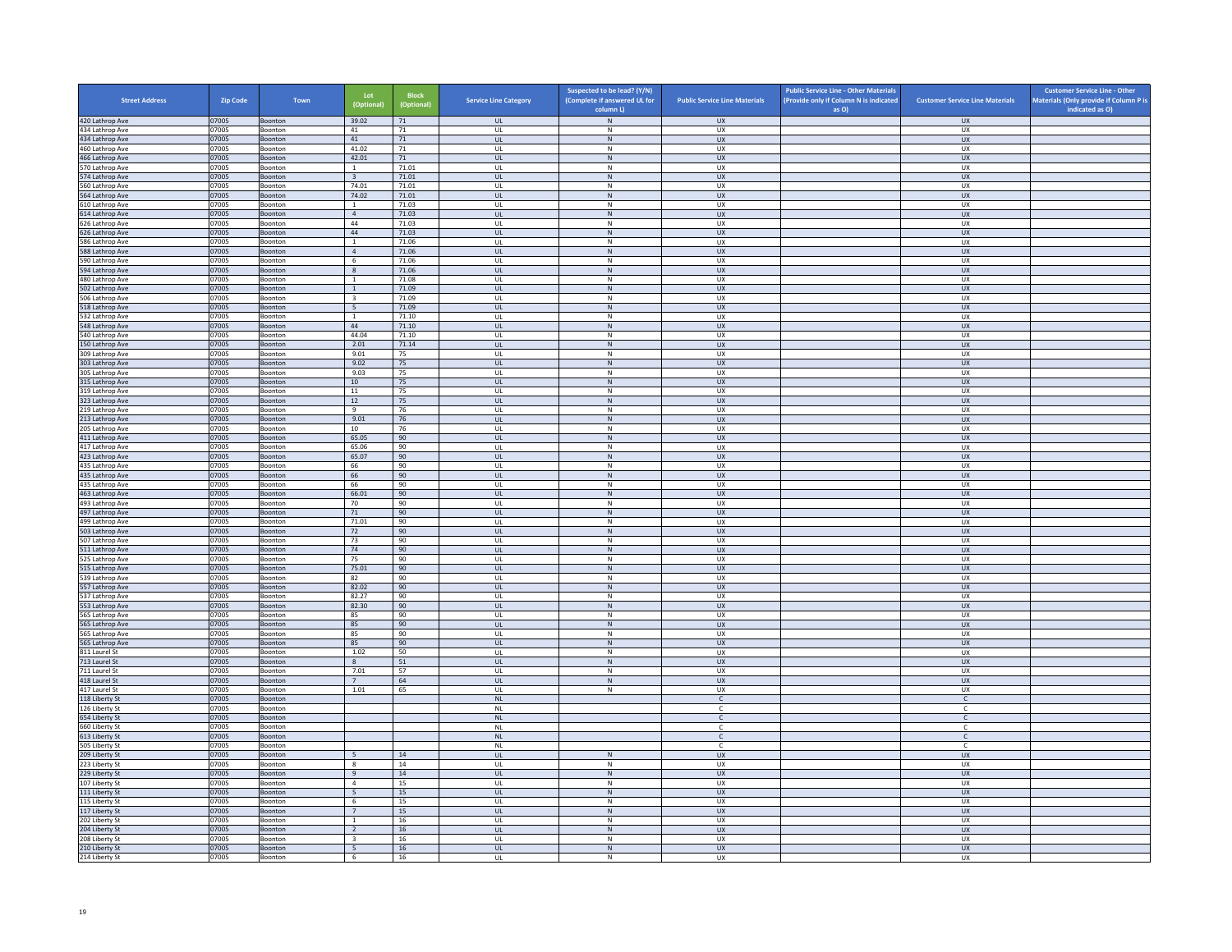| <b>Street Address</b>              | Zip Code       | Town                      | Lot<br>(Optional               | <b>Block</b><br>(Optional) | <b>Service Line Category</b> | Suspected to be lead? (Y/N)<br>(Complete if answered UL for<br>column L) | <b>Public Service Line Materials</b> | <b>Public Service Line - Other Materials</b><br>(Provide only if Column N is indicated<br>as O) | <b>Customer Service Line Materials</b> | <b>Customer Service Line - Other</b><br>Materials (Only provide if Column P is<br>indicated as O) |
|------------------------------------|----------------|---------------------------|--------------------------------|----------------------------|------------------------------|--------------------------------------------------------------------------|--------------------------------------|-------------------------------------------------------------------------------------------------|----------------------------------------|---------------------------------------------------------------------------------------------------|
| 420 Lathrop Ave                    | 07005          | Boonton                   | 39.02                          | 71                         | <b>UL</b>                    | $\,$ N                                                                   | <b>UX</b>                            |                                                                                                 | <b>UX</b>                              |                                                                                                   |
| 434 Lathrop Ave                    | 07005          | Boonton                   | 41                             | 71                         | UL                           | N                                                                        | UX                                   |                                                                                                 | <b>UX</b>                              |                                                                                                   |
| 434 Lathrop Ave<br>460 Lathrop Ave | 07005<br>07005 | Boonton<br>Boonton        | 41<br>41.02                    | 71<br>71                   | $_{\sf UL}$<br>UL            | ${\sf N}$<br>N                                                           | UX<br><b>UX</b>                      |                                                                                                 | UX<br><b>UX</b>                        |                                                                                                   |
| 466 Lathrop Ave                    | 07005          | <b>Boonton</b>            | 42.01                          | 71                         | <b>UL</b>                    | ${\sf N}$                                                                | <b>UX</b>                            |                                                                                                 | <b>UX</b>                              |                                                                                                   |
| 570 Lathrop Ave                    | 07005          | Boonton                   | $\mathbf{1}$                   | 71.01                      | UL                           | $\,$ N                                                                   | UX                                   |                                                                                                 | UX                                     |                                                                                                   |
| 574 Lathrop Ave                    | 07005          | <b>Boonton</b>            | $\overline{3}$                 | 71.01                      | $\mathbf{u}$                 | N                                                                        | UX                                   |                                                                                                 | $\overline{U}$                         |                                                                                                   |
| 560 Lathrop Ave                    | 07005          | Boonton                   | 74.01<br>74.02                 | 71.01                      | UL                           | $\mathsf{N}$<br>N                                                        | UX                                   |                                                                                                 | UX                                     |                                                                                                   |
| 564 Lathrop Ave<br>610 Lathrop Ave | 07005<br>07005 | Boonton<br>Boonton        | $\,$ 1 $\,$                    | 71.01<br>71.03             | <b>UL</b><br>$\mathsf{UL}$   | ${\sf N}$                                                                | <b>UX</b><br>UX                      |                                                                                                 | <b>UX</b><br>UX                        |                                                                                                   |
| 614 Lathrop Ave                    | 07005          | Boonton                   | $\overline{4}$                 | 71.03                      | UL                           | N                                                                        | <b>UX</b>                            |                                                                                                 | <b>UX</b>                              |                                                                                                   |
| 626 Lathrop Ave                    | 07005          | Boonton                   | 44                             | 71.03                      | UL                           | N                                                                        | <b>UX</b>                            |                                                                                                 | UX                                     |                                                                                                   |
| 626 Lathrop Ave<br>586 Lathrop Ave | 07005<br>07005 | Boonton<br><b>Boonton</b> | $44\,$<br>$\overline{1}$       | 71.03<br>71.06             | $_{\sf UL}$<br>$\mathbf{U}$  | ${\sf N}$<br>N                                                           | UX<br>UX                             |                                                                                                 | UX<br>UX                               |                                                                                                   |
| 588 Lathrop Ave                    | 07005          | Boonton                   | $\overline{4}$                 | 71.06                      | UL                           | $\mathsf{N}$                                                             | UX                                   |                                                                                                 | UX                                     |                                                                                                   |
| 590 Lathrop Ave                    | 07005          | Boonton                   | 6                              | 71.06                      | UL                           | N                                                                        | UX                                   |                                                                                                 | <b>UX</b>                              |                                                                                                   |
| 594 Lathrop Ave                    | 07005          | Boonton                   | $\,$ 8                         | 71.06                      | $_{\sf UL}$                  | ${\sf N}$                                                                | UX                                   |                                                                                                 | UX                                     |                                                                                                   |
| 480 Lathrop Ave<br>502 Lathrop Ave | 07005<br>07005 | Boonton<br><b>Boonton</b> | $\overline{1}$<br><sup>1</sup> | 71.08<br>71.09             | UL<br><b>UL</b>              | $\mathsf{N}$<br>N                                                        | UX<br><b>UX</b>                      |                                                                                                 | UX<br><b>UX</b>                        |                                                                                                   |
| 506 Lathrop Ave                    | 07005          | Boonton                   | $\overline{\mathbf{3}}$        | 71.09                      | UL                           | ${\sf N}$                                                                | UX                                   |                                                                                                 | UX                                     |                                                                                                   |
| 518 Lathrop Ave                    | 07005          | Boonton                   | 5 <sup>5</sup>                 | 71.09                      | $\mathbf{u}$                 | N                                                                        | UX                                   |                                                                                                 | UX                                     |                                                                                                   |
| 32 Lathrop Ave                     | 07005          | Boonton                   | $\mathbf{1}$                   | 71.10                      | UL                           | N                                                                        | UX                                   |                                                                                                 | UX                                     |                                                                                                   |
| 548 Lathrop Ave<br>540 Lathrop Ave | 07005<br>07005 | Boonton<br>Boonton        | 44<br>44.04                    | 71.10<br>71.10             | <b>UL</b><br>UL              | N<br>${\sf N}$                                                           | <b>UX</b><br>UX                      |                                                                                                 | <b>UX</b><br>UX                        |                                                                                                   |
| 150 Lathrop Ave                    | 07005          | Boonton                   | 2.01                           | 71.14                      | UL                           | N                                                                        | <b>UX</b>                            |                                                                                                 | <b>UX</b>                              |                                                                                                   |
| 309 Lathrop Ave                    | 07005          | Boonton                   | 9.01                           | 75                         | UL                           | N                                                                        | <b>UX</b>                            |                                                                                                 | <b>UX</b>                              |                                                                                                   |
| 303 Lathrop Ave                    | 07005          | Boonton                   | 9.02                           | 75                         | $_{\sf UL}$                  | ${\sf N}$                                                                | ${\sf U}{\sf X}$                     |                                                                                                 | ${\sf U}{\sf X}$                       |                                                                                                   |
| 305 Lathrop Ave                    | 07005          | Boonton                   | 9.03                           | 75                         | $\mathbf{U}$                 | N                                                                        | <b>UX</b>                            |                                                                                                 | <b>UX</b>                              |                                                                                                   |
| 315 Lathrop Ave<br>319 Lathrop Ave | 07005<br>07005 | Boonton<br>Boonton        | 10<br>11                       | 75<br>75                   | <b>UL</b><br>UL              | $\,$ N<br>N                                                              | UX<br>UX                             |                                                                                                 | <b>UX</b><br>UX                        |                                                                                                   |
| 323 Lathrop Ave                    | 07005          | Boonton                   | 12                             | 75                         | UL                           | $\,$ N                                                                   | <b>UX</b>                            |                                                                                                 | <b>UX</b>                              |                                                                                                   |
| 219 Lathrop Ave                    | 07005          | Boonton                   | 9                              | 76                         | UL                           | N                                                                        | UX                                   |                                                                                                 | UX                                     |                                                                                                   |
| 213 Lathrop Ave<br>205 Lathrop Ave | 07005<br>07005 | Boonton                   | 9.01<br>$10\,$                 | 76<br>76                   | <b>UL</b><br>UL              | N<br>${\sf N}$                                                           | <b>UX</b><br>UX                      |                                                                                                 | <b>UX</b><br>UX                        |                                                                                                   |
| 411 Lathrop Ave                    | 07005          | Boonton<br>Boonton        | 65.05                          | 90                         | $\mathbf{u}$                 | N                                                                        | <b>UX</b>                            |                                                                                                 | <b>UX</b>                              |                                                                                                   |
| 417 Lathrop Ave                    | 07005          | Boonton                   | 65.06                          | 90                         | UL                           | N                                                                        | UX                                   |                                                                                                 | UX                                     |                                                                                                   |
| 423 Lathrop Ave                    | 07005          | Boonton                   | 65.07                          | 90                         | <b>UL</b>                    | N                                                                        | <b>UX</b>                            |                                                                                                 | <b>UX</b>                              |                                                                                                   |
| 435 Lathrop Ave<br>435 Lathrop Ave | 07005<br>07005 | Boonton                   | 66<br>66                       | 90<br>90                   | UL<br>UL                     | ${\sf N}$<br>$\,$ N                                                      | UX<br><b>UX</b>                      |                                                                                                 | UX<br><b>UX</b>                        |                                                                                                   |
| 435 Lathrop Ave                    | 07005          | Boonton<br>Boonton        | 66                             | 90                         | UL                           | N                                                                        | <b>UX</b>                            |                                                                                                 | <b>UX</b>                              |                                                                                                   |
| 463 Lathrop Ave                    | 07005          | Boonton                   | 66.01                          | 90                         | $_{\sf UL}$                  | $\,$ N                                                                   | ${\sf U}{\sf X}$                     |                                                                                                 | ${\sf U}{\sf X}$                       |                                                                                                   |
| 493 Lathrop Ave                    | 07005          | Boonton                   | 70                             | 90                         | $\mathbf{U}$                 | N                                                                        | <b>UX</b>                            |                                                                                                 | <b>UX</b>                              |                                                                                                   |
| 497 Lathrop Ave<br>499 Lathrop Ave | 07005<br>07005 | Boonton<br>Boonton        | 71<br>71.01                    | 90<br>90                   | $\mathsf{UL}$<br>UL          | $\mathsf{N}$<br>N                                                        | UX<br>UX                             |                                                                                                 | UX<br>UX                               |                                                                                                   |
| 503 Lathrop Ave                    | 07005          | Boonton                   | 72                             | 90                         | UL                           | $\,$ N                                                                   | <b>UX</b>                            |                                                                                                 | <b>UX</b>                              |                                                                                                   |
| 507 Lathrop Ave                    | 07005          | Boonton                   | 73                             | 90                         | UL                           | N                                                                        | UX                                   |                                                                                                 | UX                                     |                                                                                                   |
| 511 Lathrop Ave                    | 07005          | Boonton                   | 74                             | 90                         | $\mathbf{u}$                 | N                                                                        | UX                                   |                                                                                                 | UX                                     |                                                                                                   |
| 525 Lathrop Ave<br>515 Lathrop Ave | 07005<br>07005 | Boonton<br>Boonton        | 75<br>75.01                    | 90<br>90                   | UL<br>$\mathbf{u}$           | ${\sf N}$<br>N                                                           | UX<br>$\overline{11}$                |                                                                                                 | UX<br><b>UX</b>                        |                                                                                                   |
| 39 Lathrop Ave                     | 07005          | Boonton                   | 82                             | 90                         | UL                           | ${\sf N}$                                                                | UX                                   |                                                                                                 | UX                                     |                                                                                                   |
| 557 Lathrop Ave                    | 07005          | Boonton                   | 82.02                          | 90                         | UL                           | N                                                                        | <b>UX</b>                            |                                                                                                 | UX                                     |                                                                                                   |
| 537 Lathrop Ave                    | 07005          | Boonton                   | 82.27                          | 90                         | UL                           | ${\sf N}$                                                                | UX                                   |                                                                                                 | UX                                     |                                                                                                   |
| 553 Lathrop Ave<br>565 Lathrop Ave | 07005<br>07005 | Boonton<br><b>Boonton</b> | 82.30<br>85                    | 90<br>90                   | UL<br>$\mathbf{U}$           | $\,$ N<br>N                                                              | <b>UX</b><br>UX                      |                                                                                                 | <b>UX</b><br>UX                        |                                                                                                   |
| 565 Lathrop Ave                    | 07005          | Boonton                   | 85                             | 90                         | $\mathsf{UL}$                | $\mathsf{N}$                                                             | UX                                   |                                                                                                 | UX                                     |                                                                                                   |
| 565 Lathrop Ave                    | 07005          | Boonton                   | 85                             | 90                         | UL                           | N                                                                        | <b>UX</b>                            |                                                                                                 | UX                                     |                                                                                                   |
| 565 Lathrop Ave                    | 07005          | Boonton                   | 85                             | 90                         | $_{\sf UL}$                  | ${\sf N}$                                                                | UX                                   |                                                                                                 | UX                                     |                                                                                                   |
| 811 Laurel St<br>713 Laurel St     | 07005<br>07005 | Boonton<br><b>Boonton</b> | 1.02<br>8                      | 50<br>51                   | UL<br><b>UL</b>              | N<br>N                                                                   | UX<br><b>UX</b>                      |                                                                                                 | UX<br><b>UX</b>                        |                                                                                                   |
| 711 Laurel St                      | 07005          | Boonton                   | 7.01                           | 57                         | UL                           | ${\sf N}$                                                                | UX                                   |                                                                                                 | UX                                     |                                                                                                   |
| 418 Laurel St                      | 07005          | Boonton                   | 7                              | 64                         | $\mathbf{u}$                 | N                                                                        | UX                                   |                                                                                                 | $\overline{U}$                         |                                                                                                   |
| 417 Laurel St                      | 07005          | Boonton                   | 1.01                           | 65                         | UL                           | ${\sf N}$                                                                | UX                                   |                                                                                                 | UX                                     |                                                                                                   |
| 118 Liberty St<br>26 Liberty St    | 07005<br>07005 | Boonton<br>Boonton        |                                |                            | <b>NL</b><br><b>NL</b>       |                                                                          | $\mathsf{C}$                         |                                                                                                 | $\mathsf{C}$<br>c                      |                                                                                                   |
| 654 Liberty St                     | 07005          | Boonton                   |                                |                            | <b>NL</b>                    |                                                                          | $\epsilon$                           |                                                                                                 | $\mathsf{C}$                           |                                                                                                   |
| 660 Liberty St                     | 07005          | Boonton                   |                                |                            | $\mathsf{NL}$                |                                                                          | $\mathsf{C}$                         |                                                                                                 | $\mathsf{C}$                           |                                                                                                   |
| 613 Liberty St                     | 07005<br>07005 | Boonton                   |                                |                            | $\mathsf{NL}$<br>NI          |                                                                          | $\mathsf{C}$                         |                                                                                                 | $\mathsf{C}^-$                         |                                                                                                   |
| 505 Liberty St<br>209 Liberty St   | 07005          | <b>Boonton</b><br>Boonton | 5                              | 14                         | UL                           | ${\sf N}$                                                                | $\epsilon$<br>UX                     |                                                                                                 | $\mathsf{C}$<br>UX                     |                                                                                                   |
| 223 Liberty St                     | 07005          | Boonton                   | $\overline{\mathbf{8}}$        | 14                         | UL                           | N                                                                        | <b>UX</b>                            |                                                                                                 | UX                                     |                                                                                                   |
| 229 Liberty St                     | 07005          | Boonton                   | $\,9$                          | 14                         | $_{\sf UL}$                  | ${\sf N}$                                                                | UX                                   |                                                                                                 | UX                                     |                                                                                                   |
| 107 Liberty St                     | 07005          | Boonton                   | $\overline{4}$                 | 15                         | UL                           | ${\sf N}$                                                                | UX                                   |                                                                                                 | UX                                     |                                                                                                   |
| 111 Liberty St<br>115 Liberty St   | 07005<br>07005 | Boonton<br>Boonton        | 5<br>$\sqrt{6}$                | 15<br>15                   | <b>UL</b><br>UL              | N<br>${\sf N}$                                                           | <b>UX</b><br>UX                      |                                                                                                 | <b>UX</b><br>UX                        |                                                                                                   |
| 117 Liberty St                     | 07005          | Boonton                   | 7                              | 15                         | $\mathbf{u}$                 | N                                                                        | UX                                   |                                                                                                 | <b>UX</b>                              |                                                                                                   |
| 202 Liberty St                     | 07005          | Boonton                   | $\mathbf{1}$                   | 16                         | UL                           | $\mathsf{N}$                                                             | UX                                   |                                                                                                 | UX                                     |                                                                                                   |
| 204 Liberty St                     | 07005          | Boonton                   | $\overline{2}$                 | 16                         | <b>UL</b>                    | N                                                                        | <b>UX</b>                            |                                                                                                 | <b>UX</b>                              |                                                                                                   |
| 208 Liberty St<br>210 Liberty St   | 07005<br>07005 | Boonton<br>Boonton        | $\overline{\mathbf{3}}$<br>5   | 16<br>16                   | UL<br>UL                     | ${\sf N}$<br>N                                                           | UX<br><b>UX</b>                      |                                                                                                 | UX<br>UX                               |                                                                                                   |
| 214 Liberty St                     | 07005          | Boonton                   | 6                              | 16                         | UL                           | N                                                                        | <b>UX</b>                            |                                                                                                 | <b>UX</b>                              |                                                                                                   |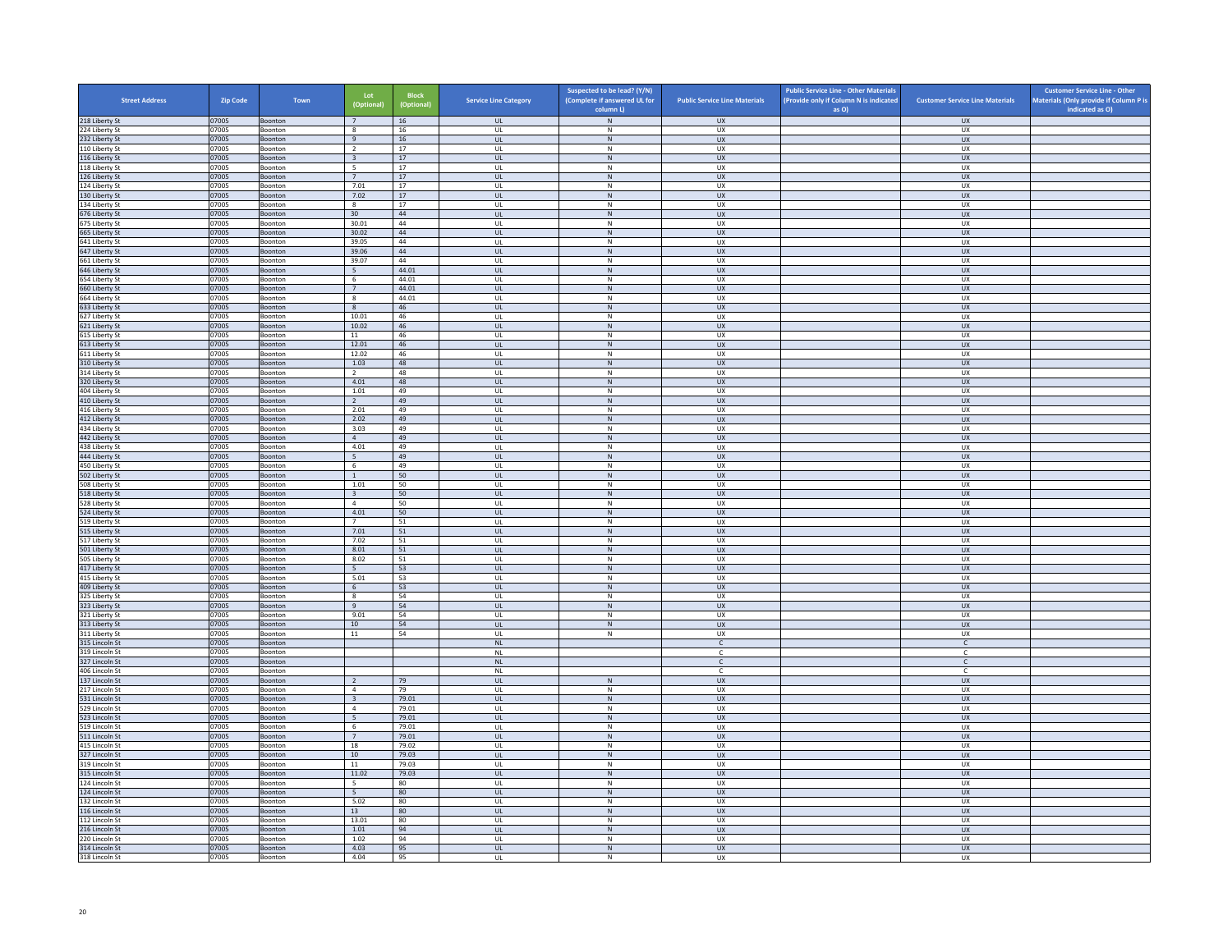| <b>Street Address</b>            | <b>Zip Code</b> | Town                      | Lot<br>(Optional)       | Block<br>(Optional) | <b>Service Line Category</b>            | Suspected to be lead? (Y/N)<br>(Complete if answered UL for<br>column L) | <b>Public Service Line Materials</b> | <b>Public Service Line - Other Materials</b><br>(Provide only if Column N is indicated<br>as O) | <b>Customer Service Line Materials</b> | <b>Customer Service Line - Other</b><br>Materials (Only provide if Column P is<br>indicated as O) |
|----------------------------------|-----------------|---------------------------|-------------------------|---------------------|-----------------------------------------|--------------------------------------------------------------------------|--------------------------------------|-------------------------------------------------------------------------------------------------|----------------------------------------|---------------------------------------------------------------------------------------------------|
| 218 Liberty St                   | 07005           | Boonton                   | 7                       | 16                  | <b>UL</b>                               | N                                                                        | <b>UX</b>                            |                                                                                                 | <b>UX</b>                              |                                                                                                   |
| 224 Liberty St                   | 07005           | Boonton                   | 8                       | 16                  | UL                                      | N                                                                        | <b>UX</b>                            |                                                                                                 | <b>UX</b>                              |                                                                                                   |
| 232 Liberty St<br>110 Liberty St | 07005<br>07005  | Boonton<br>Boonton        | $\,9$<br>$\overline{2}$ | $16\,$<br>17        | UL<br>UL                                | ${\sf N}$<br>$\mathsf{N}$                                                | UX<br><b>UX</b>                      |                                                                                                 | ${\sf U}{\sf X}$<br><b>UX</b>          |                                                                                                   |
| 116 Liberty St                   | 07005           | Boonton                   | $\overline{\mathbf{3}}$ | 17                  | UL                                      | ${\sf N}$                                                                | <b>UX</b>                            |                                                                                                 | UX                                     |                                                                                                   |
| 118 Liberty St                   | 07005           | Boonton                   | $\overline{5}$          | 17                  | UL                                      | ${\sf N}$                                                                | <b>UX</b>                            |                                                                                                 | <b>UX</b>                              |                                                                                                   |
| 126 Liberty St                   | 07005           | Boonton                   | $\overline{7}$          | 17                  | UL                                      | N                                                                        | <b>UX</b>                            |                                                                                                 | UX                                     |                                                                                                   |
| 124 Liberty St<br>130 Liberty St | 07005<br>07005  | Boonton<br>Boonton        | 7.01<br>7.02            | 17<br>17            | UL<br>$\mathbf{u}$                      | ${\sf N}$<br>N                                                           | UX<br>UX                             |                                                                                                 | UX<br><b>UX</b>                        |                                                                                                   |
| 134 Liberty St                   | 07005           | Boonton                   | $\mathbf{8}$            | 17                  | UL                                      | $\mathsf{N}$                                                             | UX                                   |                                                                                                 | UX                                     |                                                                                                   |
| 676 Liberty St                   | 07005           | Boonton                   | 30                      | 44                  | <b>UL</b>                               | N                                                                        | <b>UX</b>                            |                                                                                                 | <b>UX</b>                              |                                                                                                   |
| 675 Liberty St                   | 07005           | Boonton                   | 30.01                   | 44<br>44            | UL                                      | ${\sf N}$                                                                | UX                                   |                                                                                                 | UX                                     |                                                                                                   |
| 665 Liberty St<br>641 Liberty St | 07005<br>07005  | Boonton<br>Boonton        | 30.02<br>39.05          | 44                  | UL<br>UL                                | ${\sf N}$<br>${\sf N}$                                                   | UX<br><b>UX</b>                      |                                                                                                 | UX<br>UX                               |                                                                                                   |
| 647 Liberty St                   | 07005           | Boonton                   | 39.06                   | 44                  | UL                                      | ${\sf N}$                                                                | <b>UX</b>                            |                                                                                                 | UX                                     |                                                                                                   |
| 661 Liberty St                   | 07005           | Boonton                   | 39.07                   | 44                  | UL                                      | $\mathbb N$                                                              | U X                                  |                                                                                                 | UX                                     |                                                                                                   |
| 646 Liberty St                   | 07005           | Boonton                   | $5\overline{ }$         | 44.01               | UL                                      | ${\sf N}$                                                                | UX<br><b>UX</b>                      |                                                                                                 | UX                                     |                                                                                                   |
| 654 Liberty St<br>660 Liberty St | 07005<br>07005  | Boonton<br>Boonton        | - 6<br>$7\overline{ }$  | 44.01<br>44.01      | UL<br>UL                                | N<br>${\sf N}$                                                           | <b>UX</b>                            |                                                                                                 | <b>UX</b><br>UX                        |                                                                                                   |
| 664 Liberty St                   | 07005           | Boonton                   | 8                       | 44.01               | UL                                      | ${\sf N}$                                                                | UX                                   |                                                                                                 | <b>UX</b>                              |                                                                                                   |
| 633 Liberty St                   | 07005           | Boonton                   | 8                       | 46                  | <b>UL</b>                               | N                                                                        | <b>UX</b>                            |                                                                                                 | UX                                     |                                                                                                   |
| 627 Liberty St                   | 07005           | Boonton                   | 10.01                   | 46<br>46            | UL                                      | ${\sf N}$                                                                | UX<br>UX                             |                                                                                                 | UX                                     |                                                                                                   |
| 621 Liberty St<br>615 Liberty St | 07005<br>07005  | Boonton<br>Boonton        | 10.02<br>$11\,$         | 46                  | $\mathbf{U}$<br>UL                      | N<br>${\sf N}$                                                           | UX                                   |                                                                                                 | <b>UX</b><br>UX                        |                                                                                                   |
| 613 Liberty St                   | 07005           | Boonton                   | 12.01                   | 46                  | <b>UL</b>                               | N                                                                        | <b>UX</b>                            |                                                                                                 | <b>UX</b>                              |                                                                                                   |
| 611 Liberty St                   | 07005           | Boonton                   | 12.02                   | 46                  | UL                                      | $\mathsf{N}$                                                             | UX                                   |                                                                                                 | UX                                     |                                                                                                   |
| 310 Liberty St                   | 07005           | Boonton                   | 1.03                    | 48                  | UL                                      | ${\sf N}$                                                                | UX                                   |                                                                                                 | UX                                     |                                                                                                   |
| 314 Liberty St<br>320 Liberty St | 07005<br>07005  | Boonton                   | $\overline{2}$<br>4.01  | 48<br>48            | UL<br>$\ensuremath{\mathsf{UL}}\xspace$ | $\mathsf{N}$<br>${\sf N}$                                                | UX<br>UX                             |                                                                                                 | UX<br>${\sf U}{\sf X}$                 |                                                                                                   |
| 404 Liberty St                   | 07005           | Boonton<br>Boonton        | 1.01                    | 49                  | UL                                      | N                                                                        | <b>UX</b>                            |                                                                                                 | <b>UX</b>                              |                                                                                                   |
| 410 Liberty St                   | 07005           | Boonton                   | $\overline{2}$          | 49                  | <b>UL</b>                               | ${\sf N}$                                                                | UX                                   |                                                                                                 | UX                                     |                                                                                                   |
| 416 Liberty St                   | 07005           | Boonton                   | 2.01                    | 49                  | UL                                      | $\mathsf{N}$                                                             | UX                                   |                                                                                                 | <b>UX</b>                              |                                                                                                   |
| 412 Liberty St                   | 07005           | Boonton                   | 2.02                    | 49                  | UL                                      | $\mathsf{N}$                                                             | <b>UX</b>                            |                                                                                                 | UX                                     |                                                                                                   |
| 434 Liberty St<br>442 Liberty St | 07005<br>07005  | Boonton<br>Boonton        | 3.03<br>$\overline{4}$  | 49<br>49            | UL<br>$\mathbf{u}$                      | ${\sf N}$<br>N                                                           | UX<br>UX                             |                                                                                                 | <b>UX</b><br>UX                        |                                                                                                   |
| 438 Liberty St                   | 07005           | Boonton                   | 4.01                    | 49                  | UL                                      | ${\sf N}$                                                                | UX                                   |                                                                                                 | UX                                     |                                                                                                   |
| 444 Liberty St                   | 07005           | Boonton                   | 5                       | 49                  | <b>UL</b>                               | N                                                                        | UX                                   |                                                                                                 | <b>UX</b>                              |                                                                                                   |
| 450 Liberty St                   | 07005           | Boonton                   | 6                       | 49                  | UL                                      | ${\sf N}$                                                                | UX                                   |                                                                                                 | UX                                     |                                                                                                   |
| 502 Liberty St<br>508 Liberty St | 07005<br>07005  | Boonton<br>Boonton        | $\overline{1}$<br>1.01  | 50<br>50            | UL<br>UL                                | ${\sf N}$<br>$\mathsf{N}$                                                | UX<br><b>UX</b>                      |                                                                                                 | UX<br>UX                               |                                                                                                   |
| 518 Liberty St                   | 07005           | Boonton                   | $\overline{\mathbf{3}}$ | 50                  | UL                                      | ${\sf N}$                                                                | UX                                   |                                                                                                 | UX                                     |                                                                                                   |
| 528 Liberty St                   | 07005           | <b>Boonton</b>            | $\overline{4}$          | 50                  | $\mathbf{u}$                            | $\mathsf{N}$                                                             | UX                                   |                                                                                                 | UX                                     |                                                                                                   |
| 524 Liberty St                   | 07005           | Boonton                   | 4.01                    | 50                  | UL                                      | ${\sf N}$                                                                | <b>UX</b>                            |                                                                                                 | UX                                     |                                                                                                   |
| 519 Liberty St<br>515 Liberty St | 07005<br>07005  | Boonton<br>Boonton        | 7<br>7.01               | 51<br>51            | UL<br>$\mathsf{UL}$                     | N<br>${\sf N}$                                                           | <b>UX</b><br>UX                      |                                                                                                 | UX<br>UX                               |                                                                                                   |
| 517 Liberty St                   | 07005           | Boonton                   | 7.02                    | 51                  | UL                                      | ${\sf N}$                                                                | UX                                   |                                                                                                 | UX                                     |                                                                                                   |
| 501 Liberty St                   | 07005           | Boonton                   | 8.01                    | 51                  | <b>UL</b>                               | N                                                                        | <b>UX</b>                            |                                                                                                 | <b>UX</b>                              |                                                                                                   |
| 505 Liberty St                   | 07005           | Boonton                   | 8.02                    | 51                  | $\mathsf{UL}$                           | ${\sf N}$                                                                | UX                                   |                                                                                                 | <b>UX</b>                              |                                                                                                   |
| 417 Liberty St<br>415 Liberty St | 07005<br>07005  | Boonton<br>Boonton        | 5 <sup>2</sup><br>5.01  | 53<br>53            | <b>UL</b><br>UL                         | N<br>${\sf N}$                                                           | UX<br>UX                             |                                                                                                 | UX<br>UX                               |                                                                                                   |
| 409 Liberty St                   | 07005           | Boonton                   | 6                       | 53                  | UL                                      | N                                                                        | <b>UX</b>                            |                                                                                                 | UX                                     |                                                                                                   |
| 325 Liberty St                   | 07005           | Boonton                   | $\boldsymbol{8}$        | 54                  | UL                                      | ${\sf N}$                                                                | <b>UX</b>                            |                                                                                                 | UX                                     |                                                                                                   |
| 323 Liberty St                   | 07005           | Boonton                   | 9                       | 54                  | UL                                      | $\,$ N                                                                   | <b>UX</b>                            |                                                                                                 | UX                                     |                                                                                                   |
| 321 Liberty St                   | 07005           | Boonton                   | 9.01                    | 54                  | UL                                      | N<br>${\sf N}$                                                           | <b>UX</b>                            |                                                                                                 | <b>UX</b>                              |                                                                                                   |
| 313 Liberty St<br>311 Liberty St | 07005<br>07005  | Boonton<br><b>Boonton</b> | $10\,$<br>11            | 54<br>54            | $\mathsf{UL}$<br>$\mathbf{U}$           | $\mathsf{N}$                                                             | ${\sf U}{\sf X}$<br><b>UX</b>        |                                                                                                 | ${\sf U}{\sf X}$<br><b>UX</b>          |                                                                                                   |
| 315 Lincoln St                   | 07005           | Boonton                   |                         |                     | $\mathsf{NL}\xspace$                    |                                                                          | $\mathsf{C}$                         |                                                                                                 | $\mathsf{C}$                           |                                                                                                   |
| 319 Lincoln St                   | 07005           | Boonton                   |                         |                     | $\mathsf{NL}$                           |                                                                          | c                                    |                                                                                                 | c                                      |                                                                                                   |
| 327 Lincoln St                   | 07005           | Boonton                   |                         |                     | NL                                      |                                                                          | $\mathsf{C}$                         |                                                                                                 | $\mathsf{C}$                           |                                                                                                   |
| 406 Lincoln St<br>137 Lincoln St | 07005<br>07005  | Boonton<br>Boonton        | $\overline{2}$          | 79                  | $\mathsf{NL}\,$<br>$\mathbf{u}$         | N                                                                        | $\mathsf{C}$<br>UX                   |                                                                                                 | c<br>UX                                |                                                                                                   |
| 217 Lincoln St                   | 07005           | Boonton                   | $\overline{4}$          | 79                  | UL                                      | ${\sf N}$                                                                | UX                                   |                                                                                                 | UX                                     |                                                                                                   |
| 531 Lincoln St                   | 07005           | Boonton                   | $\overline{\mathbf{3}}$ | 79.01               | UL.                                     | N                                                                        | <b>UX</b>                            |                                                                                                 | <b>UX</b>                              |                                                                                                   |
| 529 Lincoln St                   | 07005           | Boonton                   | $\overline{4}$          | 79.01               | UL                                      | ${\sf N}$                                                                | UX                                   |                                                                                                 | UX                                     |                                                                                                   |
| 523 Lincoln St<br>519 Lincoln St | 07005<br>07005  | Boonton<br>Boonton        | -5<br>6                 | 79.01<br>79.01      | UL<br>UL                                | ${\sf N}$<br>${\sf N}$                                                   | <b>UX</b><br>UX                      |                                                                                                 | UX<br>UX                               |                                                                                                   |
| 511 Lincoln St                   | 07005           | Boonton                   | 7                       | 79.01               | UL                                      | ${\sf N}$                                                                | <b>UX</b>                            |                                                                                                 | UX                                     |                                                                                                   |
| 415 Lincoln St                   | 07005           | <b>Boonton</b>            | 18                      | 79.02               | UL                                      | N                                                                        | U X                                  |                                                                                                 | UX                                     |                                                                                                   |
| 327 Lincoln St                   | 07005           | Boonton                   | $10\,$                  | 79.03               | UL                                      | ${\sf N}$                                                                | UX                                   |                                                                                                 | UX                                     |                                                                                                   |
| 319 Lincoln St                   | 07005           | Boonton                   | 11                      | 79.03               | UL                                      | N                                                                        | <b>UX</b>                            |                                                                                                 | UX                                     |                                                                                                   |
| 315 Lincoln St<br>124 Lincoln St | 07005<br>07005  | Boonton<br>Boonton        | 11.02<br>5              | 79.03<br>80         | UL<br>UL                                | ${\sf N}$<br>${\sf N}$                                                   | <b>UX</b><br>UX                      |                                                                                                 | UX<br>UX                               |                                                                                                   |
| 124 Lincoln St                   | 07005           | Boonton                   | 5 <sup>5</sup>          | 80                  | <b>UL</b>                               | $\mathsf{N}$                                                             | <b>UX</b>                            |                                                                                                 | UX                                     |                                                                                                   |
| 132 Lincoln St                   | 07005           | Boonton                   | 5.02                    | $80\,$              | UL                                      | ${\sf N}$                                                                | UX                                   |                                                                                                 | UX                                     |                                                                                                   |
| 116 Lincoln St                   | 07005           | Boonton                   | 13                      | 80                  | $\mathbf{U}$                            | N                                                                        | UX                                   |                                                                                                 | <b>UX</b>                              |                                                                                                   |
| 112 Lincoln St                   | 07005           | Boonton                   | 13.01                   | $80\,$<br>94        | UL<br>UL.                               | ${\sf N}$<br>N                                                           | UX<br><b>UX</b>                      |                                                                                                 | UX<br><b>UX</b>                        |                                                                                                   |
| 216 Lincoln St<br>220 Lincoln St | 07005<br>07005  | Boonton<br>Boonton        | 1.01<br>1.02            | 94                  | UL                                      | $\mathsf{N}$                                                             | UX                                   |                                                                                                 | UX                                     |                                                                                                   |
| 314 Lincoln St                   | 07005           | Boonton                   | 4.03                    | 95                  | UL                                      | ${\sf N}$                                                                | UX                                   |                                                                                                 | UX                                     |                                                                                                   |
| 318 Lincoln St                   | 07005           | Boonton                   | 4.04                    | 95                  | UL                                      | N                                                                        | UX                                   |                                                                                                 | <b>UX</b>                              |                                                                                                   |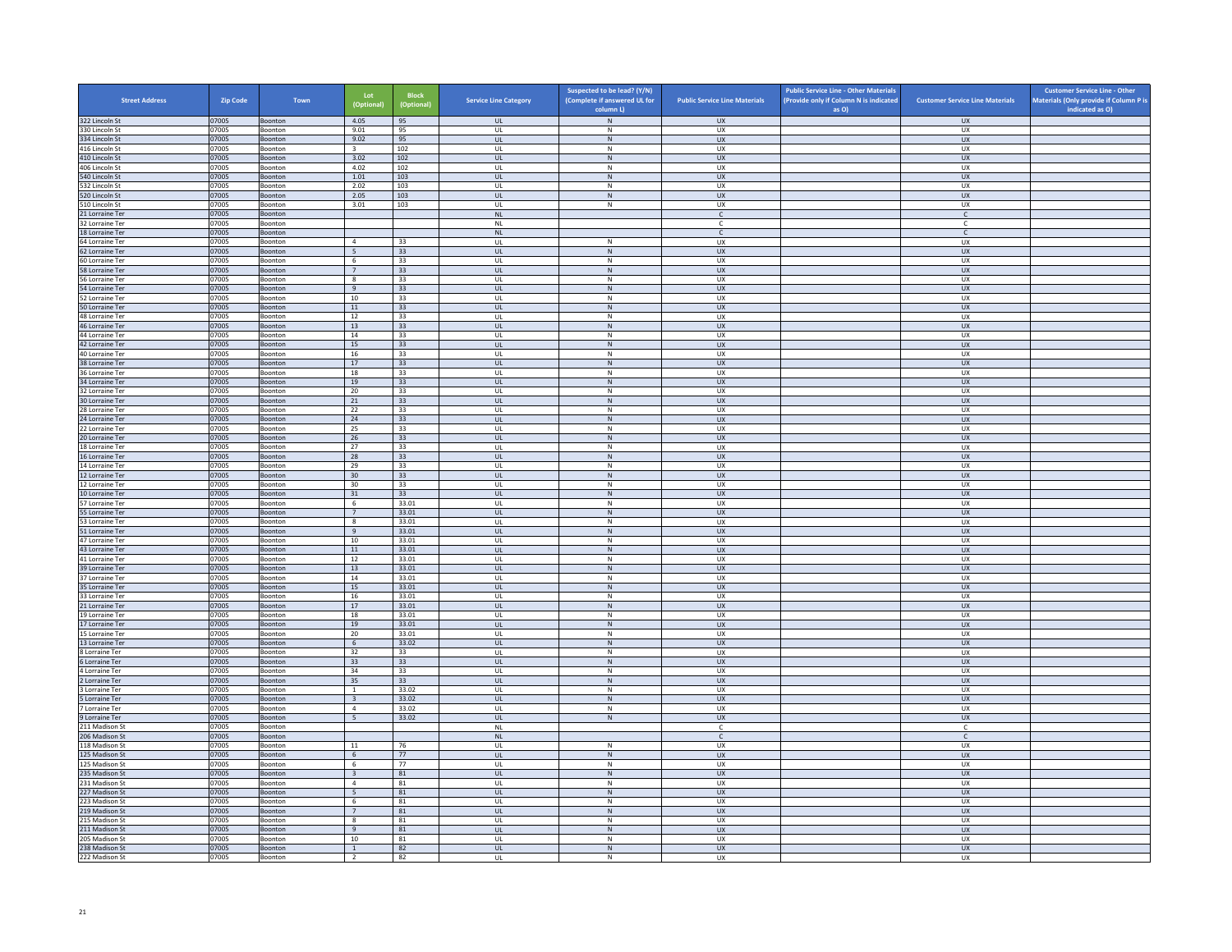| <b>Street Address</b>              | <b>Zip Code</b> | Town                      | Lot<br>(Optional)                         | <b>Block</b><br>(Optional) | <b>Service Line Category</b>                   | Suspected to be lead? (Y/N)<br>(Complete if answered UL for<br>column L) | <b>Public Service Line Materials</b> | <b>Public Service Line - Other Materials</b><br>(Provide only if Column N is indicated<br>as O) | <b>Customer Service Line Materials</b> | <b>Customer Service Line - Other</b><br>Materials (Only provide if Column P is<br>indicated as O) |
|------------------------------------|-----------------|---------------------------|-------------------------------------------|----------------------------|------------------------------------------------|--------------------------------------------------------------------------|--------------------------------------|-------------------------------------------------------------------------------------------------|----------------------------------------|---------------------------------------------------------------------------------------------------|
| 322 Lincoln St                     | 07005           | Boonton                   | 4.05                                      | 95                         | UL                                             | $\,$ N                                                                   | <b>UX</b>                            |                                                                                                 | <b>UX</b>                              |                                                                                                   |
| 330 Lincoln St                     | 07005           | Boonton                   | 9.01                                      | 95                         | UL                                             | N                                                                        | UX                                   |                                                                                                 | UX                                     |                                                                                                   |
| 334 Lincoln St                     | 07005           | Boonton                   | 9.02                                      | 95                         | $\mathsf{UL}$                                  | $\,$ N                                                                   | UX                                   |                                                                                                 | UX                                     |                                                                                                   |
| 416 Lincoln St<br>410 Lincoln St   | 07005<br>07005  | Boonton<br>Boonton        | $\overline{3}$<br>3.02                    | 102<br>102                 | UL<br>UL                                       | ${\sf N}$<br>N                                                           | UX<br><b>UX</b>                      |                                                                                                 | <b>UX</b><br>UX                        |                                                                                                   |
| 406 Lincoln St                     | 07005           | Boonton                   | 4.02                                      | 102                        | UL                                             | $\,$ N                                                                   | UX                                   |                                                                                                 | <b>UX</b>                              |                                                                                                   |
| 540 Lincoln St                     | 07005           | <b>Boonton</b>            | 1.01                                      | 103                        | $\mathbf{u}$                                   | N                                                                        | UX                                   |                                                                                                 | UX                                     |                                                                                                   |
| 532 Lincoln St                     | 07005           | Boonton                   | 2.02                                      | 103                        | UL                                             | ${\sf N}$                                                                | UX                                   |                                                                                                 | UX                                     |                                                                                                   |
| 520 Lincoln St                     | 07005           | Boonton                   | 2.05                                      | 103                        | <b>UL</b>                                      | N                                                                        | <b>UX</b>                            |                                                                                                 | <b>UX</b>                              |                                                                                                   |
| 510 Lincoln St                     | 07005           | Boonton                   | 3.01                                      | 103                        | UL                                             | ${\sf N}$                                                                | UX                                   |                                                                                                 | UX                                     |                                                                                                   |
| 21 Lorraine Ter                    | 07005           | Boonton                   |                                           |                            | $\mathsf{NL}\xspace$                           |                                                                          | $\mathsf{C}$                         |                                                                                                 | $\mathsf{C}$                           |                                                                                                   |
| 32 Lorraine Ter<br>18 Lorraine Ter | 07005<br>07005  | Boonton<br>Boonton        |                                           |                            | <b>NL</b><br>NL                                |                                                                          | C<br>$\mathsf{C}$                    |                                                                                                 | C<br>$\mathsf{C}^-$                    |                                                                                                   |
| 64 Lorraine Ter                    | 07005           | <b>Boonton</b>            | $\overline{4}$                            | 33                         | $\mathbf{u}$                                   | $\mathbf N$                                                              | UX                                   |                                                                                                 | UX                                     |                                                                                                   |
| 62 Lorraine Ter                    | 07005           | Boonton                   | 5                                         | 33                         | UL                                             | ${\sf N}$                                                                | UX                                   |                                                                                                 | UX                                     |                                                                                                   |
| 60 Lorraine Ter                    | 07005           | Boonton                   | 6                                         | 33                         | UL                                             | N                                                                        | UX                                   |                                                                                                 | UX                                     |                                                                                                   |
| 58 Lorraine Ter                    | 07005           | Boonton                   | $7\overline{ }$                           | 33                         | UL                                             | ${\sf N}$                                                                | UX                                   |                                                                                                 | UX                                     |                                                                                                   |
| 56 Lorraine Ter                    | 07005           | Boonton                   | 8                                         | 33                         | UL                                             | ${\sf N}$                                                                | UX                                   |                                                                                                 | UX                                     |                                                                                                   |
| 54 Lorraine Ter<br>52 Lorraine Ter | 07005<br>07005  | Boonton<br>Boonton        | 9<br>10                                   | 33<br>33                   | <b>UL</b><br>$\ensuremath{\mathsf{UL}}\xspace$ | N<br>${\sf N}$                                                           | <b>UX</b><br>UX                      |                                                                                                 | <b>UX</b><br><b>UX</b>                 |                                                                                                   |
| 50 Lorraine Ter                    | 07005           | <b>Boonton</b>            | 11                                        | 33                         | $\mathbf{u}$                                   | N                                                                        | UX                                   |                                                                                                 | UX                                     |                                                                                                   |
| 48 Lorraine Ter                    | 07005           | Boonton                   | 12                                        | 33                         | UL                                             | ${\sf N}$                                                                | UX                                   |                                                                                                 | UX                                     |                                                                                                   |
| 46 Lorraine Ter                    | 07005           | Boonton                   | 13                                        | 33                         | <b>UL</b>                                      | N                                                                        | UX                                   |                                                                                                 | <b>UX</b>                              |                                                                                                   |
| 44 Lorraine Ter                    | 07005           | Boonton                   | 14                                        | 33                         | UL                                             | ${\sf N}$                                                                | UX                                   |                                                                                                 | UX                                     |                                                                                                   |
| 42 Lorraine Ter                    | 07005           | Boonton                   | 15                                        | 33                         | $\mathsf{UL}$                                  | $\,$ N                                                                   | <b>UX</b>                            |                                                                                                 | UX                                     |                                                                                                   |
| 40 Lorraine Ter                    | 07005           | Boonton                   | 16                                        | 33                         | UL                                             | N                                                                        | <b>UX</b>                            |                                                                                                 | <b>UX</b>                              |                                                                                                   |
| 38 Lorraine Ter<br>36 Lorraine Ter | 07005<br>07005  | Boonton<br><b>Boonton</b> | $17$<br>18                                | 33<br>33                   | UL<br>$\mathbf{u}$                             | ${\sf N}$<br>N                                                           | ${\sf U}{\sf X}$<br>U X              |                                                                                                 | ${\sf U}{\sf X}$<br>UX                 |                                                                                                   |
| 34 Lorraine Ter                    | 07005           | Boonton                   | 19                                        | 33                         | UL                                             | $\,$ N                                                                   | UX                                   |                                                                                                 | UX                                     |                                                                                                   |
| 32 Lorraine Ter                    | 07005           | Boonton                   | 20                                        | 33                         | UL                                             | N                                                                        | UX                                   |                                                                                                 | <b>UX</b>                              |                                                                                                   |
| 30 Lorraine Ter                    | 07005           | Boonton                   | 21                                        | 33                         | UL                                             | ${\sf N}$                                                                | <b>UX</b>                            |                                                                                                 | UX                                     |                                                                                                   |
| 28 Lorraine Ter                    | 07005           | Boonton                   | 22                                        | 33                         | UL                                             | ${\sf N}$                                                                | UX                                   |                                                                                                 | UX                                     |                                                                                                   |
| 24 Lorraine Ter                    | 07005           | Boonton                   | 24                                        | 33                         | <b>UL</b>                                      | N                                                                        | <b>UX</b>                            |                                                                                                 | <b>UX</b>                              |                                                                                                   |
| 22 Lorraine Ter<br>20 Lorraine Ter | 07005<br>07005  | Boonton<br><b>Boonton</b> | 25<br>26                                  | 33<br>33                   | UL<br>$\overline{\mathbf{u}}$                  | ${\sf N}$<br>N                                                           | UX<br>UX                             |                                                                                                 | UX<br>UX                               |                                                                                                   |
| 18 Lorraine Ter                    | 07005           | Boonton                   | 27                                        | 33                         | UL                                             | ${\sf N}$                                                                | UX                                   |                                                                                                 | UX                                     |                                                                                                   |
| 16 Lorraine Ter                    | 07005           | Boonton                   | 28                                        | 33                         | UL                                             | N                                                                        | <b>UX</b>                            |                                                                                                 | <b>UX</b>                              |                                                                                                   |
| 14 Lorraine Ter                    | 07005           | Boonton                   | 29                                        | 33                         | UL                                             | ${\sf N}$                                                                | UX                                   |                                                                                                 | UX                                     |                                                                                                   |
| 12 Lorraine Ter                    | 07005           | Boonton                   | 30                                        | 33                         | UL                                             | $\,$ N                                                                   | <b>UX</b>                            |                                                                                                 | <b>UX</b>                              |                                                                                                   |
| 12 Lorraine Ter                    | 07005           | Boonton                   | 30                                        | 33                         | <b>UL</b>                                      | N                                                                        | <b>UX</b>                            |                                                                                                 | UX                                     |                                                                                                   |
| 10 Lorraine Ter<br>57 Lorraine Ter | 07005<br>07005  | Boonton<br>Boonton        | $31\,$<br>6                               | 33<br>33.01                | UL<br>UL                                       | ${\sf N}$<br>N                                                           | ${\sf U}{\sf X}$<br><b>UX</b>        |                                                                                                 | ${\sf U}{\sf X}$<br><b>UX</b>          |                                                                                                   |
| 55 Lorraine Ter                    | 07005           | Boonton                   | $7\overline{ }$                           | 33.01                      | UL                                             | ${\sf N}$                                                                | UX                                   |                                                                                                 | UX                                     |                                                                                                   |
| 53 Lorraine Ter                    | 07005           | Boonton                   | 8                                         | 33.01                      | UL                                             | ${\sf N}$                                                                | UX                                   |                                                                                                 | <b>UX</b>                              |                                                                                                   |
| 51 Lorraine Ter                    | 07005           | Boonton                   | 9                                         | 33.01                      | UL                                             | ${\sf N}$                                                                | <b>UX</b>                            |                                                                                                 | UX                                     |                                                                                                   |
| 47 Lorraine Ter                    | 07005           | Boonton                   | 10                                        | 33.01                      | UL                                             | ${\sf N}$                                                                | UX                                   |                                                                                                 | UX                                     |                                                                                                   |
| 43 Lorraine Ter                    | 07005           | Boonton                   | 11                                        | 33.01                      | $\mathbf{u}$                                   | N                                                                        | UX                                   |                                                                                                 | UX                                     |                                                                                                   |
| 41 Lorraine Ter                    | 07005<br>07005  | Boonton                   | 12                                        | 33.01<br>33.01             | UL                                             | ${\sf N}$<br>N                                                           | UX<br><b>UX</b>                      |                                                                                                 | UX                                     |                                                                                                   |
| 39 Lorraine Ter<br>37 Lorraine Ter | 07005           | Boonton<br>Boonton        | 13<br>14                                  | 33.01                      | UL.<br>UL                                      | ${\sf N}$                                                                | UX                                   |                                                                                                 | <b>UX</b><br>UX                        |                                                                                                   |
| 35 Lorraine Ter                    | 07005           | Boonton                   | 15                                        | 33.01                      | UL                                             | ${\sf N}$                                                                | UX                                   |                                                                                                 | UX                                     |                                                                                                   |
| 33 Lorraine Ter                    | 07005           | Boonton                   | 16                                        | 33.01                      | UL                                             | ${\sf N}$                                                                | UX                                   |                                                                                                 | UX                                     |                                                                                                   |
| 21 Lorraine Ter                    | 07005           | Boonton                   | 17                                        | 33.01                      | $\ensuremath{\mathsf{UL}}\xspace$              | ${\sf N}$                                                                | UX                                   |                                                                                                 | UX                                     |                                                                                                   |
| 19 Lorraine Ter                    | 07005           | <b>Boonton</b>            | 18                                        | 33.01                      | UL                                             | N                                                                        | U X                                  |                                                                                                 | UX                                     |                                                                                                   |
| 17 Lorraine Ter                    | 07005           | Boonton                   | 19                                        | 33.01                      | UL                                             | ${\sf N}$                                                                | UX                                   |                                                                                                 | UX                                     |                                                                                                   |
| 15 Lorraine Ter<br>13 Lorraine Ter | 07005<br>07005  | Boonton<br>Boonton        | 20<br>6                                   | 33.01<br>33.02             | UL<br>UL                                       | N<br>${\sf N}$                                                           | <b>UX</b><br>UX                      |                                                                                                 | UX<br>UX                               |                                                                                                   |
| 8 Lorraine Ter                     | 07005           | Boonton                   | 32                                        | 33                         | UL                                             | $\,$ N                                                                   | UX                                   |                                                                                                 | <b>UX</b>                              |                                                                                                   |
| 6 Lorraine Ter                     | 07005           | Boonton                   | 33                                        | 33                         | UL                                             | ${\sf N}$                                                                | <b>UX</b>                            |                                                                                                 | UX                                     |                                                                                                   |
| 4 Lorraine Ter                     | 07005           | Boonton                   | 34                                        | 33                         | UL                                             | ${\sf N}$                                                                | UX                                   |                                                                                                 | UX                                     |                                                                                                   |
| 2 Lorraine Ter                     | 07005           | Boonton                   | 35                                        | 33                         | $\mathbf{u}$                                   | N                                                                        | UX                                   |                                                                                                 | <b>UX</b>                              |                                                                                                   |
| 3 Lorraine Ter                     | 07005           | Boonton                   | $\mathbf{1}$                              | 33.02                      | UL                                             | ${\sf N}$                                                                | UX                                   |                                                                                                 | UX                                     |                                                                                                   |
| 5 Lorraine Ter<br>7 Lorraine Ter   | 07005<br>07005  | Boonton<br>Boonton        | $\overline{\mathbf{3}}$<br>$\overline{4}$ | 33.02<br>33.02             | <b>UL</b><br>UL                                | N<br>${\sf N}$                                                           | <b>UX</b><br>UX                      |                                                                                                 | <b>UX</b><br>UX                        |                                                                                                   |
| 9 Lorraine Ter                     | 07005           | Boonton                   | 5 <sup>5</sup>                            | 33.02                      | UL                                             | $\,$ N                                                                   | <b>UX</b>                            |                                                                                                 | UX                                     |                                                                                                   |
| 211 Madison St                     | 07005           | Boonton                   |                                           |                            | <b>NL</b>                                      |                                                                          | $\mathsf{C}$                         |                                                                                                 | $\mathsf{C}$                           |                                                                                                   |
| 206 Madison St                     | 07005           | Boonton                   |                                           |                            | $\sf NL$                                       |                                                                          | $\mathsf{C}$                         |                                                                                                 | $\mathsf{C}^-$                         |                                                                                                   |
| 118 Madison St                     | 07005           | <b>Boonton</b>            | 11                                        | 76                         | $\mathbf{U}$                                   | N                                                                        | U X                                  |                                                                                                 | UX                                     |                                                                                                   |
| 125 Madison St                     | 07005           | Boonton                   | 6                                         | 77                         | UL                                             | ${\sf N}$                                                                | UX                                   |                                                                                                 | UX                                     |                                                                                                   |
| 125 Madison St                     | 07005           | Boonton<br>Boonton        | - 6                                       | 77                         | <b>UL</b>                                      | N<br>N                                                                   | UX                                   |                                                                                                 | UX                                     |                                                                                                   |
| 235 Madison St<br>231 Madison St   | 07005<br>07005  | Boonton                   | $\overline{\mathbf{3}}$<br>$\overline{4}$ | 81<br>81                   | UL<br>UL                                       | $\,$ N                                                                   | UX<br>UX                             |                                                                                                 | UX<br><b>UX</b>                        |                                                                                                   |
| 227 Madison St                     | 07005           | <b>Boonton</b>            | -5                                        | 81                         | UL                                             | N                                                                        | <b>UX</b>                            |                                                                                                 | UX                                     |                                                                                                   |
| 223 Madison St                     | 07005           | Boonton                   | 6                                         | 81                         | UL                                             | ${\sf N}$                                                                | UX                                   |                                                                                                 | UX                                     |                                                                                                   |
| 219 Madison St                     | 07005           | Boonton                   | 7                                         | 81                         | $\mathbf{U}$                                   | N                                                                        | UX                                   |                                                                                                 | UX                                     |                                                                                                   |
| 215 Madison St                     | 07005           | Boonton                   | $\mathbf{8}$                              | 81                         | UL                                             | ${\sf N}$                                                                | UX                                   |                                                                                                 | UX                                     |                                                                                                   |
| 211 Madison St                     | 07005           | Boonton                   | 9                                         | 81                         | <b>UL</b>                                      | N                                                                        | <b>UX</b>                            |                                                                                                 | <b>UX</b>                              |                                                                                                   |
| 205 Madison St<br>238 Madison St   | 07005<br>07005  | Boonton<br>Boonton        | 10<br><sup>1</sup>                        | 81<br>82                   | UL<br>UL                                       | $\mathsf{N}$<br>${\sf N}$                                                | UX<br><b>UX</b>                      |                                                                                                 | UX<br>UX                               |                                                                                                   |
| 222 Madison St                     | 07005           | Boonton                   | $\overline{2}$                            | 82                         | UL                                             | N                                                                        | <b>UX</b>                            |                                                                                                 | <b>UX</b>                              |                                                                                                   |
|                                    |                 |                           |                                           |                            |                                                |                                                                          |                                      |                                                                                                 |                                        |                                                                                                   |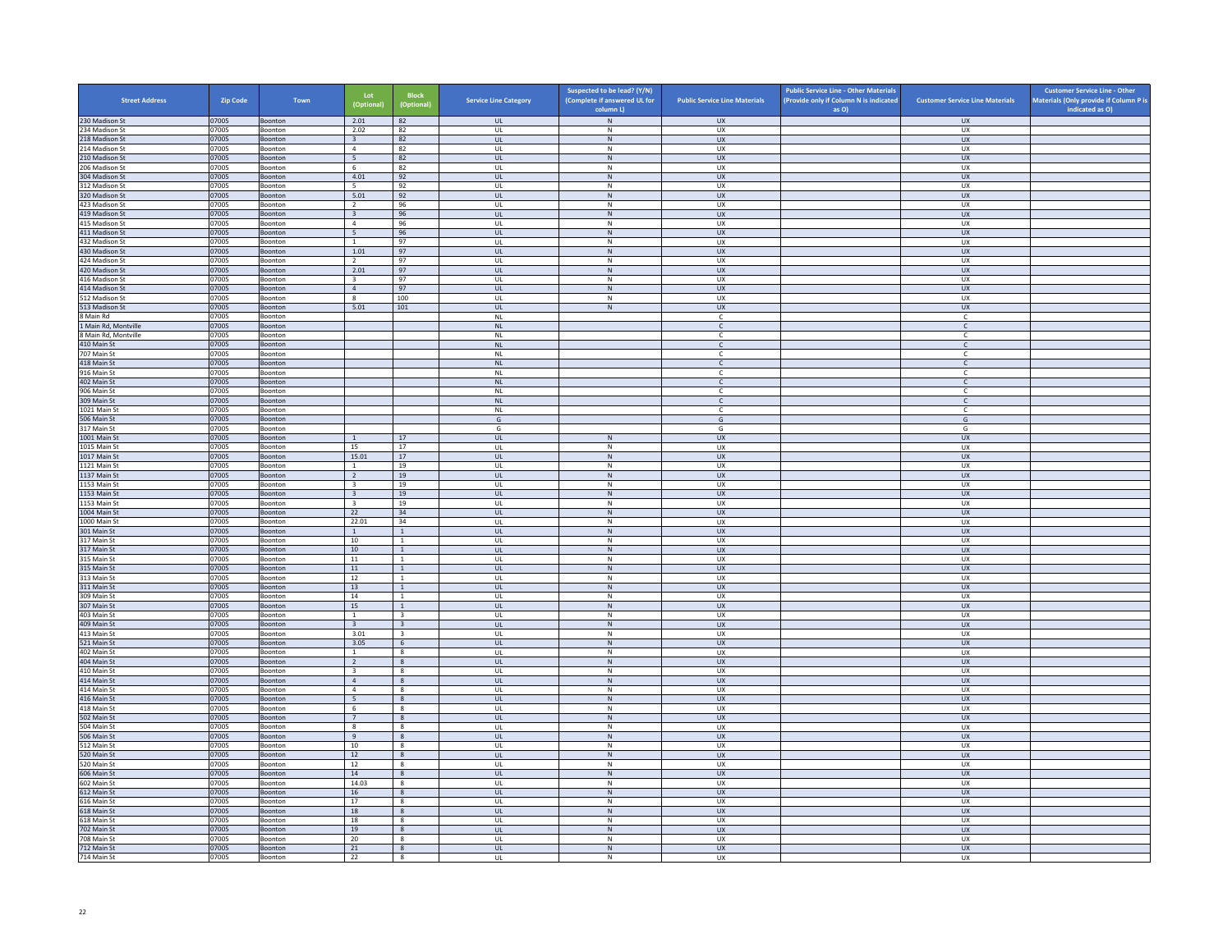| <b>Street Address</b>            | Zip Code       | Town                      | Lot<br>(Optional)                         | <b>Block</b><br>(Optional)                 | <b>Service Line Category</b>         | Suspected to be lead? (Y/N)<br>(Complete if answered UL for<br>column L) | <b>Public Service Line Materials</b> | <b>Public Service Line - Other Materials</b><br>(Provide only if Column N is indicated<br>as O) | <b>Customer Service Line Materials</b> | <b>Customer Service Line - Other</b><br>Materials (Only provide if Column P is<br>indicated as O) |
|----------------------------------|----------------|---------------------------|-------------------------------------------|--------------------------------------------|--------------------------------------|--------------------------------------------------------------------------|--------------------------------------|-------------------------------------------------------------------------------------------------|----------------------------------------|---------------------------------------------------------------------------------------------------|
| 230 Madison St                   | 07005          | Boonton                   | 2.01                                      | 82                                         | <b>UL</b>                            | ${\sf N}$                                                                | <b>UX</b>                            |                                                                                                 | <b>UX</b>                              |                                                                                                   |
| 234 Madison St                   | 07005          | Boonton                   | 2.02                                      | 82                                         | UL                                   | N                                                                        | UX                                   |                                                                                                 | <b>UX</b>                              |                                                                                                   |
| 218 Madison St                   | 07005          | Boonton                   | $\overline{\mathbf{3}}$                   | 82                                         | $_{\sf UL}$                          | ${\sf N}$                                                                | UX                                   |                                                                                                 | <b>UX</b>                              |                                                                                                   |
| 214 Madison St<br>210 Madison St | 07005<br>07005 | Boonton<br><b>Boonton</b> | $\overline{4}$<br>5                       | 82<br>82                                   | UL<br><b>UL</b>                      | $\,$ N<br>${\sf N}$                                                      | <b>UX</b><br><b>UX</b>               |                                                                                                 | <b>UX</b><br><b>UX</b>                 |                                                                                                   |
| 206 Madison St                   | 07005          | Boonton                   | 6                                         | 82                                         | UL                                   | $\,$ N                                                                   | UX                                   |                                                                                                 | UX                                     |                                                                                                   |
| 304 Madison St                   | 07005          | <b>Boonton</b>            | 4.01                                      | 92                                         | $\mathbf{u}$                         | N                                                                        | UX                                   |                                                                                                 | UX                                     |                                                                                                   |
| 12 Madison St                    | 07005          | Boonton                   | 5                                         | 92                                         | UL                                   | ${\sf N}$                                                                | UX                                   |                                                                                                 | UX                                     |                                                                                                   |
| 320 Madison St<br>423 Madison St | 07005<br>07005 | Boonton<br>Boonton        | 5.01<br>$\overline{2}$                    | 92<br>96                                   | <b>UL</b><br>$\mathsf{UL}$           | N<br>${\sf N}$                                                           | <b>UX</b><br>UX                      |                                                                                                 | <b>UX</b><br>UX                        |                                                                                                   |
| 419 Madison St                   | 07005          | Boonton                   | $\overline{\mathbf{3}}$                   | 96                                         | UL.                                  | $\,$ N                                                                   | <b>UX</b>                            |                                                                                                 | <b>UX</b>                              |                                                                                                   |
| 415 Madison St                   | 07005          | Boonton                   | $\overline{4}$                            | 96                                         | UL                                   | N                                                                        | <b>UX</b>                            |                                                                                                 | UX                                     |                                                                                                   |
| 411 Madison St                   | 07005          | Boonton                   | $\overline{5}$                            | 96                                         | $_{\sf UL}$                          | ${\sf N}$                                                                | ${\sf U}{\sf X}$                     |                                                                                                 | UX                                     |                                                                                                   |
| 432 Madison St                   | 07005          | <b>Boonton</b>            | $\overline{1}$                            | 97                                         | $\mathbf{U}$                         | N                                                                        | UX                                   |                                                                                                 | UX                                     |                                                                                                   |
| 430 Madison St<br>424 Madison St | 07005<br>07005 | Boonton<br>Boonton        | 1.01<br><sup>2</sup>                      | 97<br>97                                   | UL<br>UL                             | N<br>N                                                                   | UX<br>UX                             |                                                                                                 | UX<br>UX.                              |                                                                                                   |
| 420 Madison St                   | 07005          | Boonton                   | 2.01                                      | 97                                         | $_{\sf UL}$                          | ${\sf N}$                                                                | UX                                   |                                                                                                 | UX                                     |                                                                                                   |
| 416 Madison St                   | 07005          | Boonton                   | $\overline{\mathbf{3}}$                   | 97                                         | UL                                   | N                                                                        | UX                                   |                                                                                                 | UX                                     |                                                                                                   |
| 414 Madison St                   | 07005          | <b>Boonton</b>            | $\overline{4}$                            | 97                                         | <b>UL</b>                            | ${\sf N}$                                                                | <b>UX</b>                            |                                                                                                 | <b>UX</b>                              |                                                                                                   |
| 512 Madison St                   | 07005<br>07005 | Boonton                   | $\boldsymbol{8}$                          | 100                                        | UL                                   | ${\sf N}$                                                                | UX                                   |                                                                                                 | UX                                     |                                                                                                   |
| 513 Madison St<br>Main Rd        | 07005          | Boonton<br>Boonton        | 5.01                                      | 101                                        | $\mathbf{u}$<br>$\mathsf{NL}\xspace$ | N                                                                        | UX<br>$\mathsf{C}$                   |                                                                                                 | UX<br>c                                |                                                                                                   |
| 1 Main Rd, Montville             | 07005          | Boonton                   |                                           |                                            | <b>NL</b>                            |                                                                          | $\mathsf{C}$                         |                                                                                                 | $\mathsf{C}$                           |                                                                                                   |
| <b>B Main Rd, Montville</b>      | 07005          | Boonton                   |                                           |                                            | <b>NL</b>                            |                                                                          | $\mathsf{C}$                         |                                                                                                 | $\mathsf{C}$                           |                                                                                                   |
| 410 Main St                      | 07005          | Boonton                   |                                           |                                            | $\mathsf{NL}$                        |                                                                          | $\mathsf{C}$                         |                                                                                                 | $\mathsf{C}$                           |                                                                                                   |
| 707 Main St                      | 07005          | Boonton                   |                                           |                                            | <b>NL</b>                            |                                                                          | <b>C</b>                             |                                                                                                 | C                                      |                                                                                                   |
| 418 Main St<br>916 Main St       | 07005<br>07005 | Boonton<br>Boonton        |                                           |                                            | $\mathsf{NL}$<br><b>NL</b>           |                                                                          | $\mathsf{C}$<br>$\mathsf{C}$         |                                                                                                 | $\mathsf{C}$<br>$\mathsf{C}$           |                                                                                                   |
| 402 Main St                      | 07005          | Boonton                   |                                           |                                            | $\mathsf{NL}$                        |                                                                          | $\mathsf{C}$                         |                                                                                                 | $\mathsf{C}$                           |                                                                                                   |
| 906 Main St                      | 07005          | Boonton                   |                                           |                                            | <b>NL</b>                            |                                                                          | $\epsilon$                           |                                                                                                 | c                                      |                                                                                                   |
| 309 Main St                      | 07005          | Boonton                   |                                           |                                            | NL                                   |                                                                          | $\mathsf{C}$                         |                                                                                                 | $\mathsf{C}$                           |                                                                                                   |
| 1021 Main St                     | 07005          | Boonton                   |                                           |                                            | <b>NL</b>                            |                                                                          | $\mathsf{C}$                         |                                                                                                 | $\mathsf{C}$                           |                                                                                                   |
| 506 Main St<br>317 Main St       | 07005<br>07005 | Boonton<br>Boonton        |                                           |                                            | G<br>G                               |                                                                          | G<br>G                               |                                                                                                 | G<br>G                                 |                                                                                                   |
| 1001 Main St                     | 07005          | Boonton                   | 1                                         | 17                                         | $\mathbf{u}$                         | N                                                                        | <b>UX</b>                            |                                                                                                 | UX                                     |                                                                                                   |
| 1015 Main St                     | 07005          | Boonton                   | 15                                        | 17                                         | UL                                   | $\,$ N                                                                   | UX                                   |                                                                                                 | UX                                     |                                                                                                   |
| 1017 Main St                     | 07005          | Boonton                   | 15.01                                     | 17                                         | UL                                   | N                                                                        | <b>UX</b>                            |                                                                                                 | <b>UX</b>                              |                                                                                                   |
| 1121 Main St                     | 07005          | Boonton                   | $\mathbf{1}$                              | 19                                         | UL                                   | ${\sf N}$                                                                | UX                                   |                                                                                                 | UX                                     |                                                                                                   |
| 1137 Main St<br>1153 Main St     | 07005<br>07005 | Boonton<br>Boonton        | $\overline{2}$<br>$\overline{\mathbf{3}}$ | 19<br>19                                   | UL<br>UL                             | $\,$ N<br>N                                                              | <b>UX</b><br><b>UX</b>               |                                                                                                 | <b>UX</b><br><b>UX</b>                 |                                                                                                   |
| 1153 Main St                     | 07005          | Boonton                   | $\overline{\mathbf{3}}$                   | 19                                         | $_{\sf UL}$                          | $\,$ N                                                                   | ${\sf U}{\sf X}$                     |                                                                                                 | ${\sf U}{\sf X}$                       |                                                                                                   |
| 1153 Main St                     | 07005          | Boonton                   | $\overline{\mathbf{3}}$                   | 19                                         | UL                                   | N                                                                        | <b>UX</b>                            |                                                                                                 | <b>UX</b>                              |                                                                                                   |
| 1004 Main St                     | 07005          | Boonton                   | 22                                        | 34                                         | $\mathsf{UL}$                        | $\mathsf{N}$                                                             | UX                                   |                                                                                                 | UX                                     |                                                                                                   |
| 1000 Main St                     | 07005          | Boonton                   | 22.01                                     | 34                                         | UL                                   | N                                                                        | UX                                   |                                                                                                 | <b>UX</b>                              |                                                                                                   |
| 301 Main St<br>317 Main St       | 07005<br>07005 | Boonton<br>Boonton        | <sup>1</sup><br>10                        | $\mathbf{1}$<br>$\mathbf{1}$               | UL<br>UL                             | $\,$ N<br>$\,$ N                                                         | <b>UX</b><br>UX                      |                                                                                                 | <b>UX</b><br>UX                        |                                                                                                   |
| 317 Main St                      | 07005          | Boonton                   | 10 <sup>1</sup>                           | $\overline{1}$                             | $\mathbf{u}$                         | N                                                                        | $\overline{11}$                      |                                                                                                 | UX                                     |                                                                                                   |
| 315 Main St                      | 07005          | Boonton                   | $11\,$                                    | $\mathbf{1}$                               | UL                                   | ${\sf N}$                                                                | UX                                   |                                                                                                 | UX                                     |                                                                                                   |
| 315 Main St                      | 07005          | Boonton                   | 11                                        | $\overline{1}$                             | UL <sub>1</sub>                      | N                                                                        | <b>UX</b>                            |                                                                                                 | <b>UX</b>                              |                                                                                                   |
| 313 Main St                      | 07005          | Boonton                   | 12                                        | <sup>1</sup><br>$\overline{1}$             | UL                                   | ${\sf N}$<br>N                                                           | UX<br><b>UX</b>                      |                                                                                                 | UX                                     |                                                                                                   |
| 311 Main St<br>309 Main St       | 07005<br>07005 | Boonton<br>Boonton        | 13<br>14                                  | $\mathbf{1}$                               | UL<br>UL                             | ${\sf N}$                                                                | UX                                   |                                                                                                 | UX<br>UX                               |                                                                                                   |
| 307 Main St                      | 07005          | Boonton                   | 15                                        | $\mathbf{1}$                               | UL                                   | $\,$ N                                                                   | UX                                   |                                                                                                 | <b>UX</b>                              |                                                                                                   |
| 403 Main St                      | 07005          | <b>Boonton</b>            | 1                                         | 3                                          | $\mathbf{U}$                         | N                                                                        | <b>UX</b>                            |                                                                                                 | UX                                     |                                                                                                   |
| 409 Main St                      | 07005          | Boonton                   | $\overline{\mathbf{3}}$                   | $\overline{\mathbf{3}}$                    | $_{\sf UL}$                          | ${\sf N}$                                                                | UX                                   |                                                                                                 | UX                                     |                                                                                                   |
| 413 Main St<br>521 Main St       | 07005<br>07005 | Boonton<br>Boonton        | 3.01<br>3.05                              | $\overline{\mathbf{3}}$<br>$6\phantom{.}6$ | UL<br>$_{\sf UL}$                    | N<br>${\sf N}$                                                           | <b>UX</b><br>UX                      |                                                                                                 | <b>UX</b><br>UX                        |                                                                                                   |
| 402 Main St                      | 07005          | Boonton                   | $\mathbf{1}$                              | 8                                          | UL                                   | N                                                                        | <b>UX</b>                            |                                                                                                 | UX                                     |                                                                                                   |
| 404 Main St                      | 07005          | <b>Boonton</b>            | <sup>2</sup>                              | 8                                          | <b>UL</b>                            | N                                                                        | <b>UX</b>                            |                                                                                                 | <b>UX</b>                              |                                                                                                   |
| 410 Main St                      | 07005          | Boonton                   | $\overline{\mathbf{3}}$                   | 8                                          | UL                                   | $\,$ N                                                                   | UX                                   |                                                                                                 | UX                                     |                                                                                                   |
| 414 Main St                      | 07005          | Boonton                   | $\overline{4}$                            | $\mathbf{8}$                               | $\mathbf{u}$                         | N                                                                        | UX                                   |                                                                                                 | <b>UX</b>                              |                                                                                                   |
| 414 Main St<br>416 Main St       | 07005<br>07005 | Boonton<br>Boonton        | $\overline{4}$<br>5                       | 8<br>8                                     | UL<br><b>UL</b>                      | ${\sf N}$<br>N                                                           | UX<br><b>UX</b>                      |                                                                                                 | UX<br><b>UX</b>                        |                                                                                                   |
| 418 Main St                      | 07005          | Boonton                   | $\,$ 6                                    | $\bf{8}$                                   | UL                                   | ${\sf N}$                                                                | UX                                   |                                                                                                 | UX                                     |                                                                                                   |
| 502 Main St                      | 07005          | Boonton                   | $7\overline{ }$                           | 8                                          | UL                                   | N                                                                        | UX                                   |                                                                                                 | UX                                     |                                                                                                   |
| 504 Main St                      | 07005          | Boonton                   | 8                                         | 8                                          | UL                                   | ${\sf N}$                                                                | UX                                   |                                                                                                 | UX                                     |                                                                                                   |
| 506 Main St<br>512 Main St       | 07005<br>07005 | Boonton                   | 9                                         | 8                                          | $_{\sf UL}$<br>$\mathbf{U}$          | ${\sf N}$<br>N                                                           | UX<br><b>UX</b>                      |                                                                                                 | <b>UX</b><br>UX                        |                                                                                                   |
| 520 Main St                      | 07005          | <b>Boonton</b><br>Boonton | 10<br>$12\,$                              | -8<br>8                                    | UL                                   | ${\sf N}$                                                                | UX                                   |                                                                                                 | UX                                     |                                                                                                   |
| 520 Main St                      | 07005          | Boonton                   | 12                                        | 8                                          | UL                                   | N                                                                        | <b>UX</b>                            |                                                                                                 | UX                                     |                                                                                                   |
| 606 Main St                      | 07005          | Boonton                   | 14                                        | $\boldsymbol{8}$                           | $_{\sf UL}$                          | ${\sf N}$                                                                | UX                                   |                                                                                                 | UX                                     |                                                                                                   |
| 602 Main St                      | 07005          | Boonton                   | 14.03                                     | $^{8}$                                     | UL                                   | $\,$ N                                                                   | UX                                   |                                                                                                 | UX                                     |                                                                                                   |
| 612 Main St                      | 07005          | Boonton                   | 16                                        | 8                                          | <b>UL</b>                            | N                                                                        | <b>UX</b>                            |                                                                                                 | <b>UX</b>                              |                                                                                                   |
| 616 Main St<br>618 Main St       | 07005<br>07005 | Boonton<br>Boonton        | 17<br>18                                  | $\bf{8}$<br>$_{\rm 8}$                     | UL<br>$\mathbf{u}$                   | ${\sf N}$<br>N                                                           | UX<br>UX                             |                                                                                                 | UX<br><b>UX</b>                        |                                                                                                   |
| 618 Main St                      | 07005          | Boonton                   | 18                                        | 8                                          | UL                                   | N                                                                        | UX                                   |                                                                                                 | UX                                     |                                                                                                   |
| 702 Main St                      | 07005          | Boonton                   | 19                                        | 8                                          | UL.                                  | N                                                                        | <b>UX</b>                            |                                                                                                 | <b>UX</b>                              |                                                                                                   |
| 708 Main St                      | 07005          | Boonton                   | 20                                        | 8                                          | UL                                   | ${\sf N}$                                                                | UX                                   |                                                                                                 | UX                                     |                                                                                                   |
| 712 Main St<br>714 Main St       | 07005<br>07005 | Boonton                   | 21<br>22                                  | 8<br>$\overline{\mathbf{8}}$               | UL<br>UL                             | N<br>$\overline{N}$                                                      | <b>UX</b><br><b>UX</b>               |                                                                                                 | UX<br><b>UX</b>                        |                                                                                                   |
|                                  |                | Boonton                   |                                           |                                            |                                      |                                                                          |                                      |                                                                                                 |                                        |                                                                                                   |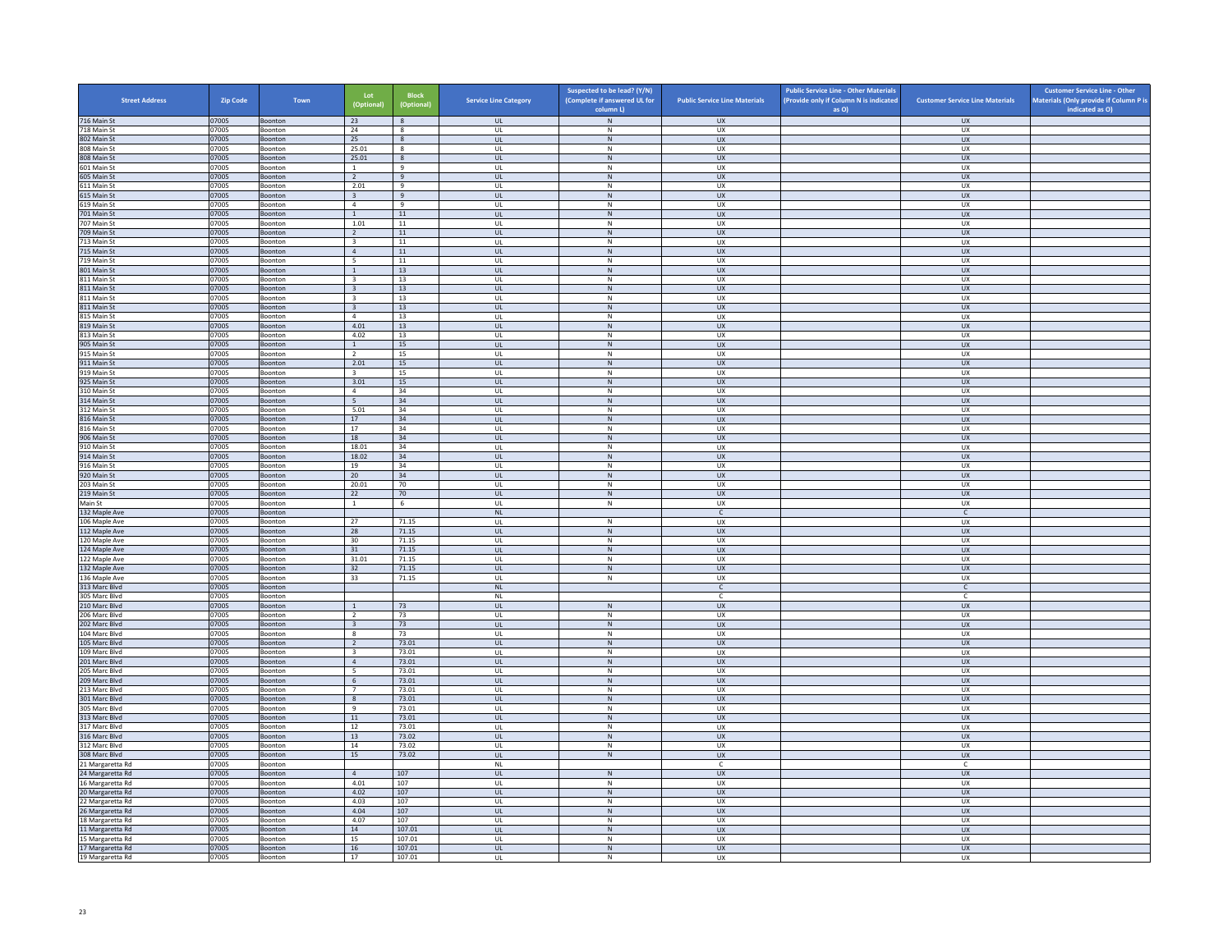| <b>Street Address</b>                | <b>Zip Code</b> | Town               | Lot<br>(Optional)                                  | Block<br>(Optional) | <b>Service Line Category</b>            | Suspected to be lead? (Y/N)<br>(Complete if answered UL for<br>column L) | <b>Public Service Line Materials</b> | <b>Public Service Line - Other Materials</b><br>(Provide only if Column N is indicated<br>as O) | <b>Customer Service Line Materials</b> | <b>Customer Service Line - Other</b><br>Materials (Only provide if Column P is<br>indicated as O) |
|--------------------------------------|-----------------|--------------------|----------------------------------------------------|---------------------|-----------------------------------------|--------------------------------------------------------------------------|--------------------------------------|-------------------------------------------------------------------------------------------------|----------------------------------------|---------------------------------------------------------------------------------------------------|
| 716 Main St                          | 07005           | Boonton            | 23                                                 | 8                   | <b>UL</b>                               | N                                                                        | <b>UX</b>                            |                                                                                                 | <b>UX</b>                              |                                                                                                   |
| 718 Main St                          | 07005           | Boonton            | 24                                                 | 8                   | <b>UL</b>                               | N                                                                        | <b>UX</b>                            |                                                                                                 | <b>UX</b>                              |                                                                                                   |
| 802 Main St<br>808 Main St           | 07005<br>07005  | Boonton<br>Boonton | 25<br>25.01                                        | 8<br>$\mathbf{g}$   | UL<br>UL                                | ${\sf N}$<br>N                                                           | UX<br>UX                             |                                                                                                 | ${\sf U}{\sf X}$<br><b>UX</b>          |                                                                                                   |
| 808 Main St                          | 07005           | Boonton            | 25.01                                              | 8                   | UL                                      | ${\sf N}$                                                                | <b>UX</b>                            |                                                                                                 | UX                                     |                                                                                                   |
| 601 Main St                          | 07005           | Boonton            | $\mathbf{1}$                                       | $\mathbf{q}$        | UL                                      | $\mathsf{N}$                                                             | UX                                   |                                                                                                 | <b>UX</b>                              |                                                                                                   |
| 605 Main St                          | 07005           | Boonton            | $\overline{2}$                                     | $\overline{9}$      | UL                                      | N                                                                        | <b>UX</b>                            |                                                                                                 | UX                                     |                                                                                                   |
| 611 Main St<br>615 Main St           | 07005<br>07005  | Boonton<br>Boonton | 2.01<br>$\overline{3}$                             | 9<br>$\overline{q}$ | UL<br>$\mathbf{u}$                      | ${\sf N}$<br>N                                                           | UX<br>$\overline{11}$                |                                                                                                 | UX<br><b>UX</b>                        |                                                                                                   |
| 619 Main St                          | 07005           | Boonton            | $\overline{4}$                                     | 9                   | UL                                      | $\mathsf{N}$                                                             | UX                                   |                                                                                                 | UX                                     |                                                                                                   |
| 701 Main St                          | 07005           | Boonton            | 1                                                  | 11                  | UL.                                     | N                                                                        | <b>UX</b>                            |                                                                                                 | <b>UX</b>                              |                                                                                                   |
| 707 Main St                          | 07005           | Boonton            | 1.01                                               | $11\,$              | UL                                      | ${\sf N}$                                                                | UX                                   |                                                                                                 | UX                                     |                                                                                                   |
| 709 Main St<br>713 Main St           | 07005<br>07005  | Boonton<br>Boonton | <sup>2</sup><br>$\overline{\mathbf{3}}$            | 11<br>11            | UL<br>UL                                | N<br>${\sf N}$                                                           | UX<br>UX                             |                                                                                                 | UX<br>UX                               |                                                                                                   |
| 715 Main St                          | 07005           | Boonton            | $\overline{4}$                                     | 11                  | UL                                      | ${\sf N}$                                                                | UX                                   |                                                                                                 | UX                                     |                                                                                                   |
| 719 Main St                          | 07005           | Boonton            | - 5                                                | 11                  | $\mathbf{U}$                            | N                                                                        | <b>UX</b>                            |                                                                                                 | UX                                     |                                                                                                   |
| 801 Main St                          | 07005           | Boonton            | $\mathbf{1}$                                       | 13                  | UL                                      | ${\sf N}$                                                                | UX                                   |                                                                                                 | UX                                     |                                                                                                   |
| 811 Main St<br>811 Main St           | 07005<br>07005  | Boonton<br>Boonton | $\overline{\mathbf{3}}$<br>$\overline{\mathbf{3}}$ | 13<br>13            | <b>UL</b><br><b>UL</b>                  | N<br>${\sf N}$                                                           | <b>UX</b><br>UX                      |                                                                                                 | UX<br>UX                               |                                                                                                   |
| 811 Main St                          | 07005           | Boonton            | $\overline{\mathbf{3}}$                            | 13                  | UL                                      | $\,$ N                                                                   | UX                                   |                                                                                                 | <b>UX</b>                              |                                                                                                   |
| 811 Main St                          | 07005           | Boonton            | $\overline{\mathbf{3}}$                            | 13                  | UL                                      | N                                                                        | <b>UX</b>                            |                                                                                                 | UX                                     |                                                                                                   |
| 815 Main St                          | 07005           | Boonton            | $\overline{4}$                                     | 13                  | UL                                      | ${\sf N}$                                                                | UX<br>UX                             |                                                                                                 | UX                                     |                                                                                                   |
| 819 Main St<br>813 Main St           | 07005<br>07005  | Boonton<br>Boonton | 4.01<br>4.02                                       | 13<br>13            | $\mathbf{U}$<br>UL                      | N<br>${\sf N}$                                                           | UX                                   |                                                                                                 | <b>UX</b><br>UX                        |                                                                                                   |
| 905 Main St                          | 07005           | Boonton            | 1                                                  | 15                  | <b>UL</b>                               | N                                                                        | <b>UX</b>                            |                                                                                                 | <b>UX</b>                              |                                                                                                   |
| 915 Main St                          | 07005           | Boonton            | $\overline{2}$                                     | 15                  | UL                                      | $\mathsf{N}$                                                             | UX                                   |                                                                                                 | UX                                     |                                                                                                   |
| 911 Main St                          | 07005           | Boonton            | 2.01                                               | 15                  | UL                                      | ${\sf N}$                                                                | <b>UX</b>                            |                                                                                                 | UX                                     |                                                                                                   |
| 919 Main St<br>925 Main St           | 07005<br>07005  | Boonton<br>Boonton | $\overline{\mathbf{3}}$<br>3.01                    | 15<br>15            | UL<br>$\ensuremath{\mathsf{UL}}\xspace$ | $\mathsf{N}$<br>${\sf N}$                                                | <b>UX</b><br>UX                      |                                                                                                 | UX<br>${\sf U}{\sf X}$                 |                                                                                                   |
| 310 Main St                          | 07005           | Boonton            | $\overline{4}$                                     | 34                  | <b>UL</b>                               | N                                                                        | <b>UX</b>                            |                                                                                                 | <b>UX</b>                              |                                                                                                   |
| 314 Main St                          | 07005           | Boonton            | 5                                                  | 34                  | UL                                      | ${\sf N}$                                                                | UX                                   |                                                                                                 | UX                                     |                                                                                                   |
| 312 Main St                          | 07005           | Boonton            | 5.01                                               | 34                  | UL                                      | ${\sf N}$                                                                | <b>UX</b>                            |                                                                                                 | <b>UX</b>                              |                                                                                                   |
| 816 Main St<br>816 Main St           | 07005<br>07005  | Boonton<br>Boonton | 17<br>17                                           | 34<br>34            | UL<br>UL                                | ${\sf N}$<br>${\sf N}$                                                   | <b>UX</b><br>UX                      |                                                                                                 | <b>UX</b><br>UX                        |                                                                                                   |
| 906 Main St                          | 07005           | Boonton            | 18                                                 | 34                  | $\overline{\mathbf{u}}$                 | N                                                                        | UX                                   |                                                                                                 | $\overline{U}$                         |                                                                                                   |
| 910 Main St                          | 07005           | Boonton            | 18.01                                              | 34                  | UL                                      | ${\sf N}$                                                                | UX                                   |                                                                                                 | UX                                     |                                                                                                   |
| 914 Main St                          | 07005           | Boonton            | 18.02                                              | 34                  | UL.                                     | N                                                                        | <b>UX</b>                            |                                                                                                 | <b>UX</b>                              |                                                                                                   |
| 916 Main St<br>920 Main St           | 07005<br>07005  | Boonton<br>Boonton | 19<br>20                                           | 34<br>34            | UL<br>UL                                | ${\sf N}$<br>${\sf N}$                                                   | UX<br>UX                             |                                                                                                 | UX<br><b>UX</b>                        |                                                                                                   |
| 203 Main St                          | 07005           | Boonton            | 20.01                                              | 70                  | UL                                      | $\mathsf{N}$                                                             | UX                                   |                                                                                                 | UX                                     |                                                                                                   |
| 219 Main St                          | 07005           | Boonton            | 22                                                 | 70                  | UL                                      | ${\sf N}$                                                                | UX                                   |                                                                                                 | UX                                     |                                                                                                   |
| Main St<br>132 Maple Ave             | 07005<br>07005  | Boonton<br>Boonton | $\overline{1}$                                     | - 6                 | $\mathbf{u}$<br>$\mathsf{NL}$           | $\mathsf{N}$                                                             | ux<br>$\mathsf{C}$                   |                                                                                                 | UX<br>$\mathsf{C}$                     |                                                                                                   |
| 106 Maple Ave                        | 07005           | Boonton            | 27                                                 | 71.15               | <b>UL</b>                               | N                                                                        | UX                                   |                                                                                                 | <b>UX</b>                              |                                                                                                   |
| 112 Maple Ave                        | 07005           | Boonton            | 28                                                 | 71.15               | UL                                      | ${\sf N}$                                                                | UX                                   |                                                                                                 | UX                                     |                                                                                                   |
| 120 Maple Ave                        | 07005           | Boonton            | 30                                                 | 71.15               | UL                                      | ${\sf N}$                                                                | UX                                   |                                                                                                 | UX                                     |                                                                                                   |
| 124 Maple Ave<br>122 Maple Ave       | 07005<br>07005  | Boonton<br>Boonton | 31<br>31.01                                        | 71.15<br>71.15      | <b>UL</b><br>UL                         | N<br>${\sf N}$                                                           | <b>UX</b><br>UX                      |                                                                                                 | <b>UX</b><br>UX                        |                                                                                                   |
| 132 Maple Ave                        | 07005           | Boonton            | 32                                                 | 71.15               | $\mathbf{U}$                            | N                                                                        | $\overline{11}$                      |                                                                                                 | UX                                     |                                                                                                   |
| 136 Maple Ave                        | 07005           | Boonton            | 33                                                 | 71.15               | UL                                      | ${\sf N}$                                                                | UX                                   |                                                                                                 | UX                                     |                                                                                                   |
| 313 Marc Blvd                        | 07005           | Boonton            |                                                    |                     | <b>NL</b>                               |                                                                          | $\mathsf{C}$                         |                                                                                                 | $\mathsf{C}$                           |                                                                                                   |
| 305 Marc Blvd<br>210 Marc Blvd       | 07005<br>07005  | Boonton<br>Boonton | $\overline{1}$                                     | 73                  | NL<br><b>UL</b>                         | $\,N\,$                                                                  | $\mathsf{C}$<br><b>UX</b>            |                                                                                                 | $\mathsf{C}$<br><b>UX</b>              |                                                                                                   |
| 206 Marc Blyd                        | 07005           | Boonton            | <sup>2</sup>                                       | 73                  | UL                                      | N                                                                        | <b>UX</b>                            |                                                                                                 | <b>UX</b>                              |                                                                                                   |
| 202 Marc Blvd                        | 07005           | Boonton            | $\overline{\mathbf{3}}$                            | 73                  | UL                                      | ${\sf N}$                                                                | UX                                   |                                                                                                 | ${\sf U}{\sf X}$                       |                                                                                                   |
| 104 Marc Blvd                        | 07005           | Boonton            | 8                                                  | 73                  | UL                                      | N                                                                        | <b>UX</b>                            |                                                                                                 | <b>UX</b>                              |                                                                                                   |
| 105 Marc Blvd<br>109 Marc Blvd       | 07005<br>07005  | Boonton<br>Boonton | $\overline{2}$<br>$\overline{\mathbf{3}}$          | 73.01<br>73.01      | <b>UL</b><br>UL                         | ${\sf N}$<br>${\sf N}$                                                   | <b>UX</b><br>UX                      |                                                                                                 | <b>UX</b><br>UX                        |                                                                                                   |
| 201 Marc Blvd                        | 07005           | Boonton            | $\overline{4}$                                     | 73.01               | UL                                      | N                                                                        | <b>UX</b>                            |                                                                                                 | UX                                     |                                                                                                   |
| 205 Marc Blvd                        | 07005           | Boonton            | 5                                                  | 73.01               | UL                                      | ${\sf N}$                                                                | UX                                   |                                                                                                 | UX                                     |                                                                                                   |
| 209 Marc Blvd                        | 07005           | Boonton            | - 6<br>$\overline{7}$                              | 73.01               | $\mathbf{u}$                            | N<br>${\sf N}$                                                           | UX                                   |                                                                                                 | $\overline{U}$                         |                                                                                                   |
| 213 Marc Blvd<br>301 Marc Blvd       | 07005<br>07005  | Boonton<br>Boonton | 8                                                  | 73.01<br>73.01      | UL<br><b>UL</b>                         | N                                                                        | UX<br><b>UX</b>                      |                                                                                                 | UX<br><b>UX</b>                        |                                                                                                   |
| 305 Marc Blvd                        | 07005           | Boonton            | 9                                                  | 73.01               | UL                                      | ${\sf N}$                                                                | UX                                   |                                                                                                 | UX                                     |                                                                                                   |
| 313 Marc Blvd                        | 07005           | Boonton            | 11                                                 | 73.01               | UL                                      | ${\sf N}$                                                                | <b>UX</b>                            |                                                                                                 | UX                                     |                                                                                                   |
| 317 Marc Blvd                        | 07005           | Boonton            | 12                                                 | 73.01               | UL                                      | ${\sf N}$                                                                | UX                                   |                                                                                                 | UX                                     |                                                                                                   |
| 316 Marc Blvd<br>312 Marc Blvd       | 07005<br>07005  | Boonton<br>Boonton | 13<br>14                                           | 73.02<br>73.02      | <b>UL</b><br>$\mathbf{U}$               | $\,$ N<br>$\mathbb N$                                                    | UX<br>UX                             |                                                                                                 | <b>UX</b><br>UX                        |                                                                                                   |
| 308 Marc Blvd                        | 07005           | Boonton            | 15                                                 | 73.02               | UL                                      | ${\sf N}$                                                                | UX                                   |                                                                                                 | UX                                     |                                                                                                   |
| 21 Margaretta Rd                     | 07005           | Boonton            |                                                    |                     | NI                                      |                                                                          | $\mathbb{C}$                         |                                                                                                 | $\mathsf{C}$                           |                                                                                                   |
| 24 Margaretta Rd                     | 07005<br>07005  | Boonton<br>Boonton | $\overline{4}$<br>4.01                             | 107<br>107          | $\mathsf{UL}$<br>UL                     | ${\sf N}$<br>N                                                           | UX<br>UX                             |                                                                                                 | UX<br>UX                               |                                                                                                   |
| 16 Margaretta Rd<br>20 Margaretta Rd | 07005           | Boonton            | 4.02                                               | 107                 | UL                                      | N                                                                        | <b>UX</b>                            |                                                                                                 | UX                                     |                                                                                                   |
| 22 Margaretta Rd                     | 07005           | Boonton            | 4.03                                               | 107                 | UL                                      | N                                                                        | UX                                   |                                                                                                 | UX                                     |                                                                                                   |
| 26 Margaretta Rd                     | 07005           | Boonton            | 4.04                                               | 107                 | $\mathbf{u}$                            | N                                                                        | $\overline{11}$                      |                                                                                                 | <b>UX</b>                              |                                                                                                   |
| 18 Margaretta Rd                     | 07005           | Boonton            | 4.07<br>14                                         | 107<br>107.01       | UL<br><b>UL</b>                         | ${\sf N}$<br>N                                                           | UX<br><b>UX</b>                      |                                                                                                 | UX<br><b>UX</b>                        |                                                                                                   |
| 11 Margaretta Rd<br>15 Margaretta Rd | 07005<br>07005  | Boonton<br>Boonton | 15                                                 | 107.01              | UL                                      | $\mathsf{N}$                                                             | UX                                   |                                                                                                 | UX                                     |                                                                                                   |
| 17 Margaretta Rd                     | 07005           | Boonton            | 16                                                 | 107.01              | UL                                      | ${\sf N}$                                                                | UX                                   |                                                                                                 | UX                                     |                                                                                                   |
| 19 Margaretta Rd                     | 07005           | Boonton            | 17                                                 | 107.01              | UL                                      | N                                                                        | <b>UX</b>                            |                                                                                                 | <b>UX</b>                              |                                                                                                   |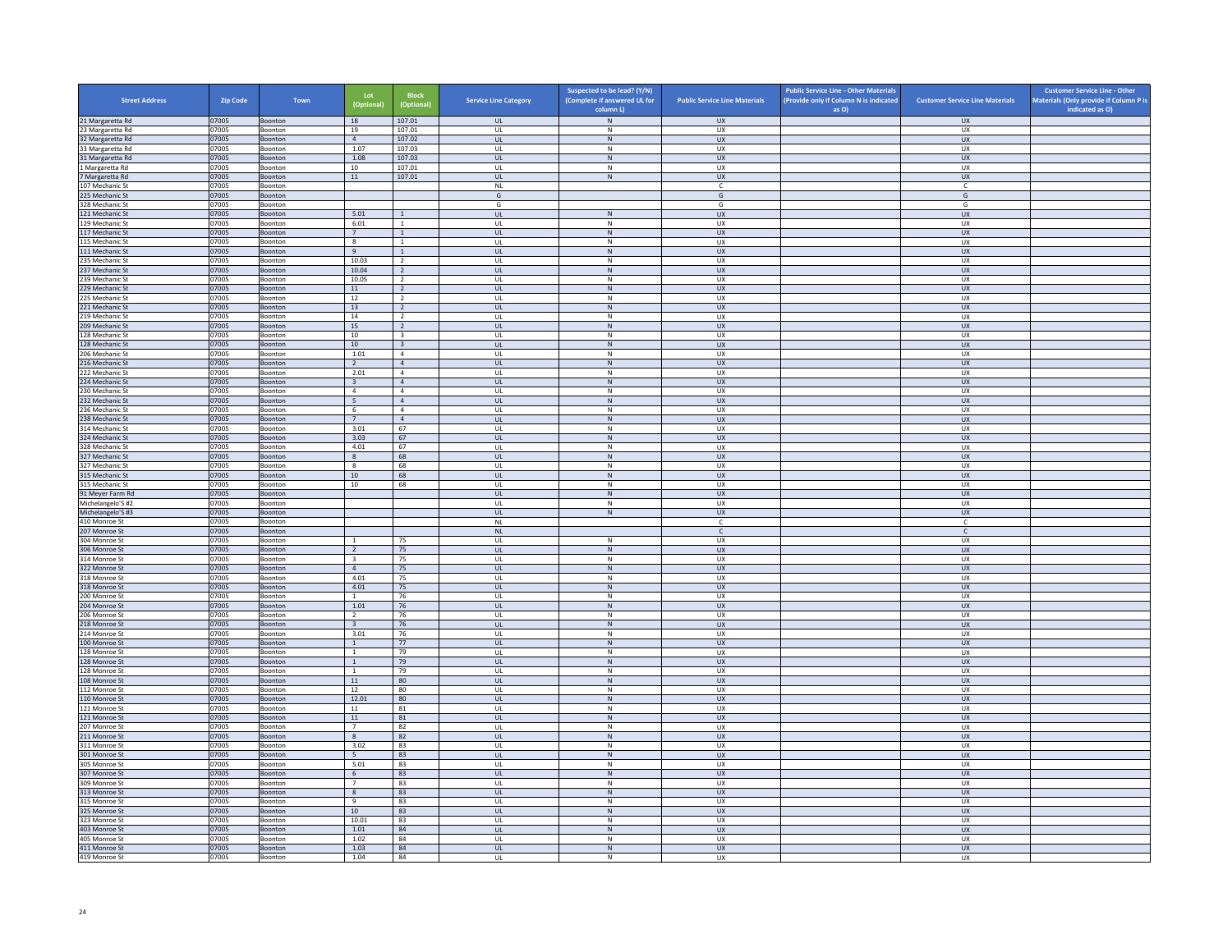| <b>Street Address</b>                | Zip Code       | Town                      | Lot<br>(Optional)        | <b>Block</b><br>(Optional)       | <b>Service Line Category</b> | Suspected to be lead? (Y/N)<br>(Complete if answered UL for<br>column L) | <b>Public Service Line Materials</b> | <b>Public Service Line - Other Materials</b><br>(Provide only if Column N is indicated<br>as O) | <b>Customer Service Line Materials</b> | <b>Customer Service Line - Other</b><br>Materials (Only provide if Column P is<br>indicated as O) |
|--------------------------------------|----------------|---------------------------|--------------------------|----------------------------------|------------------------------|--------------------------------------------------------------------------|--------------------------------------|-------------------------------------------------------------------------------------------------|----------------------------------------|---------------------------------------------------------------------------------------------------|
| 21 Margaretta Rd                     | 07005          | Boonton                   | 18                       | 107.01                           | <b>UL</b>                    | ${\sf N}$                                                                | <b>UX</b>                            |                                                                                                 | <b>UX</b>                              |                                                                                                   |
| 23 Margaretta Rd                     | 07005          | Boonton                   | 19                       | 107.01                           | UL                           | N                                                                        | UX                                   |                                                                                                 | <b>UX</b>                              |                                                                                                   |
| 32 Margaretta Rd                     | 07005          | Boonton                   | $\overline{4}$           | 107.02                           | $_{\sf UL}$                  | ${\sf N}$                                                                | UX                                   |                                                                                                 | UX                                     |                                                                                                   |
| 33 Margaretta Rd<br>31 Margaretta Rd | 07005<br>07005 | Boonton<br><b>Boonton</b> | 1.07<br>1.08             | 107.03<br>107.03                 | UL<br><b>UL</b>              | N<br>${\sf N}$                                                           | <b>UX</b><br><b>UX</b>               |                                                                                                 | <b>UX</b><br><b>UX</b>                 |                                                                                                   |
| 1 Margaretta Rd                      | 07005          | Boonton                   | 10                       | 107.01                           | UL                           | $\,$ N                                                                   | UX                                   |                                                                                                 | UX                                     |                                                                                                   |
| 7 Margaretta Rd                      | 07005          | <b>Boonton</b>            | 11                       | 107.01                           | $\mathbf{u}$                 | N                                                                        | UX                                   |                                                                                                 | UX                                     |                                                                                                   |
| 107 Mechanic St                      | 07005          | Boonton                   |                          |                                  | $\mathsf{NL}$                |                                                                          | $\mathsf{C}$                         |                                                                                                 | c                                      |                                                                                                   |
| 225 Mechanic St<br>328 Mechanic St   | 07005<br>07005 | Boonton<br>Boonton        |                          |                                  | G<br>G                       |                                                                          | G<br>G                               |                                                                                                 | G<br>G                                 |                                                                                                   |
| 121 Mechanic St                      | 07005          | Boonton                   | 5.01                     | $\mathbf{1}$                     | UL                           | N                                                                        | <b>UX</b>                            |                                                                                                 | <b>UX</b>                              |                                                                                                   |
| 129 Mechanic St                      | 07005          | Boonton                   | 6.01                     | -1                               | UL                           | N                                                                        | <b>UX</b>                            |                                                                                                 | UX                                     |                                                                                                   |
| 117 Mechanic St                      | 07005          | Boonton                   | $7\phantom{.0}$          | $\,$ 1 $\,$                      | UL                           | ${\sf N}$                                                                | UX                                   |                                                                                                 | UX                                     |                                                                                                   |
| 115 Mechanic St                      | 07005          | <b>Boonton</b>            | $\mathbf{g}$             | $\overline{1}$                   | $\mathbf{U}$                 | N                                                                        | UX                                   |                                                                                                 | UX                                     |                                                                                                   |
| 111 Mechanic St<br>235 Mechanic St   | 07005<br>07005 | Boonton<br>Boonton        | 9<br>10.03               | $\mathbf{1}$<br>$\overline{2}$   | UL<br>UL                     | N<br>N                                                                   | UX<br>UX                             |                                                                                                 | UX<br><b>UX</b>                        |                                                                                                   |
| 237 Mechanic St                      | 07005          | Boonton                   | 10.04                    | <sup>2</sup>                     | $_{\sf UL}$                  | ${\sf N}$                                                                | UX                                   |                                                                                                 | UX                                     |                                                                                                   |
| 239 Mechanic St                      | 07005          | Boonton                   | 10.05                    | $\overline{2}$                   | UL                           | $\mathsf{N}$                                                             | UX                                   |                                                                                                 | UX                                     |                                                                                                   |
| 229 Mechanic St                      | 07005          | <b>Boonton</b>            | 11                       | $\overline{2}$                   | <b>UL</b>                    | ${\sf N}$                                                                | <b>UX</b>                            |                                                                                                 | <b>UX</b>                              |                                                                                                   |
| 225 Mechanic St                      | 07005<br>07005 | Boonton                   | 12                       | $\overline{2}$                   | UL                           | ${\sf N}$                                                                | UX                                   |                                                                                                 | UX                                     |                                                                                                   |
| 221 Mechanic St<br>19 Mechanic St    | 07005          | Boonton<br>Boonton        | 13<br>14                 | $\overline{2}$<br>$\overline{2}$ | $\mathbf{u}$<br>UL           | N<br>N                                                                   | UX<br>UX                             |                                                                                                 | UX<br>UX                               |                                                                                                   |
| 209 Mechanic St                      | 07005          | Boonton                   | 15                       | $\overline{2}$                   | <b>UL</b>                    | N                                                                        | <b>UX</b>                            |                                                                                                 | <b>UX</b>                              |                                                                                                   |
| 128 Mechanic St                      | 07005          | Boonton                   | 10                       | $\overline{\mathbf{3}}$          | UL                           | ${\sf N}$                                                                | UX                                   |                                                                                                 | UX                                     |                                                                                                   |
| 128 Mechanic St                      | 07005          | Boonton                   | 10                       | $\overline{\mathbf{3}}$          | UL                           | N                                                                        | <b>UX</b>                            |                                                                                                 | <b>UX</b>                              |                                                                                                   |
| 06 Mechanic St                       | 07005          | Boonton                   | 1.01                     | $\overline{4}$                   | UL                           | N                                                                        | <b>UX</b>                            |                                                                                                 | <b>UX</b>                              |                                                                                                   |
| 216 Mechanic St<br>222 Mechanic St   | 07005<br>07005 | Boonton<br>Boonton        | $\overline{2}$<br>2.01   | $\overline{4}$<br>$\overline{a}$ | $_{\sf UL}$<br>$\mathbf{U}$  | ${\sf N}$<br>N                                                           | ${\sf U}{\sf X}$<br><b>UX</b>        |                                                                                                 | ${\sf U}{\sf X}$<br><b>UX</b>          |                                                                                                   |
| 224 Mechanic St                      | 07005          | Boonton                   | $\overline{\mathbf{3}}$  | $\overline{4}$                   | <b>UL</b>                    | $\,$ N                                                                   | UX                                   |                                                                                                 | <b>UX</b>                              |                                                                                                   |
| 230 Mechanic St                      | 07005          | Boonton                   | $\overline{4}$           | $\overline{a}$                   | UL                           | N                                                                        | UX                                   |                                                                                                 | UX                                     |                                                                                                   |
| 232 Mechanic St                      | 07005          | Boonton                   | 5                        | $\overline{4}$                   | UL                           | ${\sf N}$                                                                | <b>UX</b>                            |                                                                                                 | <b>UX</b>                              |                                                                                                   |
| 236 Mechanic St                      | 07005          | Boonton                   | 6                        | $\overline{a}$                   | UL                           | N                                                                        | UX                                   |                                                                                                 | UX                                     |                                                                                                   |
| 238 Mechanic St<br>314 Mechanic St   | 07005<br>07005 | Boonton<br>Boonton        | 7<br>3.01                | $\overline{4}$<br>67             | <b>UL</b><br>UL              | N<br>${\sf N}$                                                           | <b>UX</b><br>UX                      |                                                                                                 | <b>UX</b><br>UX                        |                                                                                                   |
| 324 Mechanic St                      | 07005          | Boonton                   | 3.03                     | 67                               | $\mathbf{u}$                 | N                                                                        | <b>UX</b>                            |                                                                                                 | <b>UX</b>                              |                                                                                                   |
| 28 Mechanic St                       | 07005          | Boonton                   | 4.01                     | 67                               | UL                           | N                                                                        | UX                                   |                                                                                                 | UX                                     |                                                                                                   |
| 327 Mechanic St                      | 07005          | Boonton                   | 8                        | 68                               | <b>UL</b>                    | N                                                                        | <b>UX</b>                            |                                                                                                 | <b>UX</b>                              |                                                                                                   |
| 327 Mechanic St                      | 07005          | Boonton                   | $\boldsymbol{8}$         | 68                               | UL                           | ${\sf N}$                                                                | UX                                   |                                                                                                 | UX                                     |                                                                                                   |
| 315 Mechanic St<br>315 Mechanic St   | 07005<br>07005 | Boonton<br>Boonton        | 10<br>10                 | 68<br>68                         | UL<br>UL                     | $\,$ N<br>N                                                              | <b>UX</b><br><b>UX</b>               |                                                                                                 | <b>UX</b><br><b>UX</b>                 |                                                                                                   |
| 91 Meyer Farm Rd                     | 07005          | Boonton                   |                          |                                  | $_{\sf UL}$                  | ${\sf N}$                                                                | ${\sf U}{\sf X}$                     |                                                                                                 | ${\sf U}{\sf X}$                       |                                                                                                   |
| Michelangelo'S #2                    | 07005          | Boonton                   |                          |                                  | $\mathbf{U}$                 | N                                                                        | <b>UX</b>                            |                                                                                                 | <b>UX</b>                              |                                                                                                   |
| Michelangelo'S#3                     | 07005          | Boonton                   |                          |                                  | $\mathsf{UL}$                | $\,$ N                                                                   | <b>UX</b>                            |                                                                                                 | UX                                     |                                                                                                   |
| 410 Monroe St                        | 07005          | Boonton                   |                          |                                  | $\sf NL$                     |                                                                          | $\mathsf{C}$                         |                                                                                                 | c                                      |                                                                                                   |
| 207 Monroe St<br>304 Monroe St       | 07005<br>07005 | Boonton<br>Boonton        | $\mathbf{1}$             | 75                               | <b>NL</b><br>UL              | N                                                                        | $\mathsf{C}$<br>UX                   |                                                                                                 | $\mathsf{C}$<br>UX                     |                                                                                                   |
| 306 Monroe St                        | 07005          | Boonton                   | $\overline{2}$           | 75                               | $\mathbf{u}$                 | N                                                                        | $\overline{u}$                       |                                                                                                 | UX                                     |                                                                                                   |
| 314 Monroe St                        | 07005          | Boonton                   | $\overline{\mathbf{3}}$  | 75                               | UL                           | ${\sf N}$                                                                | UX                                   |                                                                                                 | UX                                     |                                                                                                   |
| 322 Monroe St                        | 07005          | Boonton                   | $\overline{4}$           | 75                               | $\mathbf{u}$                 | N                                                                        | $\overline{11}$                      |                                                                                                 | <b>UX</b>                              |                                                                                                   |
| 18 Monroe St                         | 07005          | Boonton                   | 4.01                     | 75                               | UL                           | ${\sf N}$<br>N                                                           | UX<br><b>UX</b>                      |                                                                                                 | UX                                     |                                                                                                   |
| 318 Monroe St<br>200 Monroe St       | 07005<br>07005 | Boonton<br>Boonton        | 4.01<br>$\overline{1}$   | 75<br>76                         | UL<br>UL                     | ${\sf N}$                                                                | UX                                   |                                                                                                 | UX<br>UX                               |                                                                                                   |
| 204 Monroe St                        | 07005          | Boonton                   | 1.01                     | 76                               | UL                           | $\,$ N                                                                   | <b>UX</b>                            |                                                                                                 | <b>UX</b>                              |                                                                                                   |
| 206 Monroe St                        | 07005          | <b>Boonton</b>            | 2                        | 76                               | $\mathbf{U}$                 | N                                                                        | UX                                   |                                                                                                 | UX                                     |                                                                                                   |
| 18 Monroe St                         | 07005          | Boonton                   | $\overline{\mathbf{3}}$  | 76                               | UL                           | $\mathsf{N}$                                                             | UX                                   |                                                                                                 | UX                                     |                                                                                                   |
| 214 Monroe St<br>100 Monroe St       | 07005<br>07005 | Boonton<br>Boonton        | 3.01<br>$\mathbf{1}$     | 76<br>77                         | UL<br>$_{\sf UL}$            | N<br>${\sf N}$                                                           | <b>UX</b><br>UX                      |                                                                                                 | <b>UX</b><br>UX                        |                                                                                                   |
| 128 Monroe St                        | 07005          | Boonton                   | $\mathbf{1}$             | 79                               | UL                           | N                                                                        | UX                                   |                                                                                                 | UX                                     |                                                                                                   |
| 128 Monroe St                        | 07005          | <b>Boonton</b>            | 1                        | 79                               | <b>UL</b>                    | N                                                                        | <b>UX</b>                            |                                                                                                 | <b>UX</b>                              |                                                                                                   |
| 128 Monroe St                        | 07005          | Boonton                   | $\mathbf{1}$             | 79                               | UL                           | $\,$ N                                                                   | UX                                   |                                                                                                 | UX                                     |                                                                                                   |
| 108 Monroe St                        | 07005          | Boonton                   | 11                       | 80                               | $\mathbf{u}$                 | N                                                                        | UX                                   |                                                                                                 | $\overline{U}$                         |                                                                                                   |
| 112 Monroe St<br>110 Monroe St       | 07005<br>07005 | Boonton<br>Boonton        | 12<br>12.01              | 80<br>80                         | UL<br><b>UL</b>              | ${\sf N}$<br>N                                                           | UX<br><b>UX</b>                      |                                                                                                 | UX<br><b>UX</b>                        |                                                                                                   |
| 21 Monroe St                         | 07005          | Boonton                   | $11\,$                   | 81                               | $\mathsf{UL}$                | ${\sf N}$                                                                | UX                                   |                                                                                                 | UX                                     |                                                                                                   |
| 121 Monroe St                        | 07005          | Boonton                   | 11                       | 81                               | UL                           | N                                                                        | UX                                   |                                                                                                 | UX                                     |                                                                                                   |
| 207 Monroe St                        | 07005          | Boonton                   | $\overline{7}$           | 82                               | UL                           | ${\sf N}$                                                                | UX                                   |                                                                                                 | UX                                     |                                                                                                   |
| 211 Monroe St<br>311 Monroe St       | 07005<br>07005 | Boonton                   | 8                        | 82<br>83                         | $_{\sf UL}$<br>$\mathbf{U}$  | ${\sf N}$                                                                | UX<br><b>UX</b>                      |                                                                                                 | <b>UX</b><br>UX                        |                                                                                                   |
| 301 Monroe St                        | 07005          | <b>Boonton</b><br>Boonton | 3.02<br>$5\phantom{.0}$  | 83                               | UL                           | N<br>${\sf N}$                                                           | UX                                   |                                                                                                 | UX                                     |                                                                                                   |
| 305 Monroe St                        | 07005          | Boonton                   | 5.01                     | - 83                             | UL                           | N                                                                        | <b>UX</b>                            |                                                                                                 | UX                                     |                                                                                                   |
| 307 Monroe St                        | 07005          | Boonton                   | $6\overline{6}$          | 83                               | $_{\sf UL}$                  | ${\sf N}$                                                                | UX                                   |                                                                                                 | UX                                     |                                                                                                   |
| 309 Monroe St                        | 07005          | Boonton                   | $\overline{7}$           | 83                               | UL                           | ${\sf N}$                                                                | UX                                   |                                                                                                 | UX                                     |                                                                                                   |
| 313 Monroe St                        | 07005          | Boonton                   | 8                        | 83                               | <b>UL</b>                    | N                                                                        | <b>UX</b>                            |                                                                                                 | <b>UX</b>                              |                                                                                                   |
| 15 Monroe St<br>325 Monroe St        | 07005<br>07005 | Boonton<br>Boonton        | $\,9$<br>10 <sup>1</sup> | 83<br>83                         | UL<br>$\mathbf{u}$           | ${\sf N}$<br>N                                                           | UX<br>UX                             |                                                                                                 | UX<br><b>UX</b>                        |                                                                                                   |
| 323 Monroe St                        | 07005          | Boonton                   | 10.01                    | 83                               | UL                           | $\mathsf{N}$                                                             | UX                                   |                                                                                                 | UX                                     |                                                                                                   |
| 403 Monroe St                        | 07005          | Boonton                   | 1.01                     | 84                               | UL.                          | N                                                                        | <b>UX</b>                            |                                                                                                 | <b>UX</b>                              |                                                                                                   |
| 405 Monroe St                        | 07005          | Boonton                   | 1.02                     | 84                               | UL                           | ${\sf N}$                                                                | UX                                   |                                                                                                 | UX                                     |                                                                                                   |
| 411 Monroe St                        | 07005<br>07005 | Boonton                   | 1.03<br>1.04             | 84<br>84                         | UL<br>UL                     | N<br>N                                                                   | <b>UX</b><br><b>UX</b>               |                                                                                                 | UX<br><b>UX</b>                        |                                                                                                   |
| 419 Monroe St                        |                | Boonton                   |                          |                                  |                              |                                                                          |                                      |                                                                                                 |                                        |                                                                                                   |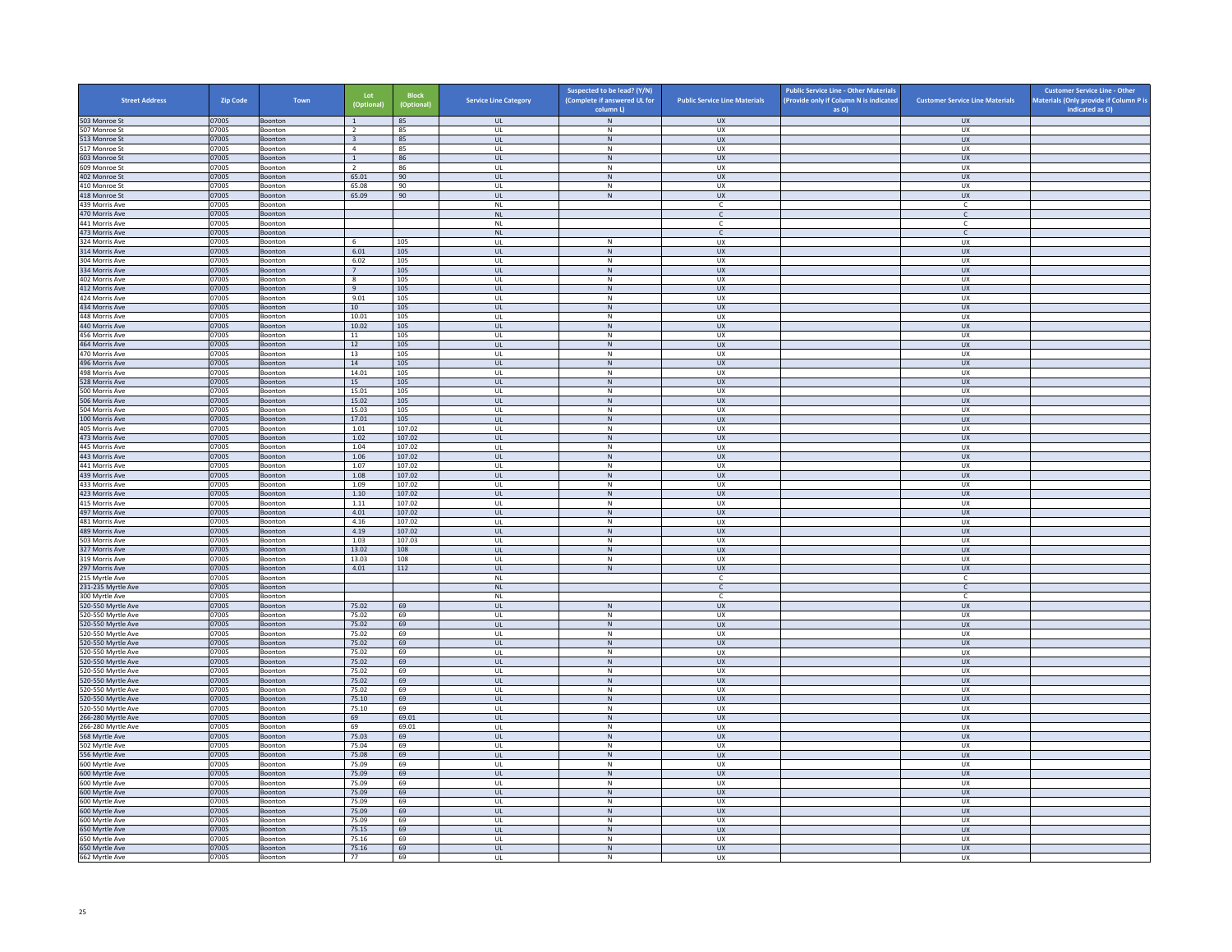| <b>Street Address</b>                    | Zip Code       | Town                      | Lot<br>(Optional)                | <b>Block</b><br>(Optional) | <b>Service Line Category</b>            | Suspected to be lead? (Y/N)<br>(Complete if answered UL for | <b>Public Service Line Materials</b> | <b>Public Service Line - Other Materials</b><br>(Provide only if Column N is indicated | <b>Customer Service Line Materials</b> | <b>Customer Service Line - Other</b><br>Materials (Only provide if Column P is |
|------------------------------------------|----------------|---------------------------|----------------------------------|----------------------------|-----------------------------------------|-------------------------------------------------------------|--------------------------------------|----------------------------------------------------------------------------------------|----------------------------------------|--------------------------------------------------------------------------------|
|                                          |                |                           |                                  |                            |                                         | column L)<br>N                                              |                                      | as O)                                                                                  |                                        | indicated as O)                                                                |
| 503 Monroe St<br>507 Monroe St           | 07005<br>07005 | Boonton<br>Boonton        | $\overline{1}$<br>$\overline{2}$ | 85<br>85                   | <b>UL</b><br><b>UL</b>                  | N                                                           | UX<br>UX                             |                                                                                        | <b>UX</b><br><b>UX</b>                 |                                                                                |
| 513 Monroe St                            | 07005          | Boonton                   | $\overline{\mathbf{3}}$          | 85                         | UL                                      | ${\sf N}$                                                   | UX                                   |                                                                                        | UX                                     |                                                                                |
| 517 Monroe St                            | 07005          | Boonton                   | $\overline{4}$                   | 85                         | UL                                      | ${\sf N}$                                                   | UX                                   |                                                                                        | <b>UX</b>                              |                                                                                |
| 603 Monroe St<br>609 Monroe St           | 07005<br>07005 | <b>Boonton</b>            | <sup>1</sup><br>$\overline{2}$   | 86<br>86                   | <b>UL</b><br>UL                         | N<br>${\sf N}$                                              | <b>UX</b><br>UX                      |                                                                                        | UX<br>UX                               |                                                                                |
| 402 Monroe St                            | 07005          | Boonton<br><b>Boonton</b> | 65.01                            | 90                         | $\mathbf{U}$                            | N                                                           | UX                                   |                                                                                        | $\overline{U}$                         |                                                                                |
| 410 Monroe St                            | 07005          | Boonton                   | 65.08                            | 90                         | UL                                      | ${\sf N}$                                                   | UX                                   |                                                                                        | UX                                     |                                                                                |
| 418 Monroe St                            | 07005          | Boonton                   | 65.09                            | 90                         | <b>UL</b>                               | N                                                           | <b>UX</b>                            |                                                                                        | <b>UX</b>                              |                                                                                |
| 439 Morris Ave                           | 07005          | Boonton                   |                                  |                            | $\mathsf{NL}$                           |                                                             | $\mathfrak{c}$                       |                                                                                        | $\mathsf{C}$                           |                                                                                |
| 470 Morris Ave<br>441 Morris Ave         | 07005<br>07005 | Boonton<br>Boonton        |                                  |                            | NL<br><b>NL</b>                         |                                                             | $\mathsf{C}$<br>-C                   |                                                                                        | $\mathsf{C}$<br>C                      |                                                                                |
| 473 Morris Ave                           | 07005          | Boonton                   |                                  |                            | $\mathsf{NL}$                           |                                                             | $\mathsf{C}$                         |                                                                                        | $\mathsf{C}$                           |                                                                                |
| 324 Morris Ave                           | 07005          | <b>Boonton</b>            | -6                               | 105                        | $\mathbf{U}$                            | $\mathsf{N}$                                                | UX                                   |                                                                                        | UX                                     |                                                                                |
| 314 Morris Ave                           | 07005          | Boonton                   | 6.01                             | 105                        | UL                                      | N                                                           | UX                                   |                                                                                        | UX                                     |                                                                                |
| 304 Morris Ave                           | 07005          | Boonton                   | 6.02                             | 105                        | <b>UL</b>                               | N                                                           | UX                                   |                                                                                        | <b>UX</b>                              |                                                                                |
| 334 Morris Ave<br>402 Morris Ave         | 07005<br>07005 | Boonton<br>Boonton        | $7\overline{ }$<br>$_{\rm 8}$    | 105<br>105                 | UL<br>UL                                | N<br>${\sf N}$                                              | UX<br>UX                             |                                                                                        | UX<br>UX                               |                                                                                |
| 412 Morris Ave                           | 07005          | Boonton                   | 9                                | 105                        | <b>UL</b>                               | N                                                           | <b>UX</b>                            |                                                                                        | <b>UX</b>                              |                                                                                |
| 424 Morris Ave                           | 07005          | Boonton                   | 9.01                             | 105                        | UL                                      | ${\sf N}$                                                   | UX                                   |                                                                                        | UX                                     |                                                                                |
| 434 Morris Ave                           | 07005          | Boonton                   | 10 <sup>1</sup>                  | 105                        | $\mathbf{u}$                            | N                                                           | $\overline{11}$                      |                                                                                        | UX                                     |                                                                                |
| 448 Morris Ave                           | 07005          | Boonton                   | 10.01                            | 105                        | UL                                      | ${\sf N}$                                                   | UX                                   |                                                                                        | UX                                     |                                                                                |
| 440 Morris Ave<br>456 Morris Ave         | 07005<br>07005 | Boonton<br>Boonton        | 10.02<br>11                      | 105<br>105                 | <b>UL</b><br>UL                         | N<br>${\sf N}$                                              | UX<br>UX                             |                                                                                        | UX<br>UX                               |                                                                                |
| 464 Morris Ave                           | 07005          | Boonton                   | 12                               | 105                        | UL                                      | ${\sf N}$                                                   | UX                                   |                                                                                        | <b>UX</b>                              |                                                                                |
| 470 Morris Ave                           | 07005          | Boonton                   | 13                               | 105                        | UL                                      | N                                                           | <b>UX</b>                            |                                                                                        | <b>UX</b>                              |                                                                                |
| 496 Morris Ave                           | 07005          | Boonton                   | $14\,$                           | 105                        | $_{\sf UL}$                             | N                                                           | ${\sf U}{\sf X}$                     |                                                                                        | ${\sf U}{\sf X}$                       |                                                                                |
| 498 Morris Ave                           | 07005          | <b>Boonton</b>            | 14.01                            | 105                        | $\mathbf{U}$                            | N                                                           | UX                                   |                                                                                        | UX                                     |                                                                                |
| 528 Morris Ave                           | 07005          | Boonton                   | 15                               | 105                        | UL                                      | ${\sf N}$<br>N                                              | UX                                   |                                                                                        | UX                                     |                                                                                |
| 500 Morris Ave<br>506 Morris Ave         | 07005<br>07005 | Boonton<br>Boonton        | 15.01<br>15.02                   | 105<br>105                 | <b>UL</b><br>UL                         | N                                                           | UX<br><b>UX</b>                      |                                                                                        | UX<br>UX                               |                                                                                |
| 504 Morris Ave                           | 07005          | Boonton                   | 15.03                            | 105                        | UL                                      | ${\sf N}$                                                   | UX                                   |                                                                                        | UX                                     |                                                                                |
| 100 Morris Ave                           | 07005          | Boonton                   | 17.01                            | 105                        | <b>UL</b>                               | N                                                           | <b>UX</b>                            |                                                                                        | <b>UX</b>                              |                                                                                |
| 405 Morris Ave                           | 07005          | Boonton                   | 1.01                             | 107.02                     | UL                                      | N                                                           | UX                                   |                                                                                        | UX                                     |                                                                                |
| 473 Morris Ave                           | 07005          | Boonton                   | 1.02                             | 107.02                     | $\mathbf{U}$                            | N                                                           | $\overline{11}$                      |                                                                                        | UX                                     |                                                                                |
| 445 Morris Ave<br>443 Morris Ave         | 07005<br>07005 | Boonton<br>Boonton        | 1.04<br>1.06                     | 107.02<br>107.02           | UL<br><b>UL</b>                         | ${\sf N}$<br>N                                              | UX<br><b>UX</b>                      |                                                                                        | UX<br><b>UX</b>                        |                                                                                |
| 441 Morris Ave                           | 07005          | Boonton                   | 1.07                             | 107.02                     | UL                                      | ${\sf N}$                                                   | UX                                   |                                                                                        | UX                                     |                                                                                |
| 439 Morris Ave                           | 07005          | Boonton                   | 1.08                             | 107.02                     | UL.                                     | $\,$ N                                                      | <b>UX</b>                            |                                                                                        | <b>UX</b>                              |                                                                                |
| 433 Morris Ave                           | 07005          | Boonton                   | 1.09                             | 107.02                     | <b>UL</b>                               | N                                                           | <b>UX</b>                            |                                                                                        | <b>UX</b>                              |                                                                                |
| 423 Morris Ave                           | 07005          | Boonton                   | $1.10\,$                         | 107.02                     | UL                                      | N                                                           | UX                                   |                                                                                        | ${\sf U}{\sf X}$                       |                                                                                |
| 415 Morris Ave<br>497 Morris Ave         | 07005<br>07005 | Boonton<br>Boonton        | 1.11<br>4.01                     | 107.02<br>107.02           | UL<br><b>UL</b>                         | N<br>${\sf N}$                                              | UX<br><b>UX</b>                      |                                                                                        | <b>UX</b><br><b>UX</b>                 |                                                                                |
| 481 Morris Ave                           | 07005          | Boonton                   | 4.16                             | 107.02                     | UL                                      | ${\sf N}$                                                   | UX                                   |                                                                                        | UX                                     |                                                                                |
| 489 Morris Ave                           | 07005          | Boonton                   | 4.19                             | 107.02                     | <b>UL</b>                               | N                                                           | <b>UX</b>                            |                                                                                        | UX                                     |                                                                                |
| 503 Morris Ave                           | 07005          | Boonton                   | 1.03                             | 107.03                     | UL                                      | ${\sf N}$                                                   | UX                                   |                                                                                        | UX                                     |                                                                                |
| 327 Morris Ave                           | 07005          | Boonton                   | 13.02                            | 108                        | $\mathbf{u}$                            | N                                                           | UX                                   |                                                                                        | $\overline{U}$                         |                                                                                |
| 319 Morris Ave<br>297 Morris Ave         | 07005<br>07005 | Boonton<br>Boonton        | 13.03<br>4.01                    | 108<br>112                 | UL<br><b>UL</b>                         | N<br>N                                                      | UX<br><b>UX</b>                      |                                                                                        | UX<br><b>UX</b>                        |                                                                                |
| 215 Myrtle Ave                           | 07005          | Boonton                   |                                  |                            | $\mathsf{NL}$                           |                                                             | C                                    |                                                                                        | $\mathsf{C}$                           |                                                                                |
| 231-235 Myrtle Ave                       | 07005          | Boonton                   |                                  |                            | <b>NL</b>                               |                                                             | $\mathsf{C}$                         |                                                                                        | $\mathsf{C}$                           |                                                                                |
| 300 Myrtle Ave                           | 07005          | Boonton                   |                                  |                            | NL                                      |                                                             | $\mathbb{C}$                         |                                                                                        | $\mathsf{C}$                           |                                                                                |
| 520-550 Myrtle Ave                       | 07005          | Boonton                   | 75.02                            | 69                         | UL                                      | $\,$ N                                                      | <b>UX</b>                            |                                                                                        | <b>UX</b>                              |                                                                                |
| 520-550 Myrtle Ave<br>520-550 Myrtle Ave | 07005<br>07005 | Boonton<br>Boonton        | 75.02<br>75.02                   | 69<br>69                   | - UI<br>UL                              | N<br>N                                                      | UX<br>UX                             |                                                                                        | UX<br>UX                               |                                                                                |
| 520-550 Myrtle Ave                       | 07005          | Boonton                   | 75.02                            | 69                         | <b>UL</b>                               | N                                                           | <b>UX</b>                            |                                                                                        | UX                                     |                                                                                |
| 520-550 Myrtle Ave                       | 07005          | Boonton                   | 75.02                            | 69                         | $\mathsf{UL}$                           | ${\sf N}$                                                   | UX                                   |                                                                                        | UX                                     |                                                                                |
| 520-550 Myrtle Ave                       | 07005          | Boonton                   | 75.02                            | 69                         | UL                                      | ${\sf N}$                                                   | UX                                   |                                                                                        | UX                                     |                                                                                |
| 520-550 Myrtle Ave                       | 07005          | Boonton                   | 75.02                            | 69                         | <b>UL</b>                               | N                                                           | <b>UX</b>                            |                                                                                        | UX                                     |                                                                                |
| 520-550 Myrtle Ave<br>520-550 Myrtle Ave | 07005<br>07005 | Boonton<br>Boonton        | 75.02<br>75.02                   | 69<br>69                   | UL<br>$\mathbf{u}$                      | ${\sf N}$<br>N                                              | UX<br>UX                             |                                                                                        | UX<br><b>UX</b>                        |                                                                                |
| 520-550 Myrtle Ave                       | 07005          | Boonton                   | 75.02                            | 69                         | UL                                      | $\mathsf{N}$                                                | UX                                   |                                                                                        | UX                                     |                                                                                |
| 520-550 Myrtle Ave                       | 07005          | Boonton                   | 75.10                            | 69                         | <b>UL</b>                               | N                                                           | <b>UX</b>                            |                                                                                        | <b>UX</b>                              |                                                                                |
| 520-550 Myrtle Ave                       | 07005          | Boonton                   | 75.10                            | 69                         | UL                                      | ${\sf N}$                                                   | UX                                   |                                                                                        | UX                                     |                                                                                |
| 266-280 Myrtle Ave                       | 07005          | Boonton                   | 69                               | 69.01                      | UL                                      | ${\sf N}$                                                   | UX                                   |                                                                                        | UX                                     |                                                                                |
| 266-280 Myrtle Ave<br>568 Myrtle Ave     | 07005<br>07005 | Boonton                   | 69<br>75.03                      | 69.01<br>69                | UL<br>$\ensuremath{\mathsf{UL}}\xspace$ | $\mathsf{N}$<br>${\sf N}$                                   | UX<br>UX                             |                                                                                        | UX<br>UX                               |                                                                                |
| 502 Myrtle Ave                           | 07005          | Boonton<br>Boonton        | 75.04                            | 69                         | $\mathbf{U}$                            | N                                                           | UX                                   |                                                                                        | UX                                     |                                                                                |
| 556 Myrtle Ave                           | 07005          | Boonton                   | 75.08                            | 69                         | UL                                      | ${\sf N}$                                                   | UX                                   |                                                                                        | UX                                     |                                                                                |
| 600 Myrtle Ave                           | 07005          | Boonton                   | 75.09                            | 69                         | <b>UL</b>                               | N                                                           | <b>UX</b>                            |                                                                                        | UX                                     |                                                                                |
| 600 Myrtle Ave                           | 07005          | Boonton                   | 75.09                            | 69                         | $\mathsf{UL}$                           | ${\sf N}$                                                   | UX                                   |                                                                                        | UX                                     |                                                                                |
| 600 Myrtle Ave                           | 07005<br>07005 | Boonton<br>Boonton        | 75.09<br>75.09                   | 69<br>69                   | UL<br><b>UL</b>                         | ${\sf N}$<br>N                                              | UX<br><b>UX</b>                      |                                                                                        | UX<br>UX                               |                                                                                |
| 600 Myrtle Ave<br>600 Myrtle Ave         | 07005          | Boonton                   | 75.09                            | 69                         | UL                                      | ${\sf N}$                                                   | UX                                   |                                                                                        | UX                                     |                                                                                |
| 600 Myrtle Ave                           | 07005          | Boonton                   | 75.09                            | 69                         | $\mathbf{u}$                            | N                                                           | UX                                   |                                                                                        | <b>UX</b>                              |                                                                                |
| 600 Myrtle Ave                           | 07005          | Boonton                   | 75.09                            | 69                         | UL                                      | $\mathsf{N}$                                                | UX                                   |                                                                                        | UX                                     |                                                                                |
| 650 Myrtle Ave                           | 07005          | Boonton                   | 75.15                            | 69                         | <b>UL</b>                               | N                                                           | <b>UX</b>                            |                                                                                        | <b>UX</b>                              |                                                                                |
| 650 Myrtle Ave                           | 07005          | Boonton                   | 75.16                            | 69                         | UL                                      | $\mathsf{N}$                                                | UX                                   |                                                                                        | UX                                     |                                                                                |
| 650 Myrtle Ave<br>662 Myrtle Ave         | 07005<br>07005 | Boonton<br>Boonton        | 75.16<br>77                      | 69<br>69                   | UL<br>UL                                | N<br>$\mathsf{N}$                                           | UX<br><b>UX</b>                      |                                                                                        | UX<br><b>UX</b>                        |                                                                                |
|                                          |                |                           |                                  |                            |                                         |                                                             |                                      |                                                                                        |                                        |                                                                                |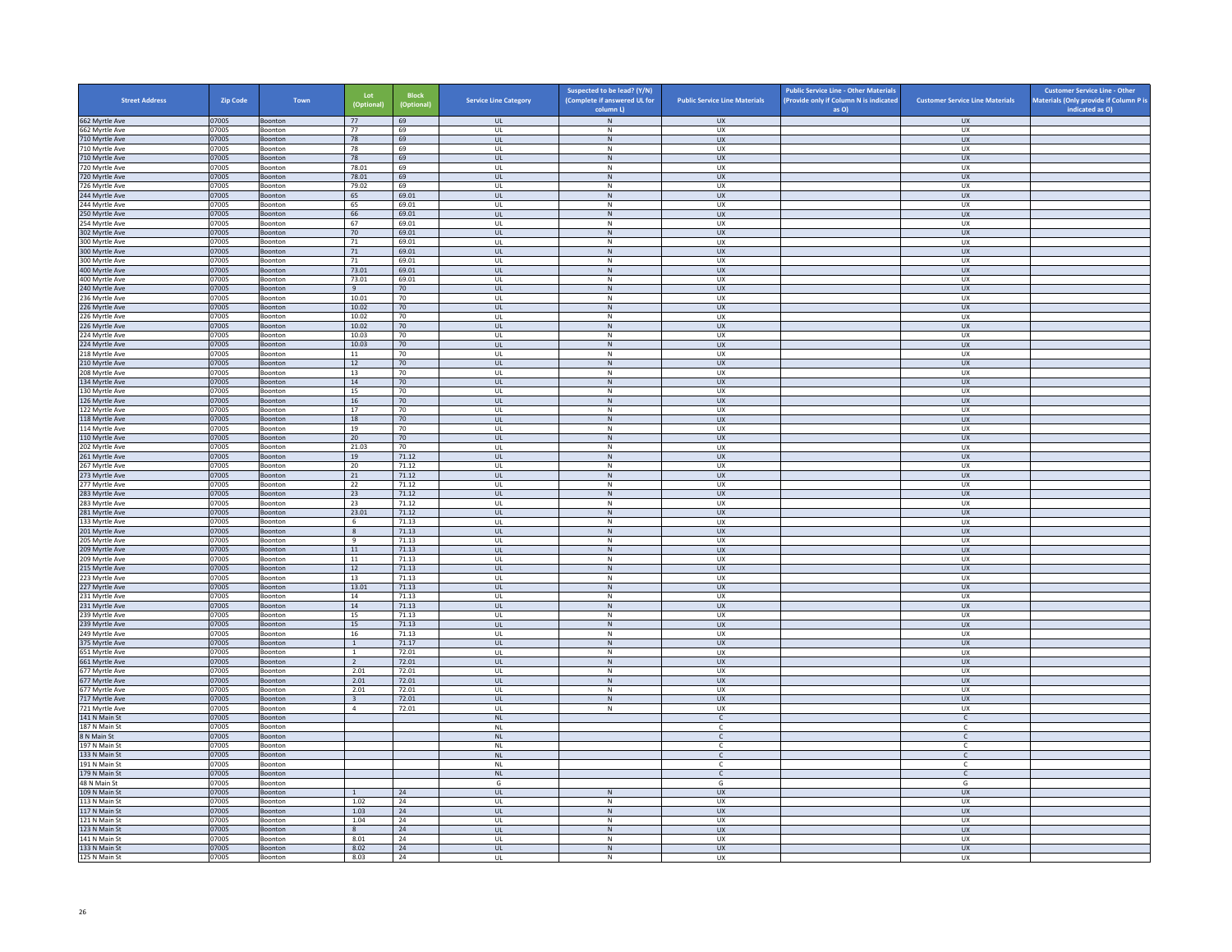| <b>Street Address</b>            | <b>Zip Code</b> | Town                      | Lot<br>(Optional)       | <b>Block</b><br>(Optional) | <b>Service Line Category</b>      | Suspected to be lead? (Y/N)<br>(Complete if answered UL for<br>column L) | <b>Public Service Line Materials</b> | <b>Public Service Line - Other Materials</b><br>(Provide only if Column N is indicated<br>as O) | <b>Customer Service Line Materials</b> | <b>Customer Service Line - Other</b><br>Materials (Only provide if Column P is<br>indicated as O) |
|----------------------------------|-----------------|---------------------------|-------------------------|----------------------------|-----------------------------------|--------------------------------------------------------------------------|--------------------------------------|-------------------------------------------------------------------------------------------------|----------------------------------------|---------------------------------------------------------------------------------------------------|
| 662 Myrtle Ave                   | 07005           | Boonton                   | 77                      | 69                         | <b>UL</b>                         | N                                                                        | <b>UX</b>                            |                                                                                                 | <b>UX</b>                              |                                                                                                   |
| 662 Myrtle Ave                   | 07005           | Boonton                   | 77                      | 69                         | UL                                | N                                                                        | <b>UX</b>                            |                                                                                                 | UX                                     |                                                                                                   |
| 710 Myrtle Ave<br>710 Myrtle Ave | 07005<br>07005  | Boonton<br>Boonton        | 78<br>78                | 69<br>69                   | UL<br>UL                          | ${\sf N}$<br>$\mathsf{N}$                                                | ${\sf U}{\sf X}$<br><b>UX</b>        |                                                                                                 | UX<br><b>UX</b>                        |                                                                                                   |
| 710 Myrtle Ave                   | 07005           | Boonton                   | 78                      | 69                         | UL                                | ${\sf N}$                                                                | <b>UX</b>                            |                                                                                                 | UX                                     |                                                                                                   |
| 720 Myrtle Ave                   | 07005           | Boonton                   | 78.01                   | 69                         | UL                                | ${\sf N}$                                                                | <b>UX</b>                            |                                                                                                 | <b>UX</b>                              |                                                                                                   |
| 720 Myrtle Ave                   | 07005           | Boonton                   | 78.01                   | 69                         | UL                                | $\mathsf{N}$                                                             | <b>UX</b>                            |                                                                                                 | UX                                     |                                                                                                   |
| 726 Myrtle Ave<br>244 Myrtle Ave | 07005<br>07005  | Boonton<br>Boonton        | 79.02<br>65             | 69<br>69.01                | UL<br>$\mathbf{u}$                | ${\sf N}$<br>N                                                           | UX<br>UX                             |                                                                                                 | UX<br>UX                               |                                                                                                   |
| 244 Myrtle Ave                   | 07005           | Boonton                   | 65                      | 69.01                      | UL                                | $\mathsf{N}$                                                             | UX                                   |                                                                                                 | UX                                     |                                                                                                   |
| 250 Myrtle Ave                   | 07005           | Boonton                   | 66                      | 69.01                      | <b>UL</b>                         | N                                                                        | <b>UX</b>                            |                                                                                                 | <b>UX</b>                              |                                                                                                   |
| 254 Myrtle Ave                   | 07005           | Boonton                   | 67                      | 69.01                      | UL                                | ${\sf N}$                                                                | UX                                   |                                                                                                 | UX                                     |                                                                                                   |
| 302 Myrtle Ave                   | 07005<br>07005  | Boonton<br>Boonton        | 70<br>71                | 69.01<br>69.01             | UL<br>UL                          | ${\sf N}$<br>${\sf N}$                                                   | UX<br>UX                             |                                                                                                 | UX<br>UX                               |                                                                                                   |
| 300 Myrtle Ave<br>300 Myrtle Ave | 07005           | Boonton                   | 71                      | 69.01                      | UL                                | ${\sf N}$                                                                | <b>UX</b>                            |                                                                                                 | UX                                     |                                                                                                   |
| 300 Myrtle Ave                   | 07005           | Boonton                   | 71                      | 69.01                      | UL                                | N                                                                        | U X                                  |                                                                                                 | UX                                     |                                                                                                   |
| 400 Myrtle Ave                   | 07005           | Boonton                   | 73.01                   | 69.01                      | UL                                | ${\sf N}$                                                                | UX                                   |                                                                                                 | UX                                     |                                                                                                   |
| 400 Myrtle Ave                   | 07005           | Boonton                   | 73.01                   | 69.01                      | UL                                | N                                                                        | <b>UX</b>                            |                                                                                                 | UX                                     |                                                                                                   |
| 240 Myrtle Ave<br>236 Myrtle Ave | 07005<br>07005  | Boonton<br>Boonton        | 9<br>10.01              | 70<br>70                   | UL<br>UL                          | ${\sf N}$<br>${\sf N}$                                                   | <b>UX</b><br>UX                      |                                                                                                 | UX<br>UX                               |                                                                                                   |
| 226 Myrtle Ave                   | 07005           | Boonton                   | 10.02                   | 70                         | <b>UL</b>                         | N                                                                        | <b>UX</b>                            |                                                                                                 | UX                                     |                                                                                                   |
| 226 Myrtle Ave                   | 07005           | Boonton                   | 10.02                   | $70\,$                     | UL                                | ${\sf N}$                                                                | UX                                   |                                                                                                 | UX                                     |                                                                                                   |
| 226 Myrtle Ave                   | 07005           | Boonton                   | 10.02                   | 70                         | $\mathbf{U}$                      | N                                                                        | UX                                   |                                                                                                 | <b>UX</b>                              |                                                                                                   |
| 224 Myrtle Ave                   | 07005           | Boonton                   | 10.03                   | $70\,$                     | UL                                | ${\sf N}$                                                                | UX                                   |                                                                                                 | UX                                     |                                                                                                   |
| 224 Myrtle Ave<br>218 Myrtle Ave | 07005<br>07005  | Boonton<br>Boonton        | 10.03<br>11             | 70<br>70                   | <b>UL</b><br>UL                   | N<br>$\mathsf{N}$                                                        | <b>UX</b><br>UX                      |                                                                                                 | <b>UX</b><br>UX                        |                                                                                                   |
| 210 Myrtle Ave                   | 07005           | Boonton                   | 12                      | 70                         | UL                                | ${\sf N}$                                                                | UX                                   |                                                                                                 | UX                                     |                                                                                                   |
| 208 Myrtle Ave                   | 07005           | Boonton                   | 13                      | 70                         | UL                                | $\mathsf{N}$                                                             | UX                                   |                                                                                                 | UX                                     |                                                                                                   |
| 134 Myrtle Ave                   | 07005           | Boonton                   | $14\,$                  | $70\,$                     | $\ensuremath{\mathsf{UL}}\xspace$ | ${\sf N}$                                                                | UX                                   |                                                                                                 | ${\sf U}{\sf X}$                       |                                                                                                   |
| 130 Myrtle Ave                   | 07005           | Boonton                   | 15                      | 70                         | UL                                | N                                                                        | <b>UX</b>                            |                                                                                                 | <b>UX</b>                              |                                                                                                   |
| 126 Myrtle Ave                   | 07005           | Boonton<br>Boonton        | 16<br>17                | 70<br>70                   | <b>UL</b><br>UL                   | ${\sf N}$<br>$\mathsf{N}$                                                | UX<br>UX                             |                                                                                                 | UX<br><b>UX</b>                        |                                                                                                   |
| 122 Myrtle Ave<br>118 Myrtle Ave | 07005<br>07005  | Boonton                   | 18                      | 70                         | UL                                | $\mathsf{N}$                                                             | <b>UX</b>                            |                                                                                                 | UX                                     |                                                                                                   |
| 114 Myrtle Ave                   | 07005           | Boonton                   | 19                      | 70                         | UL                                | ${\sf N}$                                                                | UX                                   |                                                                                                 | <b>UX</b>                              |                                                                                                   |
| 110 Myrtle Ave                   | 07005           | Boonton                   | 20 <sup>2</sup>         | 70                         | $\mathbf{U}$                      | N                                                                        | UX                                   |                                                                                                 | UX                                     |                                                                                                   |
| 202 Myrtle Ave                   | 07005           | Boonton                   | 21.03                   | $70\,$                     | UL                                | $\mathsf{N}$                                                             | UX                                   |                                                                                                 | UX                                     |                                                                                                   |
| 261 Myrtle Ave<br>267 Myrtle Ave | 07005<br>07005  | Boonton<br>Boonton        | 19<br>20                | 71.12<br>71.12             | <b>UL</b><br>UL                   | N<br>${\sf N}$                                                           | UX<br>UX                             |                                                                                                 | <b>UX</b><br>UX                        |                                                                                                   |
| 273 Myrtle Ave                   | 07005           | Boonton                   | 21                      | 71.12                      | UL                                | ${\sf N}$                                                                | UX                                   |                                                                                                 | UX                                     |                                                                                                   |
| 277 Myrtle Ave                   | 07005           | Boonton                   | 22                      | 71.12                      | UL                                | N                                                                        | <b>UX</b>                            |                                                                                                 | UX                                     |                                                                                                   |
| 283 Myrtle Ave                   | 07005           | Boonton                   | 23                      | 71.12                      | UL                                | ${\sf N}$                                                                | UX                                   |                                                                                                 | UX                                     |                                                                                                   |
| 283 Myrtle Ave                   | 07005           | <b>Boonton</b>            | 23                      | 71.12                      | $\mathbf{u}$                      | $\mathsf{N}$                                                             | UX                                   |                                                                                                 | UX                                     |                                                                                                   |
| 281 Myrtle Ave                   | 07005<br>07005  | Boonton<br>Boonton        | 23.01<br>6              | 71.12<br>71.13             | UL                                | ${\sf N}$<br>N                                                           | <b>UX</b><br><b>UX</b>               |                                                                                                 | UX<br>UX                               |                                                                                                   |
| 133 Myrtle Ave<br>201 Myrtle Ave | 07005           | Boonton                   | 8                       | 71.13                      | UL<br>$\mathsf{UL}$               | ${\sf N}$                                                                | UX                                   |                                                                                                 | UX                                     |                                                                                                   |
| 205 Myrtle Ave                   | 07005           | Boonton                   | 9                       | 71.13                      | UL                                | ${\sf N}$                                                                | UX                                   |                                                                                                 | <b>UX</b>                              |                                                                                                   |
| 209 Myrtle Ave                   | 07005           | Boonton                   | 11                      | 71.13                      | <b>UL</b>                         | N                                                                        | <b>UX</b>                            |                                                                                                 | <b>UX</b>                              |                                                                                                   |
| 209 Myrtle Ave                   | 07005           | Boonton                   | $11\,$                  | 71.13                      | $\mathsf{UL}$                     | ${\sf N}$                                                                | UX                                   |                                                                                                 | <b>UX</b>                              |                                                                                                   |
| 215 Myrtle Ave<br>223 Myrtle Ave | 07005<br>07005  | Boonton<br>Boonton        | 12<br>13                | 71.13<br>71.13             | <b>UL</b><br>UL                   | N<br>${\sf N}$                                                           | UX<br>UX                             |                                                                                                 | UX<br>UX                               |                                                                                                   |
| 227 Myrtle Ave                   | 07005           | Boonton                   | 13.01                   | 71.13                      | <b>UL</b>                         | N                                                                        | <b>UX</b>                            |                                                                                                 | <b>UX</b>                              |                                                                                                   |
| 231 Myrtle Ave                   | 07005           | Boonton                   | 14                      | 71.13                      | UL                                | ${\sf N}$                                                                | UX                                   |                                                                                                 | UX                                     |                                                                                                   |
| 231 Myrtle Ave                   | 07005           | Boonton                   | 14                      | 71.13                      | UL                                | $\,$ N                                                                   | <b>UX</b>                            |                                                                                                 | UX                                     |                                                                                                   |
| 239 Myrtle Ave                   | 07005           | Boonton                   | 15                      | 71.13                      | UL                                | N                                                                        | <b>UX</b>                            |                                                                                                 | <b>UX</b>                              |                                                                                                   |
| 239 Myrtle Ave<br>249 Myrtle Ave | 07005<br>07005  | Boonton<br><b>Boonton</b> | 15<br>16                | 71.13<br>71.13             | $\mathsf{UL}$<br>$\mathbf{U}$     | ${\sf N}$<br>N                                                           | UX<br>U X                            |                                                                                                 | ${\sf U}{\sf X}$<br>UX                 |                                                                                                   |
| 375 Myrtle Ave                   | 07005           | Boonton                   | $\mathbf{1}$            | 71.17                      | UL                                | ${\sf N}$                                                                | UX                                   |                                                                                                 | UX                                     |                                                                                                   |
| 651 Myrtle Ave                   | 07005           | Boonton                   | $\overline{1}$          | 72.01                      | UL                                | ${\sf N}$                                                                | UX                                   |                                                                                                 | UX                                     |                                                                                                   |
| 661 Myrtle Ave                   | 07005           | Boonton                   | $\overline{2}$          | 72.01                      | UL                                | ${\sf N}$                                                                | <b>UX</b>                            |                                                                                                 | UX                                     |                                                                                                   |
| 677 Myrtle Ave                   | 07005           | Boonton                   | 2.01                    | 72.01                      | UL<br>$\mathbf{u}$                | ${\sf N}$                                                                | UX<br>UX                             |                                                                                                 | UX<br>UX                               |                                                                                                   |
| 677 Myrtle Ave<br>677 Myrtle Ave | 07005<br>07005  | Boonton<br>Boonton        | 2.01<br>2.01            | 72.01<br>72.01             | UL                                | N<br>${\sf N}$                                                           | UX                                   |                                                                                                 | UX                                     |                                                                                                   |
| 717 Myrtle Ave                   | 07005           | Boonton                   | $\overline{\mathbf{3}}$ | 72.01                      | UL.                               | N                                                                        | <b>UX</b>                            |                                                                                                 | <b>UX</b>                              |                                                                                                   |
| 721 Myrtle Ave                   | 07005           | Boonton                   | $\overline{4}$          | 72.01                      | UL                                | ${\sf N}$                                                                | UX                                   |                                                                                                 | UX                                     |                                                                                                   |
| 141 N Main St                    | 07005           | Boonton                   |                         |                            | $\mathsf{NL}$                     |                                                                          | $\epsilon$                           |                                                                                                 | $\mathsf{C}$                           |                                                                                                   |
| 187 N Main St                    | 07005           | Boonton                   |                         |                            | NL                                |                                                                          | $\mathsf{C}$                         |                                                                                                 | $\mathsf{C}$                           |                                                                                                   |
| 8 N Main St<br>197 N Main St     | 07005<br>07005  | Boonton<br><b>Boonton</b> |                         |                            | $\sf NL$<br>NI                    |                                                                          | $\mathsf{C}$<br>$\epsilon$           |                                                                                                 | $\mathsf{C}$<br>$\epsilon$             |                                                                                                   |
| 133 N Main St                    | 07005           | Boonton                   |                         |                            | $\mathsf{NL}\xspace$              |                                                                          | $\mathsf{C}$                         |                                                                                                 | $\mathsf{C}$                           |                                                                                                   |
| 191 N Main St                    | 07005           | Boonton                   |                         |                            | <b>NL</b>                         |                                                                          | $\epsilon$                           |                                                                                                 | C                                      |                                                                                                   |
| 179 N Main St                    | 07005           | Boonton                   |                         |                            | $\mathsf{NL}\xspace$              |                                                                          | $\mathsf{C}$                         |                                                                                                 | $\mathsf{C}$                           |                                                                                                   |
| 48 N Main St                     | 07005           | Boonton                   |                         |                            | G                                 |                                                                          | G                                    |                                                                                                 | G                                      |                                                                                                   |
| 109 N Main St<br>113 N Main St   | 07005<br>07005  | Boonton<br>Boonton        | $\mathbf{1}$<br>1.02    | 24<br>24                   | <b>UL</b><br>UL                   | N<br>N                                                                   | <b>UX</b><br>UX                      |                                                                                                 | UX<br>UX                               |                                                                                                   |
| 117 N Main St                    | 07005           | Boonton                   | 1.03                    | 24                         | $\mathbf{U}$                      | N                                                                        | UX                                   |                                                                                                 | UX                                     |                                                                                                   |
| 121 N Main St                    | 07005           | Boonton                   | 1.04                    | 24                         | UL                                | $\mathsf{N}$                                                             | UX                                   |                                                                                                 | UX                                     |                                                                                                   |
| 123 N Main St                    | 07005           | Boonton                   | 8                       | 24                         | <b>UL</b>                         | N                                                                        | <b>UX</b>                            |                                                                                                 | <b>UX</b>                              |                                                                                                   |
| 141 N Main St                    | 07005           | Boonton                   | 8.01                    | 24                         | UL                                | $\mathsf{N}$                                                             | UX                                   |                                                                                                 | UX                                     |                                                                                                   |
| 133 N Main St<br>125 N Main St   | 07005<br>07005  | Boonton<br>Boonton        | 8.02<br>8.03            | 24<br>24                   | UL<br>UL                          | ${\sf N}$<br>N                                                           | UX<br>UX                             |                                                                                                 | UX<br><b>UX</b>                        |                                                                                                   |
|                                  |                 |                           |                         |                            |                                   |                                                                          |                                      |                                                                                                 |                                        |                                                                                                   |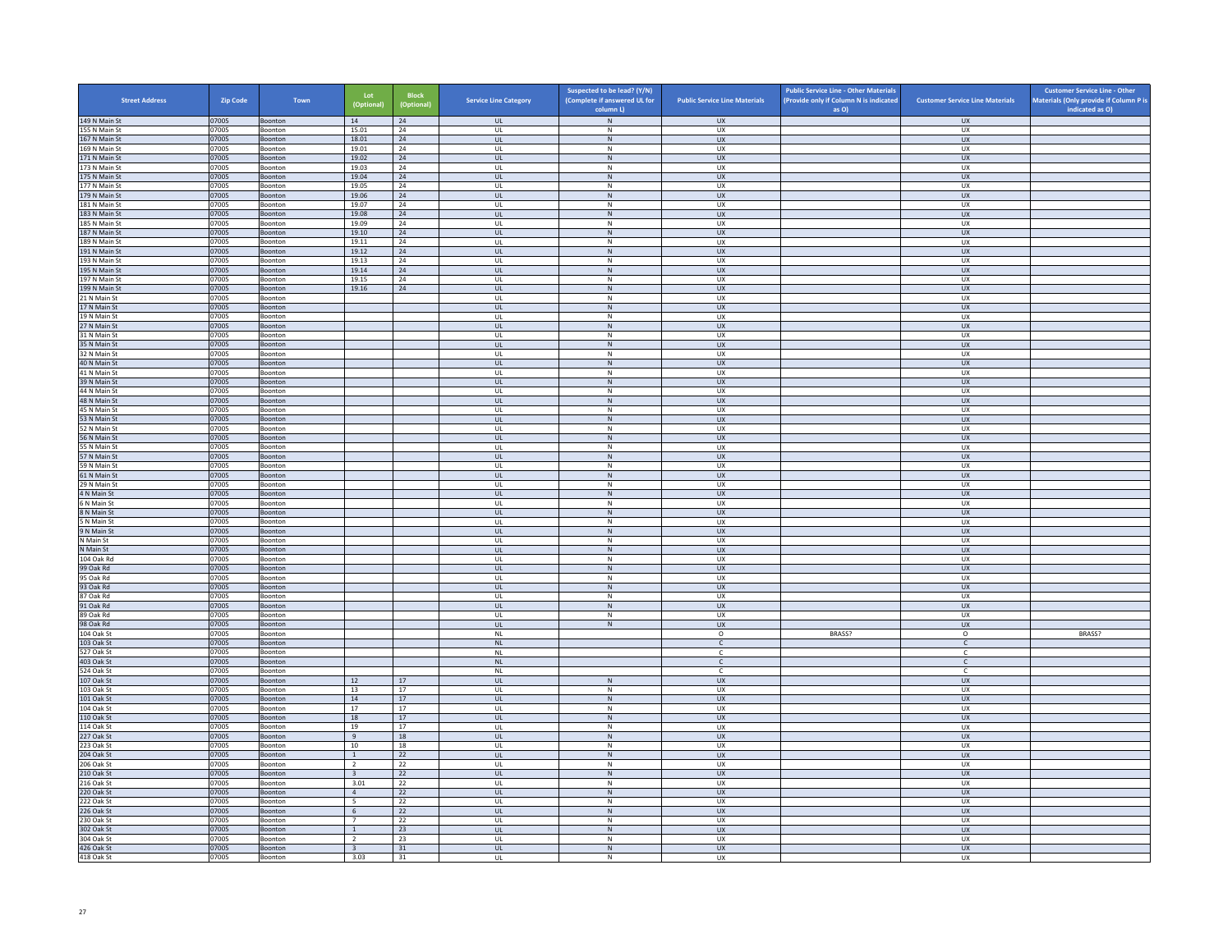| <b>Street Address</b>          | <b>Zip Code</b> | Town                      | Lot<br>(Optional)                | <b>Block</b><br>(Optional) | <b>Service Line Category</b>      | Suspected to be lead? (Y/N)<br>(Complete if answered UL for | <b>Public Service Line Materials</b> | <b>Public Service Line - Other Materials</b><br>(Provide only if Column N is indicated | <b>Customer Service Line Materials</b> | <b>Customer Service Line - Other</b><br>Materials (Only provide if Column P is |
|--------------------------------|-----------------|---------------------------|----------------------------------|----------------------------|-----------------------------------|-------------------------------------------------------------|--------------------------------------|----------------------------------------------------------------------------------------|----------------------------------------|--------------------------------------------------------------------------------|
| 149 N Main St                  | 07005           | Boonton                   | 14                               | 24                         | <b>UL</b>                         | column L)<br>${\sf N}$                                      | <b>UX</b>                            | as O)                                                                                  | <b>UX</b>                              | indicated as O)                                                                |
| 155 N Main St                  | 07005           | Boonton                   | 15.01                            | 24                         | UL                                | N                                                           | UX                                   |                                                                                        | <b>UX</b>                              |                                                                                |
| 167 N Main St                  | 07005           | Boonton                   | 18.01                            | 24                         | <b>UL</b>                         | ${\sf N}$                                                   | <b>UX</b>                            |                                                                                        | UX                                     |                                                                                |
| 169 N Main St                  | 07005           | Boonton                   | 19.01                            | 24                         | UL                                | ${\sf N}$                                                   | <b>UX</b>                            |                                                                                        | UX                                     |                                                                                |
| 171 N Main St<br>173 N Main St | 07005<br>07005  | Boonton<br>Boonton        | 19.02<br>19.03                   | 24<br>24                   | <b>UL</b><br>UL                   | N<br>${\sf N}$                                              | <b>UX</b><br>UX                      |                                                                                        | <b>UX</b><br><b>UX</b>                 |                                                                                |
| 175 N Main St                  | 07005           | Boonton                   | 19.04                            | 24                         | $\mathbf{u}$                      | N                                                           | UX                                   |                                                                                        | UX                                     |                                                                                |
| 177 N Main St                  | 07005           | Boonton                   | 19.05                            | 24                         | UL                                | ${\sf N}$                                                   | UX                                   |                                                                                        | UX                                     |                                                                                |
| 179 N Main St                  | 07005           | Boonton                   | 19.06                            | 24                         | <b>UL</b>                         | N                                                           | UX                                   |                                                                                        | <b>UX</b>                              |                                                                                |
| 181 N Main St<br>183 N Main St | 07005           | Boonton                   | 19.07<br>19.08                   | 24<br>24                   | UL<br><b>UL</b>                   | ${\sf N}$<br>$\,$ N                                         | UX<br><b>UX</b>                      |                                                                                        | UX<br><b>UX</b>                        |                                                                                |
| 185 N Main St                  | 07005<br>07005  | Boonton<br>Boonton        | 19.09                            | 24                         | UL                                | N                                                           | <b>UX</b>                            |                                                                                        | UX                                     |                                                                                |
| 187 N Main St                  | 07005           | Boonton                   | 19.10                            | 24                         | UL                                | ${\sf N}$                                                   | UX                                   |                                                                                        | UX                                     |                                                                                |
| 189 N Main St                  | 07005           | <b>Boonton</b>            | 19.11                            | 24                         | $\mathbf{U}$                      | $\mathsf{N}$                                                | UX                                   |                                                                                        | UX                                     |                                                                                |
| 191 N Main St                  | 07005           | Boonton                   | 19.12                            | 24                         | UL                                | N                                                           | UX                                   |                                                                                        | UX                                     |                                                                                |
| 193 N Main St<br>195 N Main St | 07005<br>07005  | Boonton<br>Boonton        | 19.13<br>19.14                   | 24<br>24                   | <b>UL</b><br>UL                   | N<br>N                                                      | UX<br>UX                             |                                                                                        | UX<br>UX                               |                                                                                |
| 197 N Main St                  | 07005           | Boonton                   | 19.15                            | 24                         | UL                                | ${\sf N}$                                                   | UX                                   |                                                                                        | UX                                     |                                                                                |
| 199 N Main St                  | 07005           | Boonton                   | 19.16                            | 24                         | <b>UL</b>                         | N                                                           | <b>UX</b>                            |                                                                                        | <b>UX</b>                              |                                                                                |
| 21 N Main St                   | 07005           | Boonton                   |                                  |                            | UL                                | ${\sf N}$                                                   | UX                                   |                                                                                        | <b>UX</b>                              |                                                                                |
| 17 N Main St                   | 07005           | Boonton                   |                                  |                            | $\mathbf{U}$                      | N                                                           | $\overline{11}$                      |                                                                                        | UX                                     |                                                                                |
| 19 N Main St                   | 07005           | Boonton                   |                                  |                            | UL                                | ${\sf N}$                                                   | UX                                   |                                                                                        | UX                                     |                                                                                |
| 27 N Main St<br>31 N Main St   | 07005<br>07005  | Boonton<br>Boonton        |                                  |                            | UL<br>UL                          | N<br>${\sf N}$                                              | ${\sf U}{\sf X}$<br>UX               |                                                                                        | UX<br>UX                               |                                                                                |
| 35 N Main St                   | 07005           | Boonton                   |                                  |                            | UL                                | ${\sf N}$                                                   | <b>UX</b>                            |                                                                                        | <b>UX</b>                              |                                                                                |
| 32 N Main St                   | 07005           | Boonton                   |                                  |                            | UL                                | N                                                           | <b>UX</b>                            |                                                                                        | <b>UX</b>                              |                                                                                |
| 40 N Main St                   | 07005           | Boonton                   |                                  |                            | $_{\sf UL}$                       | ${\sf N}$                                                   | ${\sf U}{\sf X}$                     |                                                                                        | ${\sf U}{\sf X}$                       |                                                                                |
| 41 N Main St                   | 07005           | Boonton                   |                                  |                            | $\mathbf{U}$                      | N                                                           | UX                                   |                                                                                        | UX                                     |                                                                                |
| 39 N Main St<br>44 N Main St   | 07005           | Boonton<br>Boonton        |                                  |                            | UL<br><b>UL</b>                   | ${\sf N}$<br>N                                              | UX<br>UX                             |                                                                                        | <b>UX</b><br>UX                        |                                                                                |
| 48 N Main St                   | 07005<br>07005  | Boonton                   |                                  |                            | UL                                | N                                                           | <b>UX</b>                            |                                                                                        | UX                                     |                                                                                |
| 45 N Main St                   | 07005           | Boonton                   |                                  |                            | UL                                | ${\sf N}$                                                   | UX                                   |                                                                                        | UX                                     |                                                                                |
| 53 N Main St                   | 07005           | Boonton                   |                                  |                            | <b>UL</b>                         | N                                                           | <b>UX</b>                            |                                                                                        | <b>UX</b>                              |                                                                                |
| 52 N Main St                   | 07005           | Boonton                   |                                  |                            | $_{\sf UL}$                       | N                                                           | UX                                   |                                                                                        | UX                                     |                                                                                |
| 56 N Main St<br>55 N Main St   | 07005<br>07005  | Boonton<br>Boonton        |                                  |                            | $\mathbf{u}$<br>UL                | N<br>${\sf N}$                                              | $\overline{11}$<br>UX                |                                                                                        | UX<br>UX                               |                                                                                |
| 57 N Main St                   | 07005           | Boonton                   |                                  |                            | UL                                | N                                                           | <b>UX</b>                            |                                                                                        | <b>UX</b>                              |                                                                                |
| 59 N Main St                   | 07005           | Boonton                   |                                  |                            | UL                                | ${\sf N}$                                                   | UX                                   |                                                                                        | UX                                     |                                                                                |
| 61 N Main St                   | 07005           | Boonton                   |                                  |                            | UL.                               | $\,$ N                                                      | <b>UX</b>                            |                                                                                        | <b>UX</b>                              |                                                                                |
| 29 N Main St                   | 07005           | Boonton                   |                                  |                            | <b>UL</b>                         | N                                                           | <b>UX</b>                            |                                                                                        | <b>UX</b>                              |                                                                                |
| 4 N Main St<br>6 N Main St     | 07005<br>07005  | Boonton                   |                                  |                            | $_{\sf UL}$<br>UL                 | ${\sf N}$<br>N                                              | UX<br>UX                             |                                                                                        | ${\sf U}{\sf X}$<br>UX                 |                                                                                |
| 8 N Main St                    | 07005           | Boonton<br>Boonton        |                                  |                            | <b>UL</b>                         | ${\sf N}$                                                   | <b>UX</b>                            |                                                                                        | <b>UX</b>                              |                                                                                |
| 5 N Main St                    | 07005           | Boonton                   |                                  |                            | UL                                | ${\sf N}$                                                   | UX                                   |                                                                                        | UX                                     |                                                                                |
| 9 N Main St                    | 07005           | Boonton                   |                                  |                            | <b>UL</b>                         | N                                                           | <b>UX</b>                            |                                                                                        | UX                                     |                                                                                |
| N Main St                      | 07005           | Boonton                   |                                  |                            | UL                                | ${\sf N}$                                                   | UX                                   |                                                                                        | UX                                     |                                                                                |
| N Main St<br>104 Oak Rd        | 07005<br>07005  | Boonton<br>Boonton        |                                  |                            | $\mathbf{u}$<br>UL                | N<br>${\sf N}$                                              | UX<br>UX                             |                                                                                        | UX<br>UX                               |                                                                                |
| 99 Oak Rd                      | 07005           | Boonton                   |                                  |                            | <b>UL</b>                         | N                                                           | <b>UX</b>                            |                                                                                        | <b>UX</b>                              |                                                                                |
| 95 Oak Rd                      | 07005           | Boonton                   |                                  |                            | UL                                | ${\sf N}$                                                   | UX                                   |                                                                                        | UX                                     |                                                                                |
| 93 Oak Rd                      | 07005           | Boonton                   |                                  |                            | UL                                | ${\sf N}$                                                   | <b>UX</b>                            |                                                                                        | UX                                     |                                                                                |
| 87 Oak Rd                      | 07005           | Boonton                   |                                  |                            | UL                                | ${\sf N}$                                                   | UX                                   |                                                                                        | UX                                     |                                                                                |
| 91 Oak Rd<br>89 Oak Rd         | 07005<br>07005  | Boonton<br>Boonton        |                                  |                            | UL<br>$\mathbf{U}$                | $\,$ N<br>N                                                 | UX<br>UX                             |                                                                                        | <b>UX</b><br>UX                        |                                                                                |
| 98 Oak Rd                      | 07005           | Boonton                   |                                  |                            | UL                                | ${\sf N}$                                                   | UX                                   |                                                                                        | UX                                     |                                                                                |
| 104 Oak St                     | 07005           | Boonton                   |                                  |                            | NI                                |                                                             | $\circ$                              | BRASS?                                                                                 | $\circ$                                | BRASS?                                                                         |
| 103 Oak St                     | 07005           | Boonton                   |                                  |                            | $\mathsf{NL}\xspace$              |                                                             | $\mathsf{C}^-$                       |                                                                                        | $\mathsf{C}^-$                         |                                                                                |
| 527 Oak St                     | 07005           | Boonton                   |                                  |                            | <b>NL</b>                         |                                                             | $\mathsf{C}$                         |                                                                                        | c                                      |                                                                                |
| 403 Oak St<br>524 Oak St       | 07005<br>07005  | Boonton<br>Boonton        |                                  |                            | <b>NL</b><br><b>NL</b>            |                                                             | $\mathsf{C}$<br>$\mathsf{C}$         |                                                                                        | $\mathsf{C}$<br>c                      |                                                                                |
| 107 Oak St                     | 07005           | Boonton                   | 12                               | 17                         | $\mathbf{u}$                      | N                                                           | $\overline{11}$                      |                                                                                        | <b>UX</b>                              |                                                                                |
| 103 Oak St                     | 07005           | Boonton                   | 13                               | 17                         | UL                                | ${\sf N}$                                                   | UX                                   |                                                                                        | UX                                     |                                                                                |
| 101 Oak St                     | 07005           | Boonton                   | 14                               | 17                         | <b>UL</b>                         | N                                                           | <b>UX</b>                            |                                                                                        | <b>UX</b>                              |                                                                                |
| 104 Oak St                     | 07005           | Boonton                   | 17                               | $17\,$                     | UL                                | ${\sf N}$                                                   | UX                                   |                                                                                        | UX                                     |                                                                                |
| 110 Oak St<br>114 Oak St       | 07005<br>07005  | Boonton<br>Boonton        | 18<br>19                         | 17<br>17                   | UL<br>UL                          | ${\sf N}$<br>${\sf N}$                                      | UX<br>UX                             |                                                                                        | UX<br>UX                               |                                                                                |
| 227 Oak St                     | 07005           | Boonton                   | 9                                | 18                         | $\ensuremath{\mathsf{UL}}\xspace$ | ${\sf N}$                                                   | UX                                   |                                                                                        | ${\sf U}{\sf X}$                       |                                                                                |
| 223 Oak St                     | 07005           | Boonton                   | 10                               | 18                         | UL                                | N                                                           | <b>UX</b>                            |                                                                                        | UX                                     |                                                                                |
| 204 Oak St                     | 07005           | Boonton                   | $\mathbf{1}$                     | 22                         | UL                                | ${\sf N}$                                                   | UX                                   |                                                                                        | UX                                     |                                                                                |
| 206 Oak St                     | 07005           | Boonton                   | $\overline{2}$                   | 22                         | <b>UL</b>                         | N                                                           | <b>UX</b>                            |                                                                                        | UX                                     |                                                                                |
| 210 Oak St                     | 07005           | Boonton                   | $\overline{\mathbf{3}}$          | 22                         | $\mathsf{UL}$                     | ${\sf N}$                                                   | UX                                   |                                                                                        | UX                                     |                                                                                |
| 216 Oak St<br>220 Oak St       | 07005<br>07005  | Boonton<br><b>Boonton</b> | 3.01<br>$\overline{4}$           | 22<br>22                   | UL<br><b>UL</b>                   | N<br>N                                                      | <b>UX</b><br><b>UX</b>               |                                                                                        | <b>UX</b><br>UX                        |                                                                                |
| 222 Oak St                     | 07005           | Boonton                   | $\overline{5}$                   | 22                         | $_{\sf UL}$                       | ${\sf N}$                                                   | UX                                   |                                                                                        | UX                                     |                                                                                |
| 226 Oak St                     | 07005           | Boonton                   | -6                               | 22                         | $\mathbf{u}$                      | N                                                           | $\overline{11}$                      |                                                                                        | <b>UX</b>                              |                                                                                |
| 230 Oak St                     | 07005           | Boonton                   | $\overline{7}$                   | 22                         | UL                                | ${\sf N}$                                                   | UX                                   |                                                                                        | UX                                     |                                                                                |
| 302 Oak St<br>304 Oak St       | 07005<br>07005  | Boonton<br>Boonton        | $\overline{1}$<br>$\overline{2}$ | 23<br>23                   | <b>UL</b><br>UL                   | N<br>N                                                      | <b>UX</b><br>UX                      |                                                                                        | <b>UX</b><br>UX                        |                                                                                |
| 426 Oak St                     | 07005           | Boonton                   | $\overline{\mathbf{3}}$          | 31                         | UL                                | ${\sf N}$                                                   | UX                                   |                                                                                        | UX                                     |                                                                                |
| 418 Oak St                     | 07005           | Boonton                   | 3.03                             | 31                         | UL                                | N                                                           | <b>UX</b>                            |                                                                                        | <b>UX</b>                              |                                                                                |
|                                |                 |                           |                                  |                            |                                   |                                                             |                                      |                                                                                        |                                        |                                                                                |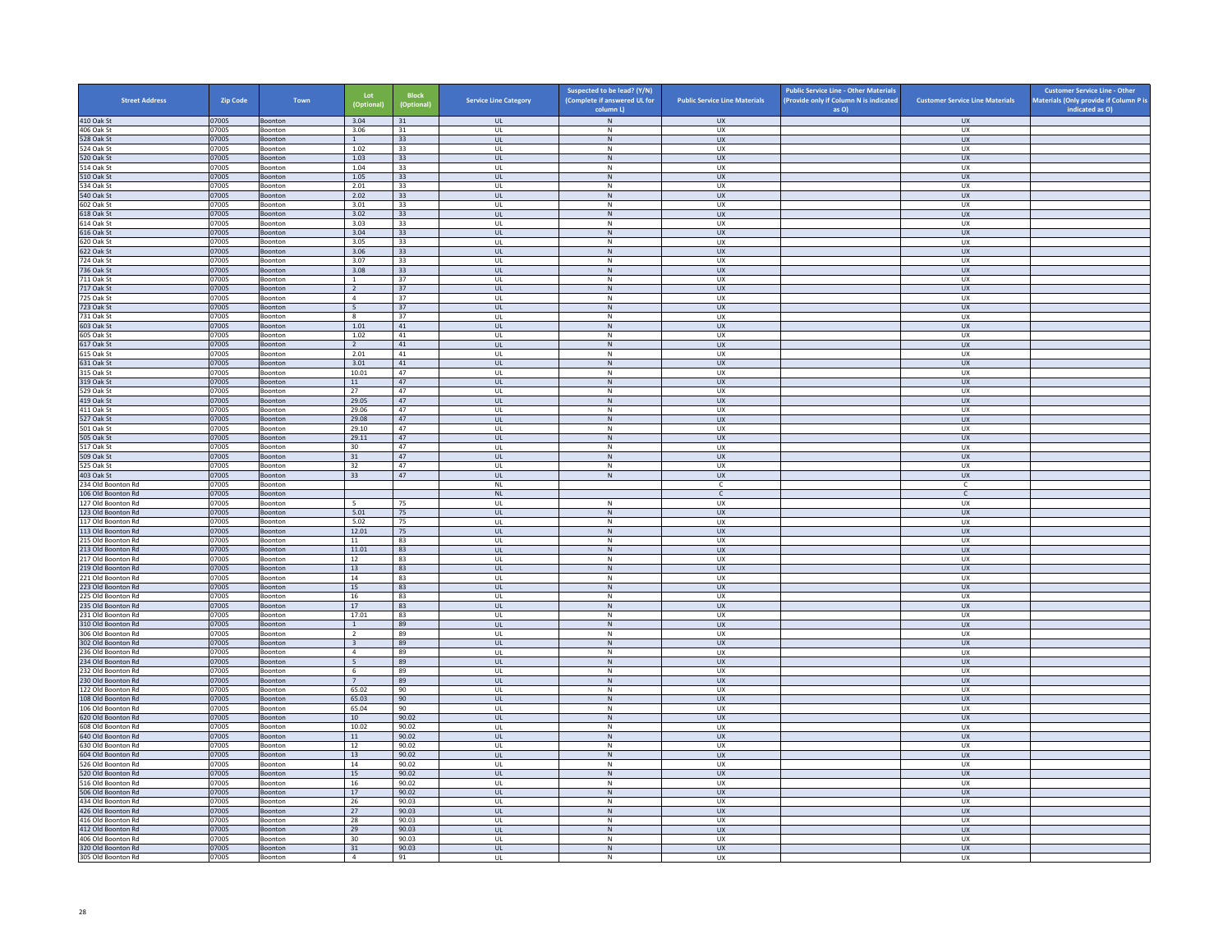| <b>Street Address</b>                    | <b>Zip Code</b> | Town                      | Lot<br>(Optional)       | <b>Block</b><br>(Optional) | <b>Service Line Category</b>            | Suspected to be lead? (Y/N)<br>(Complete if answered UL for<br>column L) | <b>Public Service Line Materials</b> | <b>Public Service Line - Other Materials</b><br>(Provide only if Column N is indicated<br>as O) | <b>Customer Service Line Materials</b> | <b>Customer Service Line - Other</b><br>Materials (Only provide if Column P is<br>indicated as O) |
|------------------------------------------|-----------------|---------------------------|-------------------------|----------------------------|-----------------------------------------|--------------------------------------------------------------------------|--------------------------------------|-------------------------------------------------------------------------------------------------|----------------------------------------|---------------------------------------------------------------------------------------------------|
| 410 Oak St                               | 07005           | Boonton                   | 3.04                    | 31                         | UL                                      | $\,$ N                                                                   | <b>UX</b>                            |                                                                                                 | <b>UX</b>                              |                                                                                                   |
| 406 Oak St                               | 07005           | Boonton                   | 3.06                    | 31                         | UL                                      | N                                                                        | UX                                   |                                                                                                 | <b>UX</b>                              |                                                                                                   |
| 528 Oak St                               | 07005           | Boonton                   | $\mathbf{1}$            | 33                         | $\mathsf{UL}$                           | ${\sf N}$                                                                | UX                                   |                                                                                                 | UX                                     |                                                                                                   |
| 524 Oak St<br>520 Oak St                 | 07005<br>07005  | Boonton                   | 1.02<br>1.03            | 33<br>33                   | UL<br>UL                                | ${\sf N}$<br>N                                                           | UX<br><b>UX</b>                      |                                                                                                 | <b>UX</b><br>UX                        |                                                                                                   |
| 514 Oak St                               | 07005           | Boonton<br>Boonton        | 1.04                    | 33                         | UL                                      | $\,$ N                                                                   | UX                                   |                                                                                                 | <b>UX</b>                              |                                                                                                   |
| 510 Oak St                               | 07005           | <b>Boonton</b>            | 1.05                    | 33                         | $\mathbf{u}$                            | N                                                                        | UX                                   |                                                                                                 | UX                                     |                                                                                                   |
| 534 Oak St                               | 07005           | Boonton                   | 2.01                    | 33                         | UL                                      | ${\sf N}$                                                                | UX                                   |                                                                                                 | UX                                     |                                                                                                   |
| 540 Oak St                               | 07005           | Boonton                   | 2.02                    | 33                         | <b>UL</b>                               | N                                                                        | <b>UX</b>                            |                                                                                                 | <b>UX</b>                              |                                                                                                   |
| 602 Oak St<br>618 Oak St                 | 07005<br>07005  | Boonton<br>Boonton        | 3.01<br>3.02            | 33<br>33                   | UL<br><b>UL</b>                         | ${\sf N}$<br>$\,$ N                                                      | UX<br><b>UX</b>                      |                                                                                                 | UX<br><b>UX</b>                        |                                                                                                   |
| 614 Oak St                               | 07005           | Boonton                   | 3.03                    | 33                         | UL                                      | $\mathsf{N}$                                                             | <b>UX</b>                            |                                                                                                 | UX                                     |                                                                                                   |
| 616 Oak St                               | 07005           | Boonton                   | 3.04                    | 33                         | UL                                      | ${\sf N}$                                                                | UX                                   |                                                                                                 | UX                                     |                                                                                                   |
| 620 Oak St                               | 07005           | <b>Boonton</b>            | 3.05                    | 33                         | $\mathbf{u}$                            | N                                                                        | UX                                   |                                                                                                 | UX                                     |                                                                                                   |
| 622 Oak St                               | 07005           | Boonton                   | 3.06                    | 33                         | UL                                      | ${\sf N}$                                                                | <b>UX</b>                            |                                                                                                 | UX                                     |                                                                                                   |
| 724 Oak St<br>736 Oak St                 | 07005<br>07005  | Boonton<br>Boonton        | 3.07<br>3.08            | 33<br>33                   | UL<br>UL                                | N<br>${\sf N}$                                                           | UX<br>UX                             |                                                                                                 | UX<br>UX                               |                                                                                                   |
| 711 Oak St                               | 07005           | Boonton                   | $\mathbf{1}$            | 37                         | UL                                      | ${\sf N}$                                                                | UX                                   |                                                                                                 | UX                                     |                                                                                                   |
| 717 Oak St                               | 07005           | Boonton                   | <sup>2</sup>            | 37                         | <b>UL</b>                               | N                                                                        | <b>UX</b>                            |                                                                                                 | <b>UX</b>                              |                                                                                                   |
| 725 Oak St                               | 07005           | Boonton                   | $\overline{4}$          | 37                         | $\ensuremath{\mathsf{UL}}\xspace$       | ${\sf N}$                                                                | UX                                   |                                                                                                 | <b>UX</b>                              |                                                                                                   |
| 723 Oak St                               | 07005           | <b>Boonton</b>            | 5 <sup>5</sup>          | 37                         | <b>UL</b>                               | N                                                                        | UX                                   |                                                                                                 | UX                                     |                                                                                                   |
| 731 Oak St<br>603 Oak St                 | 07005<br>07005  | Boonton<br>Boonton        | 8<br>1.01               | 37<br>41                   | UL<br><b>UL</b>                         | ${\sf N}$<br>N                                                           | UX<br>UX                             |                                                                                                 | UX<br><b>UX</b>                        |                                                                                                   |
| 605 Oak St                               | 07005           | Boonton                   | 1.02                    | 41                         | UL                                      | ${\sf N}$                                                                | UX                                   |                                                                                                 | UX                                     |                                                                                                   |
| 617 Oak St                               | 07005           | Boonton                   | $\overline{2}$          | 41                         | $\mathsf{UL}$                           | $\,$ N                                                                   | <b>UX</b>                            |                                                                                                 | UX                                     |                                                                                                   |
| 615 Oak St                               | 07005           | Boonton                   | 2.01                    | 41                         | UL                                      | N                                                                        | <b>UX</b>                            |                                                                                                 | <b>UX</b>                              |                                                                                                   |
| 631 Oak St                               | 07005           | Boonton                   | 3.01                    | $41\,$                     | UL                                      | ${\sf N}$                                                                | UX                                   |                                                                                                 | ${\sf U}{\sf X}$                       |                                                                                                   |
| 315 Oak St<br>319 Oak St                 | 07005<br>07005  | <b>Boonton</b><br>Boonton | 10.01<br>11             | 47<br>47                   | $\mathbf{u}$<br>UL                      | N<br>$\,$ N                                                              | U X<br>UX                            |                                                                                                 | UX<br>UX                               |                                                                                                   |
| 529 Oak St                               | 07005           | Boonton                   | 27                      | 47                         | UL                                      | N                                                                        | UX                                   |                                                                                                 | <b>UX</b>                              |                                                                                                   |
| 419 Oak St                               | 07005           | Boonton                   | 29.05                   | 47                         | UL                                      | ${\sf N}$                                                                | <b>UX</b>                            |                                                                                                 | UX                                     |                                                                                                   |
| 411 Oak St                               | 07005           | Boonton                   | 29.06                   | 47                         | UL                                      | ${\sf N}$                                                                | UX                                   |                                                                                                 | UX                                     |                                                                                                   |
| 527 Oak St                               | 07005           | Boonton                   | 29.08                   | 47                         | <b>UL</b>                               | N                                                                        | <b>UX</b>                            |                                                                                                 | <b>UX</b>                              |                                                                                                   |
| 501 Oak St                               | 07005<br>07005  | Boonton<br><b>Boonton</b> | 29.10<br>29.11          | 47<br>47                   | UL<br>$\overline{\mathbf{u}}$           | ${\sf N}$<br>N                                                           | UX<br>UX                             |                                                                                                 | UX<br>UX                               |                                                                                                   |
| 505 Oak St<br>517 Oak St                 | 07005           | Boonton                   | 30                      | 47                         | UL                                      | ${\sf N}$                                                                | UX                                   |                                                                                                 | UX                                     |                                                                                                   |
| 509 Oak St                               | 07005           | Boonton                   | 31                      | 47                         | UL                                      | N                                                                        | <b>UX</b>                            |                                                                                                 | <b>UX</b>                              |                                                                                                   |
| 525 Oak St                               | 07005           | Boonton                   | 32                      | 47                         | UL                                      | ${\sf N}$                                                                | UX                                   |                                                                                                 | UX                                     |                                                                                                   |
| 403 Oak St                               | 07005           | Boonton                   | 33                      | 47                         | UL                                      | $\,$ N                                                                   | <b>UX</b>                            |                                                                                                 | <b>UX</b>                              |                                                                                                   |
| 234 Old Boonton Rd<br>106 Old Boonton Rd | 07005<br>07005  | Boonton                   |                         |                            | <b>NL</b><br>$\mathsf{NL}$              |                                                                          | C.<br>$\mathsf{C}$                   |                                                                                                 | C<br>$\mathsf{C}$                      |                                                                                                   |
| 127 Old Boonton Rd                       | 07005           | Boonton<br>Boonton        | 5 <sub>5</sub>          | 75                         | UL                                      | N                                                                        | <b>UX</b>                            |                                                                                                 | <b>UX</b>                              |                                                                                                   |
| 123 Old Boonton Rd                       | 07005           | Boonton                   | 5.01                    | 75                         | UL                                      | ${\sf N}$                                                                | UX                                   |                                                                                                 | UX                                     |                                                                                                   |
| 117 Old Boonton Rd                       | 07005           | Boonton                   | 5.02                    | 75                         | UL                                      | ${\sf N}$                                                                | UX                                   |                                                                                                 | <b>UX</b>                              |                                                                                                   |
| 113 Old Boonton Rd                       | 07005           | Boonton                   | 12.01                   | 75                         | <b>UL</b>                               | ${\sf N}$                                                                | <b>UX</b>                            |                                                                                                 | UX                                     |                                                                                                   |
| 215 Old Boonton Rd<br>213 Old Boonton Rd | 07005<br>07005  | Boonton                   | 11<br>11.01             | 83<br>83                   | UL<br>$\mathbf{u}$                      | ${\sf N}$<br>N                                                           | UX<br>UX                             |                                                                                                 | UX<br>UX                               |                                                                                                   |
| 217 Old Boonton Rd                       | 07005           | Boonton<br>Boonton        | 12                      | 83                         | UL                                      | ${\sf N}$                                                                | UX                                   |                                                                                                 | UX                                     |                                                                                                   |
| 219 Old Boonton Rd                       | 07005           | Boonton                   | 13                      | 83                         | UL.                                     | N                                                                        | <b>UX</b>                            |                                                                                                 | <b>UX</b>                              |                                                                                                   |
| 221 Old Boonton Rd                       | 07005           | Boonton                   | 14                      | 83                         | UL                                      | ${\sf N}$                                                                | UX                                   |                                                                                                 | UX                                     |                                                                                                   |
| 223 Old Boonton Rd                       | 07005           | Boonton                   | 15                      | 83                         | UL                                      | ${\sf N}$                                                                | UX                                   |                                                                                                 | UX                                     |                                                                                                   |
| 225 Old Boonton Rd<br>235 Old Boonton Rd | 07005<br>07005  | Boonton<br>Boonton        | 16<br>17                | 83<br>83                   | UL<br>$\ensuremath{\mathsf{UL}}\xspace$ | ${\sf N}$<br>${\sf N}$                                                   | UX<br>UX                             |                                                                                                 | UX<br>UX                               |                                                                                                   |
| 231 Old Boonton Rd                       | 07005           | <b>Boonton</b>            | 17.01                   | 83                         | UL                                      | N                                                                        | U X                                  |                                                                                                 | UX                                     |                                                                                                   |
| 310 Old Boonton Rd                       | 07005           | Boonton                   | 1                       | 89                         | UL                                      | ${\sf N}$                                                                | UX                                   |                                                                                                 | UX                                     |                                                                                                   |
| 306 Old Boonton Rd                       | 07005           | Boonton                   | $\overline{2}$          | 89                         | UL                                      | N                                                                        | <b>UX</b>                            |                                                                                                 | UX                                     |                                                                                                   |
| 302 Old Boonton Rd                       | 07005           | Boonton                   | $\overline{\mathbf{3}}$ | 89                         | UL                                      | ${\sf N}$                                                                | UX                                   |                                                                                                 | UX                                     |                                                                                                   |
| 236 Old Boonton Rd<br>234 Old Boonton Rd | 07005<br>07005  | Boonton<br>Boonton        | $\overline{4}$<br>5     | 89<br>89                   | UL<br>UL                                | $\,$ N<br>${\sf N}$                                                      | UX<br><b>UX</b>                      |                                                                                                 | <b>UX</b><br>UX                        |                                                                                                   |
| 232 Old Boonton Rd                       | 07005           | Boonton                   | $\,$ 6                  | 89                         | UL                                      | ${\sf N}$                                                                | UX                                   |                                                                                                 | UX                                     |                                                                                                   |
| 230 Old Boonton Rd                       | 07005           | Boonton                   | $7^{\circ}$             | 89                         | $\mathbf{u}$                            | N                                                                        | UX                                   |                                                                                                 | <b>UX</b>                              |                                                                                                   |
| 122 Old Boonton Rd                       | 07005           | Boonton                   | 65.02                   | 90                         | UL                                      | ${\sf N}$                                                                | UX                                   |                                                                                                 | UX                                     |                                                                                                   |
| 108 Old Boonton Rd                       | 07005           | Boonton                   | 65.03                   | 90                         | <b>UL</b>                               | N                                                                        | <b>UX</b>                            |                                                                                                 | <b>UX</b>                              |                                                                                                   |
| 106 Old Boonton Rd<br>620 Old Boonton Rd | 07005<br>07005  | Boonton<br>Boonton        | 65.04<br>10             | 90<br>90.02                | UL<br>UL                                | ${\sf N}$<br>${\sf N}$                                                   | UX<br><b>UX</b>                      |                                                                                                 | UX<br>UX                               |                                                                                                   |
| 608 Old Boonton Rd                       | 07005           | Boonton                   | 10.02                   | 90.02                      | UL                                      | ${\sf N}$                                                                | UX                                   |                                                                                                 | UX                                     |                                                                                                   |
| 640 Old Boonton Rd                       | 07005           | Boonton                   | $11\,$                  | 90.02                      | $\ensuremath{\mathsf{UL}}\xspace$       | ${\sf N}$                                                                | ${\sf U}{\sf X}$                     |                                                                                                 | ${\sf U}{\sf X}$                       |                                                                                                   |
| 630 Old Boonton Rd                       | 07005           | <b>Boonton</b>            | 12                      | 90.02                      | UL                                      | $\mathbb N$                                                              | U X                                  |                                                                                                 | UX                                     |                                                                                                   |
| 604 Old Boonton Rd                       | 07005           | Boonton                   | 13<br>14                | 90.02                      | UL                                      | ${\sf N}$                                                                | UX                                   |                                                                                                 | UX                                     |                                                                                                   |
| 526 Old Boonton Rd<br>520 Old Boonton Rd | 07005<br>07005  | Boonton<br>Boonton        | 15                      | 90.02<br>90.02             | <b>UL</b><br>UL                         | N<br>N                                                                   | UX<br>UX                             |                                                                                                 | UX<br>UX                               |                                                                                                   |
| 516 Old Boonton Rd                       | 07005           | Boonton                   | 16                      | 90.02                      | UL                                      | $\,$ N                                                                   | UX                                   |                                                                                                 | <b>UX</b>                              |                                                                                                   |
| 506 Old Boonton Rd                       | 07005           | <b>Boonton</b>            | 17                      | 90.02                      | UL                                      | N                                                                        | <b>UX</b>                            |                                                                                                 | UX                                     |                                                                                                   |
| 434 Old Boonton Rd                       | 07005           | Boonton                   | 26                      | 90.03                      | UL                                      | ${\sf N}$                                                                | UX                                   |                                                                                                 | UX                                     |                                                                                                   |
| 426 Old Boonton Rd                       | 07005           | Boonton                   | 27                      | 90.03                      | $\mathbf{U}$                            | N                                                                        | UX                                   |                                                                                                 | UX                                     |                                                                                                   |
| 416 Old Boonton Rd<br>412 Old Boonton Rd | 07005<br>07005  | Boonton<br>Boonton        | 28<br>29                | 90.03<br>90.03             | UL<br><b>UL</b>                         | ${\sf N}$<br>N                                                           | UX<br><b>UX</b>                      |                                                                                                 | UX<br><b>UX</b>                        |                                                                                                   |
| 406 Old Boonton Rd                       | 07005           | Boonton                   | 30                      | 90.03                      | UL                                      | N                                                                        | UX                                   |                                                                                                 | UX                                     |                                                                                                   |
| 320 Old Boonton Rd                       | 07005           | Boonton                   | 31                      | 90.03                      | UL                                      | ${\sf N}$                                                                | <b>UX</b>                            |                                                                                                 | UX                                     |                                                                                                   |
| 305 Old Boonton Rd                       | 07005           | Boonton                   | $\overline{4}$          | 91                         | UL                                      | N                                                                        | <b>UX</b>                            |                                                                                                 | <b>UX</b>                              |                                                                                                   |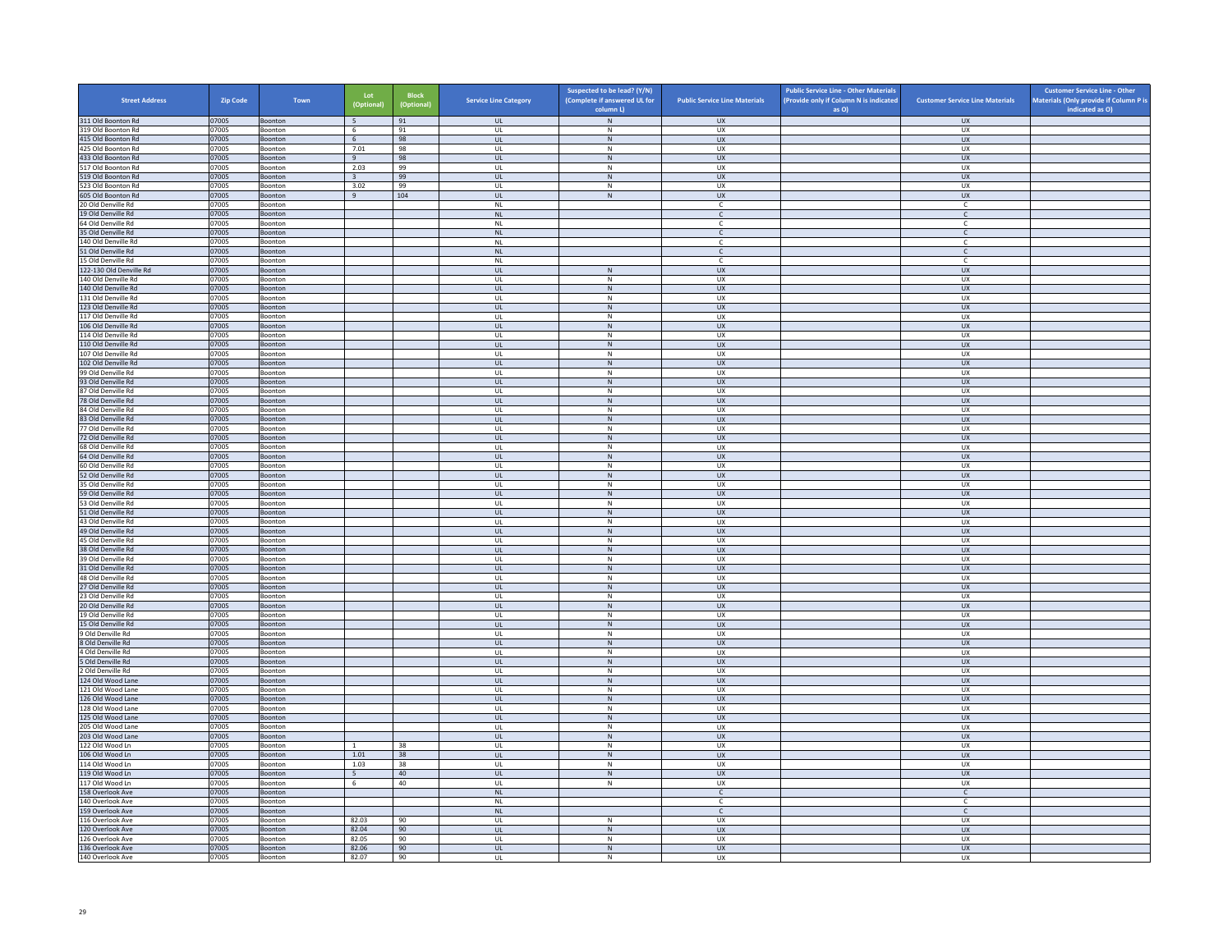| <b>Street Address</b>                         | <b>Zip Code</b> | Town               | Lot<br>(Optional) | <b>Block</b><br>(Optional) | <b>Service Line Category</b>      | Suspected to be lead? (Y/N)<br>(Complete if answered UL for | <b>Public Service Line Materials</b> | <b>Public Service Line - Other Materials</b><br>(Provide only if Column N is indicated | <b>Customer Service Line Materials</b> | <b>Customer Service Line - Other</b><br>Materials (Only provide if Column P is<br>indicated as O) |
|-----------------------------------------------|-----------------|--------------------|-------------------|----------------------------|-----------------------------------|-------------------------------------------------------------|--------------------------------------|----------------------------------------------------------------------------------------|----------------------------------------|---------------------------------------------------------------------------------------------------|
| 311 Old Boonton Rd                            | 07005           | Boonton            | 5                 | 91                         | <b>UL</b>                         | column L)<br>${\sf N}$                                      | UX                                   | as O)                                                                                  | <b>UX</b>                              |                                                                                                   |
| 319 Old Boonton Rd                            | 07005           | Boonton            | 6                 | 91                         | <b>UL</b>                         | N                                                           | UX                                   |                                                                                        | UX                                     |                                                                                                   |
| 415 Old Boonton Rd                            | 07005           | Boonton            | 6                 | 98                         | UL                                | ${\sf N}$                                                   | UX                                   |                                                                                        | UX                                     |                                                                                                   |
| 425 Old Boonton Rd<br>433 Old Boonton Rd      | 07005           | Boonton            | 7.01<br>9         | 98<br>98                   | UL<br><b>UL</b>                   | ${\sf N}$<br>N                                              | UX<br><b>UX</b>                      |                                                                                        | <b>UX</b><br>UX                        |                                                                                                   |
| 517 Old Boonton Rd                            | 07005<br>07005  | Boonton<br>Boonton | 2.03              | 99                         | UL                                | N                                                           | UX                                   |                                                                                        | UX                                     |                                                                                                   |
| 519 Old Boonton Rd                            | 07005           | Boonton            | $\overline{3}$    | 99                         | $\mathbf{U}$                      | N                                                           | UX                                   |                                                                                        | $\overline{U}$                         |                                                                                                   |
| 523 Old Boonton Rd                            | 07005           | Boonton            | 3.02              | 99                         | UL                                | ${\sf N}$                                                   | UX                                   |                                                                                        | UX                                     |                                                                                                   |
| 605 Old Boonton Rd                            | 07005           | Boonton            | 9                 | 104                        | <b>UL</b>                         | N                                                           | <b>UX</b><br>$\mathfrak{c}$          |                                                                                        | <b>UX</b>                              |                                                                                                   |
| 20 Old Denville Rd<br>19 Old Denville Rd      | 07005<br>07005  | Boonton<br>Boonton |                   |                            | $\mathsf{NL}$<br>NL               |                                                             | $\mathsf{C}$                         |                                                                                        | $\mathsf{C}$<br>$\mathsf{C}$           |                                                                                                   |
| 64 Old Denville Rd                            | 07005           | Boonton            |                   |                            | <b>NL</b>                         |                                                             | -C                                   |                                                                                        | C                                      |                                                                                                   |
| 35 Old Denville Rd                            | 07005           | Boonton            |                   |                            | NL                                |                                                             | $\mathsf{C}$                         |                                                                                        | $\mathsf{C}$                           |                                                                                                   |
| 140 Old Denville Rd                           | 07005           | <b>Boonton</b>     |                   |                            | NI                                |                                                             | $\mathbb{C}$                         |                                                                                        | $\mathsf{C}$                           |                                                                                                   |
| 51 Old Denville Rd                            | 07005           | Boonton            |                   |                            | NL                                |                                                             | C                                    |                                                                                        | $\mathsf{C}$                           |                                                                                                   |
| 15 Old Denville Rd<br>122-130 Old Denville Rd | 07005<br>07005  | Boonton<br>Boonton |                   |                            | <b>NL</b><br>UL                   | N                                                           | c<br>UX                              |                                                                                        | c<br>UX                                |                                                                                                   |
| 140 Old Denville Rd                           | 07005           | Boonton            |                   |                            | UL                                | ${\sf N}$                                                   | UX                                   |                                                                                        | UX                                     |                                                                                                   |
| 140 Old Denville Rd                           | 07005           | Boonton            |                   |                            | <b>UL</b>                         | N                                                           | <b>UX</b>                            |                                                                                        | <b>UX</b>                              |                                                                                                   |
| 131 Old Denville Rd                           | 07005           | Boonton            |                   |                            | UL                                | ${\sf N}$                                                   | UX                                   |                                                                                        | UX                                     |                                                                                                   |
| 123 Old Denville Rd                           | 07005           | Boonton            |                   |                            | $\mathbf{U}$                      | N                                                           | $\overline{11}$                      |                                                                                        | UX                                     |                                                                                                   |
| 117 Old Denville Rd<br>106 Old Denville Rd    | 07005<br>07005  | Boonton<br>Boonton |                   |                            | UL<br>UL                          | ${\sf N}$<br>N                                              | UX<br>${\sf U}{\sf X}$               |                                                                                        | UX<br>UX                               |                                                                                                   |
| 114 Old Denville Rd                           | 07005           | Boonton            |                   |                            | UL                                | ${\sf N}$                                                   | UX                                   |                                                                                        | UX                                     |                                                                                                   |
| 110 Old Denville Rd                           | 07005           | Boonton            |                   |                            | UL                                | ${\sf N}$                                                   | UX                                   |                                                                                        | <b>UX</b>                              |                                                                                                   |
| 107 Old Denville Rd                           | 07005           | Boonton            |                   |                            | UL                                | N                                                           | <b>UX</b>                            |                                                                                        | <b>UX</b>                              |                                                                                                   |
| 102 Old Denville Rd                           | 07005           | Boonton            |                   |                            | $_{\sf UL}$                       | N                                                           | ${\sf U}{\sf X}$                     |                                                                                        | ${\sf U}{\sf X}$                       |                                                                                                   |
| 99 Old Denville Rd<br>93 Old Denville Rd      | 07005<br>07005  | Boonton<br>Boonton |                   |                            | $\mathbf{U}$<br>UL                | N<br>${\sf N}$                                              | UX<br>UX                             |                                                                                        | UX<br>UX                               |                                                                                                   |
| 87 Old Denville Rd                            | 07005           | Boonton            |                   |                            | <b>UL</b>                         | N                                                           | UX                                   |                                                                                        | UX                                     |                                                                                                   |
| 78 Old Denville Rd                            | 07005           | Boonton            |                   |                            | UL                                | N                                                           | <b>UX</b>                            |                                                                                        | UX                                     |                                                                                                   |
| 84 Old Denville Rd                            | 07005           | Boonton            |                   |                            | UL                                | ${\sf N}$                                                   | UX                                   |                                                                                        | UX                                     |                                                                                                   |
| 83 Old Denville Rd                            | 07005           | Boonton            |                   |                            | <b>UL</b>                         | N                                                           | <b>UX</b>                            |                                                                                        | <b>UX</b>                              |                                                                                                   |
| 77 Old Denville Rd<br>72 Old Denville Rd      | 07005<br>07005  | Boonton<br>Boonton |                   |                            | UL<br>$\mathbf{U}$                | $\mathsf{N}$<br>N                                           | UX<br>$\overline{11}$                |                                                                                        | UX<br>UX                               |                                                                                                   |
| 68 Old Denville Rd                            | 07005           | Boonton            |                   |                            | UL                                | ${\sf N}$                                                   | UX                                   |                                                                                        | UX                                     |                                                                                                   |
| 64 Old Denville Rd                            | 07005           | Boonton            |                   |                            | <b>UL</b>                         | N                                                           | <b>UX</b>                            |                                                                                        | <b>UX</b>                              |                                                                                                   |
| 60 Old Denville Rd                            | 07005           | Boonton            |                   |                            | UL                                | ${\sf N}$                                                   | UX                                   |                                                                                        | UX                                     |                                                                                                   |
| 52 Old Denville Rd                            | 07005           | Boonton            |                   |                            | <b>UL</b>                         | $\,$ N                                                      | <b>UX</b>                            |                                                                                        | <b>UX</b>                              |                                                                                                   |
| 35 Old Denville Rd<br>59 Old Denville Rd      | 07005<br>07005  | Boonton            |                   |                            | <b>UL</b>                         | N                                                           | <b>UX</b><br>UX                      |                                                                                        | UX<br>${\sf U}{\sf X}$                 |                                                                                                   |
| 53 Old Denville Rd                            | 07005           | Boonton<br>Boonton |                   |                            | UL<br><b>UL</b>                   | ${\sf N}$<br>N                                              | UX                                   |                                                                                        | UX                                     |                                                                                                   |
| 51 Old Denville Rd                            | 07005           | Boonton            |                   |                            | <b>UL</b>                         | ${\sf N}$                                                   | <b>UX</b>                            |                                                                                        | <b>UX</b>                              |                                                                                                   |
| 43 Old Denville Rd                            | 07005           | Boonton            |                   |                            | UL                                | ${\sf N}$                                                   | UX                                   |                                                                                        | UX                                     |                                                                                                   |
| 49 Old Denville Rd                            | 07005           | Boonton            |                   |                            | <b>UL</b>                         | N                                                           | <b>UX</b>                            |                                                                                        | UX                                     |                                                                                                   |
| 45 Old Denville Rd<br>38 Old Denville Rd      | 07005<br>07005  | Boonton            |                   |                            | UL<br>$\mathbf{u}$                | ${\sf N}$<br>N                                              | UX<br>UX                             |                                                                                        | UX<br>$\overline{U}$                   |                                                                                                   |
| 39 Old Denville Rd                            | 07005           | Boonton<br>Boonton |                   |                            | UL                                | $\mathsf{N}$                                                | UX                                   |                                                                                        | UX                                     |                                                                                                   |
| 31 Old Denville Rd                            | 07005           | Boonton            |                   |                            | <b>UL</b>                         | N                                                           | <b>UX</b>                            |                                                                                        | <b>UX</b>                              |                                                                                                   |
| 48 Old Denville Rd                            | 07005           | Boonton            |                   |                            | UL                                | ${\sf N}$                                                   | UX                                   |                                                                                        | UX                                     |                                                                                                   |
| 27 Old Denville Rd                            | 07005           | Boonton            |                   |                            | UL                                | N                                                           | <b>UX</b>                            |                                                                                        | UX                                     |                                                                                                   |
| 23 Old Denville Rd                            | 07005           | Boonton            |                   |                            | UL<br>UL                          | $\mathsf{N}$<br>${\sf N}$                                   | UX<br><b>UX</b>                      |                                                                                        | UX<br><b>UX</b>                        |                                                                                                   |
| 20 Old Denville Rd<br>19 Old Denville Rd      | 07005<br>07005  | Boonton<br>Boonton |                   |                            | - UI                              | N                                                           | UX                                   |                                                                                        | UX                                     |                                                                                                   |
| 15 Old Denville Rd                            | 07005           | Boonton            |                   |                            | UL                                | N                                                           | UX                                   |                                                                                        | UX                                     |                                                                                                   |
| 9 Old Denville Rd                             | 07005           | Boonton            |                   |                            | <b>UL</b>                         | N                                                           | <b>UX</b>                            |                                                                                        | <b>UX</b>                              |                                                                                                   |
| 8 Old Denville Rd                             | 07005           | Boonton            |                   |                            | $\mathsf{UL}$                     | ${\sf N}$                                                   | UX                                   |                                                                                        | UX                                     |                                                                                                   |
| 4 Old Denville Rd<br>5 Old Denville Rd        | 07005<br>07005  | Boonton<br>Boonton |                   |                            | UL<br><b>UL</b>                   | ${\sf N}$<br>N                                              | UX<br><b>UX</b>                      |                                                                                        | UX<br>UX                               |                                                                                                   |
| 2 Old Denville Rd                             | 07005           | Boonton            |                   |                            | UL                                | ${\sf N}$                                                   | UX                                   |                                                                                        | UX                                     |                                                                                                   |
| 124 Old Wood Lane                             | 07005           | Boonton            |                   |                            | $\mathbf{u}$                      | N                                                           | UX                                   |                                                                                        | <b>UX</b>                              |                                                                                                   |
| 121 Old Wood Lane                             | 07005           | Boonton            |                   |                            | UL                                | $\mathsf{N}$                                                | UX                                   |                                                                                        | UX                                     |                                                                                                   |
| 126 Old Wood Lane                             | 07005           | Boonton            |                   |                            | <b>UL</b>                         | N                                                           | <b>UX</b>                            |                                                                                        | <b>UX</b>                              |                                                                                                   |
| 128 Old Wood Lane<br>125 Old Wood Lane        | 07005           | Boonton<br>Boonton |                   |                            | UL<br>UL                          | ${\sf N}$<br>${\sf N}$                                      | UX<br>UX                             |                                                                                        | UX<br>UX                               |                                                                                                   |
| 205 Old Wood Lane                             | 07005<br>07005  | Boonton            |                   |                            | UL                                | $\mathsf{N}$                                                | UX                                   |                                                                                        | UX                                     |                                                                                                   |
| 203 Old Wood Lane                             | 07005           | Boonton            |                   |                            | $\ensuremath{\mathsf{UL}}\xspace$ | ${\sf N}$                                                   | UX                                   |                                                                                        | ${\sf U}{\sf X}$                       |                                                                                                   |
| 122 Old Wood Ln                               | 07005           | Boonton            | $\overline{1}$    | 38                         | $\mathbf{U}$                      | N                                                           | <b>UX</b>                            |                                                                                        | UX                                     |                                                                                                   |
| 106 Old Wood Ln                               | 07005           | Boonton            | 1.01              | 38                         | UL                                | ${\sf N}$                                                   | UX                                   |                                                                                        | UX                                     |                                                                                                   |
| 114 Old Wood Ln<br>119 Old Wood Ln            | 07005<br>07005  | Boonton<br>Boonton | 1.03<br>5         | 38<br>40                   | <b>UL</b><br>$\mathsf{UL}$        | N<br>${\sf N}$                                              | <b>UX</b><br>UX                      |                                                                                        | <b>UX</b><br>UX                        |                                                                                                   |
| 117 Old Wood Ln                               | 07005           | Boonton            | 6                 | 40                         | UL                                | $\,N\,$                                                     | <b>UX</b>                            |                                                                                        | UX                                     |                                                                                                   |
| 158 Overlook Ave                              | 07005           | Boonton            |                   |                            | <b>NL</b>                         |                                                             | $\mathsf{C}$                         |                                                                                        | $\mathsf{C}$                           |                                                                                                   |
| 140 Overlook Ave                              | 07005           | Boonton            |                   |                            | <b>NL</b>                         |                                                             | c                                    |                                                                                        | $\mathsf{C}$                           |                                                                                                   |
| 159 Overlook Ave                              | 07005           | Boonton            |                   |                            | NI                                |                                                             | $\mathsf{C}$                         |                                                                                        | $\mathsf{C}$                           |                                                                                                   |
| 116 Overlook Ave                              | 07005           | Boonton            | 82.03             | 90                         | UL                                | $\mathsf{N}$                                                | UX                                   |                                                                                        | UX                                     |                                                                                                   |
| 120 Overlook Ave<br>126 Overlook Ave          | 07005<br>07005  | Boonton<br>Boonton | 82.04<br>82.05    | 90<br>90                   | <b>UL</b><br>UL                   | N<br>$\mathsf{N}$                                           | <b>UX</b><br>UX                      |                                                                                        | <b>UX</b><br>UX                        |                                                                                                   |
| 136 Overlook Ave                              | 07005           | Boonton            | 82.06             | 90                         | UL                                | ${\sf N}$                                                   | UX                                   |                                                                                        | UX                                     |                                                                                                   |
| 140 Overlook Ave                              | 07005           | Boonton            | 82.07             | 90                         | UL                                | $\mathsf{N}$                                                | <b>UX</b>                            |                                                                                        | <b>UX</b>                              |                                                                                                   |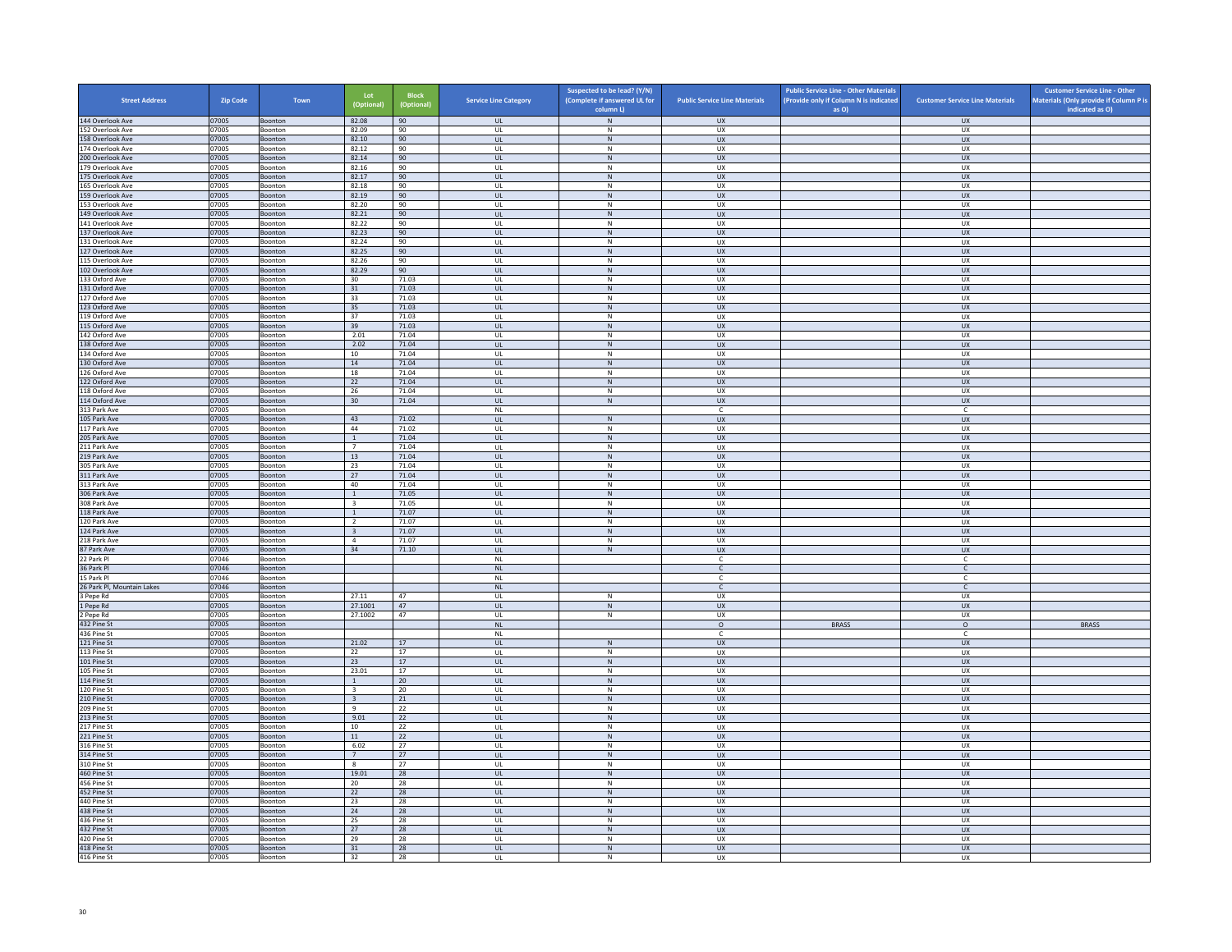| <b>Street Address</b>                | <b>Zip Code</b> | Town                      | Lot<br>(Optional                          | Block<br>(Optional) | <b>Service Line Category</b>      | Suspected to be lead? (Y/N)<br>(Complete if answered UL for<br>column L) | <b>Public Service Line Materials</b> | <b>Public Service Line - Other Materials</b><br>(Provide only if Column N is indicated<br>as O) | <b>Customer Service Line Materials</b> | <b>Customer Service Line - Other</b><br>Materials (Only provide if Column P is<br>indicated as O) |
|--------------------------------------|-----------------|---------------------------|-------------------------------------------|---------------------|-----------------------------------|--------------------------------------------------------------------------|--------------------------------------|-------------------------------------------------------------------------------------------------|----------------------------------------|---------------------------------------------------------------------------------------------------|
| 144 Overlook Ave                     | 07005           | Boonton                   | 82.08                                     | 90                  | <b>UL</b>                         | N                                                                        | <b>UX</b>                            |                                                                                                 | <b>UX</b>                              |                                                                                                   |
| 152 Overlook Ave                     | 07005           | Boonton                   | 82.09                                     | 90                  | UL                                | N                                                                        | <b>UX</b>                            |                                                                                                 | <b>UX</b>                              |                                                                                                   |
| 158 Overlook Ave<br>174 Overlook Ave | 07005<br>07005  | Boonton<br><b>Boonton</b> | 82.10<br>82.12                            | 90<br>90            | $_{\sf UL}$<br>UL                 | ${\sf N}$<br>N                                                           | ${\sf U}{\sf X}$<br><b>UX</b>        |                                                                                                 | ${\sf U}{\sf X}$<br><b>UX</b>          |                                                                                                   |
| 200 Overlook Ave                     | 07005           | Boonton                   | 82.14                                     | 90                  | $\mathsf{UL}$                     | $\mathsf{N}$                                                             | UX                                   |                                                                                                 | UX                                     |                                                                                                   |
| 179 Overlook Ave                     | 07005           | Boonton                   | 82.16                                     | 90                  | UL                                | N                                                                        | UX                                   |                                                                                                 | <b>UX</b>                              |                                                                                                   |
| 175 Overlook Ave<br>165 Overlook Ave | 07005<br>07005  | Boonton<br>Boonton        | 82.17<br>82.18                            | 90<br>90            | UL<br>UL                          | $\,$ N<br>N                                                              | <b>UX</b><br>UX                      |                                                                                                 | <b>UX</b><br>UX                        |                                                                                                   |
| 159 Overlook Ave                     | 07005           | Boonton                   | 82.19                                     | 90                  | $\mathbf{U}$                      | N                                                                        | $\overline{11}$                      |                                                                                                 | UX                                     |                                                                                                   |
| 153 Overlook Ave                     | 07005           | Boonton                   | 82.20                                     | 90                  | UL                                | ${\sf N}$                                                                | UX                                   |                                                                                                 | UX                                     |                                                                                                   |
| 149 Overlook Ave                     | 07005           | Boonton                   | 82.21                                     | 90                  | UL.                               | N                                                                        | <b>UX</b>                            |                                                                                                 | <b>UX</b>                              |                                                                                                   |
| 141 Overlook Ave<br>137 Overlook Ave | 07005<br>07005  | Boonton<br>Boonton        | 82.22<br>82.23                            | 90<br>90            | UL<br>UL                          | ${\sf N}$<br>N                                                           | UX<br>UX                             |                                                                                                 | UX<br>UX                               |                                                                                                   |
| 131 Overlook Ave                     | 07005           | Boonton                   | 82.24                                     | 90                  | UL                                | ${\sf N}$                                                                | UX                                   |                                                                                                 | UX                                     |                                                                                                   |
| 127 Overlook Ave                     | 07005           | Boonton                   | 82.25                                     | 90                  | UL                                | $\,$ N                                                                   | UX                                   |                                                                                                 | UX                                     |                                                                                                   |
| 115 Overlook Ave<br>102 Overlook Ave | 07005<br>07005  | <b>Boonton</b><br>Boonton | 82.26<br>82.29                            | 90<br>90            | $\mathbf{U}$<br>UL                | N<br>${\sf N}$                                                           | <b>UX</b><br>UX                      |                                                                                                 | UX<br>UX                               |                                                                                                   |
| 133 Oxford Ave                       | 07005           | Boonton                   | 30                                        | 71.03               | UL                                | N                                                                        | UX                                   |                                                                                                 | UX                                     |                                                                                                   |
| 131 Oxford Ave                       | 07005           | Boonton                   | 31                                        | 71.03               | $_{\sf UL}$                       | ${\sf N}$                                                                | UX                                   |                                                                                                 | UX                                     |                                                                                                   |
| 127 Oxford Ave                       | 07005           | Boonton                   | 33                                        | 71.03               | UL                                | N                                                                        | UX                                   |                                                                                                 | UX                                     |                                                                                                   |
| 123 Oxford Ave<br>119 Oxford Ave     | 07005<br>07005  | Boonton<br>Boonton        | 35<br>37                                  | 71.03<br>71.03      | <b>UL</b><br>UL                   | N<br>${\sf N}$                                                           | <b>UX</b><br>UX                      |                                                                                                 | <b>UX</b><br>UX                        |                                                                                                   |
| 115 Oxford Ave                       | 07005           | Boonton                   | 39                                        | 71.03               | $\mathbf{u}$                      | N                                                                        | UX                                   |                                                                                                 | <b>UX</b>                              |                                                                                                   |
| 142 Oxford Ave                       | 07005           | Boonton                   | 2.01                                      | 71.04               | UL                                | $\mathsf{N}$                                                             | UX                                   |                                                                                                 | UX                                     |                                                                                                   |
| 138 Oxford Ave                       | 07005           | Boonton                   | 2.02                                      | 71.04               | <b>UL</b>                         | N                                                                        | <b>UX</b>                            |                                                                                                 | <b>UX</b>                              |                                                                                                   |
| 34 Oxford Ave<br>130 Oxford Ave      | 07005<br>07005  | Boonton<br>Boonton        | 10<br>14                                  | 71.04<br>71.04      | UL<br>UL                          | N<br>N                                                                   | <b>UX</b><br><b>UX</b>               |                                                                                                 | UX<br>UX                               |                                                                                                   |
| 126 Oxford Ave                       | 07005           | Boonton                   | 18                                        | 71.04               | UL                                | N                                                                        | <b>UX</b>                            |                                                                                                 | <b>UX</b>                              |                                                                                                   |
| 122 Oxford Ave                       | 07005           | Boonton                   | 22                                        | 71.04               | $\ensuremath{\mathsf{UL}}\xspace$ | ${\sf N}$                                                                | ${\sf U}{\sf X}$                     |                                                                                                 | ${\sf U}{\sf X}$                       |                                                                                                   |
| 118 Oxford Ave                       | 07005           | Boonton                   | 26                                        | 71.04               | UL                                | N                                                                        | <b>UX</b>                            |                                                                                                 | UX.                                    |                                                                                                   |
| 114 Oxford Ave<br>313 Park Ave       | 07005<br>07005  | Boonton<br>Boonton        | 30                                        | 71.04               | UL<br>$\sf NL$                    | $\,$ N                                                                   | UX<br>$\mathsf{C}$                   |                                                                                                 | UX<br>$\mathsf{C}$                     |                                                                                                   |
| 105 Park Ave                         | 07005           | Boonton                   | 43                                        | 71.02               | UL                                | $\,$ N                                                                   | <b>UX</b>                            |                                                                                                 | <b>UX</b>                              |                                                                                                   |
| 117 Park Ave                         | 07005           | Boonton                   | 44                                        | 71.02               | UL                                | $\,$ N                                                                   | UX                                   |                                                                                                 | UX                                     |                                                                                                   |
| 205 Park Ave<br>211 Park Ave         | 07005<br>07005  | <b>Boonton</b><br>Boonton | $\overline{1}$<br>$7\overline{ }$         | 71.04<br>71.04      | $\overline{\mathbf{u}}$<br>UL     | N<br>${\sf N}$                                                           | $\overline{11}$<br>UX                |                                                                                                 | $\overline{11}$<br>UX                  |                                                                                                   |
| 219 Park Ave                         | 07005           | Boonton                   | 13                                        | 71.04               | <b>UL</b>                         | N                                                                        | <b>UX</b>                            |                                                                                                 | <b>UX</b>                              |                                                                                                   |
| 305 Park Ave                         | 07005           | Boonton                   | 23                                        | 71.04               | $\mathsf{UL}$                     | ${\sf N}$                                                                | UX                                   |                                                                                                 | UX                                     |                                                                                                   |
| 311 Park Ave                         | 07005           | Boonton                   | 27                                        | 71.04               | <b>UL</b>                         | N                                                                        | UX                                   |                                                                                                 | UX                                     |                                                                                                   |
| 313 Park Ave<br>306 Park Ave         | 07005<br>07005  | Boonton<br>Boonton        | 40<br>$\,$ 1 $\,$                         | 71.04<br>71.05      | UL<br>UL                          | N<br>$\,$ N                                                              | <b>UX</b><br>UX                      |                                                                                                 | UX<br>UX                               |                                                                                                   |
| 308 Park Ave                         | 07005           | <b>Boonton</b>            | $\overline{3}$                            | 71.05               | $\mathbf{U}$                      | N                                                                        | UX                                   |                                                                                                 | UX                                     |                                                                                                   |
| 118 Park Ave                         | 07005           | Boonton                   | $\mathbf{1}$                              | 71.07               | UL                                | $\mathsf{N}$                                                             | UX                                   |                                                                                                 | UX                                     |                                                                                                   |
| 120 Park Ave<br>124 Park Ave         | 07005<br>07005  | Boonton<br>Boonton        | $\overline{2}$<br>$\overline{\mathbf{3}}$ | 71.07<br>71.07      | UL<br>$_{\sf UL}$                 | N<br>${\sf N}$                                                           | UX<br>UX                             |                                                                                                 | UX.<br>UX                              |                                                                                                   |
| 218 Park Ave                         | 07005           | Boonton                   | $\overline{4}$                            | 71.07               | UL                                | N                                                                        | UX                                   |                                                                                                 | UX                                     |                                                                                                   |
| 87 Park Ave                          | 07005           | <b>Boonton</b>            | 34                                        | 71.10               | <b>UL</b>                         | $\,$ N                                                                   | <b>UX</b>                            |                                                                                                 | <b>UX</b>                              |                                                                                                   |
| 22 Park Pl                           | 07046           | Boonton                   |                                           |                     | $\mathsf{NL}$                     |                                                                          | $\mathsf{C}$                         |                                                                                                 | $\mathsf{C}^-$                         |                                                                                                   |
| 36 Park Pl<br>5 Park Pl              | 07046<br>07046  | Boonton<br>Boonton        |                                           |                     | <b>NI</b><br><b>NL</b>            |                                                                          | $\mathsf{C}$<br>$\mathsf{C}$         |                                                                                                 | $\mathsf{C}$<br>c                      |                                                                                                   |
| 26 Park Pl, Mountain Lakes           | 07046           | Boonton                   |                                           |                     | <b>NL</b>                         |                                                                          | $\mathsf{C}$                         |                                                                                                 | $\mathsf{C}$                           |                                                                                                   |
| 3 Pepe Rd                            | 07005           | Boonton                   | 27.11                                     | 47                  | UL                                | $\mathsf{N}$                                                             | UX                                   |                                                                                                 | UX                                     |                                                                                                   |
| 1 Pepe Rd                            | 07005<br>07005  | Boonton                   | 27.1001                                   | 47<br>47            | UL                                | $\,$ N                                                                   | <b>UX</b>                            |                                                                                                 | <b>UX</b>                              |                                                                                                   |
| Pepe Rd<br>432 Pine St               | 07005           | Boonton<br>Boonton        | 27.1002                                   |                     | UL<br>$\mathsf{NL}$               | N                                                                        | <b>UX</b><br>$\circ$                 | <b>BRASS</b>                                                                                    | <b>UX</b><br>$\circ$                   | <b>BRASS</b>                                                                                      |
| 436 Pine St                          | 07005           | Boonton                   |                                           |                     | <b>NL</b>                         |                                                                          | C.                                   |                                                                                                 | $\mathsf{C}$                           |                                                                                                   |
| 121 Pine St                          | 07005           | Boonton                   | 21.02                                     | 17                  | <b>UL</b>                         | $\,N\,$                                                                  | <b>UX</b>                            |                                                                                                 | <b>UX</b>                              |                                                                                                   |
| 113 Pine St<br>101 Pine St           | 07005<br>07005  | Boonton<br>Boonton        | 22<br>23                                  | 17<br>17            | UL<br><b>UL</b>                   | ${\sf N}$<br>$\,$ N                                                      | UX<br><b>UX</b>                      |                                                                                                 | UX<br><b>UX</b>                        |                                                                                                   |
| 105 Pine St                          | 07005           | Boonton                   | 23.01                                     | 17                  | UL                                | $\,$ N                                                                   | UX                                   |                                                                                                 | UX                                     |                                                                                                   |
| 114 Pine St                          | 07005           | Boonton                   | $\overline{1}$                            | 20                  | $\mathbf{U}$                      | N                                                                        | UX                                   |                                                                                                 | $\overline{U}$                         |                                                                                                   |
| 120 Pine St                          | 07005           | Boonton                   | $\overline{\mathbf{3}}$                   | 20                  | UL                                | ${\sf N}$                                                                | UX                                   |                                                                                                 | UX                                     |                                                                                                   |
| 210 Pine St<br>209 Pine St           | 07005<br>07005  | Boonton<br>Boonton        | $\overline{\mathbf{3}}$<br>9              | 21<br>22            | <b>UL</b><br>UL                   | N<br>$\,$ N                                                              | <b>UX</b><br>UX                      |                                                                                                 | <b>UX</b><br>UX                        |                                                                                                   |
| 213 Pine St                          | 07005           | Boonton                   | 9.01                                      | 22                  | UL                                | N                                                                        | <b>UX</b>                            |                                                                                                 | UX                                     |                                                                                                   |
| 217 Pine St                          | 07005           | Boonton                   | 10                                        | 22                  | UL                                | ${\sf N}$                                                                | UX                                   |                                                                                                 | UX                                     |                                                                                                   |
| 221 Pine St                          | 07005           | Boonton                   | 11                                        | 22                  | UL                                | $\,$ N                                                                   | <b>UX</b>                            |                                                                                                 | <b>UX</b>                              |                                                                                                   |
| 316 Pine St<br>314 Pine St           | 07005<br>07005  | <b>Boonton</b><br>Boonton | 6.02<br>$\overline{7}$                    | 27<br>27            | $\mathbf{U}$<br>UL                | N<br>$\,$ N                                                              | <b>UX</b><br>UX                      |                                                                                                 | UX<br>UX                               |                                                                                                   |
| 310 Pine St                          | 07005           | Boonton                   | $\mathbf{g}$                              | 27                  | UL                                | N                                                                        | <b>UX</b>                            |                                                                                                 | <b>UX</b>                              |                                                                                                   |
| 460 Pine St                          | 07005           | Boonton                   | 19.01                                     | 28                  | $_{\sf UL}$                       | ${\sf N}$                                                                | UX                                   |                                                                                                 | UX                                     |                                                                                                   |
| 456 Pine St<br>452 Pine St           | 07005<br>07005  | Boonton<br>Boonton        | 20<br>22                                  | 28<br>28            | UL<br><b>UL</b>                   | N<br>N                                                                   | UX<br><b>UX</b>                      |                                                                                                 | UX<br><b>UX</b>                        |                                                                                                   |
| 440 Pine St                          | 07005           | Boonton                   | 23                                        | 28                  | UL                                | ${\sf N}$                                                                | UX                                   |                                                                                                 | UX                                     |                                                                                                   |
| 438 Pine St                          | 07005           | Boonton                   | 24                                        | 28                  | $\mathbf{u}$                      | N                                                                        | UX                                   |                                                                                                 | <b>UX</b>                              |                                                                                                   |
| 436 Pine St                          | 07005           | Boonton                   | 25                                        | 28                  | UL                                | $\mathsf{N}$                                                             | UX                                   |                                                                                                 | UX                                     |                                                                                                   |
| 432 Pine St<br>420 Pine St           | 07005<br>07005  | Boonton<br>Boonton        | 27<br>29                                  | 28<br>28            | UL.<br>UL                         | N<br>${\sf N}$                                                           | <b>UX</b><br>UX                      |                                                                                                 | <b>UX</b><br>UX                        |                                                                                                   |
| 418 Pine St                          | 07005           | Boonton                   | 31                                        | 28                  | UL                                | N                                                                        | <b>UX</b>                            |                                                                                                 | UX                                     |                                                                                                   |
| 416 Pine St                          | 07005           | Boonton                   | 32                                        | 28                  | UL                                | N                                                                        | <b>UX</b>                            |                                                                                                 | <b>UX</b>                              |                                                                                                   |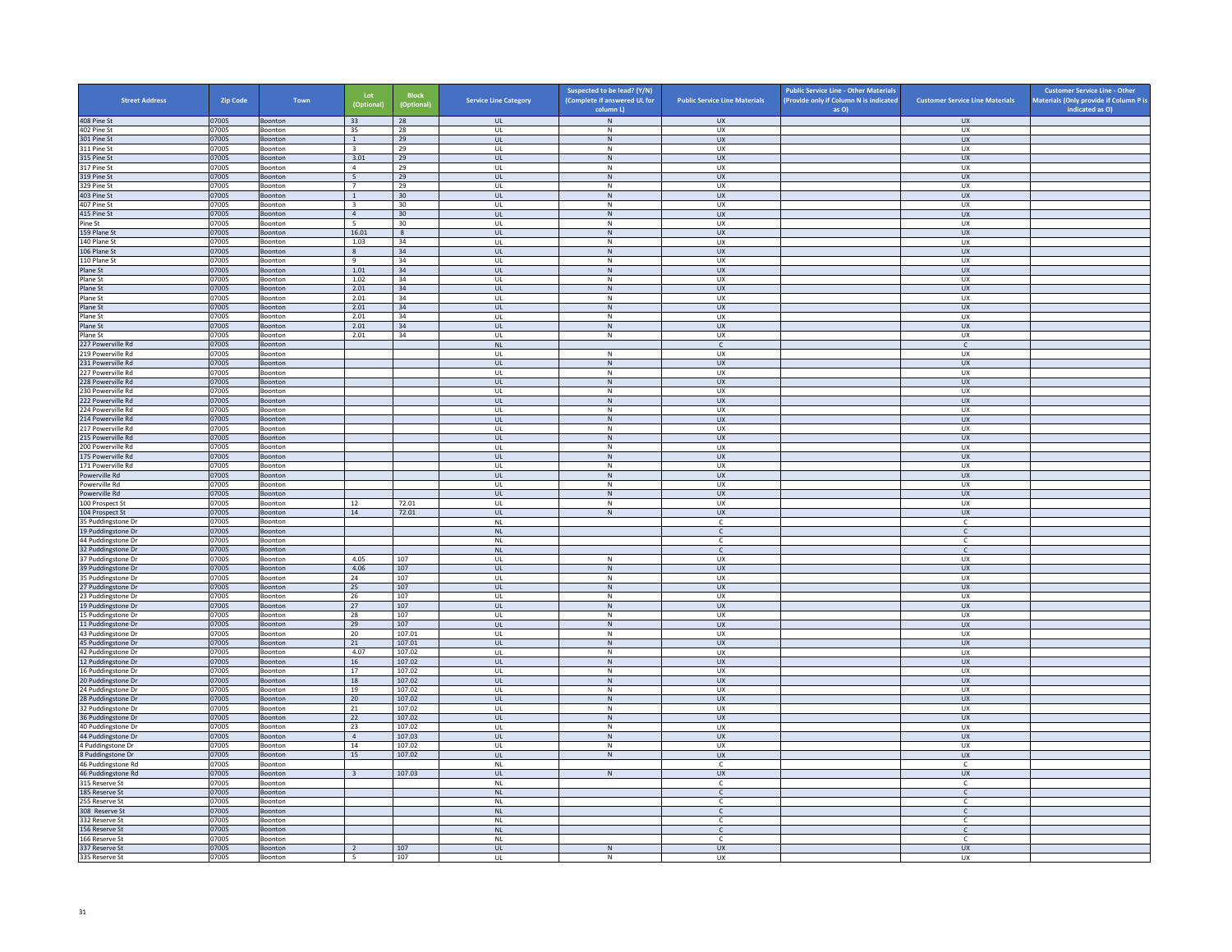| <b>Street Address</b>                    | Zip Code       | Town               | Lot<br>(Optional)        | <b>Block</b><br>(Optional) | <b>Service Line Category</b>      | Suspected to be lead? (Y/N)<br>(Complete if answered UL for | <b>Public Service Line Materials</b> | <b>Public Service Line - Other Materials</b><br>(Provide only if Column N is indicated | <b>Customer Service Line Materials</b> | <b>Customer Service Line - Other</b><br>Materials (Only provide if Column P is |
|------------------------------------------|----------------|--------------------|--------------------------|----------------------------|-----------------------------------|-------------------------------------------------------------|--------------------------------------|----------------------------------------------------------------------------------------|----------------------------------------|--------------------------------------------------------------------------------|
| 408 Pine St                              | 07005          | Boonton            | 33                       | 28                         | <b>UL</b>                         | column L)<br>${\sf N}$                                      | <b>UX</b>                            | as O)                                                                                  | <b>UX</b>                              | indicated as O)                                                                |
| 402 Pine St                              | 07005          | Boonton            | 35                       | 28                         | <b>UL</b>                         | N                                                           | UX                                   |                                                                                        | UX                                     |                                                                                |
| 301 Pine St                              | 07005          | Boonton            | <sup>1</sup>             | 29                         | <b>UL</b>                         | ${\sf N}$                                                   | UX                                   |                                                                                        | UX                                     |                                                                                |
| 311 Pine St                              | 07005          | Boonton            | $\overline{\mathbf{3}}$  | 29                         | UL                                | ${\sf N}$                                                   | UX                                   |                                                                                        | UX                                     |                                                                                |
| 315 Pine St<br>317 Pine St               | 07005<br>07005 | Boonton            | 3.01<br>$\overline{4}$   | 29<br>29                   | <b>UL</b><br>UL                   | N<br>${\sf N}$                                              | <b>UX</b><br>UX                      |                                                                                        | <b>UX</b><br><b>UX</b>                 |                                                                                |
| 319 Pine St                              | 07005          | Boonton<br>Boonton | 5                        | 29                         | $\mathbf{U}$                      | N                                                           | UX                                   |                                                                                        | $\overline{U}$                         |                                                                                |
| 329 Pine St                              | 07005          | Boonton            | $\overline{7}$           | 29                         | UL                                | ${\sf N}$                                                   | UX                                   |                                                                                        | UX                                     |                                                                                |
| 403 Pine St                              | 07005          | Boonton            | $\mathbf{1}$             | 30                         | <b>UL</b>                         | N                                                           | UX                                   |                                                                                        | <b>UX</b>                              |                                                                                |
| 407 Pine St                              | 07005          | Boonton            | $\overline{\mathbf{3}}$  | 30                         | UL                                | ${\sf N}$                                                   | UX                                   |                                                                                        | UX                                     |                                                                                |
| 415 Pine St<br>Pine St                   | 07005<br>07005 | Boonton<br>Boonton | $\overline{4}$<br>- 5    | 30<br>30                   | UL<br>UL                          | $\,$ N<br>N                                                 | UX<br><b>UX</b>                      |                                                                                        | <b>UX</b><br>UX                        |                                                                                |
| 159 Plane St                             | 07005          | Boonton            | 16.01                    | $\bf 8$                    | UL                                | ${\sf N}$                                                   | UX                                   |                                                                                        | UX                                     |                                                                                |
| 140 Plane St                             | 07005          | <b>Boonton</b>     | 1.03                     | 34                         | $\mathbf{U}$                      | $\mathsf{N}$                                                | UX                                   |                                                                                        | UX                                     |                                                                                |
| 106 Plane St                             | 07005          | Boonton            | 8                        | 34                         | UL                                | N                                                           | UX                                   |                                                                                        | UX                                     |                                                                                |
| 110 Plane St                             | 07005          | Boonton            | -9                       | 34                         | <b>UL</b>                         | N<br>N                                                      | UX                                   |                                                                                        | UX                                     |                                                                                |
| Plane St<br>Plane St                     | 07005<br>07005 | Boonton<br>Boonton | 1.01<br>1.02             | 34<br>34                   | UL<br>UL                          | ${\sf N}$                                                   | UX<br>UX                             |                                                                                        | UX<br>UX                               |                                                                                |
| Plane St                                 | 07005          | Boonton            | 2.01                     | 34                         | <b>UL</b>                         | N                                                           | <b>UX</b>                            |                                                                                        | <b>UX</b>                              |                                                                                |
| Plane St                                 | 07005          | Boonton            | 2.01                     | 34                         | UL                                | ${\sf N}$                                                   | UX                                   |                                                                                        | <b>UX</b>                              |                                                                                |
| Plane St                                 | 07005          | Boonton            | 2.01                     | 34                         | $\mathbf{u}$                      | N                                                           | $\overline{11}$                      |                                                                                        | $\overline{11}$                        |                                                                                |
| Plane St                                 | 07005          | Boonton            | 2.01                     | 34                         | UL                                | ${\sf N}$                                                   | UX                                   |                                                                                        | UX                                     |                                                                                |
| Plane St<br>Plane St                     | 07005<br>07005 | Boonton<br>Boonton | 2.01<br>2.01             | 34<br>34                   | UL<br>UL                          | N<br>$\mathsf N$                                            | UX<br>UX                             |                                                                                        | UX<br>UX                               |                                                                                |
| 227 Powerville Rd                        | 07005          | Boonton            |                          |                            | NL                                |                                                             | $\mathsf{C}$                         |                                                                                        | $\mathsf{C}$                           |                                                                                |
| 219 Powerville Rd                        | 07005          | Boonton            |                          |                            | UL                                | N                                                           | <b>UX</b>                            |                                                                                        | UX                                     |                                                                                |
| 231 Powerville Rd                        | 07005          | Boonton            |                          |                            | $_{\sf UL}$                       | ${\sf N}$                                                   | ${\sf U}{\sf X}$                     |                                                                                        | ${\sf U}{\sf X}$                       |                                                                                |
| 227 Powerville Rd                        | 07005          | Boonton            |                          |                            | $\mathbf{U}$                      | $\mathsf{N}$                                                | UX                                   |                                                                                        | UX                                     |                                                                                |
| 228 Powerville Rd<br>230 Powerville Rd   | 07005<br>07005 | Boonton<br>Boonton |                          |                            | UL<br><b>UL</b>                   | ${\sf N}$<br>N                                              | UX<br>UX                             |                                                                                        | <b>UX</b><br>UX                        |                                                                                |
| 222 Powerville Rd                        | 07005          | Boonton            |                          |                            | UL                                | N                                                           | <b>UX</b>                            |                                                                                        | UX                                     |                                                                                |
| 224 Powerville Rd                        | 07005          | Boonton            |                          |                            | UL                                | ${\sf N}$                                                   | UX                                   |                                                                                        | UX                                     |                                                                                |
| 214 Powerville Rd                        | 07005          | Boonton            |                          |                            | UL                                | N                                                           | <b>UX</b>                            |                                                                                        | UX                                     |                                                                                |
| 217 Powerville Rd                        | 07005          | Boonton            |                          |                            | UL                                | $\mathsf{N}$                                                | UX                                   |                                                                                        | UX                                     |                                                                                |
| 215 Powerville Rd<br>200 Powerville Rd   | 07005<br>07005 | Boonton<br>Boonton |                          |                            | $\mathbf{U}$<br>UL                | N<br>${\sf N}$                                              | $\overline{11}$<br>UX                |                                                                                        | UX<br>UX                               |                                                                                |
| 175 Powerville Rd                        | 07005          | Boonton            |                          |                            | <b>UL</b>                         | N                                                           | <b>UX</b>                            |                                                                                        | <b>UX</b>                              |                                                                                |
| 171 Powerville Rd                        | 07005          | Boonton            |                          |                            | UL                                | ${\sf N}$                                                   | UX                                   |                                                                                        | UX                                     |                                                                                |
| Powerville Rd                            | 07005          | Boonton            |                          |                            | <b>UL</b>                         | $\,N\,$                                                     | <b>UX</b>                            |                                                                                        | <b>UX</b>                              |                                                                                |
| Powerville Rd                            | 07005          | Boonton            |                          |                            | UL                                | N                                                           | <b>UX</b>                            |                                                                                        | <b>UX</b>                              |                                                                                |
| Powerville Rd<br>100 Prospect St         | 07005<br>07005 | Boonton<br>Boonton | 12                       | 72.01                      | $_{\sf UL}$<br>UL                 | N<br>N                                                      | UX<br>UX                             |                                                                                        | ${\sf U}{\sf X}$<br><b>UX</b>          |                                                                                |
| 104 Prospect St                          | 07005          | Boonton            | 14                       | 72.01                      | <b>UL</b>                         | $\,N\,$                                                     | <b>UX</b>                            |                                                                                        | <b>UX</b>                              |                                                                                |
| 35 Puddingstone Dr                       | 07005          | Boonton            |                          |                            | $\sf NL$                          |                                                             | $\mathsf{C}$                         |                                                                                        | $\mathsf{C}$                           |                                                                                |
| 19 Puddingstone Dr                       | 07005          | Boonton            |                          |                            | <b>NL</b>                         |                                                             | $\mathsf{C}$                         |                                                                                        | $\mathsf{C}$                           |                                                                                |
| 44 Puddingstone Dr                       | 07005          | Boonton            |                          |                            | <b>NL</b><br>N1                   |                                                             | $\mathsf{C}$<br>$\mathsf{C}$         |                                                                                        | $\mathsf{C}$<br>$\mathbb{C}$           |                                                                                |
| 32 Puddingstone Dr<br>37 Puddingstone Dr | 07005<br>07005 | Boonton<br>Boonton | 4.05                     | 107                        | UL                                | $\mathsf N$                                                 | UX                                   |                                                                                        | UX                                     |                                                                                |
| 39 Puddingstone Dr                       | 07005          | Boonton            | 4.06                     | 107                        | <b>UL</b>                         | N                                                           | <b>UX</b>                            |                                                                                        | <b>UX</b>                              |                                                                                |
| 35 Puddingstone Dr                       | 07005          | Boonton            | 24                       | 107                        | UL                                | ${\sf N}$                                                   | UX                                   |                                                                                        | UX                                     |                                                                                |
| 27 Puddingstone Dr                       | 07005          | Boonton            | 25                       | 107                        | UL                                | ${\sf N}$                                                   | <b>UX</b>                            |                                                                                        | UX                                     |                                                                                |
| 23 Puddingstone Dr                       | 07005          | Boonton            | 26<br>27                 | 107                        | UL<br><b>UL</b>                   | ${\sf N}$<br>${\sf N}$                                      | UX<br><b>UX</b>                      |                                                                                        | UX<br><b>UX</b>                        |                                                                                |
| 19 Puddingstone Dr<br>15 Puddingstone Dr | 07005<br>07005 | Boonton<br>Boonton | 28                       | 107<br>107                 | $\mathbf{U}$                      | N                                                           | UX                                   |                                                                                        | UX                                     |                                                                                |
| 11 Puddingstone Dr                       | 07005          | Boonton            | 29                       | 107                        | UL                                | N                                                           | UX                                   |                                                                                        | UX                                     |                                                                                |
| 43 Puddingstone Dr                       | 07005          | Boonton            | 20                       | 107.01                     | UL                                | N                                                           | <b>UX</b>                            |                                                                                        | <b>UX</b>                              |                                                                                |
| 45 Puddingstone Dr                       | 07005          | Boonton            | 21                       | 107.01                     | <b>UL</b>                         | ${\sf N}$                                                   | UX                                   |                                                                                        | UX                                     |                                                                                |
| 42 Puddingstone Dr<br>12 Puddingstone Dr | 07005<br>07005 | Boonton<br>Boonton | 4.07<br>16               | 107.02<br>107.02           | UL<br>UL                          | $\,N\,$<br>N                                                | UX<br><b>UX</b>                      |                                                                                        | UX<br>UX                               |                                                                                |
| 16 Puddingstone Dr                       | 07005          | Boonton            | 17                       | 107.02                     | UL                                | ${\sf N}$                                                   | UX                                   |                                                                                        | UX                                     |                                                                                |
| 20 Puddingstone Dr                       | 07005          | Boonton            | 18                       | 107.02                     | $\mathbf{u}$                      | N                                                           | UX                                   |                                                                                        | <b>UX</b>                              |                                                                                |
| 24 Puddingstone Dr                       | 07005          | Boonton            | 19                       | 107.02                     | UL                                | $\mathsf{N}$                                                | UX                                   |                                                                                        | UX                                     |                                                                                |
| 28 Puddingstone Dr                       | 07005          | Boonton            | 20                       | 107.02                     | <b>UL</b>                         | N                                                           | <b>UX</b>                            |                                                                                        | <b>UX</b>                              |                                                                                |
| 32 Puddingstone Dr<br>36 Puddingstone Dr | 07005<br>07005 | Boonton<br>Boonton | 21<br>22                 | 107.02<br>107.02           | UL<br>UL                          | ${\sf N}$<br>${\sf N}$                                      | UX<br>UX                             |                                                                                        | UX<br>UX                               |                                                                                |
| 40 Puddingstone Dr                       | 07005          | Boonton            | 23                       | 107.02                     | UL                                | ${\sf N}$                                                   | UX                                   |                                                                                        | UX                                     |                                                                                |
| 44 Puddingstone Dr                       | 07005          | Boonton            | $\overline{4}$           | 107.03                     | $\ensuremath{\mathsf{UL}}\xspace$ | ${\sf N}$                                                   | UX                                   |                                                                                        | ${\sf U}{\sf X}$                       |                                                                                |
| 4 Puddingstone Dr                        | 07005          | Boonton            | 14                       | 107.02                     | UL                                | N                                                           | UX                                   |                                                                                        | UX                                     |                                                                                |
| 8 Puddingstone Dr                        | 07005          | Boonton            | 15                       | 107.02                     | UL                                | ${\sf N}$                                                   | UX                                   |                                                                                        | UX                                     |                                                                                |
| 46 Puddingstone Rd<br>46 Puddingstone Rd | 07005<br>07005 | Boonton<br>Boonton | $\overline{\mathbf{3}}$  | 107.03                     | NI<br>$\mathsf{UL}$               | ${\sf N}$                                                   | $\epsilon$<br>UX                     |                                                                                        | C<br>UX                                |                                                                                |
| 315 Reserve St                           | 07005          | Boonton            |                          |                            | <b>NL</b>                         |                                                             | $\mathsf{C}$                         |                                                                                        | c                                      |                                                                                |
| 185 Reserve St                           | 07005          | Boonton            |                          |                            | NL                                |                                                             | $\mathsf{C}$                         |                                                                                        | $\mathsf{C}$                           |                                                                                |
| 255 Reserve St                           | 07005          | Boonton            |                          |                            | <b>NL</b>                         |                                                             | c                                    |                                                                                        | $\mathsf{C}$                           |                                                                                |
| 308 Reserve St                           | 07005          | Boonton            |                          |                            | NI                                |                                                             | $\mathsf{C}$                         |                                                                                        | $\mathsf{C}$                           |                                                                                |
| 332 Reserve St                           | 07005          | Boonton            |                          |                            | $\mathsf{NL}$<br><b>NL</b>        |                                                             | c<br>$\mathsf{C}$                    |                                                                                        | c<br>$\mathsf{C}$                      |                                                                                |
| 156 Reserve St<br>166 Reserve St         | 07005<br>07005 | Boonton<br>Boonton |                          |                            | <b>NL</b>                         |                                                             | C.                                   |                                                                                        | c                                      |                                                                                |
| 337 Reserve St                           | 07005          | Boonton            | $\overline{2}$           | 107                        | UL                                | N                                                           | UX                                   |                                                                                        | UX                                     |                                                                                |
| 335 Reserve St                           | 07005          | Boonton            | $\overline{\phantom{0}}$ | 107                        | UL                                | N                                                           | <b>UX</b>                            |                                                                                        | <b>UX</b>                              |                                                                                |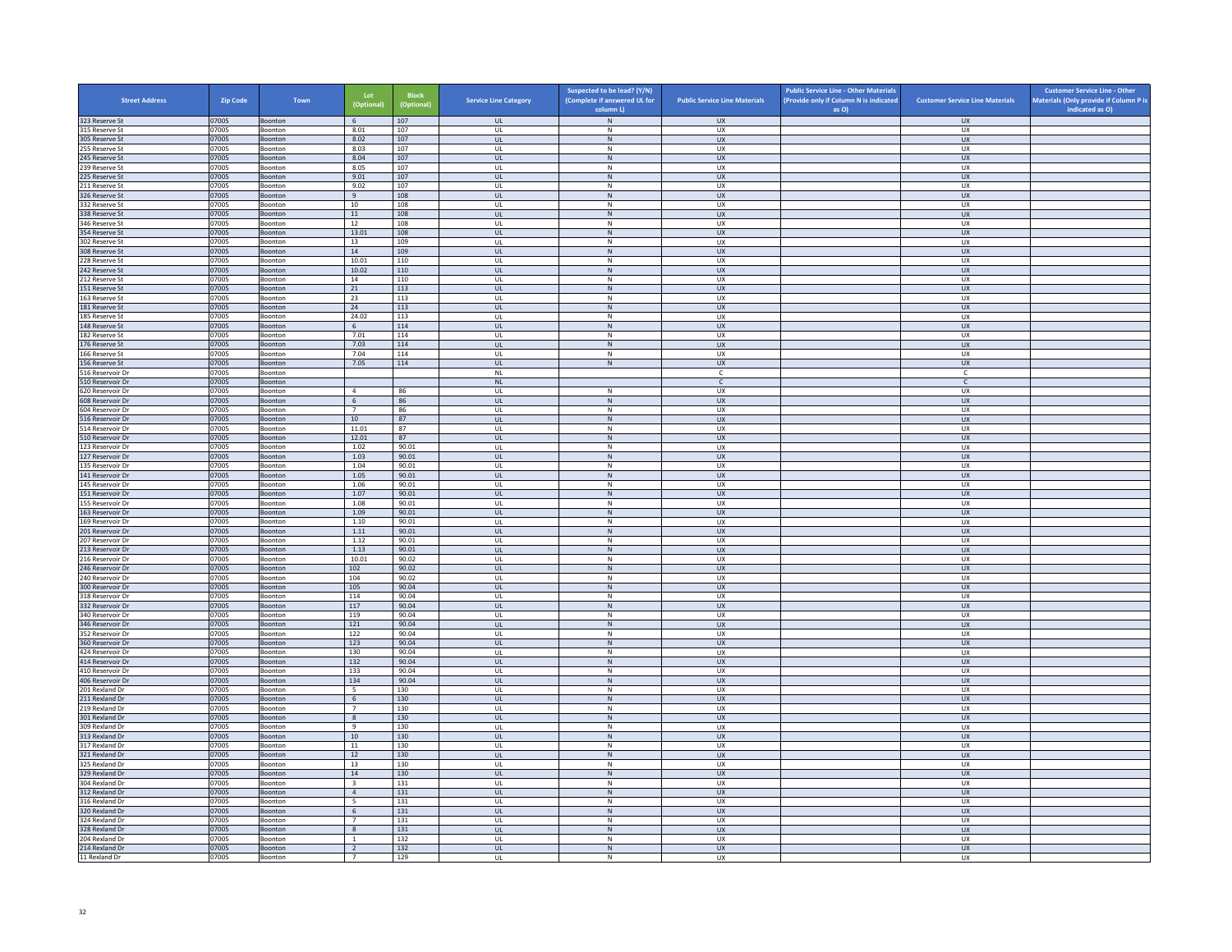| <b>Street Address</b>                | <b>Zip Code</b> | Town                      | Lot<br>(Optional)                 | Block<br>(Optional) | <b>Service Line Category</b>  | Suspected to be lead? (Y/N)<br>(Complete if answered UL for<br>column L) | <b>Public Service Line Materials</b> | <b>Public Service Line - Other Materials</b><br>(Provide only if Column N is indicated<br>as O) | <b>Customer Service Line Materials</b> | <b>Customer Service Line - Other</b><br>Materials (Only provide if Column P is<br>indicated as O) |
|--------------------------------------|-----------------|---------------------------|-----------------------------------|---------------------|-------------------------------|--------------------------------------------------------------------------|--------------------------------------|-------------------------------------------------------------------------------------------------|----------------------------------------|---------------------------------------------------------------------------------------------------|
| 323 Reserve St                       | 07005           | Boonton                   | 6                                 | 107                 | <b>UL</b>                     | N                                                                        | <b>UX</b>                            |                                                                                                 | <b>UX</b>                              |                                                                                                   |
| 315 Reserve St                       | 07005           | Boonton                   | 8.01                              | 107                 | <b>UL</b>                     | N                                                                        | <b>UX</b>                            |                                                                                                 | <b>UX</b>                              |                                                                                                   |
| 305 Reserve St<br>255 Reserve St     | 07005<br>07005  | Boonton<br>Boonton        | 8.02<br>8.03                      | 107<br>107          | UL<br>UL                      | ${\sf N}$<br>N                                                           | UX<br><b>UX</b>                      |                                                                                                 | ${\sf U}{\sf X}$<br><b>UX</b>          |                                                                                                   |
| 245 Reserve St                       | 07005           | Boonton                   | 8.04                              | 107                 | UL                            | ${\sf N}$                                                                | <b>UX</b>                            |                                                                                                 | UX                                     |                                                                                                   |
| 239 Reserve St                       | 07005           | Boonton                   | 8.05                              | 107                 | UL                            | $\mathsf{N}$                                                             | UX                                   |                                                                                                 | <b>UX</b>                              |                                                                                                   |
| 225 Reserve St                       | 07005           | Boonton                   | 9.01                              | 107                 | UL                            | N                                                                        | <b>UX</b>                            |                                                                                                 | UX                                     |                                                                                                   |
| 211 Reserve St<br>326 Reserve St     | 07005<br>07005  | Boonton<br>Boonton        | 9.02<br>$\overline{9}$            | 107<br>108          | UL<br>$\mathbf{u}$            | ${\sf N}$<br>N                                                           | UX<br>UX                             |                                                                                                 | UX<br>UX                               |                                                                                                   |
| 332 Reserve St                       | 07005           | Boonton                   | 10                                | 108                 | UL                            | $\mathsf{N}$                                                             | UX                                   |                                                                                                 | UX                                     |                                                                                                   |
| 338 Reserve St                       | 07005           | Boonton                   | 11                                | 108                 | UL.                           | N                                                                        | <b>UX</b>                            |                                                                                                 | <b>UX</b>                              |                                                                                                   |
| 346 Reserve St                       | 07005           | Boonton                   | 12                                | 108                 | UL<br><b>UL</b>               | ${\sf N}$<br>N                                                           | UX<br><b>UX</b>                      |                                                                                                 | UX                                     |                                                                                                   |
| 354 Reserve St<br>302 Reserve St     | 07005<br>07005  | Boonton<br>Boonton        | 13.01<br>13                       | 108<br>109          | UL                            | ${\sf N}$                                                                | UX                                   |                                                                                                 | UX<br>UX                               |                                                                                                   |
| 308 Reserve St                       | 07005           | Boonton                   | 14                                | 109                 | <b>UL</b>                     | ${\sf N}$                                                                | UX                                   |                                                                                                 | UX                                     |                                                                                                   |
| 228 Reserve St                       | 07005           | Boonton                   | 10.01                             | 110                 | <b>UI</b>                     | N                                                                        | <b>UX</b>                            |                                                                                                 | UX                                     |                                                                                                   |
| 242 Reserve St<br>212 Reserve St     | 07005           | Boonton<br>Boonton        | 10.02<br>14                       | 110<br>110          | UL<br><b>UL</b>               | ${\sf N}$<br>N                                                           | UX<br><b>UX</b>                      |                                                                                                 | UX<br>UX                               |                                                                                                   |
| 151 Reserve St                       | 07005<br>07005  | Boonton                   | 21                                | 113                 | <b>UL</b>                     | ${\sf N}$                                                                | UX                                   |                                                                                                 | UX                                     |                                                                                                   |
| 163 Reserve St                       | 07005           | Boonton                   | 23                                | 113                 | UL                            | $\,N\,$                                                                  | UX                                   |                                                                                                 | <b>UX</b>                              |                                                                                                   |
| 181 Reserve St                       | 07005           | Boonton                   | 24                                | 113                 | <b>UL</b>                     | N                                                                        | <b>UX</b>                            |                                                                                                 | UX                                     |                                                                                                   |
| 185 Reserve St<br>148 Reserve St     | 07005<br>07005  | Boonton<br><b>Boonton</b> | 24.02<br>6                        | 113<br>114          | UL<br>$\mathbf{U}$            | ${\sf N}$<br>N                                                           | UX<br>UX                             |                                                                                                 | UX<br><b>UX</b>                        |                                                                                                   |
| 182 Reserve St                       | 07005           | Boonton                   | 7.01                              | 114                 | UL                            | ${\sf N}$                                                                | UX                                   |                                                                                                 | UX                                     |                                                                                                   |
| 176 Reserve St                       | 07005           | Boonton                   | 7.03                              | 114                 | <b>UL</b>                     | N                                                                        | <b>UX</b>                            |                                                                                                 | <b>UX</b>                              |                                                                                                   |
| 166 Reserve St                       | 07005           | Boonton                   | 7.04                              | 114                 | UL                            | $\mathsf{N}$                                                             | UX                                   |                                                                                                 | UX                                     |                                                                                                   |
| 156 Reserve St<br>516 Reservoir Dr   | 07005<br>07005  | Boonton<br>Boonton        | 7.05                              | 114                 | UL<br>NL                      | ${\sf N}$                                                                | <b>UX</b><br>$\mathsf{C}$            |                                                                                                 | UX<br>$\overline{c}$                   |                                                                                                   |
| 510 Reservoir Dr                     | 07005           | Boonton                   |                                   |                     | NL                            |                                                                          | $\mathsf{C}^-$                       |                                                                                                 | $\mathsf{C}^-$                         |                                                                                                   |
| 620 Reservoir Dr                     | 07005           | Boonton                   | $\overline{4}$                    | 86                  | UL                            | N                                                                        | <b>UX</b>                            |                                                                                                 | <b>UX</b>                              |                                                                                                   |
| 608 Reservoir Dr                     | 07005           | Boonton                   | 6                                 | 86                  | UL                            | ${\sf N}$                                                                | UX                                   |                                                                                                 | UX                                     |                                                                                                   |
| 604 Reservoir Dr<br>516 Reservoir Dr | 07005<br>07005  | Boonton<br>Boonton        | $\overline{7}$<br>10              | 86<br>87            | UL<br>UL                      | ${\sf N}$<br>${\sf N}$                                                   | <b>UX</b><br><b>UX</b>               |                                                                                                 | <b>UX</b><br><b>UX</b>                 |                                                                                                   |
| 514 Reservoir Dr                     | 07005           | Boonton                   | 11.01                             | 87                  | UL                            | ${\sf N}$                                                                | UX                                   |                                                                                                 | UX                                     |                                                                                                   |
| 510 Reservoir Dr                     | 07005           | Boonton                   | 12.01                             | 87                  | $\overline{\mathbf{u}}$       | N                                                                        | $\overline{11}$                      |                                                                                                 | $\overline{11}$                        |                                                                                                   |
| 123 Reservoir Dr                     | 07005           | Boonton                   | 1.02                              | 90.01               | UL                            | ${\sf N}$                                                                | UX                                   |                                                                                                 | UX                                     |                                                                                                   |
| 127 Reservoir Dr<br>135 Reservoir Dr | 07005<br>07005  | Boonton<br>Boonton        | 1.03<br>1.04                      | 90.01<br>90.01      | UL.<br>UL                     | N<br>${\sf N}$                                                           | <b>UX</b><br>UX                      |                                                                                                 | <b>UX</b><br>UX                        |                                                                                                   |
| 141 Reservoir Dr                     | 07005           | Boonton                   | 1.05                              | 90.01               | UL                            | ${\sf N}$                                                                | UX                                   |                                                                                                 | UX                                     |                                                                                                   |
| 145 Reservoir Dr                     | 07005           | Boonton                   | 1.06                              | 90.01               | UL                            | $\mathsf{N}$                                                             | UX                                   |                                                                                                 | UX                                     |                                                                                                   |
| 151 Reservoir Dr                     | 07005           | Boonton                   | 1.07                              | 90.01               | UL                            | ${\sf N}$                                                                | UX                                   |                                                                                                 | UX                                     |                                                                                                   |
| 155 Reservoir Dr<br>163 Reservoir Dr | 07005<br>07005  | Boonton<br>Boonton        | 1.08<br>1.09                      | 90.01<br>90.01      | $\mathbf{u}$<br>UL            | $\mathsf{N}$<br>N                                                        | UX<br>UX                             |                                                                                                 | UX<br>UX                               |                                                                                                   |
| 169 Reservoir Dr                     | 07005           | Boonton                   | 1.10                              | 90.01               | <b>UL</b>                     | N                                                                        | <b>UX</b>                            |                                                                                                 | <b>UX</b>                              |                                                                                                   |
| 201 Reservoir Dr                     | 07005           | Boonton                   | 1.11                              | 90.01               | UL                            | ${\sf N}$                                                                | UX                                   |                                                                                                 | UX                                     |                                                                                                   |
| 207 Reservoir Dr                     | 07005           | Boonton                   | 1.12                              | 90.01               | UL                            | $\mathsf{N}$                                                             | <b>UX</b>                            |                                                                                                 | UX                                     |                                                                                                   |
| 213 Reservoir Dr<br>216 Reservoir Dr | 07005<br>07005  | Boonton<br>Boonton        | 1.13<br>10.01                     | 90.01<br>90.02      | <b>UL</b><br>UL               | N<br>${\sf N}$                                                           | <b>UX</b><br>UX                      |                                                                                                 | <b>UX</b><br>UX                        |                                                                                                   |
| 246 Reservoir Dr                     | 07005           | Boonton                   | 10 <sub>2</sub>                   | 90.02               | $\mathbf{U}$                  | N                                                                        | $\overline{11}$                      |                                                                                                 | UX                                     |                                                                                                   |
| 240 Reservoir Dr                     | 07005           | Boonton                   | 104                               | 90.02               | UL                            | ${\sf N}$                                                                | UX                                   |                                                                                                 | UX                                     |                                                                                                   |
| 300 Reservoir Dr<br>318 Reservoir Dr | 07005<br>07005  | Boonton<br>Boonton        | 105<br>114                        | 90.04<br>90.04      | <b>UL</b><br>UL               | N<br>${\sf N}$                                                           | <b>UX</b><br>UX                      |                                                                                                 | <b>UX</b><br>UX                        |                                                                                                   |
| 332 Reservoir Dr                     | 07005           | Boonton                   | 117                               | 90.04               | <b>UL</b>                     | $\,$ N                                                                   | <b>UX</b>                            |                                                                                                 | <b>UX</b>                              |                                                                                                   |
| 340 Reservoir Dr                     | 07005           | Boonton                   | 119                               | 90.04               | UL                            | N                                                                        | <b>UX</b>                            |                                                                                                 | <b>UX</b>                              |                                                                                                   |
| 346 Reservoir Dr                     | 07005           | Boonton                   | 121                               | 90.04               | $_{\sf UL}$                   | N                                                                        | UX                                   |                                                                                                 | ${\sf U}{\sf X}$                       |                                                                                                   |
| 352 Reservoir Dr<br>360 Reservoir Dr | 07005<br>07005  | Boonton<br>Boonton        | 122<br>123                        | 90.04<br>90.04      | UL<br><b>UL</b>               | N<br>${\sf N}$                                                           | <b>UX</b><br><b>UX</b>               |                                                                                                 | <b>UX</b><br><b>UX</b>                 |                                                                                                   |
| 424 Reservoir Dr                     | 07005           | Boonton                   | 130                               | 90.04               | UL                            | $\,N\,$                                                                  | UX                                   |                                                                                                 | UX                                     |                                                                                                   |
| 414 Reservoir Dr                     | 07005           | Boonton                   | 132                               | 90.04               | UL                            | N                                                                        | <b>UX</b>                            |                                                                                                 | UX                                     |                                                                                                   |
| 410 Reservoir Dr                     | 07005           | Boonton                   | 133                               | 90.04               | UL                            | ${\sf N}$                                                                | UX                                   |                                                                                                 | UX                                     |                                                                                                   |
| 406 Reservoir Dr<br>201 Rexland Dr   | 07005<br>07005  | Boonton<br>Boonton        | 134<br>$5\overline{5}$            | 90.04<br>130        | $\overline{\mathbf{u}}$<br>UL | N <sub>1</sub><br>$\mathsf{N}$                                           | UX<br>UX                             |                                                                                                 | $\overline{U}$<br>UX                   |                                                                                                   |
| 211 Rexland Dr                       | 07005           | Boonton                   | 6                                 | 130                 | <b>UL</b>                     | N                                                                        | <b>UX</b>                            |                                                                                                 | <b>UX</b>                              |                                                                                                   |
| 219 Rexland Dr                       | 07005           | Boonton                   | $\overline{7}$                    | 130                 | UL                            | ${\sf N}$                                                                | UX                                   |                                                                                                 | UX                                     |                                                                                                   |
| 301 Rexland Dr                       | 07005           | Boonton                   | 8                                 | 130                 | UL                            | N                                                                        | <b>UX</b>                            |                                                                                                 | UX                                     |                                                                                                   |
| 309 Rexland Dr<br>313 Rexland Dr     | 07005<br>07005  | Boonton<br>Boonton        | 9<br>10                           | 130<br>130          | UL<br><b>UL</b>               | ${\sf N}$<br>$\,$ N                                                      | UX<br>UX                             |                                                                                                 | UX<br><b>UX</b>                        |                                                                                                   |
| 317 Rexland Dr                       | 07005           | Boonton                   | 11                                | 130                 | $\mathbf{U}$                  | N                                                                        | UX                                   |                                                                                                 | UX                                     |                                                                                                   |
| 321 Rexland Dr                       | 07005           | Boonton                   | 12                                | 130                 | UL                            | ${\sf N}$                                                                | UX                                   |                                                                                                 | UX                                     |                                                                                                   |
| 325 Rexland Dr                       | 07005           | Boonton                   | 13                                | 130                 | <b>UL</b>                     | N                                                                        | <b>UX</b>                            |                                                                                                 | <b>UX</b>                              |                                                                                                   |
| 329 Rexland Dr<br>304 Rexland Dr     | 07005<br>07005  | Boonton<br>Boonton        | $14\,$<br>$\overline{\mathbf{3}}$ | 130<br>131          | $\mathsf{UL}$<br>UL           | ${\sf N}$<br>${\sf N}$                                                   | UX<br>UX                             |                                                                                                 | UX<br>UX                               |                                                                                                   |
| 312 Rexland Dr                       | 07005           | Boonton                   | $\overline{4}$                    | 131                 | <b>UL</b>                     | N                                                                        | <b>UX</b>                            |                                                                                                 | UX                                     |                                                                                                   |
| 316 Rexland Dr                       | 07005           | Boonton                   | $\overline{\phantom{0}}$          | 131                 | UL                            | N                                                                        | UX                                   |                                                                                                 | UX                                     |                                                                                                   |
| 320 Rexland Dr                       | 07005           | Boonton                   | -6                                | 131                 | $\mathbf{u}$                  | N                                                                        | $\overline{11}$                      |                                                                                                 | <b>UX</b>                              |                                                                                                   |
| 324 Rexland Dr<br>328 Rexland Dr     | 07005<br>07005  | Boonton<br>Boonton        | $\overline{7}$<br>8               | 131<br>131          | UL<br><b>UL</b>               | $\mathsf{N}$<br>N                                                        | UX<br><b>UX</b>                      |                                                                                                 | UX<br><b>UX</b>                        |                                                                                                   |
| 204 Rexland Dr                       | 07005           | Boonton                   | $\overline{1}$                    | 132                 | UL                            | $\mathsf{N}$                                                             | UX                                   |                                                                                                 | UX                                     |                                                                                                   |
| 214 Rexland Dr                       | 07005           | Boonton                   | $\overline{2}$                    | 132                 | UL                            | N                                                                        | UX                                   |                                                                                                 | UX                                     |                                                                                                   |
| 11 Rexland Dr                        | 07005           | Boonton                   | $\overline{7}$                    | 129                 | UL                            | $\mathsf{N}$                                                             | <b>UX</b>                            |                                                                                                 | <b>UX</b>                              |                                                                                                   |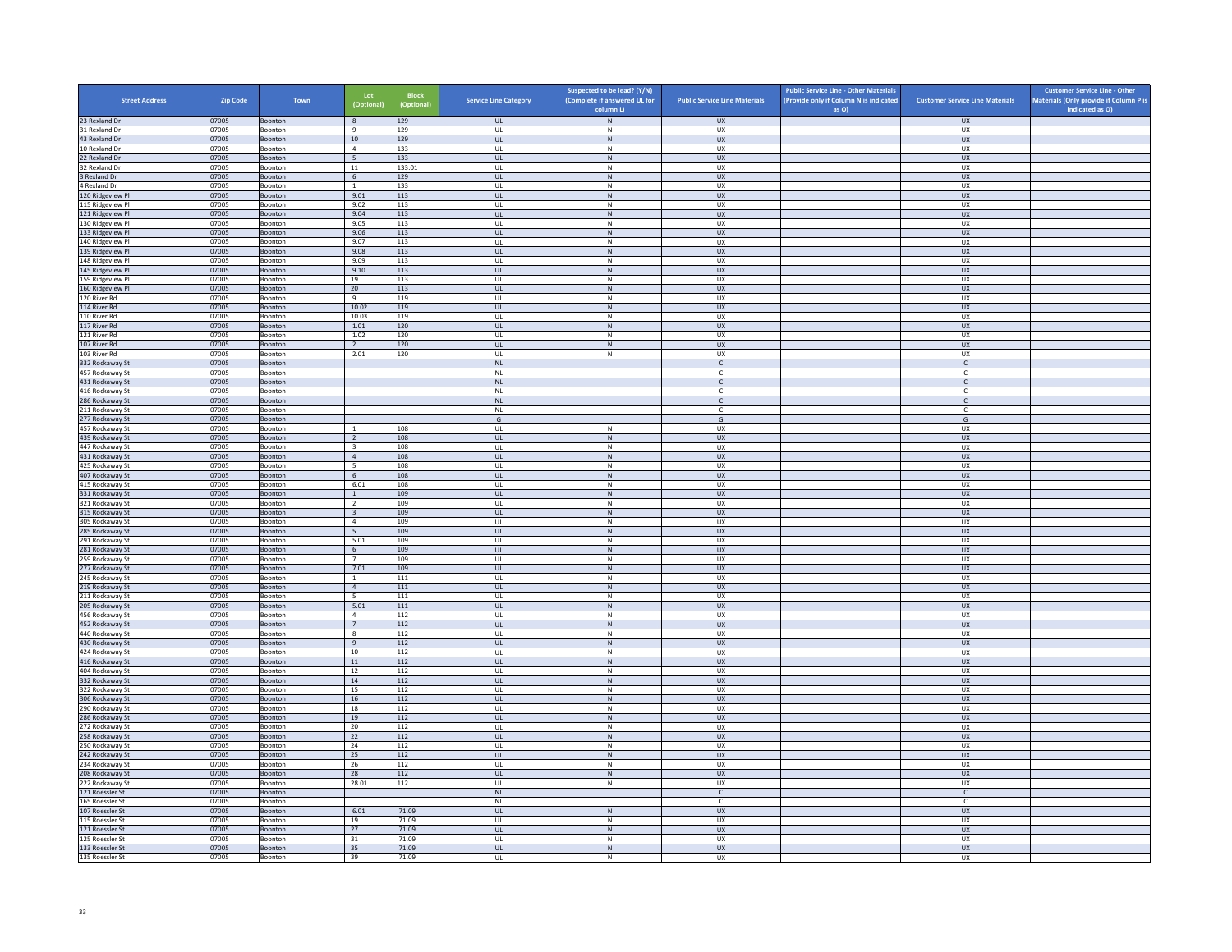| <b>Street Address</b>                | <b>Zip Code</b> | Town                      | Lot<br>(Optional)               | <b>Block</b><br>(Optional) | <b>Service Line Category</b>  | Suspected to be lead? (Y/N)<br>(Complete if answered UL for<br>column L) | <b>Public Service Line Materials</b> | <b>Public Service Line - Other Materials</b><br>(Provide only if Column N is indicated<br>as O) | <b>Customer Service Line Materials</b> | <b>Customer Service Line - Other</b><br>Materials (Only provide if Column P is<br>indicated as O) |
|--------------------------------------|-----------------|---------------------------|---------------------------------|----------------------------|-------------------------------|--------------------------------------------------------------------------|--------------------------------------|-------------------------------------------------------------------------------------------------|----------------------------------------|---------------------------------------------------------------------------------------------------|
| 23 Rexland Dr                        | 07005           | Boonton                   | 8                               | 129                        | <b>UL</b>                     | N                                                                        | <b>UX</b>                            |                                                                                                 | <b>UX</b>                              |                                                                                                   |
| 31 Rexland Dr                        | 07005           | Boonton                   | 9                               | 129                        | UL                            | N                                                                        | <b>UX</b>                            |                                                                                                 | <b>UX</b>                              |                                                                                                   |
| 43 Rexland Dr<br>10 Rexland Dr       | 07005<br>07005  | Boonton<br>Boonton        | $10\,$<br>$\overline{4}$        | 129<br>133                 | UL<br>UL                      | ${\sf N}$<br>$\mathsf{N}$                                                | UX<br><b>UX</b>                      |                                                                                                 | UX<br><b>UX</b>                        |                                                                                                   |
| 22 Rexland Dr                        | 07005           | Boonton                   | $5\overline{5}$                 | 133                        | UL                            | ${\sf N}$                                                                | <b>UX</b>                            |                                                                                                 | UX                                     |                                                                                                   |
| 32 Rexland Dr                        | 07005           | Boonton                   | 11                              | 133.01                     | UL                            | ${\sf N}$                                                                | <b>UX</b>                            |                                                                                                 | <b>UX</b>                              |                                                                                                   |
| 3 Rexland Dr                         | 07005           | Boonton                   | 6                               | 129                        | UL                            | $\mathsf{N}$                                                             | <b>UX</b>                            |                                                                                                 | UX                                     |                                                                                                   |
| 4 Rexland Dr                         | 07005           | Boonton                   | $\mathbf{1}$<br>9.01            | 133<br>113                 | UL<br>$\mathbf{u}$            | ${\sf N}$<br>N                                                           | UX<br>UX                             |                                                                                                 | UX<br>UX                               |                                                                                                   |
| 120 Ridgeview Pl<br>115 Ridgeview Pl | 07005<br>07005  | Boonton<br>Boonton        | 9.02                            | 113                        | UL                            | $\mathsf{N}$                                                             | UX                                   |                                                                                                 | UX                                     |                                                                                                   |
| 121 Ridgeview Pl                     | 07005           | Boonton                   | 9.04                            | 113                        | UL.                           | N                                                                        | <b>UX</b>                            |                                                                                                 | <b>UX</b>                              |                                                                                                   |
| 130 Ridgeview Pl                     | 07005           | Boonton                   | 9.05                            | 113                        | UL                            | ${\sf N}$                                                                | UX                                   |                                                                                                 | UX                                     |                                                                                                   |
| 133 Ridgeview Pl                     | 07005           | Boonton                   | 9.06                            | 113                        | UL                            | ${\sf N}$                                                                | <b>UX</b>                            |                                                                                                 | UX                                     |                                                                                                   |
| 140 Ridgeview Pl<br>139 Ridgeview Pl | 07005<br>07005  | Boonton                   | 9.07<br>9.08                    | 113<br>113                 | UL<br>UL                      | ${\sf N}$<br>${\sf N}$                                                   | <b>UX</b><br><b>UX</b>               |                                                                                                 | UX<br>UX                               |                                                                                                   |
| 148 Ridgeview Pl                     | 07005           | Boonton<br>Boonton        | 9.09                            | 113                        | UL                            | N                                                                        | U X                                  |                                                                                                 | UX                                     |                                                                                                   |
| 145 Ridgeview Pl                     | 07005           | Boonton                   | 9.10                            | 113                        | UL                            | ${\sf N}$                                                                | UX                                   |                                                                                                 | UX                                     |                                                                                                   |
| 159 Ridgeview Pl                     | 07005           | Boonton                   | 19                              | 113                        | UL                            | N                                                                        | <b>UX</b>                            |                                                                                                 | UX                                     |                                                                                                   |
| 160 Ridgeview Pl                     | 07005           | Boonton                   | 20                              | 113                        | UL                            | ${\sf N}$                                                                | <b>UX</b>                            |                                                                                                 | UX                                     |                                                                                                   |
| 120 River Rd<br>114 River Rd         | 07005<br>07005  | Boonton<br>Boonton        | 9<br>10.02                      | 119<br>119                 | UL<br><b>UL</b>               | ${\sf N}$<br>N                                                           | UX<br><b>UX</b>                      |                                                                                                 | <b>UX</b><br>UX                        |                                                                                                   |
| 110 River Rd                         | 07005           | Boonton                   | 10.03                           | 119                        | UL                            | ${\sf N}$                                                                | UX                                   |                                                                                                 | UX                                     |                                                                                                   |
| 117 River Rd                         | 07005           | Boonton                   | 1.01                            | 120                        | $\mathbf{U}$                  | N                                                                        | UX                                   |                                                                                                 | <b>UX</b>                              |                                                                                                   |
| 121 River Rd                         | 07005           | Boonton                   | 1.02                            | 120                        | UL                            | ${\sf N}$                                                                | UX                                   |                                                                                                 | UX                                     |                                                                                                   |
| 107 River Rd                         | 07005           | Boonton                   | $\overline{2}$                  | 120                        | <b>UL</b>                     | N                                                                        | <b>UX</b>                            |                                                                                                 | <b>UX</b>                              |                                                                                                   |
| 103 River Rd<br>332 Rockaway St      | 07005<br>07005  | Boonton<br>Boonton        | 2.01                            | 120                        | UL<br>$\mathsf{NL}\xspace$    | $\mathsf{N}$                                                             | UX<br>$\mathsf{C}$                   |                                                                                                 | UX<br>$\mathsf{C}$                     |                                                                                                   |
| 457 Rockaway St                      | 07005           | Boonton                   |                                 |                            | <b>NL</b>                     |                                                                          | $\mathsf{C}$                         |                                                                                                 | $\overline{c}$                         |                                                                                                   |
| 431 Rockaway St                      | 07005           | Boonton                   |                                 |                            | $\mathsf{NL}$                 |                                                                          | $\mathsf{C}^-$                       |                                                                                                 | $\mathsf{C}$                           |                                                                                                   |
| 416 Rockaway St                      | 07005           | Boonton                   |                                 |                            | <b>NL</b>                     |                                                                          | $\epsilon$                           |                                                                                                 | $\epsilon$                             |                                                                                                   |
| 286 Rockaway St                      | 07005           | Boonton                   |                                 |                            | $\mathsf{NL}\xspace$          |                                                                          | $\mathsf{C}$                         |                                                                                                 | $\mathsf{C}$                           |                                                                                                   |
| 211 Rockaway St                      | 07005<br>07005  | Boonton<br>Boonton        |                                 |                            | <b>NL</b><br>G                |                                                                          | $\epsilon$<br>$\mathsf{G}$           |                                                                                                 | $\mathsf{C}$<br>G                      |                                                                                                   |
| 277 Rockaway St<br>457 Rockaway St   | 07005           | Boonton                   | <sup>1</sup>                    | 108                        | UL                            | N                                                                        | UX                                   |                                                                                                 | <b>UX</b>                              |                                                                                                   |
| 439 Rockaway St                      | 07005           | Boonton                   | $\overline{2}$                  | 108                        | $\mathbf{u}$                  | N                                                                        | UX                                   |                                                                                                 | UX                                     |                                                                                                   |
| 447 Rockaway St                      | 07005           | Boonton                   | $\overline{\mathbf{3}}$         | 108                        | UL                            | ${\sf N}$                                                                | UX                                   |                                                                                                 | UX                                     |                                                                                                   |
| 431 Rockaway St                      | 07005           | Boonton                   | $\overline{4}$                  | 108                        | <b>UL</b>                     | N                                                                        | UX                                   |                                                                                                 | <b>UX</b>                              |                                                                                                   |
| 425 Rockaway St<br>407 Rockaway St   | 07005<br>07005  | Boonton<br>Boonton        | 5<br>$6\overline{6}$            | 108<br>108                 | UL<br>UL                      | ${\sf N}$<br>${\sf N}$                                                   | UX<br>UX                             |                                                                                                 | UX<br>UX                               |                                                                                                   |
| 415 Rockaway St                      | 07005           | Boonton                   | 6.01                            | 108                        | UL                            | N                                                                        | <b>UX</b>                            |                                                                                                 | UX                                     |                                                                                                   |
| 331 Rockaway St                      | 07005           | Boonton                   | $\mathbf 1$                     | 109                        | UL                            | ${\sf N}$                                                                | UX                                   |                                                                                                 | UX                                     |                                                                                                   |
| 321 Rockaway St                      | 07005           | <b>Boonton</b>            | $\overline{2}$                  | 109                        | $\mathbf{u}$                  | $\mathbb N$                                                              | UX                                   |                                                                                                 | UX                                     |                                                                                                   |
| 315 Rockaway St                      | 07005           | Boonton                   | $\overline{\mathbf{3}}$         | 109<br>109                 | UL                            | $\mathsf{N}$                                                             | <b>UX</b>                            |                                                                                                 | UX                                     |                                                                                                   |
| 305 Rockaway St<br>285 Rockaway St   | 07005<br>07005  | Boonton<br>Boonton        | $\overline{4}$<br>5             | 109                        | UL<br>$\mathsf{UL}$           | N<br>${\sf N}$                                                           | <b>UX</b><br>UX                      |                                                                                                 | UX<br>UX                               |                                                                                                   |
| 291 Rockaway St                      | 07005           | Boonton                   | 5.01                            | 109                        | UL                            | ${\sf N}$                                                                | UX                                   |                                                                                                 | UX                                     |                                                                                                   |
| 281 Rockaway St                      | 07005           | Boonton                   | 6                               | 109                        | <b>UL</b>                     | N                                                                        | <b>UX</b>                            |                                                                                                 | <b>UX</b>                              |                                                                                                   |
| 259 Rockaway St                      | 07005           | Boonton                   | $\overline{7}$                  | 109                        | $\mathsf{UL}$                 | ${\sf N}$                                                                | UX                                   |                                                                                                 | <b>UX</b>                              |                                                                                                   |
| 277 Rockaway St<br>245 Rockaway St   | 07005<br>07005  | Boonton<br>Boonton        | 7.01<br><sup>1</sup>            | 109<br>111                 | UL.<br>UL                     | N<br>${\sf N}$                                                           | UX<br>UX                             |                                                                                                 | UX<br>UX                               |                                                                                                   |
| 219 Rockaway St                      | 07005           | Boonton                   | $\Delta$                        | 111                        | UL.                           | N                                                                        | <b>UX</b>                            |                                                                                                 | UX                                     |                                                                                                   |
| 211 Rockaway St                      | 07005           | Boonton                   | $\overline{5}$                  | 111                        | UL                            | ${\sf N}$                                                                | UX                                   |                                                                                                 | UX                                     |                                                                                                   |
| 205 Rockaway St                      | 07005           | Boonton                   | 5.01                            | 111                        | UL                            | $\,$ N                                                                   | <b>UX</b>                            |                                                                                                 | UX                                     |                                                                                                   |
| 456 Rockaway St                      | 07005           | Boonton                   | $\overline{4}$                  | 112                        | <b>UL</b>                     | N                                                                        | <b>UX</b>                            |                                                                                                 | <b>UX</b>                              |                                                                                                   |
| 452 Rockaway St<br>440 Rockaway St   | 07005<br>07005  | Boonton<br><b>Boonton</b> | $7\phantom{.0}$<br>$\mathbf{R}$ | 112<br>112                 | $\mathsf{UL}$<br>$\mathbf{U}$ | ${\sf N}$<br>N                                                           | UX<br>U X                            |                                                                                                 | ${\sf U}{\sf X}$<br><b>UX</b>          |                                                                                                   |
| 430 Rockaway St                      | 07005           | Boonton                   | 9                               | 112                        | UL                            | ${\sf N}$                                                                | UX                                   |                                                                                                 | UX                                     |                                                                                                   |
| 424 Rockaway St                      | 07005           | Boonton                   | 10                              | 112                        | UL                            | ${\sf N}$                                                                | UX                                   |                                                                                                 | UX                                     |                                                                                                   |
| 416 Rockaway St                      | 07005           | Boonton                   | $11\,$                          | 112                        | UL                            | ${\sf N}$                                                                | <b>UX</b>                            |                                                                                                 | UX                                     |                                                                                                   |
| 404 Rockaway St                      | 07005           | Boonton                   | 12<br>14                        | 112<br>112                 | UL<br>$\mathbf{u}$            | ${\sf N}$<br>N                                                           | UX<br>UX                             |                                                                                                 | UX<br>UX                               |                                                                                                   |
| 332 Rockaway St<br>322 Rockaway St   | 07005<br>07005  | Boonton<br>Boonton        | 15                              | 112                        | UL                            | ${\sf N}$                                                                | UX                                   |                                                                                                 | UX                                     |                                                                                                   |
| 306 Rockaway St                      | 07005           | Boonton                   | 16                              | 112                        | UL.                           | N                                                                        | <b>UX</b>                            |                                                                                                 | <b>UX</b>                              |                                                                                                   |
| 290 Rockaway St                      | 07005           | Boonton                   | 18                              | 112                        | UL                            | ${\sf N}$                                                                | UX                                   |                                                                                                 | UX                                     |                                                                                                   |
| 286 Rockaway St                      | 07005           | Boonton                   | 19                              | 112                        | <b>UL</b>                     | $\mathsf{N}$                                                             | <b>UX</b>                            |                                                                                                 | UX                                     |                                                                                                   |
| 272 Rockaway St<br>258 Rockaway St   | 07005<br>07005  | Boonton                   | 20<br>22                        | 112<br>112                 | UL<br>UL                      | ${\sf N}$<br>${\sf N}$                                                   | UX<br><b>UX</b>                      |                                                                                                 | UX<br>UX                               |                                                                                                   |
| 250 Rockaway St                      | 07005           | Boonton<br><b>Boonton</b> | 24                              | 112                        | UL                            | N                                                                        | U X                                  |                                                                                                 | UX                                     |                                                                                                   |
| 242 Rockaway St                      | 07005           | Boonton                   | 25                              | 112                        | UL                            | ${\sf N}$                                                                | UX                                   |                                                                                                 | UX                                     |                                                                                                   |
| 234 Rockaway St                      | 07005           | Boonton                   | 26                              | 112                        | UL                            | N                                                                        | <b>UX</b>                            |                                                                                                 | UX                                     |                                                                                                   |
| 208 Rockaway St                      | 07005           | Boonton                   | 28                              | 112                        | UL                            | ${\sf N}$                                                                | <b>UX</b>                            |                                                                                                 | UX                                     |                                                                                                   |
| 222 Rockaway St<br>121 Roessler St   | 07005<br>07005  | Boonton<br>Boonton        | 28.01                           | 112                        | UL<br><b>NL</b>               | $\,$ N                                                                   | UX<br>$\mathsf{C}$                   |                                                                                                 | <b>UX</b><br>$\mathsf{C}$              |                                                                                                   |
| 165 Roessler St                      | 07005           | Boonton                   |                                 |                            | $\mathsf{NL}$                 |                                                                          | $\mathsf{C}$                         |                                                                                                 | $\mathsf{C}$                           |                                                                                                   |
| 107 Roessler St                      | 07005           | Boonton                   | 6.01                            | 71.09                      | $\mathbf{U}$                  | N                                                                        | UX                                   |                                                                                                 | UX                                     |                                                                                                   |
| 115 Roessler St                      | 07005           | Boonton                   | 19                              | 71.09                      | UL                            | ${\sf N}$                                                                | UX                                   |                                                                                                 | UX                                     |                                                                                                   |
| 121 Roessler St                      | 07005           | Boonton                   | 27                              | 71.09                      | UL.                           | N                                                                        | <b>UX</b>                            |                                                                                                 | <b>UX</b>                              |                                                                                                   |
| 125 Roessler St<br>133 Roessler St   | 07005<br>07005  | Boonton<br>Boonton        | 31<br>35                        | 71.09<br>71.09             | UL<br>UL                      | $\mathsf{N}$<br>${\sf N}$                                                | UX<br>UX                             |                                                                                                 | UX<br>UX                               |                                                                                                   |
| 135 Roessler St                      | 07005           | Boonton                   | 39                              | 71.09                      | UL                            | N                                                                        | UX                                   |                                                                                                 | <b>UX</b>                              |                                                                                                   |
|                                      |                 |                           |                                 |                            |                               |                                                                          |                                      |                                                                                                 |                                        |                                                                                                   |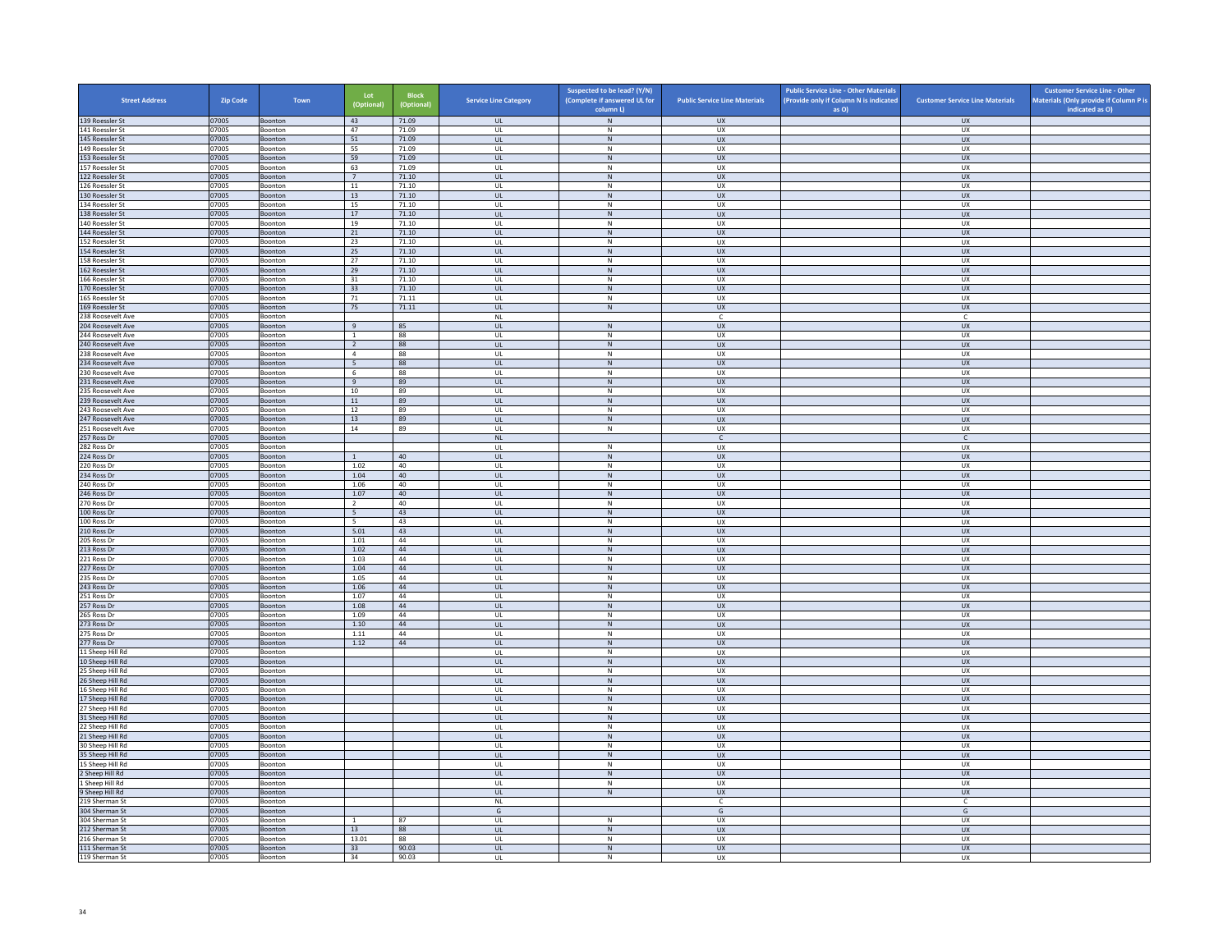| <b>Street Address</b>                  | <b>Zip Code</b> | Town               | Lot<br>(Optional)        | <b>Block</b><br>(Optional) | <b>Service Line Category</b>      | Suspected to be lead? (Y/N)<br>(Complete if answered UL for | <b>Public Service Line Materials</b> | <b>Public Service Line - Other Materials</b><br>(Provide only if Column N is indicated | <b>Customer Service Line Materials</b> | <b>Customer Service Line - Other</b><br>Materials (Only provide if Column P is<br>indicated as O) |
|----------------------------------------|-----------------|--------------------|--------------------------|----------------------------|-----------------------------------|-------------------------------------------------------------|--------------------------------------|----------------------------------------------------------------------------------------|----------------------------------------|---------------------------------------------------------------------------------------------------|
| 139 Roessler St                        | 07005           | Boonton            | 43                       | 71.09                      | <b>UL</b>                         | column L)<br>${\sf N}$                                      | <b>UX</b>                            | as O)                                                                                  | <b>UX</b>                              |                                                                                                   |
| 141 Roessler St                        | 07005           | Boonton            | 47                       | 71.09                      | <b>UL</b>                         | N                                                           | UX                                   |                                                                                        | <b>UX</b>                              |                                                                                                   |
| 145 Roessler St                        | 07005           | Boonton            | 51                       | 71.09                      | <b>UL</b>                         | ${\sf N}$                                                   | UX                                   |                                                                                        | UX                                     |                                                                                                   |
| 149 Roessler St                        | 07005           | Boonton            | 55<br>59                 | 71.09<br>71.09             | UL<br><b>UL</b>                   | ${\sf N}$<br>N                                              | UX<br><b>UX</b>                      |                                                                                        | <b>UX</b><br><b>UX</b>                 |                                                                                                   |
| 153 Roessler St<br>157 Roessler St     | 07005<br>07005  | Boonton<br>Boonton | 63                       | 71.09                      | UL                                | ${\sf N}$                                                   | UX                                   |                                                                                        | UX                                     |                                                                                                   |
| 122 Roessler St                        | 07005           | Boonton            | $7^{\circ}$              | 71.10                      | $\mathbf{U}$                      | N                                                           | UX                                   |                                                                                        | $\overline{U}$                         |                                                                                                   |
| 126 Roessler St                        | 07005           | Boonton            | $11\,$                   | 71.10                      | UL                                | ${\sf N}$                                                   | UX                                   |                                                                                        | UX                                     |                                                                                                   |
| 130 Roessler St                        | 07005           | Boonton            | 13                       | 71.10                      | <b>UL</b>                         | N                                                           | UX                                   |                                                                                        | <b>UX</b>                              |                                                                                                   |
| 134 Roessler St<br>138 Roessler St     | 07005<br>07005  | Boonton<br>Boonton | 15<br>17                 | 71.10<br>71.10             | UL<br><b>UL</b>                   | ${\sf N}$<br>$\,$ N                                         | UX<br>UX                             |                                                                                        | UX<br><b>UX</b>                        |                                                                                                   |
| 140 Roessler St                        | 07005           | Boonton            | 19                       | 71.10                      | UL                                | N                                                           | <b>UX</b>                            |                                                                                        | <b>UX</b>                              |                                                                                                   |
| 144 Roessler St                        | 07005           | Boonton            | 21                       | 71.10                      | UL                                | ${\sf N}$                                                   | UX                                   |                                                                                        | UX                                     |                                                                                                   |
| 152 Roessler St                        | 07005           | <b>Boonton</b>     | 23                       | 71.10                      | $\mathbf{U}$                      | $\mathsf{N}$                                                | UX                                   |                                                                                        | UX                                     |                                                                                                   |
| 154 Roessler St                        | 07005           | Boonton            | 25                       | 71.10                      | UL                                | N                                                           | UX                                   |                                                                                        | UX                                     |                                                                                                   |
| 158 Roessler St<br>162 Roessler St     | 07005<br>07005  | Boonton<br>Boonton | 27<br>29                 | 71.10<br>71.10             | <b>UL</b><br>UL                   | N<br>N                                                      | UX<br>UX                             |                                                                                        | UX<br>UX                               |                                                                                                   |
| 166 Roessler St                        | 07005           | Boonton            | 31                       | 71.10                      | UL                                | ${\sf N}$                                                   | UX                                   |                                                                                        | UX                                     |                                                                                                   |
| 170 Roessler St                        | 07005           | Boonton            | 33                       | 71.10                      | <b>UL</b>                         | N                                                           | <b>UX</b>                            |                                                                                        | <b>UX</b>                              |                                                                                                   |
| 165 Roessler St                        | 07005           | Boonton            | 71                       | 71.11                      | UL                                | ${\sf N}$                                                   | UX                                   |                                                                                        | <b>UX</b>                              |                                                                                                   |
| 169 Roessler St                        | 07005           | Boonton            | 75                       | 71.11                      | $\mathbf{u}$                      | N                                                           | $\overline{11}$                      |                                                                                        | UX                                     |                                                                                                   |
| 238 Roosevelt Ave<br>204 Roosevelt Ave | 07005<br>07005  | Boonton<br>Boonton | 9                        | 85                         | $\mathsf{NL}$<br>UL               | N                                                           | $\mathsf{C}$<br>${\sf U}{\sf X}$     |                                                                                        | c<br><b>UX</b>                         |                                                                                                   |
| 244 Roosevelt Ave                      | 07005           | Boonton            | $\mathbf{1}$             | 88                         | UL                                | ${\sf N}$                                                   | UX                                   |                                                                                        | UX                                     |                                                                                                   |
| 240 Roosevelt Ave                      | 07005           | Boonton            | $\overline{2}$           | 88                         | UL                                | $\,$ N                                                      | <b>UX</b>                            |                                                                                        | <b>UX</b>                              |                                                                                                   |
| 238 Roosevelt Ave                      | 07005           | Boonton            | $\overline{4}$           | 88                         | UL                                | N                                                           | <b>UX</b>                            |                                                                                        | <b>UX</b>                              |                                                                                                   |
| 234 Roosevelt Ave                      | 07005           | Boonton            | $\overline{\phantom{0}}$ | 88                         | $_{\sf UL}$                       | N                                                           | ${\sf U}{\sf X}$                     |                                                                                        | ${\sf U}{\sf X}$                       |                                                                                                   |
| 230 Roosevelt Ave<br>231 Roosevelt Ave | 07005<br>07005  | Boonton<br>Boonton | - 6<br>9                 | 88<br>89                   | $\mathbf{U}$<br>UL                | N<br>${\sf N}$                                              | UX<br>UX                             |                                                                                        | UX<br><b>UX</b>                        |                                                                                                   |
| 235 Roosevelt Ave                      | 07005           | Boonton            | 10                       | 89                         | <b>UL</b>                         | N                                                           | UX                                   |                                                                                        | UX                                     |                                                                                                   |
| 239 Roosevelt Ave                      | 07005           | Boonton            | 11                       | 89                         | UL                                | N                                                           | <b>UX</b>                            |                                                                                        | UX                                     |                                                                                                   |
| 243 Roosevelt Ave                      | 07005           | Boonton            | 12                       | 89                         | UL                                | ${\sf N}$                                                   | UX                                   |                                                                                        | UX                                     |                                                                                                   |
| 247 Roosevelt Ave                      | 07005           | Boonton            | 13                       | 89                         | <b>UL</b>                         | N                                                           | <b>UX</b>                            |                                                                                        | <b>UX</b>                              |                                                                                                   |
| 251 Roosevelt Ave<br>257 Ross Dr       | 07005<br>07005  | Boonton<br>Boonton | 14                       | 89                         | UL<br>NI                          | ${\sf N}$                                                   | UX<br>$\mathsf{C}$                   |                                                                                        | UX<br>$\mathsf{C}$                     |                                                                                                   |
| 282 Ross Dr                            | 07005           | Boonton            |                          |                            | UL                                | ${\sf N}$                                                   | UX                                   |                                                                                        | UX                                     |                                                                                                   |
| 224 Ross Dr                            | 07005           | Boonton            | $\overline{1}$           | 40                         | <b>UL</b>                         | N                                                           | <b>UX</b>                            |                                                                                        | <b>UX</b>                              |                                                                                                   |
| 220 Ross Dr                            | 07005           | Boonton            | 1.02                     | 40                         | UL                                | ${\sf N}$                                                   | UX                                   |                                                                                        | UX                                     |                                                                                                   |
| 234 Ross Dr                            | 07005           | Boonton            | 1.04                     | 40                         | <b>UL</b>                         | $\,N\,$                                                     | <b>UX</b>                            |                                                                                        | <b>UX</b>                              |                                                                                                   |
| 240 Ross Dr<br>246 Ross Dr             | 07005<br>07005  | Boonton            | 1.06<br>1.07             | 40<br>$40\,$               | <b>UL</b><br>$_{\sf UL}$          | N<br>N                                                      | <b>UX</b><br>UX                      |                                                                                        | <b>UX</b><br>${\sf U}{\sf X}$          |                                                                                                   |
| 270 Ross Dr                            | 07005           | Boonton<br>Boonton | $\overline{2}$           | 40                         | UL                                | N                                                           | UX                                   |                                                                                        | UX                                     |                                                                                                   |
| 100 Ross Dr                            | 07005           | Boonton            | 5                        | 43                         | <b>UL</b>                         | ${\sf N}$                                                   | <b>UX</b>                            |                                                                                        | <b>UX</b>                              |                                                                                                   |
| 100 Ross Dr                            | 07005           | Boonton            | $5\overline{5}$          | 43                         | UL                                | ${\sf N}$                                                   | UX                                   |                                                                                        | UX                                     |                                                                                                   |
| 210 Ross Dr                            | 07005           | Boonton            | 5.01                     | 43                         | <b>UL</b>                         | N                                                           | <b>UX</b>                            |                                                                                        | UX                                     |                                                                                                   |
| 205 Ross Dr<br>213 Ross Dr             | 07005<br>07005  | Boonton            | 1.01<br>1.02             | 44<br>44                   | UL<br>$\mathbf{u}$                | ${\sf N}$<br>N                                              | UX<br>UX                             |                                                                                        | UX<br>$\overline{U}$                   |                                                                                                   |
| 221 Ross Dr                            | 07005           | Boonton<br>Boonton | 1.03                     | 44                         | UL                                | $\mathsf{N}$                                                | UX                                   |                                                                                        | UX                                     |                                                                                                   |
| 227 Ross Dr                            | 07005           | Boonton            | 1.04                     | 44                         | <b>UL</b>                         | N                                                           | <b>UX</b>                            |                                                                                        | <b>UX</b>                              |                                                                                                   |
| 235 Ross Dr                            | 07005           | Boonton            | 1.05                     | 44                         | UL                                | ${\sf N}$                                                   | UX                                   |                                                                                        | UX                                     |                                                                                                   |
| 243 Ross Dr                            | 07005           | Boonton            | 1.06                     | 44                         | UL                                | N                                                           | <b>UX</b>                            |                                                                                        | UX                                     |                                                                                                   |
| 251 Ross Dr                            | 07005           | Boonton            | 1.07<br>1.08             | 44<br>44                   | UL<br>UL                          | ${\sf N}$<br>${\sf N}$                                      | UX<br><b>UX</b>                      |                                                                                        | UX<br><b>UX</b>                        |                                                                                                   |
| 257 Ross Dr<br>265 Ross Dr             | 07005<br>07005  | Boonton<br>Boonton | 1.09                     | 44                         | $\mathbf{U}$                      | N                                                           | UX                                   |                                                                                        | UX                                     |                                                                                                   |
| 273 Ross Dr                            | 07005           | Boonton            | $1.10\,$                 | 44                         | UL                                | N                                                           | UX                                   |                                                                                        | UX                                     |                                                                                                   |
| 275 Ross Dr                            | 07005           | Boonton            | 1.11                     | 44                         | <b>UL</b>                         | N                                                           | <b>UX</b>                            |                                                                                        | <b>UX</b>                              |                                                                                                   |
| 277 Ross Dr                            | 07005           | Boonton            | 1.12                     | 44                         | $\mathsf{UL}$                     | ${\sf N}$                                                   | UX                                   |                                                                                        | UX                                     |                                                                                                   |
| 11 Sheep Hill Rd<br>10 Sheep Hill Rd   | 07005<br>07005  | Boonton<br>Boonton |                          |                            | UL<br><b>UL</b>                   | $\,N\,$<br>N                                                | UX<br><b>UX</b>                      |                                                                                        | UX<br>UX                               |                                                                                                   |
| 25 Sheep Hill Rd                       | 07005           | Boonton            |                          |                            | UL                                | ${\sf N}$                                                   | UX                                   |                                                                                        | UX                                     |                                                                                                   |
| 26 Sheep Hill Rd                       | 07005           | Boonton            |                          |                            | $\mathbf{u}$                      | N                                                           | UX                                   |                                                                                        | <b>UX</b>                              |                                                                                                   |
| 16 Sheep Hill Rd                       | 07005           | Boonton            |                          |                            | UL                                | ${\sf N}$                                                   | UX                                   |                                                                                        | UX                                     |                                                                                                   |
| 17 Sheep Hill Rd                       | 07005           | Boonton            |                          |                            | <b>UL</b>                         | N                                                           | <b>UX</b>                            |                                                                                        | <b>UX</b>                              |                                                                                                   |
| 27 Sheep Hill Rd<br>31 Sheep Hill Rd   | 07005           | Boonton<br>Boonton |                          |                            | UL<br>UL                          | ${\sf N}$<br>${\sf N}$                                      | UX<br>UX                             |                                                                                        | UX<br>UX                               |                                                                                                   |
| 22 Sheep Hill Rd                       | 07005<br>07005  | Boonton            |                          |                            | UL                                | ${\sf N}$                                                   | UX                                   |                                                                                        | UX                                     |                                                                                                   |
| 21 Sheep Hill Rd                       | 07005           | Boonton            |                          |                            | $\ensuremath{\mathsf{UL}}\xspace$ | ${\sf N}$                                                   | UX                                   |                                                                                        | ${\sf U}{\sf X}$                       |                                                                                                   |
| 30 Sheep Hill Rd                       | 07005           | Boonton            |                          |                            | $\mathbf{U}$                      | N                                                           | UX                                   |                                                                                        | UX                                     |                                                                                                   |
| 35 Sheep Hill Rd                       | 07005           | Boonton            |                          |                            | UL                                | ${\sf N}$                                                   | UX                                   |                                                                                        | UX                                     |                                                                                                   |
| 15 Sheep Hill Rd<br>2 Sheep Hill Rd    | 07005<br>07005  | Boonton<br>Boonton |                          |                            | <b>UL</b><br>$\mathsf{UL}$        | N<br>${\sf N}$                                              | UX<br>UX                             |                                                                                        | <b>UX</b><br>UX                        |                                                                                                   |
| 1 Sheep Hill Rd                        | 07005           | Boonton            |                          |                            | UL                                | $\,N\,$                                                     | UX                                   |                                                                                        | UX                                     |                                                                                                   |
| 9 Sheep Hill Rd                        | 07005           | Boonton            |                          |                            | <b>UL</b>                         | N                                                           | <b>UX</b>                            |                                                                                        | UX                                     |                                                                                                   |
| 219 Sherman St                         | 07005           | Boonton            |                          |                            | <b>NL</b>                         |                                                             | c                                    |                                                                                        | $\mathsf{C}$                           |                                                                                                   |
| 304 Sherman St                         | 07005           | Boonton            |                          |                            | G                                 |                                                             | $\mathsf{G}$                         |                                                                                        | $\mathsf{G}$                           |                                                                                                   |
| 304 Sherman St                         | 07005           | Boonton            | $\overline{1}$           | 87                         | UL                                | $\mathsf{N}$                                                | UX                                   |                                                                                        | UX                                     |                                                                                                   |
| 212 Sherman St<br>216 Sherman St       | 07005<br>07005  | Boonton<br>Boonton | 13<br>13.01              | 88<br>88                   | <b>UL</b><br>UL                   | N<br>$\mathsf{N}$                                           | <b>UX</b><br>UX                      |                                                                                        | <b>UX</b><br>UX                        |                                                                                                   |
| 111 Sherman St                         | 07005           | Boonton            | 33                       | 90.03                      | UL                                | ${\sf N}$                                                   | UX                                   |                                                                                        | UX                                     |                                                                                                   |
| 119 Sherman St                         | 07005           | Boonton            | 34                       | 90.03                      | UL                                | N                                                           | <b>UX</b>                            |                                                                                        | <b>UX</b>                              |                                                                                                   |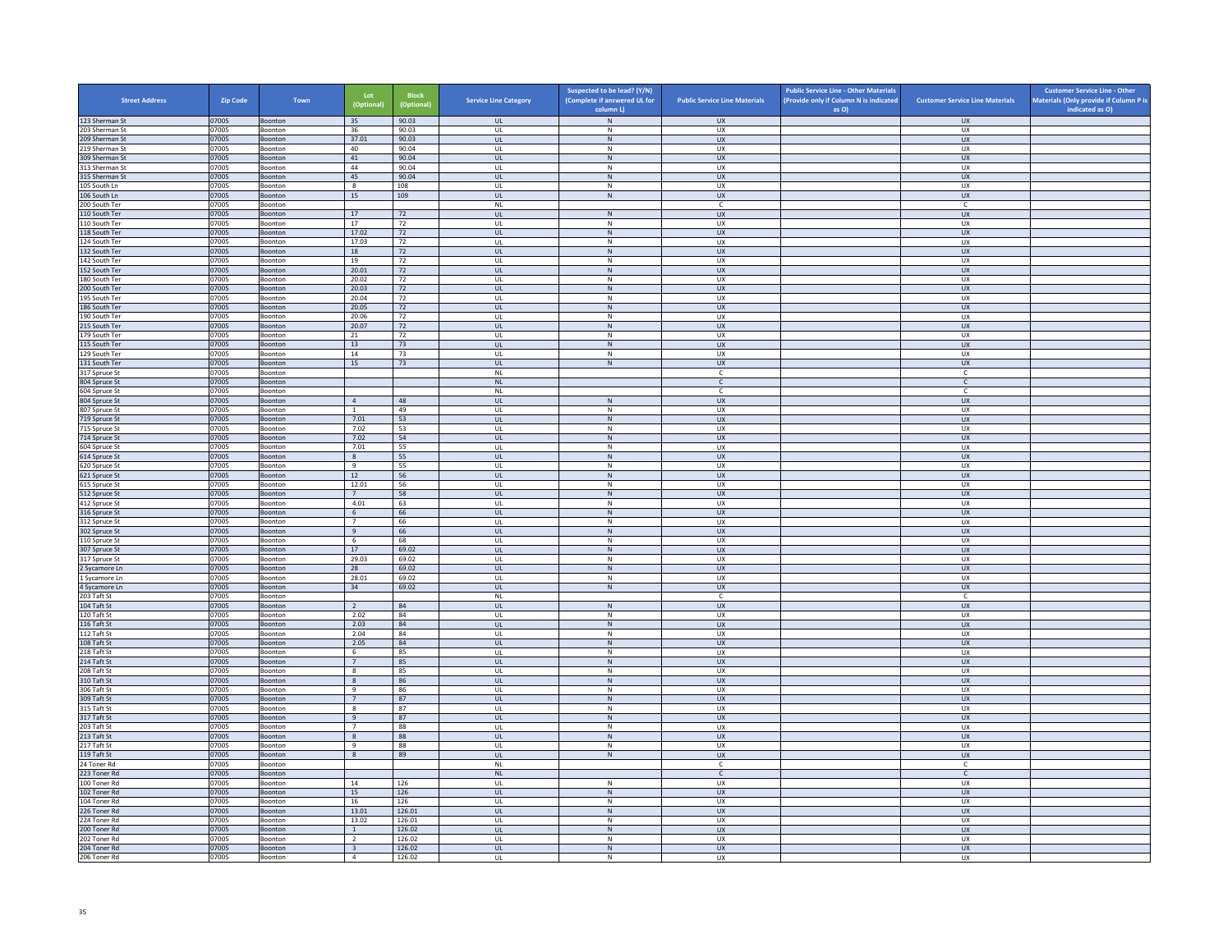| <b>Street Address</b>            | <b>Zip Code</b> | Town               | Lot<br>(Optional)                         | <b>Block</b><br>(Optional) | <b>Service Line Category</b>            | Suspected to be lead? (Y/N)<br>(Complete if answered UL for<br>column L) | <b>Public Service Line Materials</b> | <b>Public Service Line - Other Materials</b><br>(Provide only if Column N is indicated<br>as O) | <b>Customer Service Line Materials</b> | <b>Customer Service Line - Other</b><br>Materials (Only provide if Column P is<br>indicated as O) |
|----------------------------------|-----------------|--------------------|-------------------------------------------|----------------------------|-----------------------------------------|--------------------------------------------------------------------------|--------------------------------------|-------------------------------------------------------------------------------------------------|----------------------------------------|---------------------------------------------------------------------------------------------------|
| 123 Sherman St                   | 07005           | Boonton            | 35                                        | 90.03                      | <b>UL</b>                               | $\,N\,$                                                                  | <b>UX</b>                            |                                                                                                 | <b>UX</b>                              |                                                                                                   |
| 203 Sherman St                   | 07005           | Boonton            | 36                                        | 90.03                      | UL                                      | N                                                                        | <b>UX</b>                            |                                                                                                 | <b>UX</b>                              |                                                                                                   |
| 209 Sherman St                   | 07005           | Boonton            | 37.01                                     | 90.03                      | <b>UL</b>                               | $\,$ N                                                                   | <b>UX</b>                            |                                                                                                 | <b>UX</b>                              |                                                                                                   |
| 219 Sherman St<br>309 Sherman St | 07005<br>07005  | Boonton<br>Boonton | 40<br>41                                  | 90.04<br>90.04             | UL<br>UL.                               | N<br>N                                                                   | UX<br><b>UX</b>                      |                                                                                                 | <b>UX</b><br><b>UX</b>                 |                                                                                                   |
| 313 Sherman St                   | 07005           | Boonton            | 44                                        | 90.04                      | UL                                      | ${\sf N}$                                                                | UX                                   |                                                                                                 | <b>UX</b>                              |                                                                                                   |
| 315 Sherman St                   | 07005           | Boonton            | 45                                        | 90.04                      | UL.                                     | N                                                                        | <b>UX</b>                            |                                                                                                 | <b>UX</b>                              |                                                                                                   |
| 105 South Ln                     | 07005           | Boonton            | 8                                         | 108                        | UL                                      | ${\sf N}$                                                                | UX                                   |                                                                                                 | UX                                     |                                                                                                   |
| 106 South Ln                     | 07005           | Boonton            | 15                                        | 109                        | <b>UL</b>                               | N                                                                        | <b>UX</b><br>c                       |                                                                                                 | <b>UX</b>                              |                                                                                                   |
| 200 South Ter<br>110 South Ter   | 07005<br>07005  | Boonton<br>Boonton | 17                                        | 72                         | $\mathsf{NL}\,$<br>UL                   | N                                                                        | <b>UX</b>                            |                                                                                                 | c<br><b>UX</b>                         |                                                                                                   |
| 110 South Ter                    | 07005           | Boonton            | 17                                        | 72                         | UL                                      | $\mathsf{N}$                                                             | UX                                   |                                                                                                 | UX                                     |                                                                                                   |
| 118 South Ter                    | 07005           | Boonton            | 17.02                                     | 72                         | UL                                      | ${\sf N}$                                                                | UX                                   |                                                                                                 | UX                                     |                                                                                                   |
| 124 South Ter                    | 07005           | Boonton            | 17.03                                     | 72                         | UL                                      | $\mathsf{N}$<br>$\,$ N                                                   | UX                                   |                                                                                                 | <b>UX</b>                              |                                                                                                   |
| 132 South Ter<br>142 South Ter   | 07005<br>07005  | Boonton<br>Boonton | $18\,$<br>19                              | 72<br>72                   | $\ensuremath{\mathsf{UL}}\xspace$<br>UL | N                                                                        | UX<br><b>UX</b>                      |                                                                                                 | ${\sf U}{\sf X}$<br>UX                 |                                                                                                   |
| 152 South Ter                    | 07005           | Boonton            | 20.01                                     | 72                         | UL                                      | ${\sf N}$                                                                | UX                                   |                                                                                                 | UX                                     |                                                                                                   |
| 180 South Ter                    | 07005           | Boonton            | 20.02                                     | 72                         | <b>UL</b>                               | N                                                                        | UX                                   |                                                                                                 | UX                                     |                                                                                                   |
| 200 South Ter                    | 07005           | Boonton            | 20.03                                     | 72                         | UL.                                     | ${\sf N}$                                                                | <b>UX</b>                            |                                                                                                 | <b>UX</b>                              |                                                                                                   |
| 195 South Ter<br>186 South Ter   | 07005<br>07005  | Boonton<br>Boonton | 20.04<br>20.05                            | 72<br>72                   | UL<br><b>UL</b>                         | $\,$ N<br>N                                                              | UX<br><b>UX</b>                      |                                                                                                 | <b>UX</b><br><b>UX</b>                 |                                                                                                   |
| 190 South Ter                    | 07005           | Boonton            | 20.06                                     | 72                         | UL                                      | ${\sf N}$                                                                | UX                                   |                                                                                                 | UX                                     |                                                                                                   |
| 215 South Ter                    | 07005           | Boonton            | 20.07                                     | 72                         | UL.                                     | N                                                                        | UX                                   |                                                                                                 | <b>UX</b>                              |                                                                                                   |
| 179 South Ter                    | 07005           | Boonton            | 21                                        | 72                         | UL                                      | ${\sf N}$                                                                | UX                                   |                                                                                                 | UX                                     |                                                                                                   |
| 115 South Ter<br>129 South Ter   | 07005<br>07005  | Boonton<br>Boonton | 13<br>14                                  | 73<br>73                   | <b>UL</b><br>UL                         | N<br>$\mathsf{N}$                                                        | <b>UX</b><br>UX                      |                                                                                                 | <b>UX</b><br>UX                        |                                                                                                   |
| 131 South Ter                    | 07005           | Boonton            | 15                                        | 73                         | UL                                      | ${\sf N}$                                                                | UX                                   |                                                                                                 | UX                                     |                                                                                                   |
| 317 Spruce St                    | 07005           | Boonton            |                                           |                            | <b>NL</b>                               |                                                                          | $\mathsf{C}$                         |                                                                                                 | $\mathsf{C}$                           |                                                                                                   |
| 804 Spruce St                    | 07005           | Boonton            |                                           |                            | $\mathsf{NL}\xspace$                    |                                                                          | $\mathsf{C}^-$                       |                                                                                                 | $\mathsf{C}^-$                         |                                                                                                   |
| 604 Spruce St<br>804 Spruce St   | 07005<br>07005  | <b>Boonton</b>     | $\overline{4}$                            | 48                         | <b>NL</b>                               |                                                                          | $\epsilon$<br>UX                     |                                                                                                 | $\epsilon$<br>UX                       |                                                                                                   |
| 807 Spruce St                    | 07005           | Boonton<br>Boonton | $\overline{1}$                            | 49                         | UL<br>UL                                | ${\sf N}$<br>$\mathsf{N}$                                                | <b>UX</b>                            |                                                                                                 | UX                                     |                                                                                                   |
| 719 Spruce St                    | 07005           | Boonton            | 7.01                                      | 53                         | UL                                      | ${\sf N}$                                                                | <b>UX</b>                            |                                                                                                 | UX                                     |                                                                                                   |
| 715 Spruce St                    | 07005           | Boonton            | 7.02                                      | 53                         | UL                                      | ${\sf N}$                                                                | UX                                   |                                                                                                 | UX                                     |                                                                                                   |
| 714 Spruce St                    | 07005           | Boonton            | 7.02                                      | 54                         | <b>UL</b>                               | $\mathsf{N}$                                                             | <b>UX</b>                            |                                                                                                 | UX                                     |                                                                                                   |
| 604 Spruce St<br>614 Spruce St   | 07005<br>07005  | Boonton<br>Boonton | 7.01<br>$\mathbf{R}$                      | 55<br>55                   | UL<br>$\mathbf{U}$                      | ${\sf N}$<br>N                                                           | UX<br>UX                             |                                                                                                 | UX<br><b>UX</b>                        |                                                                                                   |
| 620 Spruce St                    | 07005           | Boonton            | 9                                         | 55                         | UL                                      | ${\sf N}$                                                                | UX                                   |                                                                                                 | UX                                     |                                                                                                   |
| 621 Spruce St                    | 07005           | Boonton            | 12                                        | 56                         | <b>UL</b>                               | N                                                                        | <b>UX</b>                            |                                                                                                 | <b>UX</b>                              |                                                                                                   |
| 615 Spruce St                    | 07005           | Boonton            | 12.01                                     | 56                         | UL                                      | ${\sf N}$                                                                | UX                                   |                                                                                                 | UX                                     |                                                                                                   |
| 512 Spruce St<br>412 Spruce St   | 07005<br>07005  | Boonton<br>Boonton | $7^{\circ}$<br>4.01                       | 58<br>63                   | UL<br>UL                                | ${\sf N}$<br>${\sf N}$                                                   | UX<br>UX                             |                                                                                                 | UX<br>UX                               |                                                                                                   |
| 316 Spruce St                    | 07005           | Boonton            | 6                                         | 66                         | UL                                      | ${\sf N}$                                                                | <b>UX</b>                            |                                                                                                 | UX                                     |                                                                                                   |
| 312 Spruce St                    | 07005           | Boonton            | $7^{\circ}$                               | 66                         | UL                                      | N                                                                        | UX                                   |                                                                                                 | UX                                     |                                                                                                   |
| 302 Spruce St                    | 07005           | Boonton            | 9                                         | 66                         | UL                                      | ${\sf N}$                                                                | UX                                   |                                                                                                 | UX                                     |                                                                                                   |
| 110 Spruce St<br>307 Spruce St   | 07005<br>07005  | Boonton<br>Boonton | - 6<br>17                                 | 68<br>69.02                | UL<br>UL                                | N<br>${\sf N}$                                                           | <b>UX</b><br><b>UX</b>               |                                                                                                 | UX<br>UX                               |                                                                                                   |
| 317 Spruce St                    | 07005           | Boonton            | 29.03                                     | 69.02                      | UL                                      | $\,$ N                                                                   | UX                                   |                                                                                                 | <b>UX</b>                              |                                                                                                   |
| 2 Sycamore Ln                    | 07005           | Boonton            | 28                                        | 69.02                      | UL                                      | $\mathsf{N}$                                                             | <b>UX</b>                            |                                                                                                 | UX                                     |                                                                                                   |
| 1 Sycamore Ln                    | 07005           | Boonton            | 28.01                                     | 69.02                      | UL                                      | ${\sf N}$                                                                | UX                                   |                                                                                                 | UX                                     |                                                                                                   |
| 4 Sycamore Ln<br>203 Taft St     | 07005<br>07005  | Boonton<br>Boonton | 34                                        | 69.02                      | $\mathbf{u}$<br>$\mathsf{NL}$           | N                                                                        | UX<br>C                              |                                                                                                 | UX<br>$\mathsf{C}$                     |                                                                                                   |
| 104 Taft St                      | 07005           | Boonton            | $\overline{2}$                            | 84                         | UL.                                     | N                                                                        | $\overline{11}$                      |                                                                                                 | $\overline{11}$                        |                                                                                                   |
| 120 Taft St                      | 07005           | Boonton            | 2.02                                      | 84                         | UL                                      | ${\sf N}$                                                                | UX                                   |                                                                                                 | UX                                     |                                                                                                   |
| 116 Taft St                      | 07005           | Boonton            | 2.03                                      | 84                         | <b>UL</b>                               | $\mathsf{N}$                                                             | <b>UX</b>                            |                                                                                                 | <b>UX</b>                              |                                                                                                   |
| 112 Taft St                      | 07005           | Boonton            | 2.04                                      | 84                         | UL                                      | ${\sf N}$                                                                | UX                                   |                                                                                                 | UX                                     |                                                                                                   |
| 108 Taft St<br>218 Taft St       | 07005<br>07005  | Boonton<br>Boonton | 2.05<br>6                                 | 84<br>85                   | <b>UL</b><br>UL                         | $\,$ N<br>N                                                              | <b>UX</b><br>UX                      |                                                                                                 | <b>UX</b><br><b>UX</b>                 |                                                                                                   |
| 214 Taft St                      | 07005           | Boonton            | $\overline{7}$                            | 85                         | $_{\sf UL}$                             | ${\sf N}$                                                                | ${\sf U}{\sf X}$                     |                                                                                                 | ${\sf U}{\sf X}$                       |                                                                                                   |
| 208 Taft St                      | 07005           | Boonton            | 8                                         | 85                         | UL                                      | $\mathsf{N}$                                                             | <b>UX</b>                            |                                                                                                 | <b>UX</b>                              |                                                                                                   |
| 310 Taft St                      | 07005           | Boonton<br>Boonton | 8<br>9                                    | 86<br>86                   | UL                                      | ${\sf N}$<br>N                                                           | <b>UX</b><br><b>UX</b>               |                                                                                                 | <b>UX</b><br><b>UX</b>                 |                                                                                                   |
| 306 Taft St<br>309 Taft St       | 07005<br>07005  | Boonton            | $7^{\circ}$                               | 87                         | UL<br><b>UL</b>                         | $\mathsf{N}$                                                             | <b>UX</b>                            |                                                                                                 | UX                                     |                                                                                                   |
| 315 Taft St                      | 07005           | Boonton            | 8                                         | 87                         | UL                                      | ${\sf N}$                                                                | UX                                   |                                                                                                 | UX                                     |                                                                                                   |
| 317 Taft St                      | 07005           | Boonton            | 9                                         | 87                         | UL.                                     | N                                                                        | <b>UX</b>                            |                                                                                                 | <b>UX</b>                              |                                                                                                   |
| 203 Taft St                      | 07005           | Boonton            | $\overline{7}$                            | 88                         | UL                                      | ${\sf N}$                                                                | UX                                   |                                                                                                 | UX                                     |                                                                                                   |
| 213 Taft St<br>217 Taft St       | 07005<br>07005  | Boonton<br>Boonton | 8<br>9                                    | 88<br>88                   | UL.<br>UL                               | N<br>${\sf N}$                                                           | UX<br>UX                             |                                                                                                 | UX<br>UX                               |                                                                                                   |
| 119 Taft St                      | 07005           | Boonton            | 8                                         | 89                         | UL                                      | N                                                                        | <b>UX</b>                            |                                                                                                 | <b>UX</b>                              |                                                                                                   |
| 24 Toner Rd                      | 07005           | Boonton            |                                           |                            | <b>NL</b>                               |                                                                          | $\mathsf{C}$                         |                                                                                                 | $\mathsf{C}$                           |                                                                                                   |
| 223 Toner Rd                     | 07005           | Boonton            |                                           |                            | $\mathsf{NL}\xspace$                    |                                                                          | $\mathsf{C}$                         |                                                                                                 | $\mathsf{C}$                           |                                                                                                   |
| 100 Toner Rd                     | 07005           | Boonton            | 14                                        | 126                        | UL                                      | N                                                                        | <b>UX</b>                            |                                                                                                 | <b>UX</b>                              |                                                                                                   |
| 102 Toner Rd<br>104 Toner Rd     | 07005<br>07005  | Boonton<br>Boonton | 15<br>16                                  | 126<br>126                 | $\mathsf{UL}$<br>UL                     | ${\sf N}$<br>$\mathsf{N}$                                                | ${\sf U}{\sf X}$<br><b>UX</b>        |                                                                                                 | ${\sf U}{\sf X}$<br><b>UX</b>          |                                                                                                   |
| 226 Toner Rd                     | 07005           | Boonton            | 13.01                                     | 126.01                     | UL                                      | ${\sf N}$                                                                | <b>UX</b>                            |                                                                                                 | <b>UX</b>                              |                                                                                                   |
| 224 Toner Rd                     | 07005           | Boonton            | 13.02                                     | 126.01                     | UL                                      | N                                                                        | UX                                   |                                                                                                 | UX                                     |                                                                                                   |
| 200 Toner Rd                     | 07005           | Boonton            | <sup>1</sup>                              | 126.02                     | UL                                      | $\,$ N                                                                   | <b>UX</b>                            |                                                                                                 | UX                                     |                                                                                                   |
| 202 Toner Rd<br>204 Toner Rd     | 07005<br>07005  | Boonton<br>Boonton | $\overline{2}$<br>$\overline{\mathbf{3}}$ | 126.02<br>126.02           | UL<br><b>UL</b>                         | ${\sf N}$<br>N                                                           | UX<br><b>UX</b>                      |                                                                                                 | UX<br><b>UX</b>                        |                                                                                                   |
| 206 Toner Rd                     | 07005           | Boonton            | $\overline{4}$                            | 126.02                     | UL                                      | N                                                                        | UX                                   |                                                                                                 | UX                                     |                                                                                                   |
|                                  |                 |                    |                                           |                            |                                         |                                                                          |                                      |                                                                                                 |                                        |                                                                                                   |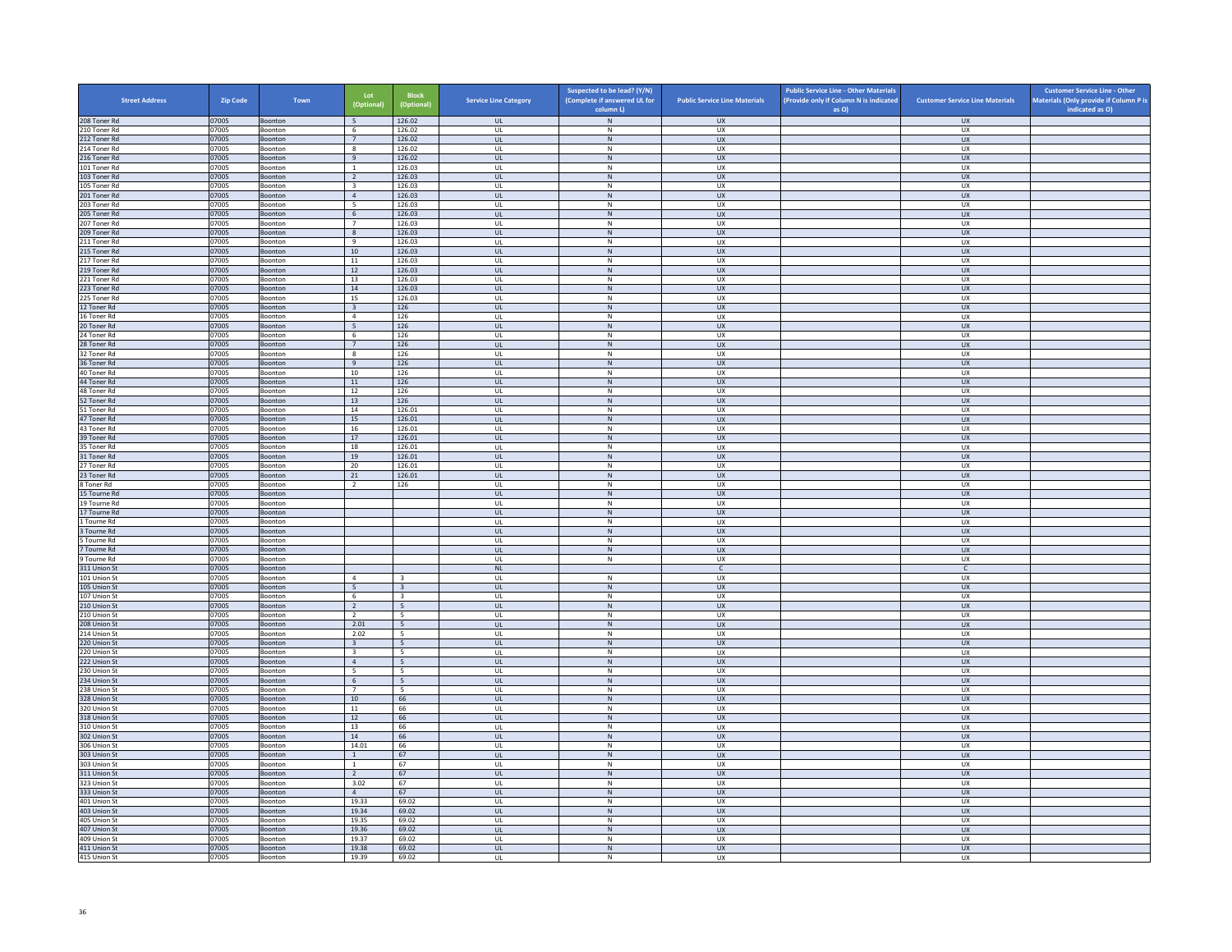| <b>Street Address</b>        | <b>Zip Code</b> | Town               | Lot<br>(Optional)               | <b>Block</b><br>(Optional)                | <b>Service Line Category</b>                      | Suspected to be lead? (Y/N)<br>(Complete if answered UL for | <b>Public Service Line Materials</b> | <b>Public Service Line - Other Materials</b><br>(Provide only if Column N is indicated | <b>Customer Service Line Materials</b> | <b>Customer Service Line - Other</b><br>Materials (Only provide if Column P is |
|------------------------------|-----------------|--------------------|---------------------------------|-------------------------------------------|---------------------------------------------------|-------------------------------------------------------------|--------------------------------------|----------------------------------------------------------------------------------------|----------------------------------------|--------------------------------------------------------------------------------|
|                              |                 |                    |                                 |                                           |                                                   | column L)                                                   |                                      | as O)                                                                                  |                                        | indicated as O)                                                                |
| 208 Toner Rd<br>210 Toner Rd | 07005<br>07005  | Boonton<br>Boonton | 5<br>6                          | 126.02<br>126.02                          | <b>UL</b><br><b>UL</b>                            | ${\sf N}$<br>N                                              | <b>UX</b><br>UX                      |                                                                                        | <b>UX</b><br><b>UX</b>                 |                                                                                |
| 212 Toner Rd                 | 07005           | Boonton            | 7                               | 126.02                                    | <b>UL</b>                                         | ${\sf N}$                                                   | ${\sf U}{\sf X}$                     |                                                                                        | UX                                     |                                                                                |
| 214 Toner Rd                 | 07005           | Boonton            | 8                               | 126.02                                    | UL                                                | ${\sf N}$                                                   | UX                                   |                                                                                        | <b>UX</b>                              |                                                                                |
| 216 Toner Rd<br>101 Toner Rd | 07005<br>07005  | Boonton<br>Boonton | 9<br>$\mathbf{1}$               | 126.02<br>126.03                          | <b>UL</b><br>UL                                   | N<br>${\sf N}$                                              | <b>UX</b><br>UX                      |                                                                                        | <b>UX</b><br><b>UX</b>                 |                                                                                |
| 103 Toner Rd                 | 07005           | Boonton            | $\overline{2}$                  | 126.03                                    | $\mathbf{U}$                                      | N                                                           | UX                                   |                                                                                        | $\overline{U}$                         |                                                                                |
| 105 Toner Rd                 | 07005           | Boonton            | $\overline{\mathbf{3}}$         | 126.03                                    | UL                                                | ${\sf N}$                                                   | UX                                   |                                                                                        | UX                                     |                                                                                |
| 201 Toner Rd                 | 07005           | Boonton            | $\overline{4}$                  | 126.03                                    | <b>UL</b>                                         | N                                                           | UX                                   |                                                                                        | <b>UX</b>                              |                                                                                |
| 203 Toner Rd<br>205 Toner Rd | 07005<br>07005  | Boonton<br>Boonton | $5\overline{5}$<br>6            | 126.03<br>126.03                          | UL<br>UL                                          | ${\sf N}$<br>$\,$ N                                         | UX<br>UX                             |                                                                                        | UX<br><b>UX</b>                        |                                                                                |
| 207 Toner Rd                 | 07005           | Boonton            | $7^{\circ}$                     | 126.03                                    | UL                                                | N                                                           | <b>UX</b>                            |                                                                                        | <b>UX</b>                              |                                                                                |
| 209 Toner Rd                 | 07005           | Boonton            | $\boldsymbol{8}$                | 126.03                                    | UL                                                | ${\sf N}$                                                   | UX                                   |                                                                                        | UX                                     |                                                                                |
| 211 Toner Rd                 | 07005           | <b>Boonton</b>     | $\overline{9}$                  | 126.03                                    | $\mathbf{U}$                                      | $\mathsf{N}$                                                | UX                                   |                                                                                        | UX                                     |                                                                                |
| 215 Toner Rd<br>217 Toner Rd | 07005<br>07005  | Boonton<br>Boonton | $10\,$<br>11                    | 126.03<br>126.03                          | UL<br><b>UL</b>                                   | N<br>N                                                      | UX<br>UX                             |                                                                                        | UX<br>UX                               |                                                                                |
| 219 Toner Rd                 | 07005           | Boonton            | 12                              | 126.03                                    | UL                                                | N                                                           | UX                                   |                                                                                        | UX                                     |                                                                                |
| 221 Toner Rd                 | 07005           | Boonton            | 13                              | 126.03                                    | UL                                                | ${\sf N}$                                                   | UX                                   |                                                                                        | UX                                     |                                                                                |
| 223 Toner Rd                 | 07005           | Boonton            | 14                              | 126.03                                    | <b>UL</b>                                         | N                                                           | <b>UX</b>                            |                                                                                        | <b>UX</b>                              |                                                                                |
| 225 Toner Rd<br>12 Toner Rd  | 07005<br>07005  | Boonton<br>Boonton | 15<br>$\overline{\mathbf{3}}$   | 126.03<br>126                             | UL<br>$\mathbf{u}$                                | ${\sf N}$<br>N                                              | UX<br>$\overline{11}$                |                                                                                        | <b>UX</b><br>UX                        |                                                                                |
| 16 Toner Rd                  | 07005           | Boonton            | $\overline{4}$                  | 126                                       | UL                                                | ${\sf N}$                                                   | UX                                   |                                                                                        | UX                                     |                                                                                |
| 20 Toner Rd                  | 07005           | Boonton            | 5                               | 126                                       | UL                                                | N                                                           | ${\sf U}{\sf X}$                     |                                                                                        | UX                                     |                                                                                |
| 24 Toner Rd                  | 07005           | Boonton            | 6                               | 126                                       | UL                                                | ${\sf N}$                                                   | UX                                   |                                                                                        | UX                                     |                                                                                |
| 28 Toner Rd                  | 07005           | Boonton            | 7                               | 126                                       | UL                                                | ${\sf N}$                                                   | UX                                   |                                                                                        | <b>UX</b>                              |                                                                                |
| 32 Toner Rd<br>36 Toner Rd   | 07005<br>07005  | Boonton<br>Boonton | 8<br>$\,9$                      | 126<br>126                                | UL<br>$_{\sf UL}$                                 | N<br>${\sf N}$                                              | <b>UX</b><br>${\sf U}{\sf X}$        |                                                                                        | <b>UX</b><br>${\sf U}{\sf X}$          |                                                                                |
| 40 Toner Rd                  | 07005           | Boonton            | 10                              | 126                                       | $\mathbf{U}$                                      | N                                                           | UX                                   |                                                                                        | UX                                     |                                                                                |
| 44 Toner Rd                  | 07005           | Boonton            | 11                              | 126                                       | UL                                                | ${\sf N}$                                                   | UX                                   |                                                                                        | UX                                     |                                                                                |
| 48 Toner Rd                  | 07005           | Boonton            | 12                              | 126                                       | <b>UL</b>                                         | N                                                           | UX                                   |                                                                                        | UX                                     |                                                                                |
| 52 Toner Rd<br>51 Toner Rd   | 07005<br>07005  | Boonton<br>Boonton | 13<br>14                        | 126<br>126.01                             | UL<br>UL                                          | N<br>${\sf N}$                                              | <b>UX</b><br>UX                      |                                                                                        | UX<br>UX                               |                                                                                |
| 47 Toner Rd                  | 07005           | Boonton            | 15                              | 126.01                                    | <b>UL</b>                                         | N                                                           | <b>UX</b>                            |                                                                                        | <b>UX</b>                              |                                                                                |
| 43 Toner Rd                  | 07005           | Boonton            | 16                              | 126.01                                    | $_{\sf UL}$                                       | $\mathsf{N}$                                                | UX                                   |                                                                                        | UX                                     |                                                                                |
| 39 Toner Rd                  | 07005           | Boonton            | 17                              | 126.01                                    | $\mathbf{u}$                                      | N                                                           | $\overline{11}$                      |                                                                                        | UX                                     |                                                                                |
| 35 Toner Rd<br>31 Toner Rd   | 07005<br>07005  | Boonton<br>Boonton | 18<br>19                        | 126.01<br>126.01                          | UL<br><b>UL</b>                                   | ${\sf N}$<br>N                                              | UX<br><b>UX</b>                      |                                                                                        | UX<br><b>UX</b>                        |                                                                                |
| 27 Toner Rd                  | 07005           | Boonton            | 20                              | 126.01                                    | UL                                                | ${\sf N}$                                                   | UX                                   |                                                                                        | UX                                     |                                                                                |
| 23 Toner Rd                  | 07005           | Boonton            | 21                              | 126.01                                    | UL.                                               | $\,$ N                                                      | <b>UX</b>                            |                                                                                        | <b>UX</b>                              |                                                                                |
| 8 Toner Rd                   | 07005           | Boonton            | $\overline{2}$                  | 126                                       | <b>UL</b>                                         | N                                                           | <b>UX</b>                            |                                                                                        | <b>UX</b>                              |                                                                                |
| 15 Tourne Rd<br>19 Tourne Rd | 07005<br>07005  | Boonton<br>Boonton |                                 |                                           | UL<br>UL                                          | ${\sf N}$<br>N                                              | UX<br>UX                             |                                                                                        | ${\sf U}{\sf X}$<br>UX                 |                                                                                |
| 17 Tourne Rd                 | 07005           | Boonton            |                                 |                                           | <b>UL</b>                                         | ${\sf N}$                                                   | <b>UX</b>                            |                                                                                        | <b>UX</b>                              |                                                                                |
| 1 Tourne Rd                  | 07005           | Boonton            |                                 |                                           | UL                                                | ${\sf N}$                                                   | UX                                   |                                                                                        | UX                                     |                                                                                |
| 3 Tourne Rd                  | 07005           | Boonton            |                                 |                                           | <b>UL</b>                                         | N                                                           | <b>UX</b>                            |                                                                                        | UX                                     |                                                                                |
| 5 Tourne Rd<br>7 Tourne Rd   | 07005<br>07005  | Boonton<br>Boonton |                                 |                                           | UL<br>$\mathbf{u}$                                | ${\sf N}$<br>N                                              | UX<br>UX                             |                                                                                        | UX<br>$\overline{U}$                   |                                                                                |
| 9 Tourne Rd                  | 07005           | Boonton            |                                 |                                           | UL                                                | ${\sf N}$                                                   | UX                                   |                                                                                        | UX                                     |                                                                                |
| 311 Union St                 | 07005           | Boonton            |                                 |                                           | NI                                                |                                                             | $\mathsf{C}$                         |                                                                                        | $\mathsf{C}$                           |                                                                                |
| 101 Union St                 | 07005           | Boonton            | $\overline{4}$                  | 3                                         | UL                                                | ${\sf N}$                                                   | UX                                   |                                                                                        | UX                                     |                                                                                |
| 105 Union St<br>107 Union St | 07005<br>07005  | Boonton<br>Boonton | 5<br>6                          | $\overline{3}$<br>$\overline{\mathbf{3}}$ | UL<br>UL                                          | ${\sf N}$<br>${\sf N}$                                      | <b>UX</b><br>UX                      |                                                                                        | UX<br>UX                               |                                                                                |
| 210 Union St                 | 07005           | Boonton            | $\overline{2}$                  | $5\overline{5}$                           | UL                                                | ${\sf N}$                                                   | <b>UX</b>                            |                                                                                        | UX                                     |                                                                                |
| 210 Union St                 | 07005           | Boonton            | $\overline{2}$                  | -5                                        | $\mathbf{U}$                                      | N                                                           | UX                                   |                                                                                        | UX                                     |                                                                                |
| 208 Union St                 | 07005           | Boonton            | 2.01                            | 5                                         | UL                                                | N                                                           | UX                                   |                                                                                        | UX                                     |                                                                                |
| 214 Union St<br>220 Union St | 07005<br>07005  | Boonton<br>Boonton | 2.02<br>$\overline{\mathbf{3}}$ | $5\overline{5}$<br>$5\overline{5}$        | <b>UL</b><br>$\mathsf{UL}$                        | N<br>${\sf N}$                                              | <b>UX</b><br>UX                      |                                                                                        | <b>UX</b><br>UX                        |                                                                                |
| 220 Union St                 | 07005           | Boonton            | $\overline{\mathbf{3}}$         | 5                                         | UL                                                | $\,N\,$                                                     | UX                                   |                                                                                        | UX                                     |                                                                                |
| 222 Union St                 | 07005           | Boonton            | $\overline{4}$                  | 5                                         | <b>UL</b>                                         | N                                                           | <b>UX</b>                            |                                                                                        | UX                                     |                                                                                |
| 230 Union St                 | 07005           | Boonton            | 5                               | 5                                         | UL                                                | ${\sf N}$                                                   | UX                                   |                                                                                        | UX                                     |                                                                                |
| 234 Union St                 | 07005           | Boonton            | -6<br>$\overline{7}$            | 5 <sub>5</sub><br>-5                      | $\mathbf{u}$                                      | N                                                           | UX                                   |                                                                                        | <b>UX</b>                              |                                                                                |
| 238 Union St<br>328 Union St | 07005<br>07005  | Boonton<br>Boonton | 10                              | 66                                        | UL<br><b>UL</b>                                   | ${\sf N}$<br>N                                              | UX<br><b>UX</b>                      |                                                                                        | UX<br><b>UX</b>                        |                                                                                |
| 320 Union St                 | 07005           | Boonton            | $11\,$                          | 66                                        | UL                                                | ${\sf N}$                                                   | UX                                   |                                                                                        | UX                                     |                                                                                |
| 318 Union St                 | 07005           | Boonton            | 12                              | 66                                        | UL                                                | ${\sf N}$                                                   | UX                                   |                                                                                        | UX                                     |                                                                                |
| 310 Union St                 | 07005           | Boonton            | 13                              | 66                                        | UL                                                | ${\sf N}$                                                   | UX                                   |                                                                                        | UX                                     |                                                                                |
| 302 Union St<br>306 Union St | 07005<br>07005  | Boonton<br>Boonton | $14\,$<br>14.01                 | 66<br>66                                  | $\ensuremath{\mathsf{UL}}\xspace$<br>$\mathbf{U}$ | ${\sf N}$<br>N                                              | UX<br><b>UX</b>                      |                                                                                        | ${\sf U}{\sf X}$<br>UX                 |                                                                                |
| 303 Union St                 | 07005           | Boonton            | 1                               | 67                                        | UL                                                | ${\sf N}$                                                   | UX                                   |                                                                                        | UX                                     |                                                                                |
| 303 Union St                 | 07005           | Boonton            | <sup>1</sup>                    | 67                                        | <b>UL</b>                                         | N                                                           | UX                                   |                                                                                        | UX                                     |                                                                                |
| 311 Union St                 | 07005           | Boonton            | $\overline{2}$                  | 67                                        | $\mathsf{UL}$                                     | ${\sf N}$                                                   | UX                                   |                                                                                        | UX                                     |                                                                                |
| 323 Union St<br>333 Union St | 07005<br>07005  | Boonton<br>Boonton | 3.02<br>$\overline{4}$          | 67<br>67                                  | UL<br><b>UL</b>                                   | ${\sf N}$<br>N                                              | UX<br><b>UX</b>                      |                                                                                        | UX<br>UX                               |                                                                                |
| 401 Union St                 | 07005           | Boonton            | 19.33                           | 69.02                                     | UL                                                | ${\sf N}$                                                   | UX                                   |                                                                                        | UX                                     |                                                                                |
| 403 Union St                 | 07005           | Boonton            | 19.34                           | 69.02                                     | $\mathbf{u}$                                      | N                                                           | $\overline{11}$                      |                                                                                        | <b>UX</b>                              |                                                                                |
| 405 Union St                 | 07005           | Boonton            | 19.35                           | 69.02                                     | UL                                                | ${\sf N}$                                                   | UX                                   |                                                                                        | UX                                     |                                                                                |
| 407 Union St<br>409 Union St | 07005<br>07005  | Boonton<br>Boonton | 19.36<br>19.37                  | 69.02<br>69.02                            | <b>UL</b><br>UL                                   | N<br>$\mathsf{N}$                                           | <b>UX</b><br>UX                      |                                                                                        | <b>UX</b><br>UX                        |                                                                                |
| 411 Union St                 | 07005           | Boonton            | 19.38                           | 69.02                                     | UL                                                | ${\sf N}$                                                   | UX                                   |                                                                                        | UX                                     |                                                                                |
| 415 Union St                 | 07005           | Boonton            | 19.39                           | 69.02                                     | UL                                                | $\mathsf{N}$                                                | <b>UX</b>                            |                                                                                        | <b>UX</b>                              |                                                                                |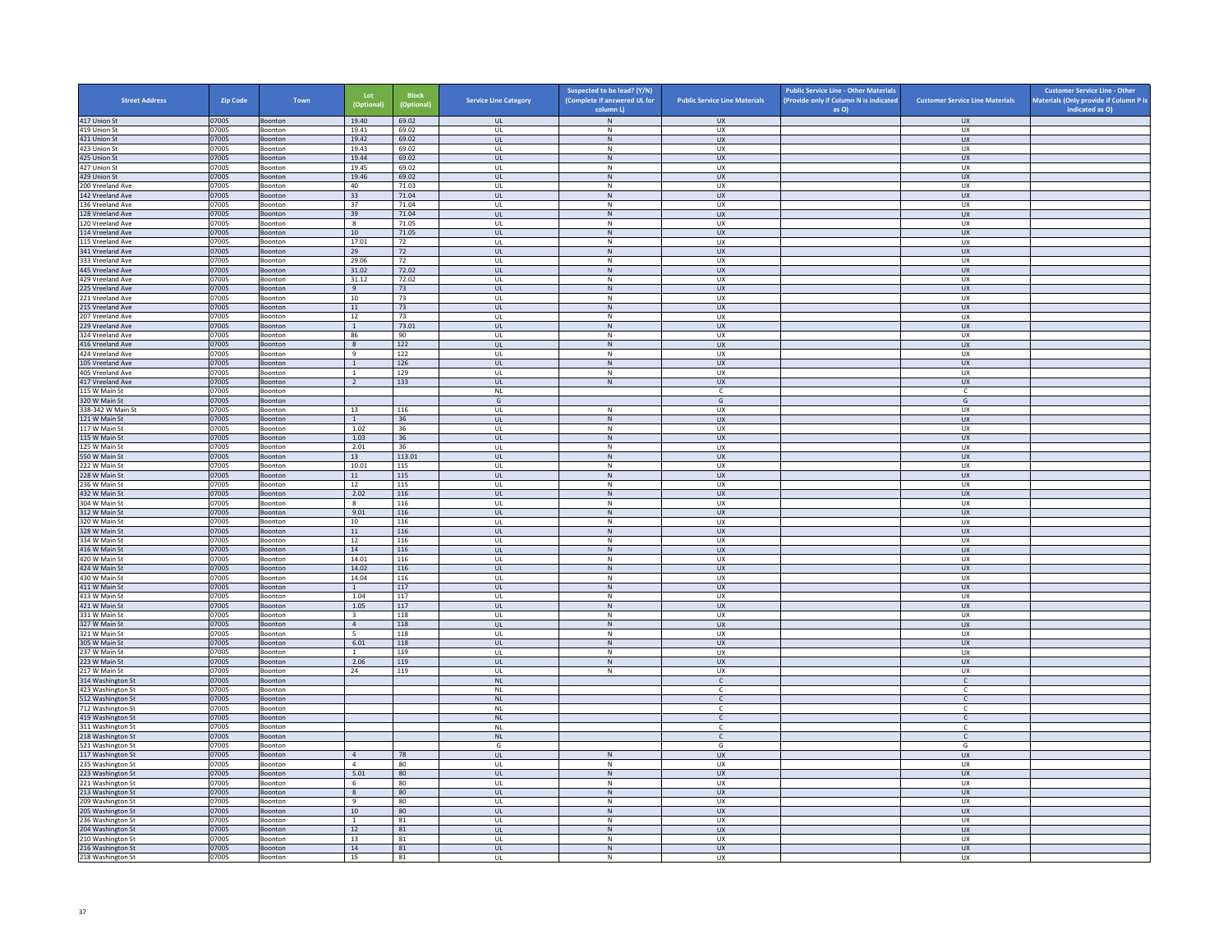| <b>Street Address</b>                  | Zip Code       | Town               | Lot<br>(Optional)               | <b>Block</b><br>(Optional) | <b>Service Line Category</b> | Suspected to be lead? (Y/N)<br>(Complete if answered UL for | <b>Public Service Line Materials</b> | <b>Public Service Line - Other Materials</b><br>(Provide only if Column N is indicated | <b>Customer Service Line Materials</b> | <b>Customer Service Line - Other</b><br>Materials (Only provide if Column P is |
|----------------------------------------|----------------|--------------------|---------------------------------|----------------------------|------------------------------|-------------------------------------------------------------|--------------------------------------|----------------------------------------------------------------------------------------|----------------------------------------|--------------------------------------------------------------------------------|
| 417 Union St                           | 07005          | Boonton            | 19.40                           | 69.02                      | <b>UL</b>                    | column L)<br>N                                              | UX                                   | as O)                                                                                  | <b>UX</b>                              | indicated as O)                                                                |
| 419 Union St                           | 07005          | Boonton            | 19.41                           | 69.02                      | <b>UL</b>                    | N                                                           | UX                                   |                                                                                        | UX                                     |                                                                                |
| 421 Union St                           | 07005          | Boonton            | 19.42                           | 69.02                      | UL                           | ${\sf N}$                                                   | UX                                   |                                                                                        | UX                                     |                                                                                |
| 423 Union St                           | 07005          | Boonton            | 19.43                           | 69.02                      | UL                           | ${\sf N}$                                                   | UX                                   |                                                                                        | <b>UX</b>                              |                                                                                |
| 425 Union St<br>427 Union St           | 07005<br>07005 | Boonton<br>Boonton | 19.44<br>19.45                  | 69.02<br>69.02             | <b>UL</b><br>UL              | N<br>${\sf N}$                                              | <b>UX</b><br>UX                      |                                                                                        | UX<br>UX                               |                                                                                |
| 429 Union St                           | 07005          | Boonton            | 19.46                           | 69.02                      | $\mathbf{U}$                 | N                                                           | UX                                   |                                                                                        | $\overline{U}$                         |                                                                                |
| 200 Vreeland Ave                       | 07005          | Boonton            | 40                              | 71.03                      | UL                           | ${\sf N}$                                                   | UX                                   |                                                                                        | UX                                     |                                                                                |
| 142 Vreeland Ave                       | 07005          | Boonton            | 33                              | 71.04                      | <b>UL</b>                    | N                                                           | UX                                   |                                                                                        | <b>UX</b>                              |                                                                                |
| 136 Vreeland Ave<br>128 Vreeland Ave   | 07005<br>07005 | Boonton<br>Boonton | 37<br>39                        | 71.04<br>71.04             | UL<br>UL                     | ${\sf N}$<br>$\,$ N                                         | UX<br>UX                             |                                                                                        | UX<br><b>UX</b>                        |                                                                                |
| 120 Vreeland Ave                       | 07005          | Boonton            | -8                              | 71.05                      | UL                           | N                                                           | <b>UX</b>                            |                                                                                        | <b>UX</b>                              |                                                                                |
| 114 Vreeland Ave                       | 07005          | Boonton            | $10\,$                          | 71.05                      | UL                           | ${\sf N}$                                                   | UX                                   |                                                                                        | UX                                     |                                                                                |
| 115 Vreeland Ave                       | 07005          | <b>Boonton</b>     | 17.01                           | 72                         | $\mathbf{U}$                 | N                                                           | UX                                   |                                                                                        | UX                                     |                                                                                |
| 341 Vreeland Ave                       | 07005          | Boonton            | 29                              | 72                         | UL                           | N                                                           | UX                                   |                                                                                        | UX                                     |                                                                                |
| 333 Vreeland Ave<br>445 Vreeland Ave   | 07005<br>07005 | Boonton<br>Boonton | 29.06<br>31.02                  | 72<br>72.02                | <b>UL</b><br>UL              | N<br>N                                                      | UX<br>UX                             |                                                                                        | UX<br>UX                               |                                                                                |
| 429 Vreeland Ave                       | 07005          | Boonton            | 31.12                           | 72.02                      | UL                           | ${\sf N}$                                                   | UX                                   |                                                                                        | UX                                     |                                                                                |
| 225 Vreeland Ave                       | 07005          | Boonton            | 9                               | 73                         | <b>UL</b>                    | N                                                           | <b>UX</b>                            |                                                                                        | <b>UX</b>                              |                                                                                |
| 221 Vreeland Ave                       | 07005          | Boonton            | $10\,$                          | 73                         | UL                           | ${\sf N}$                                                   | UX                                   |                                                                                        | UX                                     |                                                                                |
| 215 Vreeland Ave                       | 07005          | Boonton            | 11                              | 73                         | $\mathbf{u}$                 | N                                                           | $\overline{11}$                      |                                                                                        | UX                                     |                                                                                |
| 207 Vreeland Ave                       | 07005          | Boonton            | 12                              | 73                         | UL                           | ${\sf N}$                                                   | UX<br>UX                             |                                                                                        | UX                                     |                                                                                |
| 229 Vreeland Ave<br>324 Vreeland Ave   | 07005<br>07005 | Boonton<br>Boonton | $\mathbf{1}$<br>86              | 73.01<br>90                | UL<br>UL                     | N<br>${\sf N}$                                              | UX                                   |                                                                                        | UX<br>UX                               |                                                                                |
| 416 Vreeland Ave                       | 07005          | Boonton            | 8                               | 122                        | UL                           | ${\sf N}$                                                   | UX                                   |                                                                                        | <b>UX</b>                              |                                                                                |
| 424 Vreeland Ave                       | 07005          | Boonton            | 9                               | 122                        | UL                           | N                                                           | <b>UX</b>                            |                                                                                        | <b>UX</b>                              |                                                                                |
| 105 Vreeland Ave                       | 07005          | Boonton            | $\mathbf 1$                     | 126                        | $_{\sf UL}$                  | ${\sf N}$                                                   | ${\sf U}{\sf X}$                     |                                                                                        | ${\sf U}{\sf X}$                       |                                                                                |
| 405 Vreeland Ave                       | 07005          | Boonton            | $\overline{1}$                  | 129                        | $\mathbf{U}$                 | N                                                           | UX                                   |                                                                                        | UX                                     |                                                                                |
| 417 Vreeland Ave<br>115 W Main St      | 07005<br>07005 | Boonton<br>Boonton | $\overline{2}$                  | 133                        | UL<br>NI                     | ${\sf N}$                                                   | <b>UX</b><br>$\epsilon$              |                                                                                        | <b>UX</b><br>c                         |                                                                                |
| 320 W Main St                          | 07005          | Boonton            |                                 |                            | G                            |                                                             | G                                    |                                                                                        | G                                      |                                                                                |
| 338-342 W Main St                      | 07005          | Boonton            | 13                              | 116                        | UL                           | ${\sf N}$                                                   | UX                                   |                                                                                        | UX                                     |                                                                                |
| 121 W Main St                          | 07005          | Boonton            | $\overline{1}$                  | 36                         | <b>UL</b>                    | N                                                           | <b>UX</b>                            |                                                                                        | UX                                     |                                                                                |
| 117 W Main St                          | 07005          | Boonton            | 1.02                            | 36                         | UL                           | N                                                           | UX                                   |                                                                                        | UX                                     |                                                                                |
| 115 W Main St<br>125 W Main St         | 07005<br>07005 | Boonton<br>Boonton | 1.03<br>2.01                    | 36<br>36                   | $\mathbf{U}$<br>UL           | N<br>${\sf N}$                                              | $\overline{11}$<br>UX                |                                                                                        | UX<br>UX                               |                                                                                |
| 550 W Main St                          | 07005          | Boonton            | 13                              | 113.01                     | <b>UL</b>                    | N                                                           | <b>UX</b>                            |                                                                                        | <b>UX</b>                              |                                                                                |
| 222 W Main St                          | 07005          | Boonton            | 10.01                           | 115                        | UL                           | ${\sf N}$                                                   | UX                                   |                                                                                        | UX                                     |                                                                                |
| 228 W Main St                          | 07005          | Boonton            | 11                              | 115                        | <b>UL</b>                    | $\,$ N                                                      | <b>UX</b>                            |                                                                                        | <b>UX</b>                              |                                                                                |
| 236 W Main St                          | 07005          | Boonton            | 12                              | 115                        | <b>UL</b>                    | N                                                           | <b>UX</b>                            |                                                                                        | <b>UX</b>                              |                                                                                |
| 432 W Main St<br>304 W Main St         | 07005<br>07005 | Boonton<br>Boonton | 2.02<br>8                       | 116<br>116                 | UL<br>UL                     | N<br>N                                                      | UX<br>UX                             |                                                                                        | ${\sf U}{\sf X}$<br>UX                 |                                                                                |
| 312 W Main St                          | 07005          | Boonton            | 9.01                            | 116                        | <b>UL</b>                    | ${\sf N}$                                                   | <b>UX</b>                            |                                                                                        | <b>UX</b>                              |                                                                                |
| 320 W Main St                          | 07005          | Boonton            | 10                              | 116                        | UL                           | ${\sf N}$                                                   | UX                                   |                                                                                        | UX                                     |                                                                                |
| 328 W Main St                          | 07005          | Boonton            | 11                              | 116                        | <b>UL</b>                    | N                                                           | <b>UX</b>                            |                                                                                        | UX                                     |                                                                                |
| 334 W Main St                          | 07005          | Boonton            | 12                              | 116                        | UL                           | ${\sf N}$                                                   | UX                                   |                                                                                        | UX                                     |                                                                                |
| 416 W Main St<br>420 W Main St         | 07005<br>07005 | Boonton<br>Boonton | 14<br>14.01                     | 116<br>116                 | $\mathbf{u}$<br>UL           | N<br>N                                                      | UX<br>UX                             |                                                                                        | $\overline{U}$<br>UX                   |                                                                                |
| 424 W Main St                          | 07005          | Boonton            | 14.02                           | 116                        | <b>UL</b>                    | N                                                           | <b>UX</b>                            |                                                                                        | <b>UX</b>                              |                                                                                |
| 430 W Main St                          | 07005          | Boonton            | 14.04                           | 116                        | UL                           | ${\sf N}$                                                   | UX                                   |                                                                                        | UX                                     |                                                                                |
| 411 W Main St                          | 07005          | Boonton            | $\overline{1}$                  | 117                        | UL                           | ${\sf N}$                                                   | <b>UX</b>                            |                                                                                        | UX                                     |                                                                                |
| 413 W Main St                          | 07005          | Boonton            | 1.04                            | 117                        | UL                           | ${\sf N}$                                                   | UX                                   |                                                                                        | UX                                     |                                                                                |
| 421 W Main St<br>331 W Main St         | 07005<br>07005 | Boonton<br>Boonton | 1.05<br>$\overline{\mathbf{3}}$ | 117<br>118                 | UL<br>$\mathbf{U}$           | ${\sf N}$<br>N                                              | <b>UX</b><br>UX                      |                                                                                        | UX<br>UX                               |                                                                                |
| 327 W Main St                          | 07005          | Boonton            | $\overline{4}$                  | 118                        | UL                           | N                                                           | UX                                   |                                                                                        | UX                                     |                                                                                |
| 321 W Main St                          | 07005          | Boonton            | 5                               | 118                        | <b>UL</b>                    | N                                                           | <b>UX</b>                            |                                                                                        | UX                                     |                                                                                |
| 305 W Main St                          | 07005          | Boonton            | 6.01                            | 118                        | $\mathsf{UL}$                | ${\sf N}$                                                   | UX                                   |                                                                                        | UX                                     |                                                                                |
| 237 W Main St                          | 07005          | Boonton            | $\mathbf{1}$                    | 119                        | UL                           | $\,N\,$                                                     | UX                                   |                                                                                        | UX                                     |                                                                                |
| 223 W Main St<br>217 W Main St         | 07005          | Boonton            | 2.06<br>24                      | 119<br>119                 | <b>UL</b><br>UL              | N<br>${\sf N}$                                              | <b>UX</b><br>UX                      |                                                                                        | UX<br>UX                               |                                                                                |
| 314 Washington St                      | 07005<br>07005 | Boonton<br>Boonton |                                 |                            | NI                           |                                                             | $\mathbb{C}$                         |                                                                                        | $\mathsf{C}$                           |                                                                                |
| 423 Washington St                      | 07005          | Boonton            |                                 |                            | <b>NL</b>                    |                                                             | c                                    |                                                                                        | c                                      |                                                                                |
| 512 Washington St                      | 07005          | Boonton            |                                 |                            | <b>NL</b>                    |                                                             | $\mathsf{C}$                         |                                                                                        | $\mathsf{C}$                           |                                                                                |
| 712 Washington St                      | 07005          | Boonton            |                                 |                            | NL                           |                                                             |                                      |                                                                                        | c                                      |                                                                                |
| 419 Washington St                      | 07005<br>07005 | Boonton<br>Boonton |                                 |                            | <b>NL</b><br>NL              |                                                             | $\mathsf{C}$<br>$\mathsf{C}$         |                                                                                        | $\mathsf{C}$<br>$\mathsf{C}$           |                                                                                |
| 311 Washington St<br>218 Washington St | 07005          | Boonton            |                                 |                            | NL                           |                                                             | $\mathsf{C}$                         |                                                                                        | $\mathsf{C}$                           |                                                                                |
| 521 Washington St                      | 07005          | Boonton            |                                 |                            | G                            |                                                             | G                                    |                                                                                        | G                                      |                                                                                |
| 117 Washington St                      | 07005          | Boonton            | $\overline{4}$                  | 78                         | UL                           | ${\sf N}$                                                   | UX                                   |                                                                                        | UX                                     |                                                                                |
| 235 Washington St                      | 07005          | Boonton            | $\overline{4}$                  | 80                         | <b>UL</b>                    | N                                                           | <b>UX</b>                            |                                                                                        | <b>UX</b>                              |                                                                                |
| 223 Washington St                      | 07005          | Boonton            | 5.01                            | 80                         | $\mathsf{UL}$                | ${\sf N}$                                                   | UX                                   |                                                                                        | UX                                     |                                                                                |
| 221 Washington St<br>213 Washington St | 07005<br>07005 | Boonton<br>Boonton | 6<br>8                          | 80<br>80                   | UL<br><b>UL</b>              | ${\sf N}$<br>N                                              | UX<br><b>UX</b>                      |                                                                                        | UX<br>UX                               |                                                                                |
| 209 Washington St                      | 07005          | Boonton            | 9                               | 80                         | UL                           | ${\sf N}$                                                   | UX                                   |                                                                                        | UX                                     |                                                                                |
| 205 Washington St                      | 07005          | Boonton            | 10 <sup>1</sup>                 | 80                         | $\mathbf{u}$                 | N                                                           | UX                                   |                                                                                        | <b>UX</b>                              |                                                                                |
| 236 Washington St                      | 07005          | Boonton            | $\mathbf{1}$                    | 81                         | UL                           | ${\sf N}$                                                   | UX                                   |                                                                                        | UX                                     |                                                                                |
| 204 Washington St                      | 07005          | Boonton            | 12                              | 81                         | <b>UL</b>                    | N                                                           | <b>UX</b>                            |                                                                                        | <b>UX</b>                              |                                                                                |
| 210 Washington St<br>216 Washington St | 07005<br>07005 | Boonton<br>Boonton | 13<br>14                        | 81<br>81                   | UL<br>UL                     | $\mathsf{N}$<br>N                                           | UX<br>UX                             |                                                                                        | UX<br>UX                               |                                                                                |
| 218 Washington St                      | 07005          | Boonton            | 15                              | 81                         | UL                           | $\mathsf{N}$                                                | <b>UX</b>                            |                                                                                        | <b>UX</b>                              |                                                                                |
|                                        |                |                    |                                 |                            |                              |                                                             |                                      |                                                                                        |                                        |                                                                                |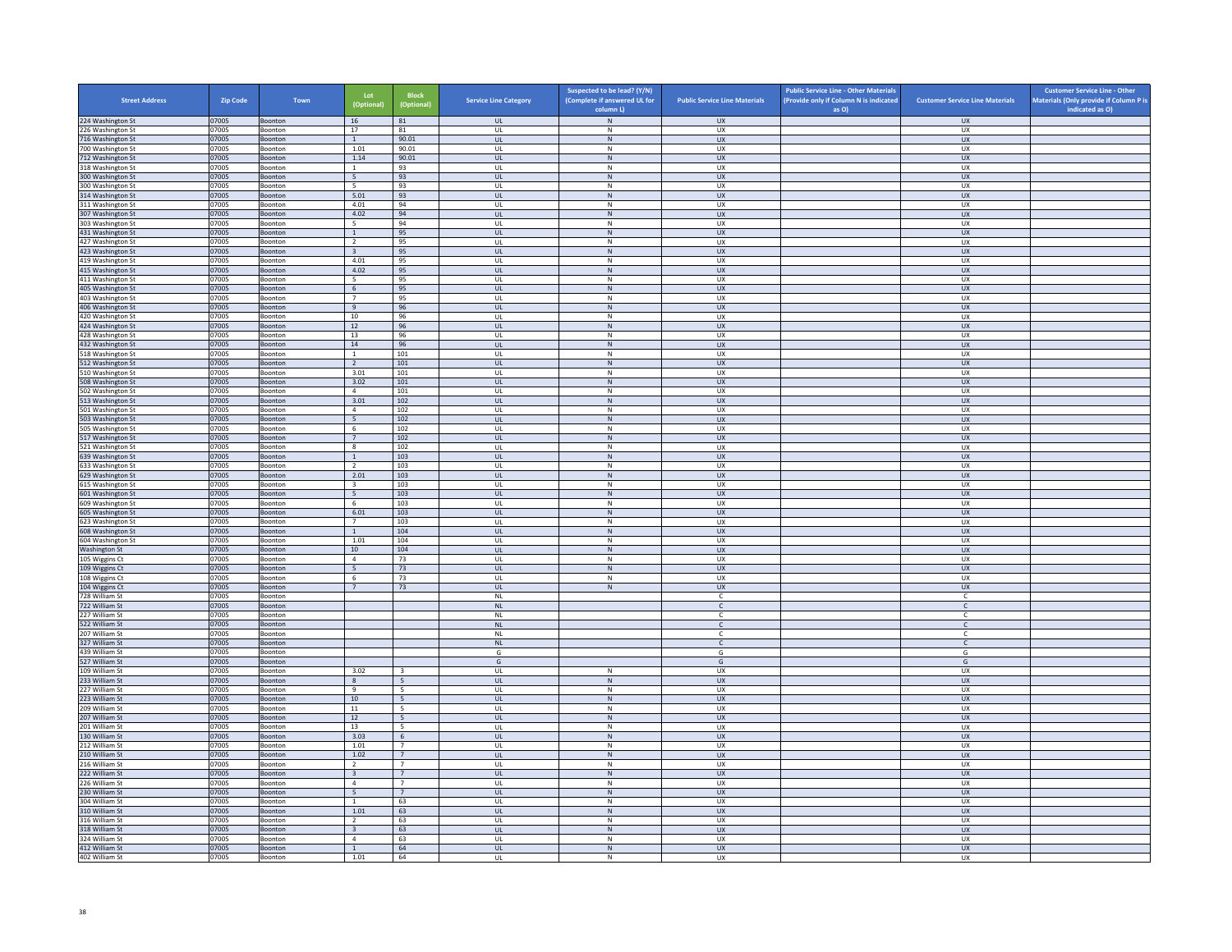| <b>Street Address</b>                  | <b>Zip Code</b> | Town                      | Lot<br>(Optional)                         | <b>Block</b><br>(Optional)        | <b>Service Line Category</b> | Suspected to be lead? (Y/N)<br>(Complete if answered UL for<br>column L) | <b>Public Service Line Materials</b> | <b>Public Service Line - Other Materials</b><br>(Provide only if Column N is indicated<br>as O) | <b>Customer Service Line Materials</b> | <b>Customer Service Line - Other</b><br>Materials (Only provide if Column P is<br>indicated as O) |
|----------------------------------------|-----------------|---------------------------|-------------------------------------------|-----------------------------------|------------------------------|--------------------------------------------------------------------------|--------------------------------------|-------------------------------------------------------------------------------------------------|----------------------------------------|---------------------------------------------------------------------------------------------------|
| 224 Washington St                      | 07005           | Boonton                   | 16                                        | 81                                | <b>UL</b>                    | ${\sf N}$                                                                | <b>UX</b>                            |                                                                                                 | <b>UX</b>                              |                                                                                                   |
| 226 Washington St                      | 07005           | Boonton                   | 17                                        | 81                                | UL                           | N                                                                        | UX                                   |                                                                                                 | UX                                     |                                                                                                   |
| 716 Washington St                      | 07005           | Boonton                   | <sup>1</sup>                              | 90.01                             | $_{\sf UL}$                  | ${\sf N}$                                                                | UX                                   |                                                                                                 | UX                                     |                                                                                                   |
| 700 Washington St<br>712 Washington St | 07005<br>07005  | Boonton<br><b>Boonton</b> | 1.01<br>1.14                              | 90.01<br>90.01                    | UL<br><b>UL</b>              | N<br>$\,$ N                                                              | <b>UX</b><br><b>UX</b>               |                                                                                                 | UX<br><b>UX</b>                        |                                                                                                   |
| 318 Washington St                      | 07005           | Boonton                   | $\mathbf{1}$                              | 93                                | UL                           | ${\sf N}$                                                                | UX                                   |                                                                                                 | UX                                     |                                                                                                   |
| 300 Washington St                      | 07005           | <b>Boonton</b>            | 5 <sup>5</sup>                            | 93                                | $\mathbf{u}$                 | N                                                                        | UX                                   |                                                                                                 | UX                                     |                                                                                                   |
| 00 Washington St                       | 07005           | Boonton                   | 5                                         | 93                                | UL                           | ${\sf N}$                                                                | UX                                   |                                                                                                 | UX                                     |                                                                                                   |
| 314 Washington St<br>311 Washington St | 07005<br>07005  | Boonton<br>Boonton        | 5.01<br>4.01                              | 93<br>94                          | <b>UL</b><br>$\mathsf{UL}$   | N<br>${\sf N}$                                                           | <b>UX</b><br>UX                      |                                                                                                 | <b>UX</b><br>UX                        |                                                                                                   |
| 307 Washington St                      | 07005           | Boonton                   | 4.02                                      | 94                                | UL                           | $\,$ N                                                                   | <b>UX</b>                            |                                                                                                 | <b>UX</b>                              |                                                                                                   |
| 303 Washington St                      | 07005           | Boonton                   | - 5                                       | 94                                | UL                           | N                                                                        | <b>UX</b>                            |                                                                                                 | UX                                     |                                                                                                   |
| 431 Washington St                      | 07005           | Boonton                   | $\,$ 1 $\,$                               | 95                                | $_{\sf UL}$                  | ${\sf N}$                                                                | UX                                   |                                                                                                 | UX                                     |                                                                                                   |
| 427 Washington St<br>423 Washington St | 07005<br>07005  | <b>Boonton</b><br>Boonton | $\overline{2}$<br>$\overline{\mathbf{3}}$ | 95<br>95                          | $\mathbf{U}$<br>UL           | N<br>N                                                                   | UX<br>UX                             |                                                                                                 | UX<br>UX                               |                                                                                                   |
| 419 Washington St                      | 07005           | Boonton                   | 4.01                                      | 95                                | UL                           | N                                                                        | UX                                   |                                                                                                 | <b>UX</b>                              |                                                                                                   |
| 415 Washington St                      | 07005           | Boonton                   | 4.02                                      | 95                                | $_{\sf UL}$                  | ${\sf N}$                                                                | UX                                   |                                                                                                 | UX                                     |                                                                                                   |
| 411 Washington St                      | 07005           | Boonton                   | - 5                                       | 95                                | UL                           | $\mathsf{N}$                                                             | UX                                   |                                                                                                 | UX                                     |                                                                                                   |
| 405 Washington St<br>403 Washington St | 07005<br>07005  | <b>Boonton</b><br>Boonton | $6\overline{6}$<br>$7\overline{ }$        | 95<br>95                          | UL<br>UL                     | $\,$ N<br>${\sf N}$                                                      | <b>UX</b><br>UX                      |                                                                                                 | <b>UX</b><br>UX                        |                                                                                                   |
| 406 Washington St                      | 07005           | Boonton                   | $\overline{9}$                            | 96                                | $\mathbf{u}$                 | N                                                                        | UX                                   |                                                                                                 | UX                                     |                                                                                                   |
| 420 Washington St                      | 07005           | Boonton                   | $10\,$                                    | 96                                | UL                           | N                                                                        | UX                                   |                                                                                                 | UX                                     |                                                                                                   |
| 424 Washington St                      | 07005           | Boonton                   | 12                                        | 96                                | <b>UL</b>                    | N                                                                        | <b>UX</b>                            |                                                                                                 | <b>UX</b>                              |                                                                                                   |
| 428 Washington St                      | 07005           | Boonton                   | 13                                        | 96                                | UL                           | ${\sf N}$<br>N                                                           | UX                                   |                                                                                                 | UX                                     |                                                                                                   |
| 432 Washington St<br>518 Washington St | 07005<br>07005  | Boonton<br>Boonton        | 14<br><sup>1</sup>                        | 96<br>101                         | UL<br>UL                     | N                                                                        | <b>UX</b><br><b>UX</b>               |                                                                                                 | <b>UX</b><br><b>UX</b>                 |                                                                                                   |
| 512 Washington St                      | 07005           | Boonton                   | $\overline{2}$                            | $101\,$                           | $_{\sf UL}$                  | ${\sf N}$                                                                | ${\sf U}{\sf X}$                     |                                                                                                 | ${\sf U}{\sf X}$                       |                                                                                                   |
| 510 Washington St                      | 07005           | Boonton                   | 3.01                                      | 101                               | $\mathbf{U}$                 | N                                                                        | <b>UX</b>                            |                                                                                                 | <b>UX</b>                              |                                                                                                   |
| 508 Washington St                      | 07005           | Boonton                   | 3.02                                      | 101                               | <b>UL</b>                    | $\,$ N                                                                   | UX                                   |                                                                                                 | <b>UX</b>                              |                                                                                                   |
| 502 Washington St<br>513 Washington St | 07005<br>07005  | Boonton<br>Boonton        | $\overline{4}$<br>3.01                    | 101<br>102                        | UL<br>UL                     | N<br>$\,$ N                                                              | UX<br><b>UX</b>                      |                                                                                                 | UX<br><b>UX</b>                        |                                                                                                   |
| 501 Washington St                      | 07005           | Boonton                   | $\overline{4}$                            | 102                               | UL                           | N                                                                        | UX                                   |                                                                                                 | UX                                     |                                                                                                   |
| 503 Washington St                      | 07005           | Boonton                   | 5                                         | 102                               | <b>UL</b>                    | N                                                                        | <b>UX</b>                            |                                                                                                 | <b>UX</b>                              |                                                                                                   |
| 505 Washington St                      | 07005           | Boonton                   | 6                                         | 102                               | UL                           | ${\sf N}$                                                                | UX                                   |                                                                                                 | UX                                     |                                                                                                   |
| 517 Washington St<br>21 Washington St  | 07005<br>07005  | Boonton<br>Boonton        | 7<br>8                                    | 102<br>102                        | $\mathbf{u}$<br>UL           | N<br>N                                                                   | <b>UX</b><br>UX                      |                                                                                                 | <b>UX</b><br>UX                        |                                                                                                   |
| 639 Washington St                      | 07005           | Boonton                   | 1                                         | 103                               | UL                           | N                                                                        | <b>UX</b>                            |                                                                                                 | <b>UX</b>                              |                                                                                                   |
| 633 Washington St                      | 07005           | Boonton                   | $\overline{2}$                            | 103                               | UL                           | ${\sf N}$                                                                | UX                                   |                                                                                                 | UX                                     |                                                                                                   |
| 629 Washington St                      | 07005           | Boonton                   | 2.01                                      | 103                               | UL                           | $\,$ N                                                                   | <b>UX</b>                            |                                                                                                 | <b>UX</b>                              |                                                                                                   |
| 615 Washington St                      | 07005           | Boonton                   | $\overline{\mathbf{3}}$<br>5              | 103                               | UL                           | N<br>$\,$ N                                                              | <b>UX</b>                            |                                                                                                 | <b>UX</b>                              |                                                                                                   |
| 601 Washington St<br>609 Washington St | 07005<br>07005  | Boonton<br>Boonton        | 6                                         | 103<br>103                        | $_{\sf UL}$<br>UL            | N                                                                        | ${\sf U}{\sf X}$<br><b>UX</b>        |                                                                                                 | ${\sf U}{\sf X}$<br><b>UX</b>          |                                                                                                   |
| 605 Washington St                      | 07005           | Boonton                   | 6.01                                      | 103                               | UL                           | $\mathsf{N}$                                                             | UX                                   |                                                                                                 | UX                                     |                                                                                                   |
| 623 Washington St                      | 07005           | Boonton                   | 7                                         | 103                               | UL                           | N                                                                        | UX                                   |                                                                                                 | UX                                     |                                                                                                   |
| <b>508 Washington St</b>               | 07005           | Boonton                   | <sup>1</sup>                              | 104                               | UL                           | $\,$ N                                                                   | <b>UX</b>                            |                                                                                                 | <b>UX</b>                              |                                                                                                   |
| 604 Washington St<br>Washington St     | 07005<br>07005  | Boonton<br>Boonton        | 1.01<br>10 <sup>1</sup>                   | 104<br>104                        | UL<br>$\mathbf{u}$           | ${\sf N}$<br>N                                                           | UX<br>$\overline{11}$                |                                                                                                 | UX<br>UX                               |                                                                                                   |
| 105 Wiggins Ct                         | 07005           | Boonton                   | $\overline{4}$                            | 73                                | UL                           | ${\sf N}$                                                                | UX                                   |                                                                                                 | UX                                     |                                                                                                   |
| 109 Wiggins Ct                         | 07005           | Boonton                   | 5                                         | 73                                | $\mathbf{u}$                 | N                                                                        | <b>UX</b>                            |                                                                                                 | <b>UX</b>                              |                                                                                                   |
| 108 Wiggins Ct                         | 07005           | Boonton                   | $\sqrt{6}$                                | 73                                | UL                           | ${\sf N}$                                                                | UX                                   |                                                                                                 | UX                                     |                                                                                                   |
| 104 Wiggins Ct<br>728 William St       | 07005<br>07005  | Boonton<br>Boonton        | $\overline{7}$                            | 73                                | UL<br>$\mathsf{NL}$          | N                                                                        | <b>UX</b><br>$\mathsf{C}$            |                                                                                                 | UX<br>$\mathsf{C}$                     |                                                                                                   |
| 722 William St                         | 07005           | Boonton                   |                                           |                                   | $\mathsf{NL}$                |                                                                          | $\mathsf{C}$                         |                                                                                                 | $\mathsf{C}$                           |                                                                                                   |
| 227 William St                         | 07005           | <b>Boonton</b>            |                                           |                                   | NI                           |                                                                          | C.                                   |                                                                                                 | $\mathsf{C}$                           |                                                                                                   |
| 522 William St                         | 07005           | Boonton                   |                                           |                                   | NL                           |                                                                          | $\epsilon$                           |                                                                                                 | $\mathsf{C}$                           |                                                                                                   |
| 207 William St                         | 07005           | Boonton                   |                                           |                                   | <b>NL</b>                    |                                                                          | <b>C</b>                             |                                                                                                 | $\mathsf{C}$                           |                                                                                                   |
| 327 William St<br>439 William St       | 07005<br>07005  | Boonton<br>Boonton        |                                           |                                   | $\mathsf{NL}$<br>G           |                                                                          | $\mathsf{C}$<br>G                    |                                                                                                 | $\mathsf{C}^-$<br>G                    |                                                                                                   |
| 527 William St                         | 07005           | <b>Boonton</b>            |                                           |                                   | G                            |                                                                          | G                                    |                                                                                                 | G                                      |                                                                                                   |
| 109 William St                         | 07005           | Boonton                   | 3.02                                      | $\overline{\mathbf{3}}$           | UL                           | ${\sf N}$                                                                | UX                                   |                                                                                                 | UX                                     |                                                                                                   |
| 233 William St                         | 07005           | Boonton                   | $\mathbf{g}$                              | 5 <sup>5</sup>                    | $\mathbf{u}$                 | N                                                                        | UX                                   |                                                                                                 | $\overline{U}$                         |                                                                                                   |
| 227 William St<br>223 William St       | 07005<br>07005  | Boonton<br>Boonton        | $\,9$<br>10                               | -5<br>5                           | UL<br><b>UL</b>              | ${\sf N}$<br>N                                                           | UX<br><b>UX</b>                      |                                                                                                 | UX<br><b>UX</b>                        |                                                                                                   |
| 209 William St                         | 07005           | Boonton                   | $11\,$                                    | 5                                 | $\mathsf{UL}$                | ${\sf N}$                                                                | UX                                   |                                                                                                 | UX                                     |                                                                                                   |
| 207 William St                         | 07005           | Boonton                   | 12                                        | 5                                 | UL                           | N                                                                        | UX                                   |                                                                                                 | UX                                     |                                                                                                   |
| 201 William St                         | 07005           | Boonton                   | 13                                        | 5                                 | UL                           | ${\sf N}$                                                                | UX                                   |                                                                                                 | UX                                     |                                                                                                   |
| 130 William St<br>212 William St       | 07005<br>07005  | Boonton<br><b>Boonton</b> | 3.03<br>1.01                              | $6\overline{6}$<br>$\overline{7}$ | $_{\sf UL}$<br>$\mathbf{U}$  | ${\sf N}$<br>N                                                           | UX<br><b>UX</b>                      |                                                                                                 | <b>UX</b><br>UX                        |                                                                                                   |
| 210 William St                         | 07005           | Boonton                   | 1.02                                      | 7                                 | UL                           | ${\sf N}$                                                                | UX                                   |                                                                                                 | UX                                     |                                                                                                   |
| 216 William St                         | 07005           | Boonton                   | $\overline{2}$                            | $\overline{7}$                    | UL                           | N.                                                                       | <b>UX</b>                            |                                                                                                 | UX                                     |                                                                                                   |
| 222 William St                         | 07005           | Boonton                   | $\overline{\mathbf{3}}$                   | $7\overline{ }$                   | $_{\sf UL}$                  | ${\sf N}$                                                                | UX                                   |                                                                                                 | UX                                     |                                                                                                   |
| 226 William St                         | 07005           | Boonton                   | $\overline{4}$                            | $7^{\circ}$                       | UL                           | $\,$ N                                                                   | UX                                   |                                                                                                 | UX                                     |                                                                                                   |
| 230 William St<br>304 William St       | 07005<br>07005  | Boonton<br>Boonton        | 5<br>$\overline{1}$                       | $7^{\circ}$<br>63                 | <b>UL</b><br>UL              | N<br>${\sf N}$                                                           | <b>UX</b><br>UX                      |                                                                                                 | <b>UX</b><br>UX                        |                                                                                                   |
| 310 William St                         | 07005           | Boonton                   | 1.01                                      | 63                                | $\mathbf{u}$                 | N                                                                        | UX                                   |                                                                                                 | <b>UX</b>                              |                                                                                                   |
| 316 William St                         | 07005           | Boonton                   | $\overline{2}$                            | 63                                | UL                           | $\mathsf{N}$                                                             | UX                                   |                                                                                                 | UX                                     |                                                                                                   |
| 318 William St                         | 07005           | Boonton                   | $\overline{\mathbf{3}}$                   | 63                                | <b>UL</b>                    | N                                                                        | <b>UX</b>                            |                                                                                                 | <b>UX</b>                              |                                                                                                   |
| 324 William St<br>412 William St       | 07005<br>07005  | Boonton<br>Boonton        | $\overline{4}$<br>$\mathbf{1}$            | 63<br>64                          | UL<br>UL                     | ${\sf N}$<br>N                                                           | UX<br><b>UX</b>                      |                                                                                                 | UX<br>UX                               |                                                                                                   |
| 402 William St                         | 07005           | Boonton                   | 1.01                                      | 64                                | UL                           | N                                                                        | <b>UX</b>                            |                                                                                                 | <b>UX</b>                              |                                                                                                   |
|                                        |                 |                           |                                           |                                   |                              |                                                                          |                                      |                                                                                                 |                                        |                                                                                                   |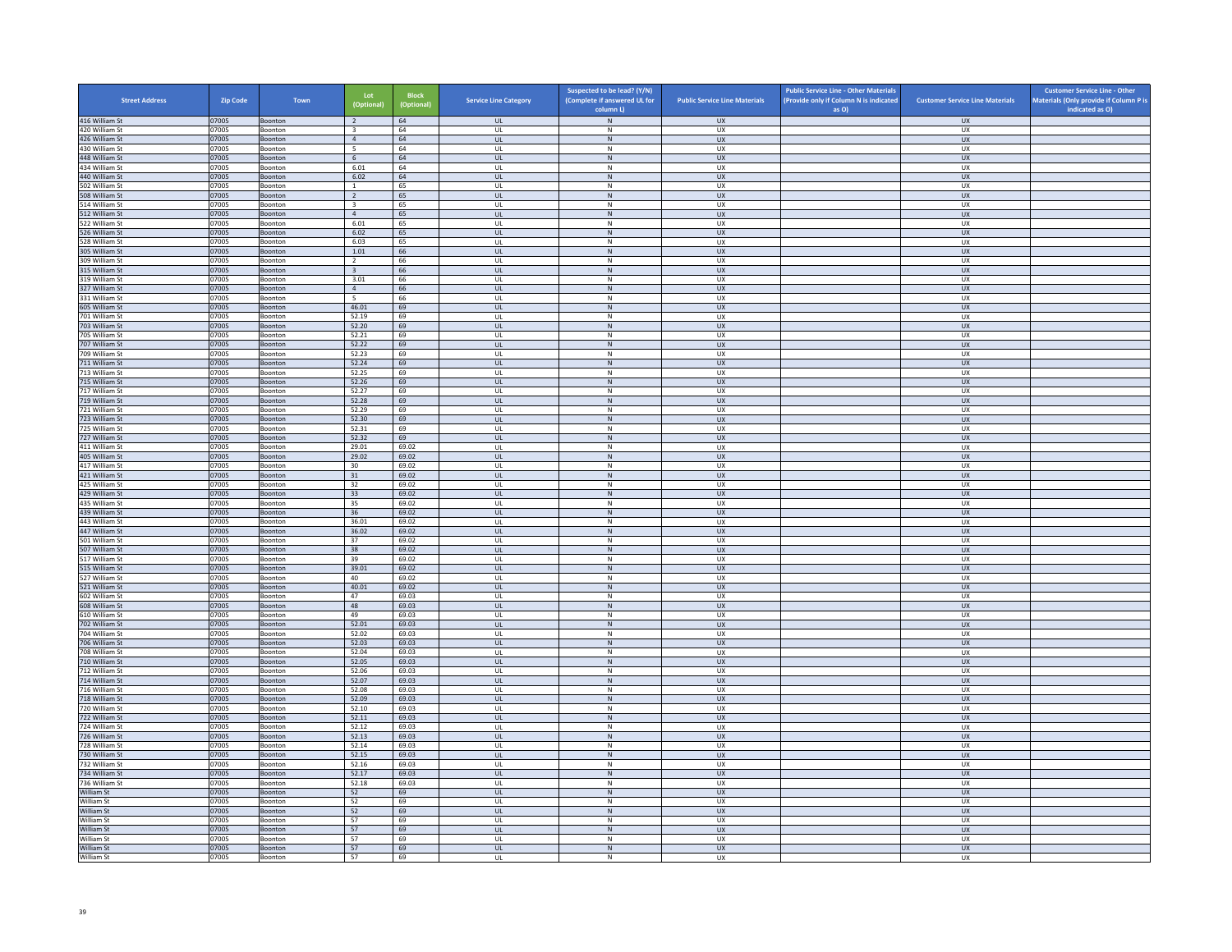| <b>Street Address</b>            | Zip Code       | Town               | Lot<br>(Optional)                         | <b>Block</b><br>(Optional) | <b>Service Line Category</b>      | Suspected to be lead? (Y/N)<br>(Complete if answered UL for | <b>Public Service Line Materials</b> | <b>Public Service Line - Other Materials</b><br>(Provide only if Column N is indicated | <b>Customer Service Line Materials</b> | <b>Customer Service Line - Other</b><br>Materials (Only provide if Column P is |
|----------------------------------|----------------|--------------------|-------------------------------------------|----------------------------|-----------------------------------|-------------------------------------------------------------|--------------------------------------|----------------------------------------------------------------------------------------|----------------------------------------|--------------------------------------------------------------------------------|
| 416 William St                   | 07005          | Boonton            | $\overline{2}$                            | 64                         | <b>UL</b>                         | column L)<br>${\sf N}$                                      | <b>UX</b>                            | as O)                                                                                  | <b>UX</b>                              | indicated as O)                                                                |
| 420 William St                   | 07005          | Boonton            | $\overline{\mathbf{3}}$                   | 64                         | <b>UL</b>                         | N                                                           | UX                                   |                                                                                        | <b>UX</b>                              |                                                                                |
| 426 William St                   | 07005          | Boonton            | $\overline{4}$                            | 64                         | UL                                | ${\sf N}$                                                   | ${\sf U}{\sf X}$                     |                                                                                        | UX                                     |                                                                                |
| 430 William St                   | 07005          | Boonton            | 5                                         | 64                         | UL                                | ${\sf N}$                                                   | UX                                   |                                                                                        | <b>UX</b>                              |                                                                                |
| 448 William St<br>434 William St | 07005<br>07005 | Boonton<br>Boonton | 6<br>6.01                                 | 64<br>64                   | <b>UL</b><br>UL                   | N<br>${\sf N}$                                              | <b>UX</b><br>UX                      |                                                                                        | UX<br>UX                               |                                                                                |
| 440 William St                   | 07005          | Boonton            | 6.02                                      | 64                         | $\mathbf{U}$                      | N                                                           | UX                                   |                                                                                        | $\overline{U}$                         |                                                                                |
| 502 William St                   | 07005          | Boonton            | $\overline{1}$                            | 65                         | UL                                | ${\sf N}$                                                   | UX                                   |                                                                                        | UX                                     |                                                                                |
| 508 William St                   | 07005          | Boonton            | $\overline{2}$                            | 65                         | <b>UL</b>                         | N                                                           | UX                                   |                                                                                        | <b>UX</b>                              |                                                                                |
| 514 William St<br>512 William St | 07005<br>07005 | Boonton<br>Boonton | $\overline{\mathbf{3}}$<br>$\overline{4}$ | 65<br>65                   | UL<br>UL                          | ${\sf N}$<br>${\sf N}$                                      | UX<br>UX                             |                                                                                        | UX<br><b>UX</b>                        |                                                                                |
| 522 William St                   | 07005          | Boonton            | 6.01                                      | 65                         | UL                                | N                                                           | <b>UX</b>                            |                                                                                        | <b>UX</b>                              |                                                                                |
| 526 William St                   | 07005          | Boonton            | 6.02                                      | 65                         | UL                                | ${\sf N}$                                                   | UX                                   |                                                                                        | UX                                     |                                                                                |
| 528 William St                   | 07005          | <b>Boonton</b>     | 6.03                                      | 65                         | $\mathbf{U}$                      | N                                                           | UX                                   |                                                                                        | UX                                     |                                                                                |
| 305 William St                   | 07005          | Boonton            | 1.01                                      | 66                         | UL                                | N                                                           | UX                                   |                                                                                        | UX                                     |                                                                                |
| 309 William St<br>315 William St | 07005<br>07005 | Boonton<br>Boonton | $\overline{2}$<br>$\overline{\mathbf{3}}$ | 66<br>66                   | <b>UL</b><br>UL                   | N<br>N                                                      | UX<br>UX                             |                                                                                        | UX<br>UX                               |                                                                                |
| 319 William St                   | 07005          | Boonton            | 3.01                                      | 66                         | UL                                | ${\sf N}$                                                   | UX                                   |                                                                                        | UX                                     |                                                                                |
| 327 William St                   | 07005          | Boonton            | $\overline{4}$                            | 66                         | <b>UL</b>                         | N                                                           | <b>UX</b>                            |                                                                                        | <b>UX</b>                              |                                                                                |
| 331 William St                   | 07005          | Boonton            | $5\overline{5}$                           | 66                         | UL                                | ${\sf N}$                                                   | UX                                   |                                                                                        | UX                                     |                                                                                |
| 605 William St                   | 07005          | Boonton            | 46.01                                     | 69                         | $\mathbf{u}$                      | N                                                           | $\overline{11}$                      |                                                                                        | UX                                     |                                                                                |
| 701 William St                   | 07005          | Boonton            | 52.19                                     | 69                         | UL                                | ${\sf N}$                                                   | UX<br>UX                             |                                                                                        | UX                                     |                                                                                |
| 703 William St<br>705 William St | 07005<br>07005 | Boonton<br>Boonton | 52.20<br>52.21                            | 69<br>69                   | UL<br>UL                          | N<br>${\sf N}$                                              | UX                                   |                                                                                        | UX<br>UX                               |                                                                                |
| 707 William St                   | 07005          | Boonton            | 52.22                                     | 69                         | UL                                | ${\sf N}$                                                   | UX                                   |                                                                                        | <b>UX</b>                              |                                                                                |
| 709 William St                   | 07005          | Boonton            | 52.23                                     | 69                         | UL                                | N                                                           | <b>UX</b>                            |                                                                                        | <b>UX</b>                              |                                                                                |
| 711 William St                   | 07005          | Boonton            | 52.24                                     | 69                         | $_{\sf UL}$                       | N                                                           | ${\sf U}{\sf X}$                     |                                                                                        | ${\sf U}{\sf X}$                       |                                                                                |
| 713 William St                   | 07005          | Boonton            | 52.25                                     | 69                         | $\mathbf{U}$                      | N                                                           | UX                                   |                                                                                        | UX                                     |                                                                                |
| 715 William St<br>717 William St | 07005<br>07005 | Boonton<br>Boonton | 52.26<br>52.27                            | 69<br>69                   | UL<br><b>UL</b>                   | ${\sf N}$<br>N                                              | UX<br>UX                             |                                                                                        | UX<br>UX                               |                                                                                |
| 719 William St                   | 07005          | Boonton            | 52.28                                     | 69                         | UL                                | N                                                           | <b>UX</b>                            |                                                                                        | UX                                     |                                                                                |
| 721 William St                   | 07005          | Boonton            | 52.29                                     | 69                         | UL                                | ${\sf N}$                                                   | UX                                   |                                                                                        | UX                                     |                                                                                |
| 723 William St                   | 07005          | Boonton            | 52.30                                     | 69                         | <b>UL</b>                         | N                                                           | <b>UX</b>                            |                                                                                        | <b>UX</b>                              |                                                                                |
| 725 William St                   | 07005          | Boonton            | 52.31                                     | 69                         | UL                                | $\mathsf{N}$                                                | UX                                   |                                                                                        | UX                                     |                                                                                |
| 727 William St<br>411 William St | 07005<br>07005 | Boonton<br>Boonton | 52.32<br>29.01                            | 69<br>69.02                | $\mathbf{U}$<br>UL                | N<br>${\sf N}$                                              | $\overline{11}$<br>UX                |                                                                                        | UX<br>UX                               |                                                                                |
| 405 William St                   | 07005          | Boonton            | 29.02                                     | 69.02                      | <b>UL</b>                         | N                                                           | <b>UX</b>                            |                                                                                        | <b>UX</b>                              |                                                                                |
| 417 William St                   | 07005          | Boonton            | 30                                        | 69.02                      | UL                                | ${\sf N}$                                                   | UX                                   |                                                                                        | UX                                     |                                                                                |
| 421 William St                   | 07005          | Boonton            | 31                                        | 69.02                      | UL.                               | $\,$ N                                                      | <b>UX</b>                            |                                                                                        | <b>UX</b>                              |                                                                                |
| 425 William St                   | 07005          | Boonton            | 32                                        | 69.02                      | <b>UL</b>                         | N                                                           | <b>UX</b>                            |                                                                                        | <b>UX</b>                              |                                                                                |
| 429 William St<br>435 William St | 07005<br>07005 | Boonton<br>Boonton | 33<br>35                                  | 69.02<br>69.02             | UL<br>UL                          | ${\sf N}$<br>N                                              | UX<br>UX                             |                                                                                        | ${\sf U}{\sf X}$<br><b>UX</b>          |                                                                                |
| 439 William St                   | 07005          | Boonton            | 36                                        | 69.02                      | <b>UL</b>                         | ${\sf N}$                                                   | <b>UX</b>                            |                                                                                        | <b>UX</b>                              |                                                                                |
| 443 William St                   | 07005          | Boonton            | 36.01                                     | 69.02                      | UL                                | ${\sf N}$                                                   | UX                                   |                                                                                        | UX                                     |                                                                                |
| 447 William St                   | 07005          | Boonton            | 36.02                                     | 69.02                      | <b>UL</b>                         | N                                                           | <b>UX</b>                            |                                                                                        | UX                                     |                                                                                |
| 501 William St                   | 07005          | Boonton            | 37                                        | 69.02                      | UL                                | ${\sf N}$                                                   | UX                                   |                                                                                        | UX                                     |                                                                                |
| 507 William St<br>517 William St | 07005<br>07005 | Boonton<br>Boonton | 38<br>39                                  | 69.02<br>69.02             | $\mathbf{u}$<br>UL                | N<br>$\mathsf{N}$                                           | UX<br>UX                             |                                                                                        | $\overline{U}$<br>UX                   |                                                                                |
| 515 William St                   | 07005          | Boonton            | 39.01                                     | 69.02                      | <b>UL</b>                         | N                                                           | <b>UX</b>                            |                                                                                        | <b>UX</b>                              |                                                                                |
| 527 William St                   | 07005          | Boonton            | 40                                        | 69.02                      | UL                                | ${\sf N}$                                                   | UX                                   |                                                                                        | UX                                     |                                                                                |
| 521 William St                   | 07005          | Boonton            | 40.01                                     | 69.02                      | UL                                | ${\sf N}$                                                   | <b>UX</b>                            |                                                                                        | UX                                     |                                                                                |
| 602 William St                   | 07005          | Boonton            | 47                                        | 69.03                      | UL                                | ${\sf N}$                                                   | UX                                   |                                                                                        | UX                                     |                                                                                |
| 608 William St<br>610 William St | 07005<br>07005 | Boonton<br>Boonton | 48<br>49                                  | 69.03<br>69.03             | UL<br>$\mathbf{U}$                | ${\sf N}$<br>N                                              | <b>UX</b><br>UX                      |                                                                                        | UX<br>UX                               |                                                                                |
| 702 William St                   | 07005          | Boonton            | 52.01                                     | 69.03                      | UL                                | N                                                           | UX                                   |                                                                                        | UX                                     |                                                                                |
| 704 William St                   | 07005          | Boonton            | 52.02                                     | 69.03                      | <b>UL</b>                         | N                                                           | <b>UX</b>                            |                                                                                        | <b>UX</b>                              |                                                                                |
| 706 William St                   | 07005          | Boonton            | 52.03                                     | 69.03                      | <b>UL</b>                         | ${\sf N}$                                                   | UX                                   |                                                                                        | UX                                     |                                                                                |
| 708 William St                   | 07005          | Boonton            | 52.04                                     | 69.03                      | UL                                | ${\sf N}$                                                   | UX                                   |                                                                                        | UX                                     |                                                                                |
| 710 William St<br>712 William St | 07005<br>07005 | Boonton<br>Boonton | 52.05<br>52.06                            | 69.03<br>69.03             | <b>UL</b><br>UL                   | N<br>${\sf N}$                                              | <b>UX</b><br>UX                      |                                                                                        | UX<br>UX                               |                                                                                |
| 714 William St                   | 07005          | Boonton            | 52.07                                     | 69.03                      | $\mathbf{u}$                      | N                                                           | UX                                   |                                                                                        | <b>UX</b>                              |                                                                                |
| 716 William St                   | 07005          | Boonton            | 52.08                                     | 69.03                      | UL                                | $\mathsf{N}$                                                | UX                                   |                                                                                        | UX                                     |                                                                                |
| 718 William St                   | 07005          | Boonton            | 52.09                                     | 69.03                      | <b>UL</b>                         | N                                                           | <b>UX</b>                            |                                                                                        | <b>UX</b>                              |                                                                                |
| 720 William St                   | 07005          | Boonton            | 52.10                                     | 69.03                      | UL                                | ${\sf N}$                                                   | UX                                   |                                                                                        | UX                                     |                                                                                |
| 722 William St<br>724 William St | 07005<br>07005 | Boonton<br>Boonton | 52.11<br>52.12                            | 69.03<br>69.03             | UL<br>UL                          | ${\sf N}$<br>${\sf N}$                                      | UX<br>UX                             |                                                                                        | UX<br>UX                               |                                                                                |
| 726 William St                   | 07005          | Boonton            | 52.13                                     | 69.03                      | $\ensuremath{\mathsf{UL}}\xspace$ | ${\sf N}$                                                   | UX                                   |                                                                                        | UX                                     |                                                                                |
| 728 William St                   | 07005          | Boonton            | 52.14                                     | 69.03                      | $\mathbf{U}$                      | N                                                           | UX                                   |                                                                                        | UX                                     |                                                                                |
| 730 William St                   | 07005          | Boonton            | 52.15                                     | 69.03                      | UL                                | ${\sf N}$                                                   | UX                                   |                                                                                        | UX                                     |                                                                                |
| 732 William St                   | 07005          | Boonton            | 52.16                                     | 69.03                      | <b>UL</b>                         | N                                                           | UX                                   |                                                                                        | <b>UX</b>                              |                                                                                |
| 734 William St                   | 07005          | Boonton            | 52.17                                     | 69.03                      | $\mathsf{UL}$                     | ${\sf N}$                                                   | UX                                   |                                                                                        | UX                                     |                                                                                |
| 736 William St<br>William St     | 07005<br>07005 | Boonton<br>Boonton | 52.18<br>52                               | 69.03<br>69                | UL<br><b>UL</b>                   | ${\sf N}$<br>N                                              | UX<br><b>UX</b>                      |                                                                                        | UX<br>UX                               |                                                                                |
| William St                       | 07005          | Boonton            | 52                                        | 69                         | UL                                | ${\sf N}$                                                   | UX                                   |                                                                                        | UX                                     |                                                                                |
| William St                       | 07005          | Boonton            | 52                                        | 69                         | $\mathbf{u}$                      | N                                                           | UX                                   |                                                                                        | <b>UX</b>                              |                                                                                |
| William St                       | 07005          | Boonton            | 57                                        | 69                         | UL                                | ${\sf N}$                                                   | UX                                   |                                                                                        | UX                                     |                                                                                |
| William St<br>William St         | 07005<br>07005 | Boonton<br>Boonton | 57<br>57                                  | 69<br>69                   | <b>UL</b><br>UL                   | N<br>$\mathsf{N}$                                           | <b>UX</b><br>UX                      |                                                                                        | <b>UX</b><br>UX                        |                                                                                |
| William St                       | 07005          | Boonton            | 57                                        | 69                         | UL                                | N                                                           | UX                                   |                                                                                        | UX                                     |                                                                                |
| William St                       | 07005          | Boonton            | 57                                        | 69                         | UL                                | $\mathsf{N}$                                                | <b>UX</b>                            |                                                                                        | <b>UX</b>                              |                                                                                |
|                                  |                |                    |                                           |                            |                                   |                                                             |                                      |                                                                                        |                                        |                                                                                |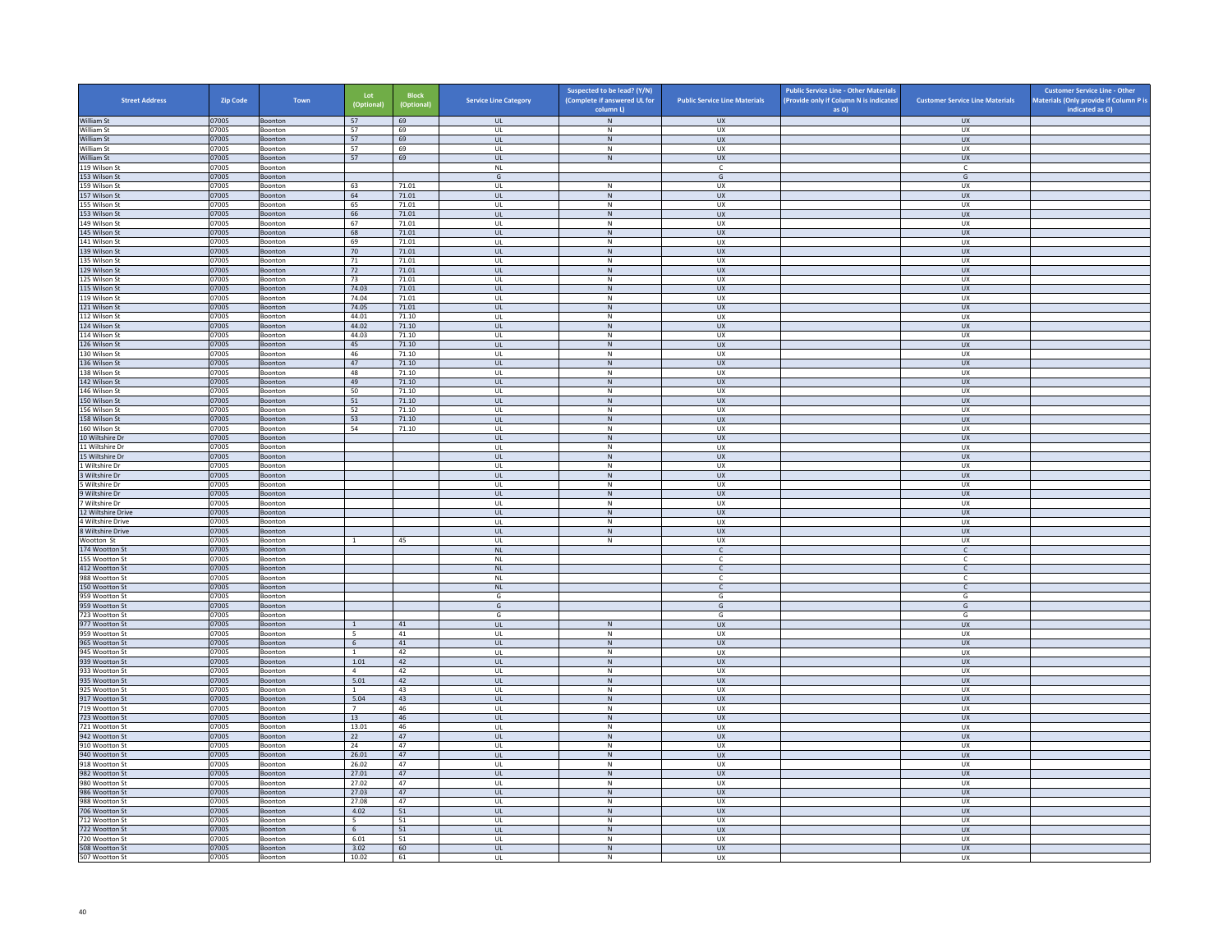| <b>Street Address</b>                  | <b>Zip Code</b> | Town               | Lot<br>(Optional)    | <b>Block</b><br>(Optional) | <b>Service Line Category</b>      | Suspected to be lead? (Y/N)<br>(Complete if answered UL for | <b>Public Service Line Materials</b> | <b>Public Service Line - Other Materials</b><br>(Provide only if Column N is indicated | <b>Customer Service Line Materials</b> | <b>Customer Service Line - Other</b><br>Materials (Only provide if Column P is |
|----------------------------------------|-----------------|--------------------|----------------------|----------------------------|-----------------------------------|-------------------------------------------------------------|--------------------------------------|----------------------------------------------------------------------------------------|----------------------------------------|--------------------------------------------------------------------------------|
|                                        |                 |                    |                      |                            |                                   | column L)                                                   |                                      | as O)                                                                                  |                                        | indicated as O)                                                                |
| William St<br>William St               | 07005<br>07005  | Boonton<br>Boonton | 57<br>57             | 69<br>69                   | <b>UL</b><br><b>UL</b>            | ${\sf N}$<br>N                                              | <b>UX</b><br>UX                      |                                                                                        | <b>UX</b><br><b>UX</b>                 |                                                                                |
| William St                             | 07005           | Boonton            | 57                   | 69                         | <b>UL</b>                         | ${\sf N}$                                                   | ${\sf U}{\sf X}$                     |                                                                                        | UX                                     |                                                                                |
| William St                             | 07005           | Boonton            | 57                   | 69                         | UL                                | ${\sf N}$                                                   | UX                                   |                                                                                        | <b>UX</b>                              |                                                                                |
| William St                             | 07005           | Boonton            | 57                   | 69                         | <b>UL</b>                         | N                                                           | <b>UX</b>                            |                                                                                        | <b>UX</b>                              |                                                                                |
| 119 Wilson St<br>153 Wilson St         | 07005<br>07005  | Boonton<br>Boonton |                      |                            | <b>NL</b><br>G                    |                                                             | $\mathsf{C}$<br>G                    |                                                                                        | c<br>G                                 |                                                                                |
| 159 Wilson St                          | 07005           | Boonton            | 63                   | 71.01                      | UL                                | $\mathsf{N}$                                                | UX                                   |                                                                                        | UX                                     |                                                                                |
| 157 Wilson St                          | 07005           | Boonton            | 64                   | 71.01                      | <b>UL</b>                         | N                                                           | UX                                   |                                                                                        | <b>UX</b>                              |                                                                                |
| 155 Wilson St                          | 07005           | Boonton            | 65                   | 71.01                      | UL                                | ${\sf N}$                                                   | UX                                   |                                                                                        | UX                                     |                                                                                |
| 153 Wilson St                          | 07005           | Boonton            | 66                   | 71.01                      | <b>UL</b>                         | $\,$ N                                                      | UX                                   |                                                                                        | <b>UX</b>                              |                                                                                |
| 149 Wilson St<br>145 Wilson St         | 07005<br>07005  | Boonton<br>Boonton | 67<br>68             | 71.01<br>71.01             | UL<br>UL                          | N<br>${\sf N}$                                              | <b>UX</b><br>UX                      |                                                                                        | <b>UX</b><br>UX                        |                                                                                |
| 141 Wilson St                          | 07005           | <b>Boonton</b>     | 69                   | 71.01                      | $\mathbf{U}$                      | N                                                           | UX                                   |                                                                                        | UX                                     |                                                                                |
| 139 Wilson St                          | 07005           | Boonton            | 70                   | 71.01                      | UL                                | N                                                           | UX                                   |                                                                                        | UX                                     |                                                                                |
| 135 Wilson St                          | 07005           | Boonton            | 71                   | 71.01                      | <b>UL</b>                         | N                                                           | UX                                   |                                                                                        | UX                                     |                                                                                |
| 129 Wilson St                          | 07005           | Boonton            | 72                   | 71.01                      | UL                                | N                                                           | UX                                   |                                                                                        | UX                                     |                                                                                |
| 125 Wilson St<br>115 Wilson St         | 07005<br>07005  | Boonton<br>Boonton | 73<br>74.03          | 71.01<br>71.01             | UL<br><b>UL</b>                   | ${\sf N}$<br>N                                              | UX<br><b>UX</b>                      |                                                                                        | UX<br><b>UX</b>                        |                                                                                |
| 119 Wilson St                          | 07005           | Boonton            | 74.04                | 71.01                      | UL                                | ${\sf N}$                                                   | UX                                   |                                                                                        | <b>UX</b>                              |                                                                                |
| 121 Wilson St                          | 07005           | Boonton            | 74.05                | 71.01                      | $\mathbf{U}$                      | N                                                           | $\overline{11}$                      |                                                                                        | UX                                     |                                                                                |
| 112 Wilson St                          | 07005           | Boonton            | 44.01                | 71.10                      | UL                                | ${\sf N}$                                                   | UX                                   |                                                                                        | UX                                     |                                                                                |
| 124 Wilson St                          | 07005           | Boonton            | 44.02                | 71.10                      | UL                                | N                                                           | ${\sf U}{\sf X}$                     |                                                                                        | UX                                     |                                                                                |
| 114 Wilson St                          | 07005           | Boonton            | 44.03                | 71.10                      | UL                                | ${\sf N}$                                                   | UX                                   |                                                                                        | UX                                     |                                                                                |
| 126 Wilson St<br>130 Wilson St         | 07005<br>07005  | Boonton<br>Boonton | 45<br>46             | 71.10<br>71.10             | UL<br>UL                          | ${\sf N}$<br>N                                              | <b>UX</b><br><b>UX</b>               |                                                                                        | <b>UX</b><br><b>UX</b>                 |                                                                                |
| 136 Wilson St                          | 07005           | Boonton            | 47                   | 71.10                      | $_{\sf UL}$                       | N                                                           | ${\sf U}{\sf X}$                     |                                                                                        | ${\sf U}{\sf X}$                       |                                                                                |
| 138 Wilson St                          | 07005           | Boonton            | 48                   | 71.10                      | $\mathbf{U}$                      | N                                                           | UX                                   |                                                                                        | UX                                     |                                                                                |
| 142 Wilson St                          | 07005           | Boonton            | 49                   | 71.10                      | UL                                | ${\sf N}$                                                   | UX                                   |                                                                                        | <b>UX</b>                              |                                                                                |
| 146 Wilson St                          | 07005           | Boonton            | 50                   | 71.10                      | <b>UL</b>                         | N                                                           | UX                                   |                                                                                        | UX                                     |                                                                                |
| 150 Wilson St                          | 07005           | Boonton            | 51                   | 71.10                      | UL                                | N                                                           | <b>UX</b>                            |                                                                                        | UX                                     |                                                                                |
| 156 Wilson St<br>158 Wilson St         | 07005<br>07005  | Boonton<br>Boonton | 52<br>53             | 71.10<br>71.10             | UL<br><b>UL</b>                   | ${\sf N}$<br>N                                              | UX<br><b>UX</b>                      |                                                                                        | UX<br><b>UX</b>                        |                                                                                |
| 160 Wilson St                          | 07005           | Boonton            | 54                   | 71.10                      | $_{\sf UL}$                       | $\mathsf{N}$                                                | UX                                   |                                                                                        | UX                                     |                                                                                |
| 10 Wiltshire Dr                        | 07005           | Boonton            |                      |                            | $\mathbf{U}$                      | N                                                           | $\overline{11}$                      |                                                                                        | UX                                     |                                                                                |
| 11 Wiltshire Dr                        | 07005           | Boonton            |                      |                            | UL                                | ${\sf N}$                                                   | UX                                   |                                                                                        | UX                                     |                                                                                |
| 15 Wiltshire Dr<br>1 Wiltshire Dr      | 07005<br>07005  | Boonton<br>Boonton |                      |                            | <b>UL</b><br>UL                   | N<br>${\sf N}$                                              | <b>UX</b><br>UX                      |                                                                                        | <b>UX</b><br>UX                        |                                                                                |
| 3 Wiltshire Dr                         | 07005           | Boonton            |                      |                            | <b>UL</b>                         | $\,$ N                                                      | <b>UX</b>                            |                                                                                        | <b>UX</b>                              |                                                                                |
| 5 Wiltshire Dr                         | 07005           | Boonton            |                      |                            | <b>UL</b>                         | N                                                           | <b>UX</b>                            |                                                                                        | <b>UX</b>                              |                                                                                |
| 9 Wiltshire Dr                         | 07005           | Boonton            |                      |                            | UL                                | ${\sf N}$                                                   | UX                                   |                                                                                        | ${\sf U}{\sf X}$                       |                                                                                |
| 7 Wiltshire Dr                         | 07005           | Boonton            |                      |                            | UL                                | N                                                           | UX                                   |                                                                                        | UX                                     |                                                                                |
| 12 Wiltshire Drive                     | 07005           | Boonton            |                      |                            | <b>UL</b>                         | ${\sf N}$                                                   | <b>UX</b>                            |                                                                                        | <b>UX</b>                              |                                                                                |
| 4 Wiltshire Drive<br>8 Wiltshire Drive | 07005<br>07005  | Boonton<br>Boonton |                      |                            | UL<br><b>UL</b>                   | ${\sf N}$<br>N                                              | UX<br><b>UX</b>                      |                                                                                        | UX<br>UX                               |                                                                                |
| Wootton St                             | 07005           | Boonton            | $\overline{1}$       | 45                         | UL                                | ${\sf N}$                                                   | UX                                   |                                                                                        | UX                                     |                                                                                |
| 174 Wootton St                         | 07005           | Boonton            |                      |                            | N1                                |                                                             | $\mathsf{C}$                         |                                                                                        | $\mathsf{C}$                           |                                                                                |
| 155 Wootton St                         | 07005           | Boonton            |                      |                            | <b>NL</b>                         |                                                             | $\mathsf{C}$                         |                                                                                        | $\mathsf{C}$                           |                                                                                |
| 412 Wootton St                         | 07005           | Boonton            |                      |                            | NI                                |                                                             | $\mathsf{C}$                         |                                                                                        | $\mathsf{C}$                           |                                                                                |
| 988 Wootton St<br>150 Wootton St       | 07005<br>07005  | Boonton<br>Boonton |                      |                            | $\mathsf{NL}$<br><b>NL</b>        |                                                             | C<br>$\mathsf{C}$                    |                                                                                        | c<br>$\mathsf{C}$                      |                                                                                |
| 959 Wootton St                         | 07005           | Boonton            |                      |                            | G                                 |                                                             | G                                    |                                                                                        | G                                      |                                                                                |
| 959 Wootton St                         | 07005           | Boonton            |                      |                            | G                                 |                                                             | G                                    |                                                                                        | G                                      |                                                                                |
| 723 Wootton St                         | 07005           | Boonton            |                      |                            | G                                 |                                                             | G                                    |                                                                                        | G                                      |                                                                                |
| 977 Wootton St                         | 07005           | Boonton            | $\overline{1}$       | 41                         | UL                                | N                                                           | UX                                   |                                                                                        | UX                                     |                                                                                |
| 959 Wootton St<br>965 Wootton St       | 07005<br>07005  | Boonton<br>Boonton | - 5<br>6             | 41<br>41                   | <b>UL</b><br>$\mathsf{UL}$        | N<br>${\sf N}$                                              | <b>UX</b><br>UX                      |                                                                                        | <b>UX</b><br>UX                        |                                                                                |
| 945 Wootton St                         | 07005           | Boonton            | $\mathbf{1}$         | 42                         | UL                                | $\,N\,$                                                     | UX                                   |                                                                                        | UX                                     |                                                                                |
| 939 Wootton St                         | 07005           | Boonton            | 1.01                 | 42                         | <b>UL</b>                         | N                                                           | <b>UX</b>                            |                                                                                        | UX                                     |                                                                                |
| 933 Wootton St                         | 07005           | Boonton            | $\overline{4}$       | 42                         | UL                                | ${\sf N}$                                                   | UX                                   |                                                                                        | UX                                     |                                                                                |
| 935 Wootton St                         | 07005           | Boonton            | 5.01                 | 42                         | $\mathbf{u}$                      | N                                                           | UX                                   |                                                                                        | <b>UX</b>                              |                                                                                |
| 925 Wootton St<br>917 Wootton St       | 07005<br>07005  | Boonton<br>Boonton | $\mathbf{1}$<br>5.04 | 43<br>43                   | UL<br><b>UL</b>                   | ${\sf N}$<br>N                                              | UX<br><b>UX</b>                      |                                                                                        | UX<br><b>UX</b>                        |                                                                                |
| 719 Wootton St                         | 07005           | Boonton            | $\overline{7}$       | 46                         | UL                                | ${\sf N}$                                                   | UX                                   |                                                                                        | UX                                     |                                                                                |
| 723 Wootton St                         | 07005           | Boonton            | 13                   | 46                         | UL                                | ${\sf N}$                                                   | UX                                   |                                                                                        | UX                                     |                                                                                |
| 721 Wootton St                         | 07005           | Boonton            | 13.01                | 46                         | UL                                | ${\sf N}$                                                   | UX                                   |                                                                                        | UX                                     |                                                                                |
| 942 Wootton St                         | 07005           | Boonton            | 22                   | 47                         | $\ensuremath{\mathsf{UL}}\xspace$ | ${\sf N}$                                                   | UX                                   |                                                                                        | ${\sf U}{\sf X}$                       |                                                                                |
| 910 Wootton St<br>940 Wootton St       | 07005<br>07005  | Boonton<br>Boonton | 24<br>26.01          | 47<br>47                   | $\mathbf{U}$<br>UL                | N<br>${\sf N}$                                              | <b>UX</b><br>UX                      |                                                                                        | UX<br>UX                               |                                                                                |
| 918 Wootton St                         | 07005           | Boonton            | 26.02                | 47                         | <b>UL</b>                         | N                                                           | UX                                   |                                                                                        | <b>UX</b>                              |                                                                                |
| 982 Wootton St                         | 07005           | Boonton            | 27.01                | 47                         | $\mathsf{UL}$                     | ${\sf N}$                                                   | UX                                   |                                                                                        | UX                                     |                                                                                |
| 980 Wootton St                         | 07005           | Boonton            | 27.02                | 47                         | UL                                | N                                                           | UX                                   |                                                                                        | UX                                     |                                                                                |
| 986 Wootton St                         | 07005           | <b>Boonton</b>     | 27.03                | 47                         | <b>UL</b>                         | N                                                           | <b>UX</b>                            |                                                                                        | UX                                     |                                                                                |
| 988 Wootton St<br>706 Wootton St       | 07005<br>07005  | Boonton<br>Boonton | 27.08<br>4.02        | 47<br>51                   | UL<br>$\mathbf{u}$                | ${\sf N}$<br>N                                              | UX<br>$\overline{11}$                |                                                                                        | UX<br><b>UX</b>                        |                                                                                |
| 712 Wootton St                         | 07005           | Boonton            | $5\overline{ }$      | 51                         | UL                                | ${\sf N}$                                                   | UX                                   |                                                                                        | UX                                     |                                                                                |
| 722 Wootton St                         | 07005           | Boonton            | 6                    | 51                         | <b>UL</b>                         | N                                                           | <b>UX</b>                            |                                                                                        | <b>UX</b>                              |                                                                                |
| 720 Wootton St                         | 07005           | Boonton            | 6.01                 | 51                         | UL                                | $\mathsf{N}$                                                | UX                                   |                                                                                        | UX                                     |                                                                                |
| 508 Wootton St                         | 07005           | Boonton            | 3.02                 | 60                         | UL                                | N                                                           | UX                                   |                                                                                        | UX                                     |                                                                                |
| 507 Wootton St                         | 07005           | Boonton            | 10.02                | 61                         | UL                                | $\mathsf{N}$                                                | <b>UX</b>                            |                                                                                        | <b>UX</b>                              |                                                                                |